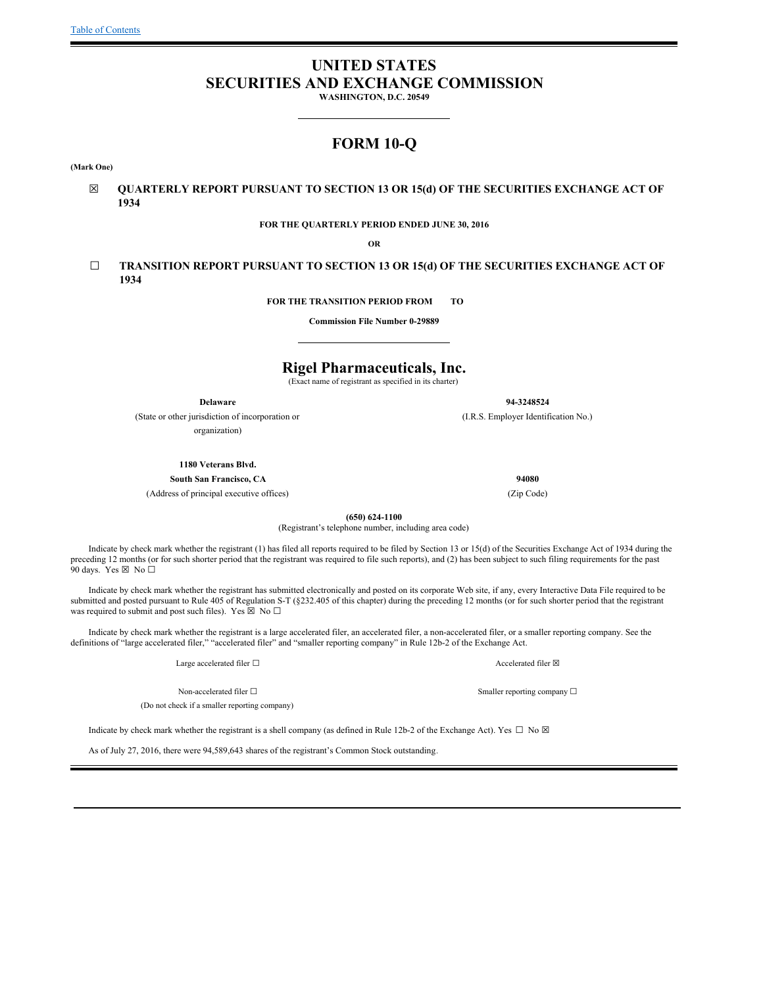# **UNITED STATES SECURITIES AND EXCHANGE COMMISSION**

**WASHINGTON, D.C. 20549**

# **FORM 10-Q**

**(Mark One)**

## **☒ QUARTERLY REPORT PURSUANT TO SECTION 13 OR 15(d) OF THE SECURITIES EXCHANGE ACT OF 1934**

**FOR THE QUARTERLY PERIOD ENDED JUNE 30, 2016**

**OR**

## **☐ TRANSITION REPORT PURSUANT TO SECTION 13 OR 15(d) OF THE SECURITIES EXCHANGE ACT OF 1934**

**FOR THE TRANSITION PERIOD FROM TO**

**Commission File Number 0-29889**

# **Rigel Pharmaceuticals, Inc.**

(Exact name of registrant as specified in its charter)

**Delaware 94-3248524**

(State or other jurisdiction of incorporation or (I.R.S. Employer Identification No.) organization)

**1180 Veterans Blvd.**

**South San Francisco, CA 94080**

(Address of principal executive offices) (Zip Code)

**(650) 624-1100**

(Registrant's telephone number, including area code)

Indicate by check mark whether the registrant (1) has filed all reports required to be filed by Section 13 or 15(d) of the Securities Exchange Act of 1934 during the preceding 12 months (or for such shorter period that the registrant was required to file such reports), and (2) has been subject to such filing requirements for the past 90 days. Yes  $\times$  No  $\Box$ 

Indicate by check mark whether the registrant has submitted electronically and posted on its corporate Web site, if any, every Interactive Data File required to be submitted and posted pursuant to Rule 405 of Regulation S-T (§232.405 of this chapter) during the preceding 12 months (or for such shorter period that the registrant was required to submit and post such files). Yes  $\boxtimes$  No  $\Box$ 

Indicate by check mark whether the registrant is a large accelerated filer, an accelerated filer, a non-accelerated filer, or a smaller reporting company. See the definitions of "large accelerated filer," "accelerated filer" and "smaller reporting company" in Rule 12b-2 of the Exchange Act.

Large accelerated filer  $\Box$  Accelerated filer  $\boxtimes$ 

(Do not check if a smaller reporting company)

Indicate by check mark whether the registrant is a shell company (as defined in Rule 12b-2 of the Exchange Act). Yes  $\Box$  No  $\boxtimes$ 

As of July 27, 2016, there were 94,589,643 shares of the registrant's Common Stock outstanding.

Non-accelerated filer □ state of the state of the state of the Smaller reporting company □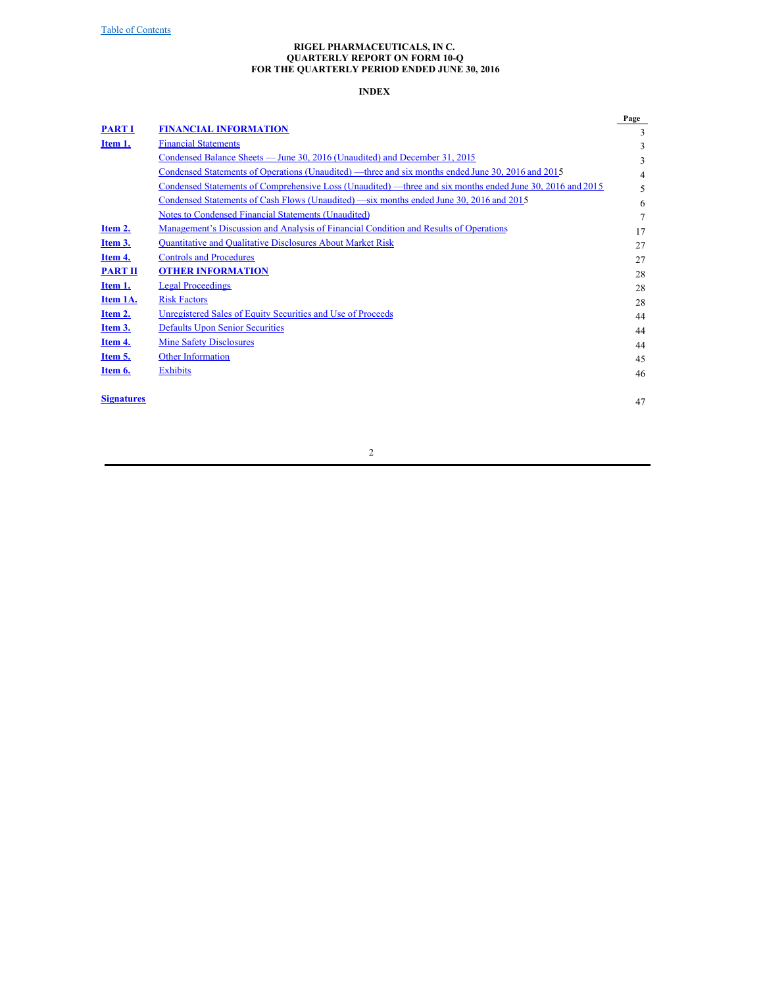#### **RIGEL PHARMACEUTICALS, IN C. QUARTERLY REPORT ON FORM 10-Q FOR THE QUARTERLY PERIOD ENDED JUNE 30, 2016**

## **INDEX**

|                   |                                                                                                           | Page |
|-------------------|-----------------------------------------------------------------------------------------------------------|------|
| <b>PART I</b>     | <b>FINANCIAL INFORMATION</b>                                                                              | 3    |
| Item 1.           | <b>Financial Statements</b>                                                                               | 3    |
|                   | Condensed Balance Sheets — June 30, 2016 (Unaudited) and December 31, 2015                                | 3    |
|                   | Condensed Statements of Operations (Unaudited) —three and six months ended June 30, 2016 and 2015         | 4    |
|                   | Condensed Statements of Comprehensive Loss (Unaudited) —three and six months ended June 30, 2016 and 2015 | 5    |
|                   | Condensed Statements of Cash Flows (Unaudited) —six months ended June 30, 2016 and 2015                   | 6    |
|                   | Notes to Condensed Financial Statements (Unaudited)                                                       | 7    |
| Item 2.           | Management's Discussion and Analysis of Financial Condition and Results of Operations                     | 17   |
| Item 3.           | <b>Quantitative and Qualitative Disclosures About Market Risk</b>                                         | 27   |
| Item 4.           | <b>Controls and Procedures</b>                                                                            | 27   |
| <b>PART II</b>    | <b>OTHER INFORMATION</b>                                                                                  | 28   |
| Item 1.           | <b>Legal Proceedings</b>                                                                                  | 28   |
| Item 1A.          | <b>Risk Factors</b>                                                                                       | 28   |
| Item 2.           | Unregistered Sales of Equity Securities and Use of Proceeds                                               | 44   |
| Item 3.           | <b>Defaults Upon Senior Securities</b>                                                                    | 44   |
| Item 4.           | <b>Mine Safety Disclosures</b>                                                                            | 44   |
| Item 5.           | <b>Other Information</b>                                                                                  | 45   |
| Item 6.           | <b>Exhibits</b>                                                                                           | 46   |
|                   |                                                                                                           |      |
| <b>Signatures</b> |                                                                                                           | 47   |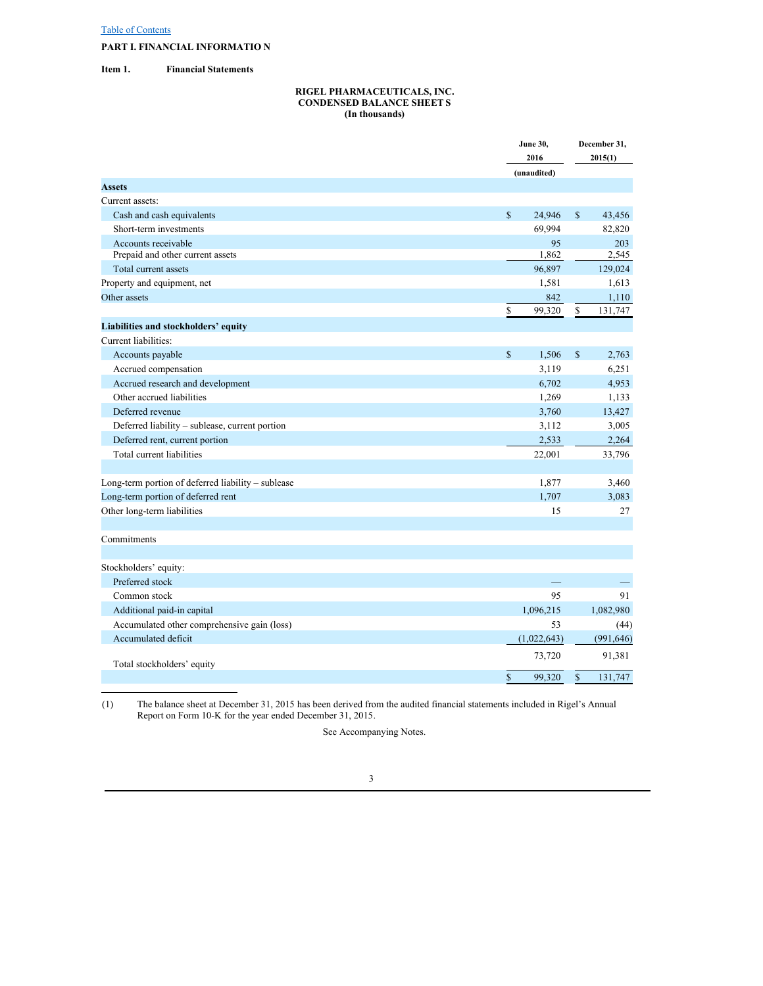## **PART I. FINANCIAL INFORMATIO N**

## **Item 1. Financial Statements**

## <span id="page-2-2"></span><span id="page-2-1"></span><span id="page-2-0"></span>**RIGEL PHARMACEUTICALS, INC. CONDENSED BALANCE SHEET S (In thousands)**

|                                                    | June 30,<br>2016       |              | December 31,<br>2015(1) |
|----------------------------------------------------|------------------------|--------------|-------------------------|
|                                                    | (unaudited)            |              |                         |
| <b>Assets</b>                                      |                        |              |                         |
| Current assets:                                    |                        |              |                         |
| Cash and cash equivalents                          | $\mathbb{S}$<br>24,946 | $\mathbb{S}$ | 43,456                  |
| Short-term investments                             | 69,994                 |              | 82,820                  |
| Accounts receivable                                | 95                     |              | 203                     |
| Prepaid and other current assets                   | 1,862                  |              | 2,545                   |
| Total current assets                               | 96,897                 |              | 129,024                 |
| Property and equipment, net                        | 1,581                  |              | 1,613                   |
| Other assets                                       | 842                    |              | 1,110                   |
|                                                    | \$<br>99,320           | \$           | 131,747                 |
| Liabilities and stockholders' equity               |                        |              |                         |
| Current liabilities:                               |                        |              |                         |
| Accounts payable                                   | $\mathbb{S}$<br>1,506  | $\mathbb{S}$ | 2,763                   |
| Accrued compensation                               | 3,119                  |              | 6,251                   |
| Accrued research and development                   | 6,702                  |              | 4,953                   |
| Other accrued liabilities                          | 1,269                  |              | 1,133                   |
| Deferred revenue                                   | 3,760                  |              | 13,427                  |
| Deferred liability - sublease, current portion     | 3,112                  |              | 3,005                   |
| Deferred rent, current portion                     | 2,533                  |              | 2,264                   |
| Total current liabilities                          | 22,001                 |              | 33,796                  |
|                                                    |                        |              |                         |
| Long-term portion of deferred liability - sublease | 1,877                  |              | 3,460                   |
| Long-term portion of deferred rent                 | 1,707                  |              | 3,083                   |
| Other long-term liabilities                        | 15                     |              | 27                      |
|                                                    |                        |              |                         |
| Commitments                                        |                        |              |                         |
|                                                    |                        |              |                         |
| Stockholders' equity:                              |                        |              |                         |
| Preferred stock                                    |                        |              |                         |
| Common stock                                       | 95                     |              | 91                      |
| Additional paid-in capital                         | 1,096,215              |              | 1,082,980               |
| Accumulated other comprehensive gain (loss)        | 53                     |              | (44)                    |
| Accumulated deficit                                | (1,022,643)            |              | (991, 646)              |
| Total stockholders' equity                         | 73,720                 |              | 91,381                  |
|                                                    | $\mathbb{S}$<br>99,320 | $\mathbb{S}$ | 131,747                 |

(1) The balance sheet at December 31, 2015 has been derived from the audited financial statements included in Rigel's Annual Report on Form 10-K for the year ended December 31, 2015.

See Accompanying Notes.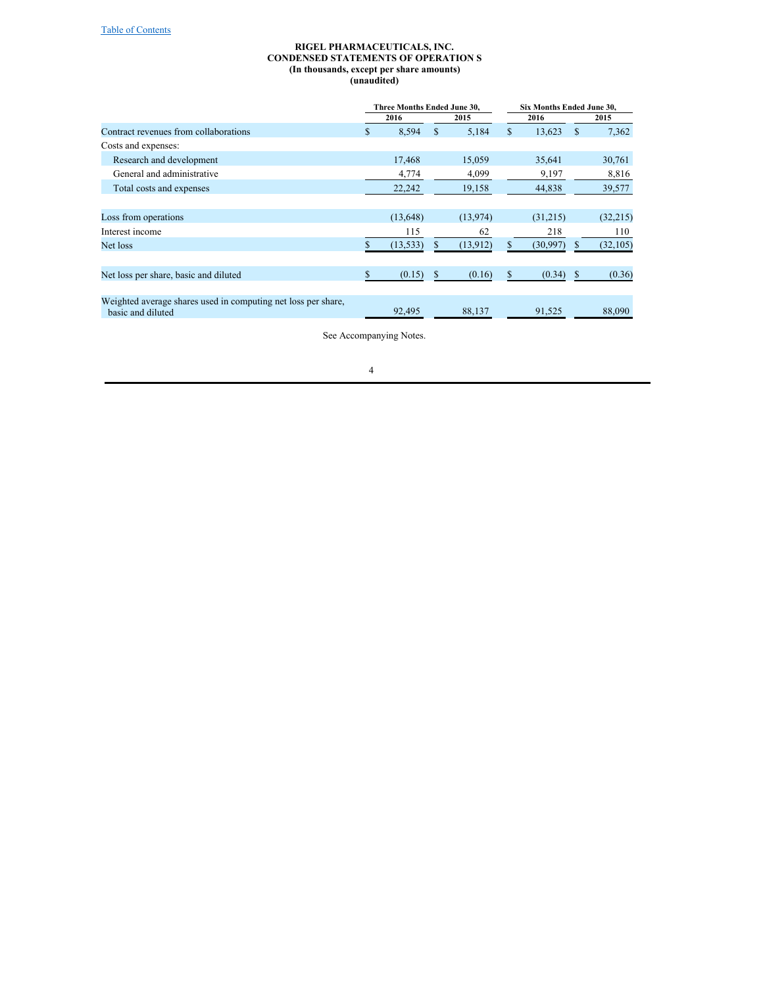## <span id="page-3-0"></span>**RIGEL PHARMACEUTICALS, INC. CONDENSED STATEMENTS OF OPERATION S (In thousands, except per share amounts) (unaudited)**

|                                                                                    | <b>Three Months Ended June 30.</b> |           |               |          |              | <b>Six Months Ended June 30.</b> |           |  |  |
|------------------------------------------------------------------------------------|------------------------------------|-----------|---------------|----------|--------------|----------------------------------|-----------|--|--|
|                                                                                    |                                    | 2016      |               | 2015     | 2016         |                                  | 2015      |  |  |
| Contract revenues from collaborations                                              | \$                                 | 8,594     | \$            | 5,184    | \$<br>13,623 | \$.                              | 7,362     |  |  |
| Costs and expenses:                                                                |                                    |           |               |          |              |                                  |           |  |  |
| Research and development                                                           |                                    | 17.468    |               | 15,059   | 35,641       |                                  | 30,761    |  |  |
| General and administrative                                                         |                                    | 4,774     |               | 4,099    | 9,197        |                                  | 8,816     |  |  |
| Total costs and expenses                                                           |                                    | 22,242    |               | 19,158   | 44,838       |                                  | 39,577    |  |  |
|                                                                                    |                                    |           |               |          |              |                                  |           |  |  |
| Loss from operations                                                               |                                    | (13, 648) |               | (13,974) | (31,215)     |                                  | (32,215)  |  |  |
| Interest income                                                                    |                                    | 115       |               | 62       | 218          |                                  | 110       |  |  |
| Net loss                                                                           |                                    | (13, 533) |               | (13,912) | (30, 997)    |                                  | (32, 105) |  |  |
|                                                                                    |                                    |           |               |          |              |                                  |           |  |  |
| Net loss per share, basic and diluted                                              | \$                                 | (0.15)    | <sup>\$</sup> | (0.16)   | \$<br>(0.34) | <sup>S</sup>                     | (0.36)    |  |  |
|                                                                                    |                                    |           |               |          |              |                                  |           |  |  |
| Weighted average shares used in computing net loss per share,<br>basic and diluted |                                    | 92,495    |               | 88,137   | 91,525       |                                  | 88,090    |  |  |
|                                                                                    |                                    |           |               |          |              |                                  |           |  |  |

See Accompanying Notes.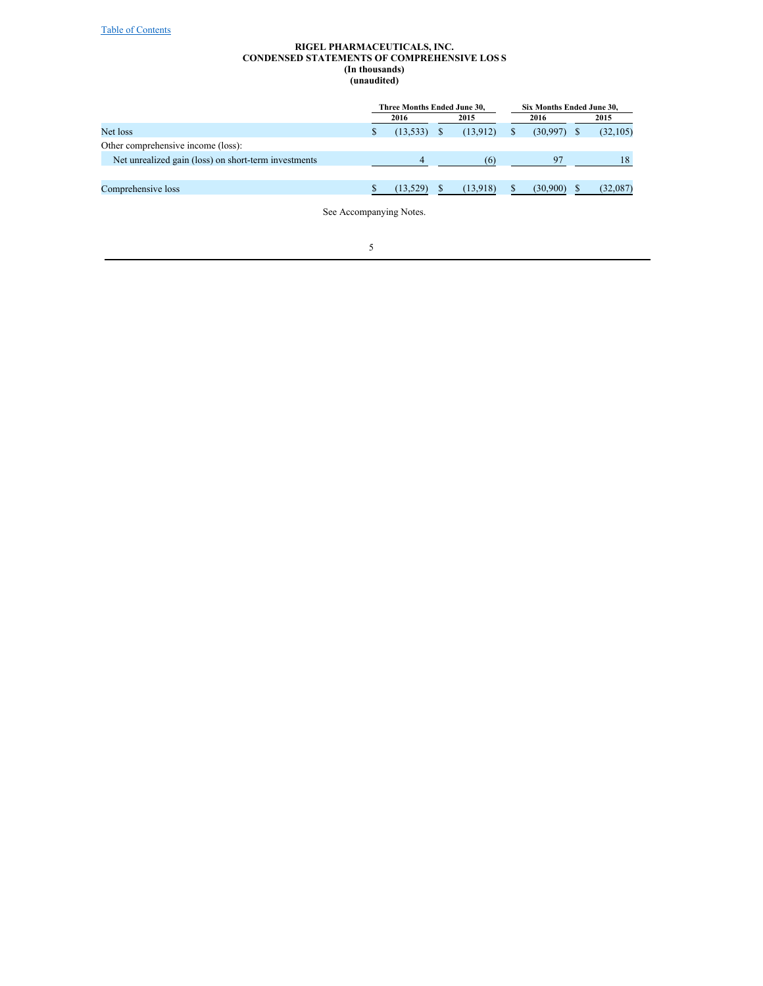## <span id="page-4-0"></span>**RIGEL PHARMACEUTICALS, INC. CONDENSED STATEMENTS OF COMPREHENSIVE LOS S (In thousands) (unaudited)**

|                                                      | Three Months Ended June 30, |   |           |  |          | Six Months Ended June 30. |               |    |           |
|------------------------------------------------------|-----------------------------|---|-----------|--|----------|---------------------------|---------------|----|-----------|
|                                                      |                             |   | 2016      |  | 2015     |                           | 2016          |    | 2015      |
| Net loss                                             |                             | S | (13, 533) |  | (13,912) | \$                        | $(30,997)$ \$ |    | (32, 105) |
| Other comprehensive income (loss):                   |                             |   |           |  |          |                           |               |    |           |
| Net unrealized gain (loss) on short-term investments |                             |   | 4         |  | (6)      |                           | 97            |    | 18        |
| Comprehensive loss                                   |                             |   | (13, 529) |  | (13,918) | S                         | (30,900)      | -S | (32,087)  |
|                                                      | See Accompanying Notes.     |   |           |  |          |                           |               |    |           |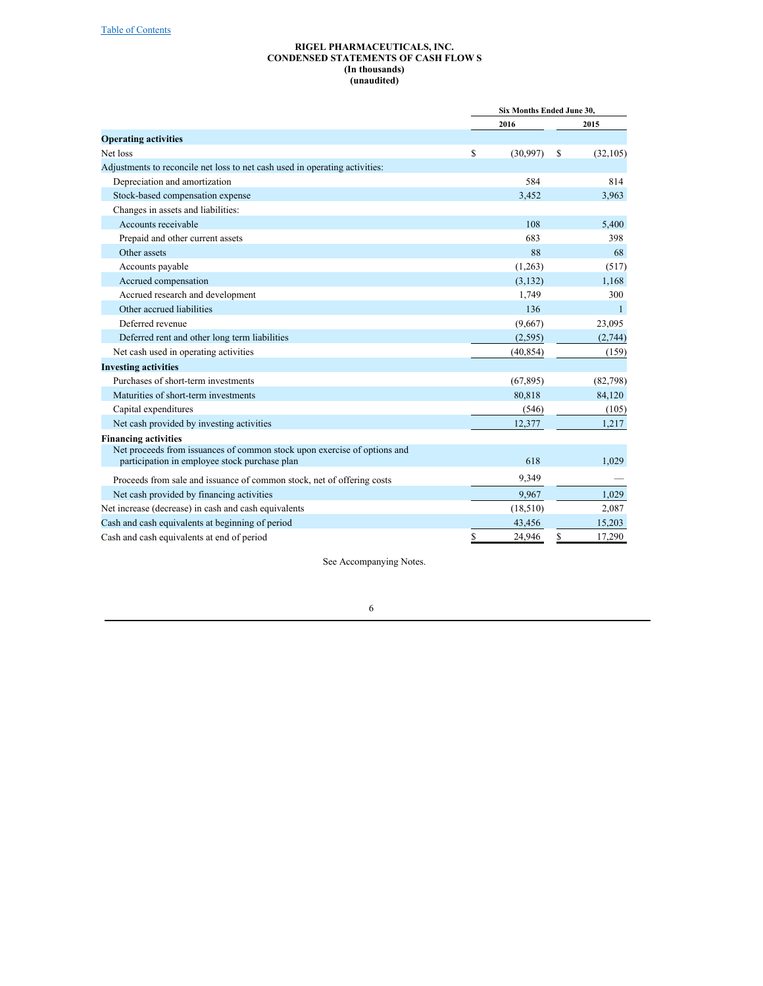## <span id="page-5-0"></span>**RIGEL PHARMACEUTICALS, INC. CONDENSED STATEMENTS OF CASH FLOW S (In thousands) (unaudited)**

|                                                                             | Six Months Ended June 30.<br>2016<br>2015<br>S<br>(30,997)<br>S<br>584<br>3,452 |    |              |  |
|-----------------------------------------------------------------------------|---------------------------------------------------------------------------------|----|--------------|--|
|                                                                             |                                                                                 |    |              |  |
| <b>Operating activities</b>                                                 |                                                                                 |    |              |  |
| Net loss                                                                    |                                                                                 |    | (32, 105)    |  |
| Adjustments to reconcile net loss to net cash used in operating activities: |                                                                                 |    |              |  |
| Depreciation and amortization                                               |                                                                                 |    | 814          |  |
| Stock-based compensation expense                                            |                                                                                 |    | 3,963        |  |
| Changes in assets and liabilities:                                          |                                                                                 |    |              |  |
| Accounts receivable                                                         | 108                                                                             |    | 5,400        |  |
| Prepaid and other current assets                                            | 683                                                                             |    | 398          |  |
| Other assets                                                                | 88                                                                              |    | 68           |  |
| Accounts payable                                                            | (1,263)                                                                         |    | (517)        |  |
| Accrued compensation                                                        | (3, 132)                                                                        |    | 1,168        |  |
| Accrued research and development                                            | 1,749                                                                           |    | 300          |  |
| Other accrued liabilities                                                   | 136                                                                             |    | $\mathbf{1}$ |  |
| Deferred revenue                                                            | (9,667)                                                                         |    | 23,095       |  |
| Deferred rent and other long term liabilities                               | (2,595)                                                                         |    | (2,744)      |  |
| Net cash used in operating activities                                       | (40, 854)                                                                       |    | (159)        |  |
| <b>Investing activities</b>                                                 |                                                                                 |    |              |  |
| Purchases of short-term investments                                         | (67, 895)                                                                       |    | (82,798)     |  |
| Maturities of short-term investments                                        | 80,818                                                                          |    | 84,120       |  |
| Capital expenditures                                                        | (546)                                                                           |    | (105)        |  |
| Net cash provided by investing activities                                   | 12,377                                                                          |    | 1,217        |  |
| <b>Financing activities</b>                                                 |                                                                                 |    |              |  |
| Net proceeds from issuances of common stock upon exercise of options and    |                                                                                 |    |              |  |
| participation in employee stock purchase plan                               | 618                                                                             |    | 1,029        |  |
| Proceeds from sale and issuance of common stock, net of offering costs      | 9,349                                                                           |    |              |  |
| Net cash provided by financing activities                                   | 9,967                                                                           |    | 1,029        |  |
| Net increase (decrease) in cash and cash equivalents                        | (18, 510)                                                                       |    | 2,087        |  |
| Cash and cash equivalents at beginning of period                            | 43,456                                                                          |    | 15,203       |  |
| Cash and cash equivalents at end of period                                  | \$<br>24,946                                                                    | \$ | 17,290       |  |

See Accompanying Notes.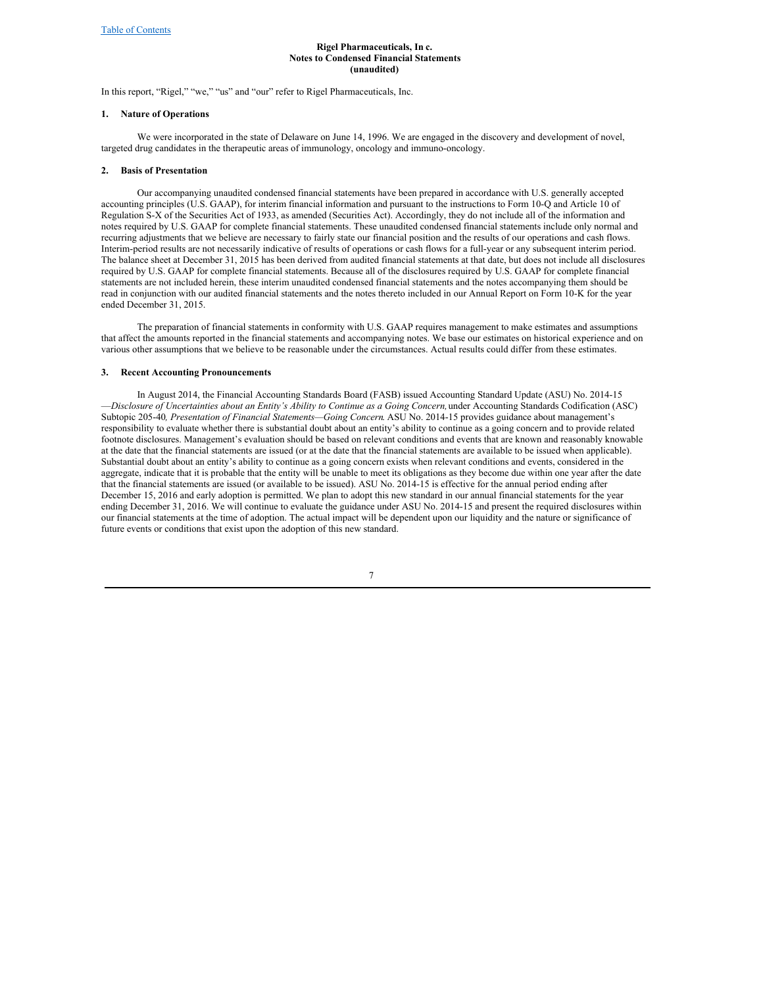## <span id="page-6-0"></span>**Rigel Pharmaceuticals, In c. Notes to Condensed Financial Statements (unaudited)**

In this report, "Rigel," "we," "us" and "our" refer to Rigel Pharmaceuticals, Inc.

## **1. Nature of Operations**

We were incorporated in the state of Delaware on June 14, 1996. We are engaged in the discovery and development of novel, targeted drug candidates in the therapeutic areas of immunology, oncology and immuno-oncology.

## **2. Basis of Presentation**

Our accompanying unaudited condensed financial statements have been prepared in accordance with U.S. generally accepted accounting principles (U.S. GAAP), for interim financial information and pursuant to the instructions to Form 10-Q and Article 10 of Regulation S-X of the Securities Act of 1933, as amended (Securities Act). Accordingly, they do not include all of the information and notes required by U.S. GAAP for complete financial statements. These unaudited condensed financial statements include only normal and recurring adjustments that we believe are necessary to fairly state our financial position and the results of our operations and cash flows. Interim-period results are not necessarily indicative of results of operations or cash flows for a full-year or any subsequent interim period. The balance sheet at December 31, 2015 has been derived from audited financial statements at that date, but does not include all disclosures required by U.S. GAAP for complete financial statements. Because all of the disclosures required by U.S. GAAP for complete financial statements are not included herein, these interim unaudited condensed financial statements and the notes accompanying them should be read in conjunction with our audited financial statements and the notes thereto included in our Annual Report on Form 10-K for the year ended December 31, 2015.

The preparation of financial statements in conformity with U.S. GAAP requires management to make estimates and assumptions that affect the amounts reported in the financial statements and accompanying notes. We base our estimates on historical experience and on various other assumptions that we believe to be reasonable under the circumstances. Actual results could differ from these estimates.

## **3. Recent Accounting Pronouncements**

In August 2014, the Financial Accounting Standards Board (FASB) issued Accounting Standard Update (ASU) No. 2014-15 —*Disclosure of Uncertainties about an Entity's Ability to Continue as a Going Concern,*under Accounting Standards Codification (ASC) Subtopic 205-40*, Presentation of Financial Statements—Going Concern*. ASU No. 2014-15 provides guidance about management's responsibility to evaluate whether there is substantial doubt about an entity's ability to continue as a going concern and to provide related footnote disclosures. Management's evaluation should be based on relevant conditions and events that are known and reasonably knowable at the date that the financial statements are issued (or at the date that the financial statements are available to be issued when applicable). Substantial doubt about an entity's ability to continue as a going concern exists when relevant conditions and events, considered in the aggregate, indicate that it is probable that the entity will be unable to meet its obligations as they become due within one year after the date that the financial statements are issued (or available to be issued). ASU No. 2014-15 is effective for the annual period ending after December 15, 2016 and early adoption is permitted. We plan to adopt this new standard in our annual financial statements for the year ending December 31, 2016. We will continue to evaluate the guidance under ASU No. 2014-15 and present the required disclosures within our financial statements at the time of adoption. The actual impact will be dependent upon our liquidity and the nature or significance of future events or conditions that exist upon the adoption of this new standard.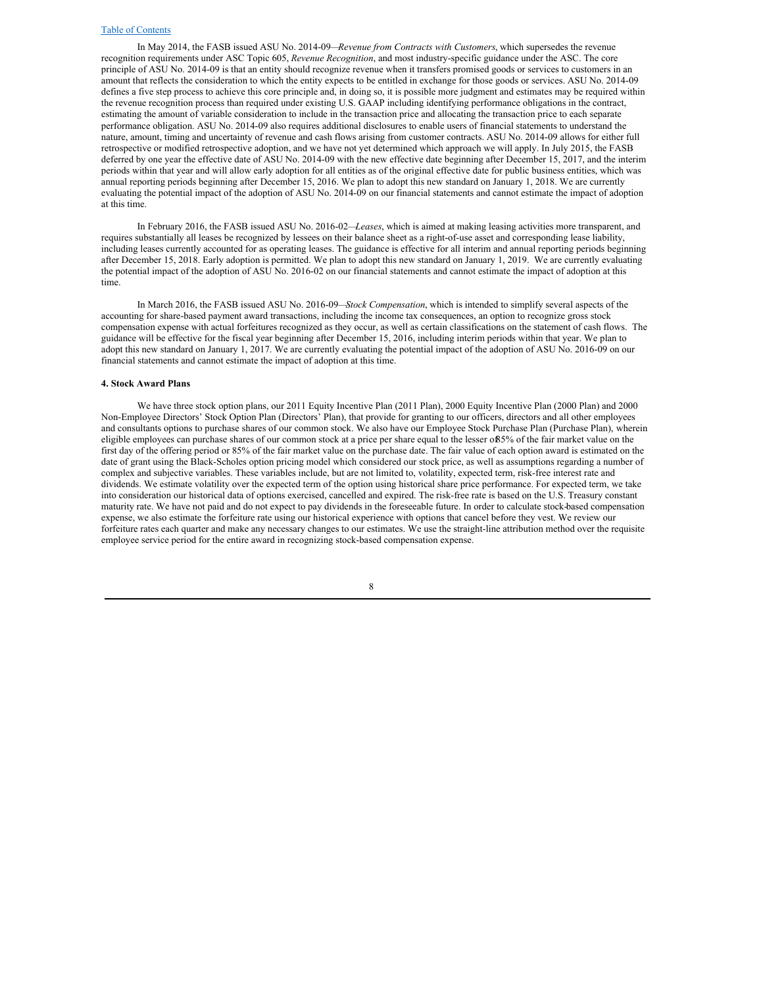In May 2014, the FASB issued ASU No. 2014-09—*Revenue from Contracts with Customers*, which supersedes the revenue recognition requirements under ASC Topic 605, *Revenue Recognition*, and most industry-specific guidance under the ASC. The core principle of ASU No. 2014-09 is that an entity should recognize revenue when it transfers promised goods or services to customers in an amount that reflects the consideration to which the entity expects to be entitled in exchange for those goods or services. ASU No. 2014-09 defines a five step process to achieve this core principle and, in doing so, it is possible more judgment and estimates may be required within the revenue recognition process than required under existing U.S. GAAP including identifying performance obligations in the contract, estimating the amount of variable consideration to include in the transaction price and allocating the transaction price to each separate performance obligation. ASU No. 2014-09 also requires additional disclosures to enable users of financial statements to understand the nature, amount, timing and uncertainty of revenue and cash flows arising from customer contracts. ASU No. 2014-09 allows for either full retrospective or modified retrospective adoption, and we have not yet determined which approach we will apply. In July 2015, the FASB deferred by one year the effective date of ASU No. 2014-09 with the new effective date beginning after December 15, 2017, and the interim periods within that year and will allow early adoption for all entities as of the original effective date for public business entities, which was annual reporting periods beginning after December 15, 2016. We plan to adopt this new standard on January 1, 2018. We are currently evaluating the potential impact of the adoption of ASU No. 2014-09 on our financial statements and cannot estimate the impact of adoption at this time.

In February 2016, the FASB issued ASU No. 2016-02—*Leases*, which is aimed at making leasing activities more transparent, and requires substantially all leases be recognized by lessees on their balance sheet as a right-of-use asset and corresponding lease liability, including leases currently accounted for as operating leases. The guidance is effective for all interim and annual reporting periods beginning after December 15, 2018. Early adoption is permitted. We plan to adopt this new standard on January 1, 2019. We are currently evaluating the potential impact of the adoption of ASU No. 2016-02 on our financial statements and cannot estimate the impact of adoption at this time.

In March 2016, the FASB issued ASU No. 2016-09—*Stock Compensation*, which is intended to simplify several aspects of the accounting for share-based payment award transactions, including the income tax consequences, an option to recognize gross stock compensation expense with actual forfeitures recognized as they occur, as well as certain classifications on the statement of cash flows. The guidance will be effective for the fiscal year beginning after December 15, 2016, including interim periods within that year. We plan to adopt this new standard on January 1, 2017. We are currently evaluating the potential impact of the adoption of ASU No. 2016-09 on our financial statements and cannot estimate the impact of adoption at this time.

#### **4. Stock Award Plans**

We have three stock option plans, our 2011 Equity Incentive Plan (2011 Plan), 2000 Equity Incentive Plan (2000 Plan) and 2000 Non-Employee Directors' Stock Option Plan (Directors' Plan), that provide for granting to our officers, directors and all other employees and consultants options to purchase shares of our common stock. We also have our Employee Stock Purchase Plan (Purchase Plan), wherein eligible employees can purchase shares of our common stock at a price per share equal to the lesser of85% of the fair market value on the first day of the offering period or 85% of the fair market value on the purchase date. The fair value of each option award is estimated on the date of grant using the Black-Scholes option pricing model which considered our stock price, as well as assumptions regarding a number of complex and subjective variables. These variables include, but are not limited to, volatility, expected term, risk-free interest rate and dividends. We estimate volatility over the expected term of the option using historical share price performance. For expected term, we take into consideration our historical data of options exercised, cancelled and expired. The risk-free rate is based on the U.S. Treasury constant maturity rate. We have not paid and do not expect to pay dividends in the foreseeable future. In order to calculate stock-based compensation expense, we also estimate the forfeiture rate using our historical experience with options that cancel before they vest. We review our forfeiture rates each quarter and make any necessary changes to our estimates. We use the straight-line attribution method over the requisite employee service period for the entire award in recognizing stock-based compensation expense.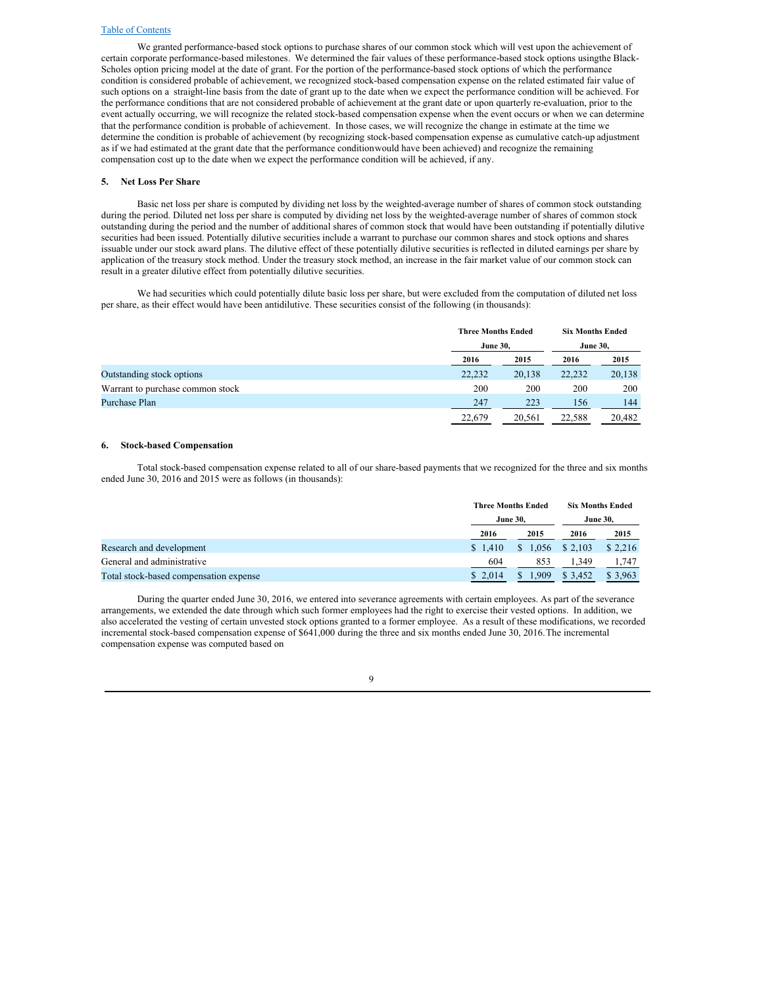We granted performance-based stock options to purchase shares of our common stock which will vest upon the achievement of certain corporate performance-based milestones. We determined the fair values of these performance-based stock options usingthe Black-Scholes option pricing model at the date of grant. For the portion of the performance-based stock options of which the performance condition is considered probable of achievement, we recognized stock-based compensation expense on the related estimated fair value of such options on a straight-line basis from the date of grant up to the date when we expect the performance condition will be achieved. For the performance conditions that are not considered probable of achievement at the grant date or upon quarterly re-evaluation, prior to the event actually occurring, we will recognize the related stock-based compensation expense when the event occurs or when we can determine that the performance condition is probable of achievement. In those cases, we will recognize the change in estimate at the time we determine the condition is probable of achievement (by recognizing stock-based compensation expense as cumulative catch-up adjustment as if we had estimated at the grant date that the performance conditionwould have been achieved) and recognize the remaining compensation cost up to the date when we expect the performance condition will be achieved, if any.

#### **5. Net Loss Per Share**

Basic net loss per share is computed by dividing net loss by the weighted-average number of shares of common stock outstanding during the period. Diluted net loss per share is computed by dividing net loss by the weighted-average number of shares of common stock outstanding during the period and the number of additional shares of common stock that would have been outstanding if potentially dilutive securities had been issued. Potentially dilutive securities include a warrant to purchase our common shares and stock options and shares issuable under our stock award plans. The dilutive effect of these potentially dilutive securities is reflected in diluted earnings per share by application of the treasury stock method. Under the treasury stock method, an increase in the fair market value of our common stock can result in a greater dilutive effect from potentially dilutive securities.

We had securities which could potentially dilute basic loss per share, but were excluded from the computation of diluted net loss per share, as their effect would have been antidilutive. These securities consist of the following (in thousands):

|                                  | <b>Three Months Ended</b> |        | <b>Six Months Ended</b> |        |
|----------------------------------|---------------------------|--------|-------------------------|--------|
|                                  | <b>June 30.</b>           |        | <b>June 30.</b>         |        |
|                                  | 2016                      | 2015   | 2016                    | 2015   |
| Outstanding stock options        | 22,232                    | 20,138 | 22,232                  | 20,138 |
| Warrant to purchase common stock | 200                       | 200    | 200                     | 200    |
| Purchase Plan                    | 247                       | 223    | 156                     | 144    |
|                                  | 22,679                    | 20.561 | 22.588                  | 20.482 |

#### **6. Stock-based Compensation**

Total stock-based compensation expense related to all of our share-based payments that we recognized for the three and six months ended June 30, 2016 and 2015 were as follows (in thousands):

|                                        |                 | <b>Three Months Ended</b> |                 | <b>Six Months Ended</b> |
|----------------------------------------|-----------------|---------------------------|-----------------|-------------------------|
|                                        | <b>June 30.</b> |                           | <b>June 30.</b> |                         |
|                                        | 2016            | 2015                      | 2016            | 2015                    |
| Research and development               | \$1.410         | $$1,056$ $$2,103$         |                 | \$2,216                 |
| General and administrative             | 604             | 853                       | 1.349           | 1,747                   |
| Total stock-based compensation expense | \$2,014         | \$1.909                   | \$ 3.452        | \$3,963                 |

During the quarter ended June 30, 2016, we entered into severance agreements with certain employees. As part of the severance arrangements, we extended the date through which such former employees had the right to exercise their vested options. In addition, we also accelerated the vesting of certain unvested stock options granted to a former employee. As a result of these modifications, we recorded incremental stock-based compensation expense of \$641,000 during the three and six months ended June 30, 2016.The incremental compensation expense was computed based on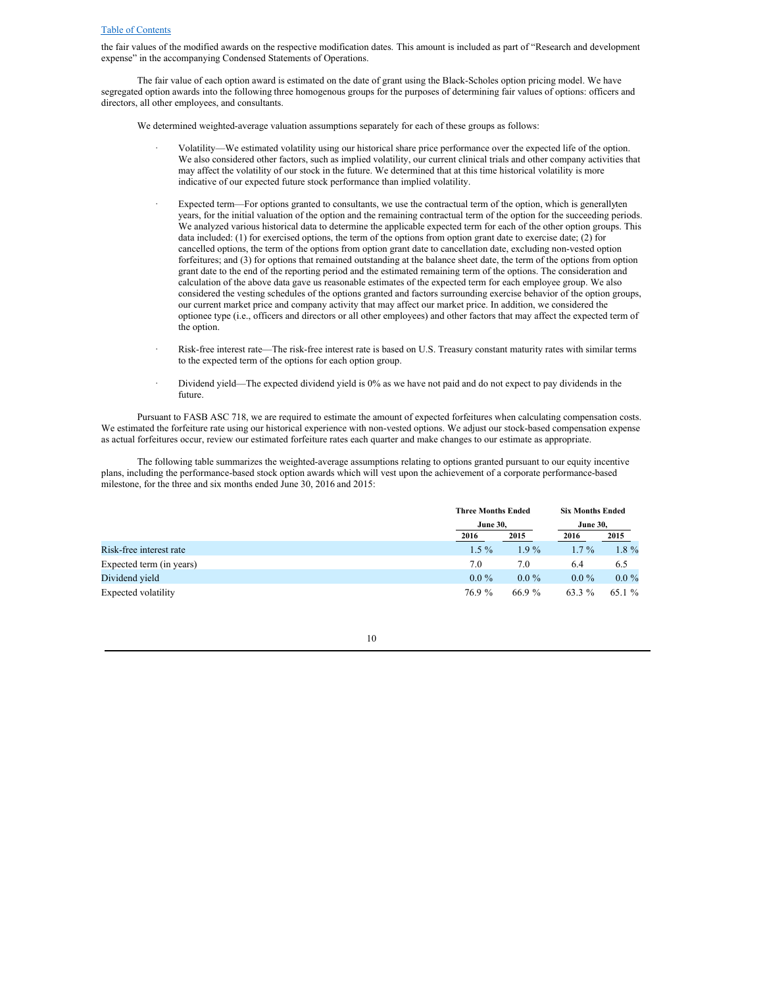the fair values of the modified awards on the respective modification dates. This amount is included as part of "Research and development expense" in the accompanying Condensed Statements of Operations.

The fair value of each option award is estimated on the date of grant using the Black-Scholes option pricing model. We have segregated option awards into the following three homogenous groups for the purposes of determining fair values of options: officers and directors, all other employees, and consultants.

We determined weighted-average valuation assumptions separately for each of these groups as follows:

- · Volatility—We estimated volatility using our historical share price performance over the expected life of the option. We also considered other factors, such as implied volatility, our current clinical trials and other company activities that may affect the volatility of our stock in the future. We determined that at this time historical volatility is more indicative of our expected future stock performance than implied volatility.
- Expected term—For options granted to consultants, we use the contractual term of the option, which is generallyten years, for the initial valuation of the option and the remaining contractual term of the option for the succeeding periods. We analyzed various historical data to determine the applicable expected term for each of the other option groups. This data included: (1) for exercised options, the term of the options from option grant date to exercise date; (2) for cancelled options, the term of the options from option grant date to cancellation date, excluding non-vested option forfeitures; and (3) for options that remained outstanding at the balance sheet date, the term of the options from option grant date to the end of the reporting period and the estimated remaining term of the options. The consideration and calculation of the above data gave us reasonable estimates of the expected term for each employee group. We also considered the vesting schedules of the options granted and factors surrounding exercise behavior of the option groups, our current market price and company activity that may affect our market price. In addition, we considered the optionee type (i.e., officers and directors or all other employees) and other factors that may affect the expected term of the option.
- Risk-free interest rate—The risk-free interest rate is based on U.S. Treasury constant maturity rates with similar terms to the expected term of the options for each option group.
- · Dividend yield—The expected dividend yield is 0% as we have not paid and do not expect to pay dividends in the future.

Pursuant to FASB ASC 718, we are required to estimate the amount of expected forfeitures when calculating compensation costs. We estimated the forfeiture rate using our historical experience with non-vested options. We adjust our stock-based compensation expense as actual forfeitures occur, review our estimated forfeiture rates each quarter and make changes to our estimate as appropriate.

The following table summarizes the weighted-average assumptions relating to options granted pursuant to our equity incentive plans, including the performance-based stock option awards which will vest upon the achievement of a corporate performance-based milestone, for the three and six months ended June 30, 2016 and 2015:

|                          | <b>Three Months Ended</b> |         | <b>Six Months Ended</b> |           |
|--------------------------|---------------------------|---------|-------------------------|-----------|
|                          | <b>June 30,</b>           |         | <b>June 30,</b>         |           |
|                          | 2016                      | 2015    | 2016                    | 2015      |
| Risk-free interest rate  | $1.5\%$                   | $1.9\%$ | $1.7\%$                 | $1.8\%$   |
| Expected term (in years) | 7.0                       | 7.0     | 6.4                     | 6.5       |
| Dividend yield           | $0.0\%$                   | $0.0\%$ | $0.0\%$                 | $0.0\%$   |
| Expected volatility      | 76.9 %                    | 66.9%   | 63.3 %                  | 65.1 $\%$ |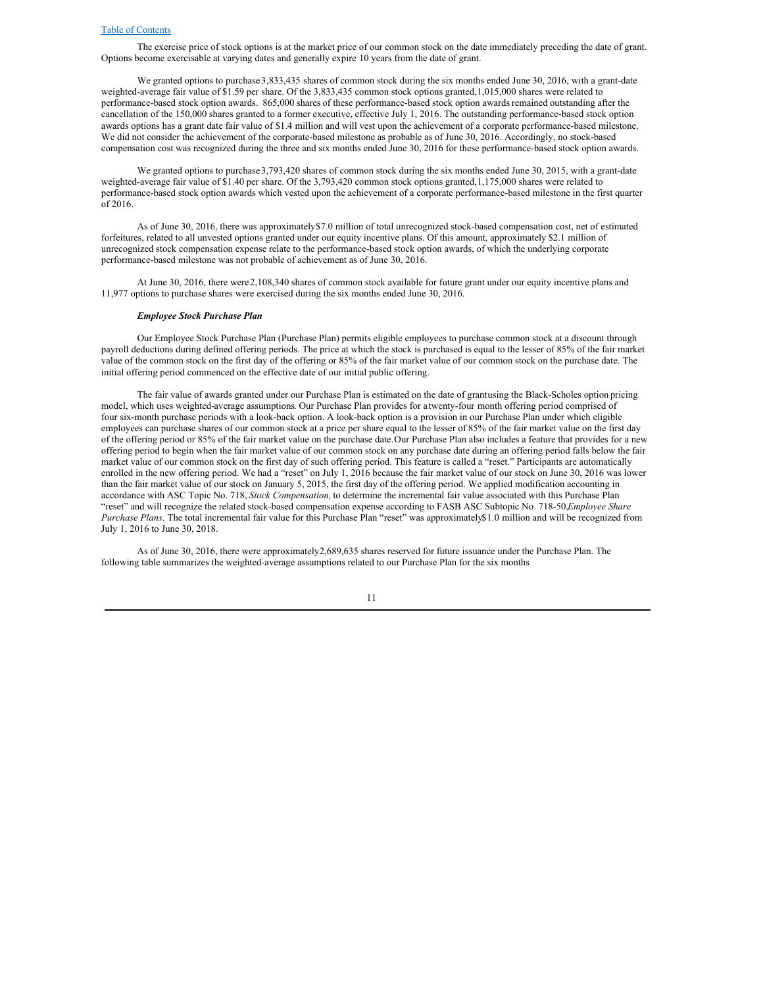The exercise price of stock options is at the market price of our common stock on the date immediately preceding the date of grant. Options become exercisable at varying dates and generally expire 10 years from the date of grant.

We granted options to purchase 3,833,435 shares of common stock during the six months ended June 30, 2016, with a grant-date weighted-average fair value of \$1.59 per share. Of the 3,833,435 common stock options granted,1,015,000 shares were related to performance-based stock option awards. 865,000 shares of these performance-based stock option awardsremained outstanding after the cancellation of the 150,000 shares granted to a former executive, effective July 1, 2016. The outstanding performance-based stock option awards options has a grant date fair value of \$1.4 million and will vest upon the achievement of a corporate performance-based milestone. We did not consider the achievement of the corporate-based milestone as probable as of June 30, 2016. Accordingly, no stock-based compensation cost was recognized during the three and six months ended June 30, 2016 for these performance-based stock option awards.

We granted options to purchase 3,793,420 shares of common stock during the six months ended June 30, 2015, with a grant-date weighted-average fair value of \$1.40 per share. Of the 3,793,420 common stock options granted,1,175,000 shares were related to performance-based stock option awards which vested upon the achievement of a corporate performance-based milestone in the first quarter of 2016.

As of June 30, 2016, there was approximately\$7.0 million of total unrecognized stock-based compensation cost, net of estimated forfeitures, related to all unvested options granted under our equity incentive plans. Of this amount, approximately \$2.1 million of unrecognized stock compensation expense relate to the performance-based stock option awards, of which the underlying corporate performance-based milestone was not probable of achievement as of June 30, 2016.

At June 30, 2016, there were2,108,340 shares of common stock available for future grant under our equity incentive plans and 11,977 options to purchase shares were exercised during the six months ended June 30, 2016.

#### *Employee Stock Purchase Plan*

Our Employee Stock Purchase Plan (Purchase Plan) permits eligible employees to purchase common stock at a discount through payroll deductions during defined offering periods. The price at which the stock is purchased is equal to the lesser of 85% of the fair market value of the common stock on the first day of the offering or 85% of the fair market value of our common stock on the purchase date. The initial offering period commenced on the effective date of our initial public offering.

The fair value of awards granted under our Purchase Plan is estimated on the date of grantusing the Black-Scholes option pricing model, which uses weighted-average assumptions. Our Purchase Plan provides for a twenty-four month offering period comprised of four six-month purchase periods with a look-back option. A look-back option is a provision in our Purchase Plan under which eligible employees can purchase shares of our common stock at a price per share equal to the lesser of 85% of the fair market value on the first day of the offering period or 85% of the fair market value on the purchase date.Our Purchase Plan also includes a feature that provides for a new offering period to begin when the fair market value of our common stock on any purchase date during an offering period falls below the fair market value of our common stock on the first day of such offering period. This feature is called a "reset." Participants are automatically enrolled in the new offering period. We had a "reset" on July 1, 2016 because the fair market value of our stock on June 30, 2016 was lower than the fair market value of our stock on January 5, 2015, the first day of the offering period. We applied modification accounting in accordance with ASC Topic No. 718, *Stock Compensation,* to determine the incremental fair value associated with this Purchase Plan "reset" and will recognize the related stock-based compensation expense according to FASB ASC Subtopic No. 718-50,*Employee Share Purchase Plans*. The total incremental fair value for this Purchase Plan "reset" was approximately\$1.0 million and will be recognized from July 1, 2016 to June 30, 2018.

As of June 30, 2016, there were approximately2,689,635 shares reserved for future issuance under the Purchase Plan. The following table summarizes the weighted-average assumptions related to our Purchase Plan for the six months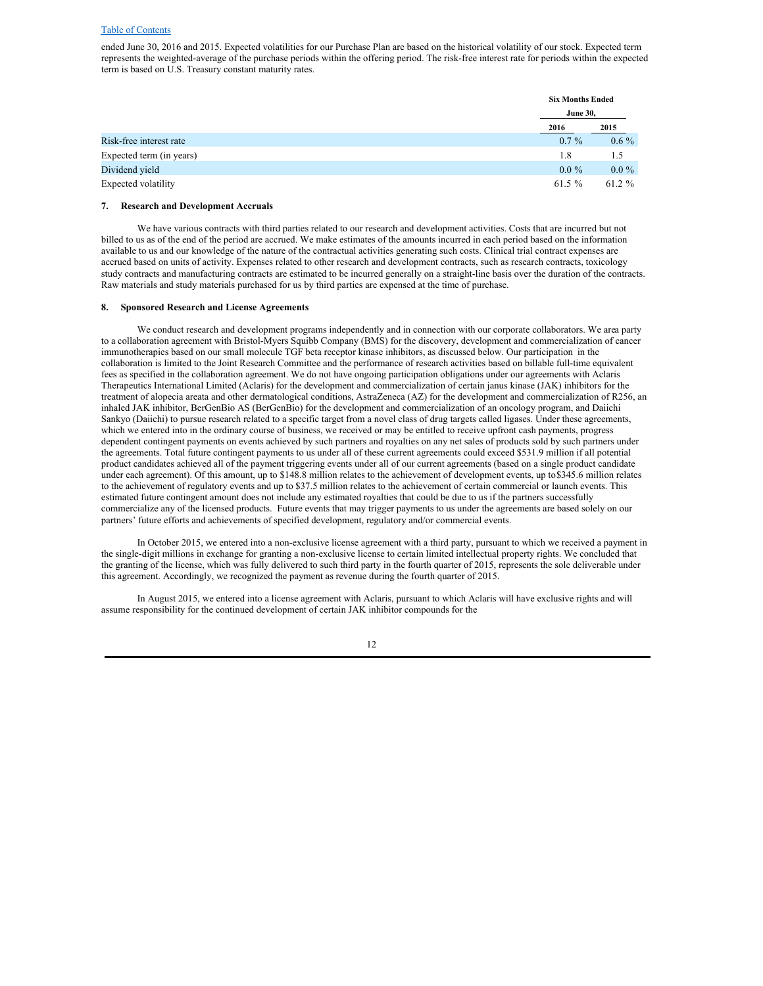ended June 30, 2016 and 2015. Expected volatilities for our Purchase Plan are based on the historical volatility of our stock. Expected term represents the weighted-average of the purchase periods within the offering period. The risk-free interest rate for periods within the expected term is based on U.S. Treasury constant maturity rates.

|                          | <b>Six Months Ended</b> |         |
|--------------------------|-------------------------|---------|
|                          | <b>June 30,</b>         |         |
|                          | 2016                    | 2015    |
| Risk-free interest rate  | $0.7\%$                 | $0.6\%$ |
| Expected term (in years) | 1.8                     | 1.5     |
| Dividend yield           | $0.0\%$                 | $0.0\%$ |
| Expected volatility      | 61.5 $%$                | 61.2 %  |

### **7. Research and Development Accruals**

We have various contracts with third parties related to our research and development activities. Costs that are incurred but not billed to us as of the end of the period are accrued. We make estimates of the amounts incurred in each period based on the information available to us and our knowledge of the nature of the contractual activities generating such costs. Clinical trial contract expenses are accrued based on units of activity. Expenses related to other research and development contracts, such as research contracts, toxicology study contracts and manufacturing contracts are estimated to be incurred generally on a straight-line basis over the duration of the contracts. Raw materials and study materials purchased for us by third parties are expensed at the time of purchase.

## **8. Sponsored Research and License Agreements**

We conduct research and development programs independently and in connection with our corporate collaborators. We area party to a collaboration agreement with Bristol-Myers Squibb Company (BMS) for the discovery, development and commercialization of cancer immunotherapies based on our small molecule TGF beta receptor kinase inhibitors, as discussed below. Our participation in the collaboration is limited to the Joint Research Committee and the performance of research activities based on billable full-time equivalent fees as specified in the collaboration agreement. We do not have ongoing participation obligations under our agreements with Aclaris Therapeutics International Limited (Aclaris) for the development and commercialization of certain janus kinase (JAK) inhibitors for the treatment of alopecia areata and other dermatological conditions, AstraZeneca (AZ) for the development and commercialization of R256, an inhaled JAK inhibitor, BerGenBio AS (BerGenBio) for the development and commercialization of an oncology program, and Daiichi Sankyo (Daiichi) to pursue research related to a specific target from a novel class of drug targets called ligases. Under these agreements, which we entered into in the ordinary course of business, we received or may be entitled to receive upfront cash payments, progress dependent contingent payments on events achieved by such partners and royalties on any net sales of products sold by such partners under the agreements. Total future contingent payments to us under all of these current agreements could exceed \$531.9 million if all potential product candidates achieved all of the payment triggering events under all of our current agreements (based on a single product candidate under each agreement). Of this amount, up to \$148.8 million relates to the achievement of development events, up to\$345.6 million relates to the achievement of regulatory events and up to \$37.5 million relates to the achievement of certain commercial or launch events. This estimated future contingent amount does not include any estimated royalties that could be due to us if the partners successfully commercialize any of the licensed products. Future events that may trigger payments to us under the agreements are based solely on our partners' future efforts and achievements of specified development, regulatory and/or commercial events.

In October 2015, we entered into a non-exclusive license agreement with a third party, pursuant to which we received a payment in the single-digit millions in exchange for granting a non-exclusive license to certain limited intellectual property rights. We concluded that the granting of the license, which was fully delivered to such third party in the fourth quarter of 2015, represents the sole deliverable under this agreement. Accordingly, we recognized the payment as revenue during the fourth quarter of 2015.

In August 2015, we entered into a license agreement with Aclaris, pursuant to which Aclaris will have exclusive rights and will assume responsibility for the continued development of certain JAK inhibitor compounds for the

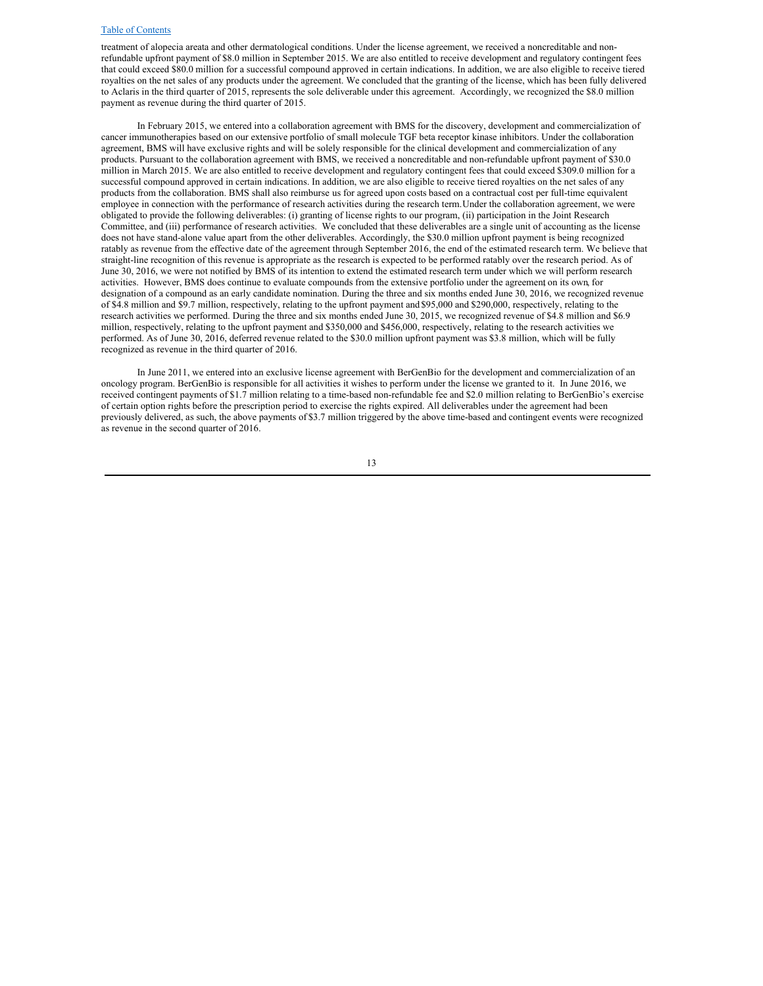treatment of alopecia areata and other dermatological conditions. Under the license agreement, we received a noncreditable and nonrefundable upfront payment of \$8.0 million in September 2015. We are also entitled to receive development and regulatory contingent fees that could exceed \$80.0 million for a successful compound approved in certain indications. In addition, we are also eligible to receive tiered royalties on the net sales of any products under the agreement. We concluded that the granting of the license, which has been fully delivered to Aclaris in the third quarter of 2015, represents the sole deliverable under this agreement. Accordingly, we recognized the \$8.0 million payment as revenue during the third quarter of 2015.

In February 2015, we entered into a collaboration agreement with BMS for the discovery, development and commercialization of cancer immunotherapies based on our extensive portfolio of small molecule TGF beta receptor kinase inhibitors. Under the collaboration agreement, BMS will have exclusive rights and will be solely responsible for the clinical development and commercialization of any products. Pursuant to the collaboration agreement with BMS, we received a noncreditable and non-refundable upfront payment of \$30.0 million in March 2015. We are also entitled to receive development and regulatory contingent fees that could exceed \$309.0 million for a successful compound approved in certain indications. In addition, we are also eligible to receive tiered royalties on the net sales of any products from the collaboration. BMS shall also reimburse us for agreed upon costs based on a contractual cost per full-time equivalent employee in connection with the performance of research activities during the research term.Under the collaboration agreement, we were obligated to provide the following deliverables: (i) granting of license rights to our program, (ii) participation in the Joint Research Committee, and (iii) performance of research activities. We concluded that these deliverables are a single unit of accounting as the license does not have stand-alone value apart from the other deliverables. Accordingly, the \$30.0 million upfront payment is being recognized ratably as revenue from the effective date of the agreement through September 2016, the end of the estimated research term. We believe that straight-line recognition of this revenue is appropriate as the research is expected to be performed ratably over the research period. As of June 30, 2016, we were not notified by BMS of its intention to extend the estimated research term under which we will perform research activities. However, BMS does continue to evaluate compounds from the extensive portfolio under the agreement on its own, for designation of a compound as an early candidate nomination. During the three and six months ended June 30, 2016, we recognized revenue of \$4.8 million and \$9.7 million, respectively, relating to the upfront payment and \$95,000 and \$290,000, respectively, relating to the research activities we performed. During the three and six months ended June 30, 2015, we recognized revenue of \$4.8 million and \$6.9 million, respectively, relating to the upfront payment and \$350,000 and \$456,000, respectively, relating to the research activities we performed. As of June 30, 2016, deferred revenue related to the \$30.0 million upfront payment was \$3.8 million, which will be fully recognized as revenue in the third quarter of 2016.

In June 2011, we entered into an exclusive license agreement with BerGenBio for the development and commercialization of an oncology program. BerGenBio is responsible for all activities it wishes to perform under the license we granted to it. In June 2016, we received contingent payments of \$1.7 million relating to a time-based non-refundable fee and \$2.0 million relating to BerGenBio's exercise of certain option rights before the prescription period to exercise the rights expired. All deliverables under the agreement had been previously delivered, as such, the above payments of \$3.7 million triggered by the above time-based and contingent events were recognized as revenue in the second quarter of 2016.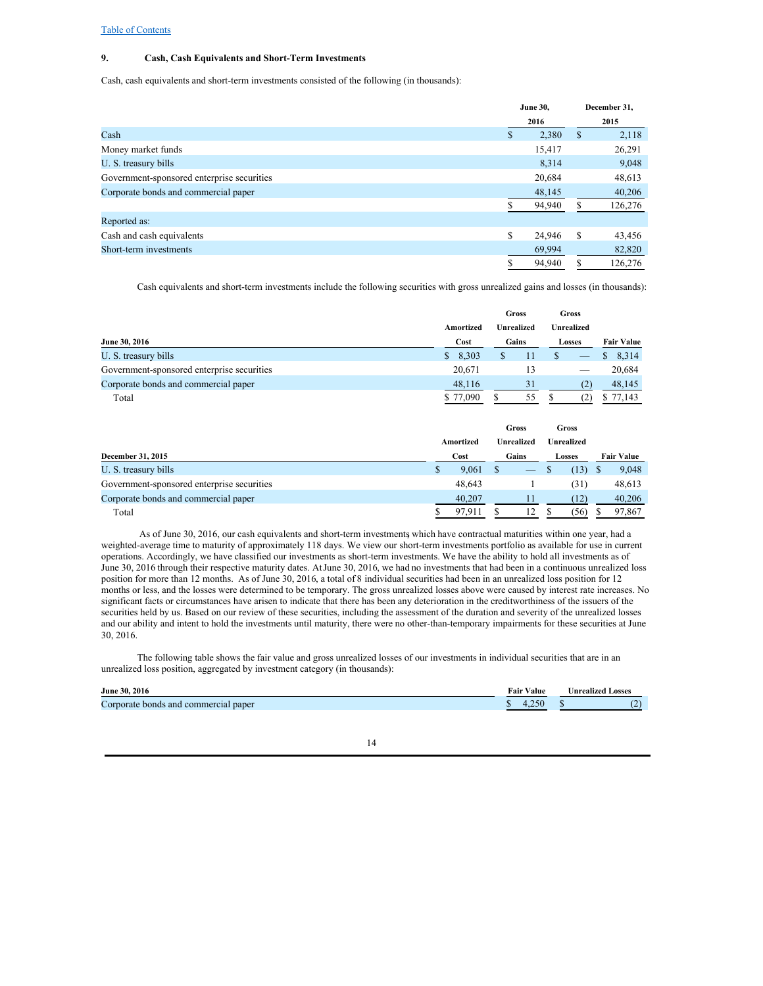#### **9. Cash, Cash Equivalents and Short-Term Investments**

Cash, cash equivalents and short-term investments consisted of the following (in thousands):

|                                            | <b>June 30,</b> |    | December 31, |
|--------------------------------------------|-----------------|----|--------------|
|                                            | 2016            |    | 2015         |
| Cash                                       | 2,380<br>\$     | \$ | 2,118        |
| Money market funds                         | 15,417          |    | 26,291       |
| U. S. treasury bills                       | 8.314           |    | 9,048        |
| Government-sponsored enterprise securities | 20,684          |    | 48,613       |
| Corporate bonds and commercial paper       | 48,145          |    | 40,206       |
|                                            | 94,940          |    | 126,276      |
| Reported as:                               |                 |    |              |
| Cash and cash equivalents                  | S<br>24,946     | S  | 43,456       |
| Short-term investments                     | 69,994          |    | 82,820       |
|                                            | 94.940<br>S     | S  | 126,276      |

Cash equivalents and short-term investments include the following securities with gross unrealized gains and losses (in thousands):

|                                            |           |       | Gross        |               | Gross                    |    |                   |
|--------------------------------------------|-----------|-------|--------------|---------------|--------------------------|----|-------------------|
|                                            | Amortized |       | Unrealized   |               | Unrealized               |    |                   |
| June 30, 2016                              | Cost      | Gains |              | <b>Losses</b> |                          |    | <b>Fair Value</b> |
| U. S. treasury bills                       | \$8,303   |       | $\mathbf{H}$ |               | $\qquad \qquad -$        | S. | 8,314             |
| Government-sponsored enterprise securities | 20.671    |       | 13           |               | $\overline{\phantom{a}}$ |    | 20,684            |
| Corporate bonds and commercial paper       | 48,116    |       | 31           |               | (2)                      |    | 48,145            |
| Total                                      | \$77,090  |       | 55           | S             | (2)                      | D. | 77,143            |

|                                            |           |        |    | Gross                           |  | <b>Gross</b> |   |        |  |                   |
|--------------------------------------------|-----------|--------|----|---------------------------------|--|--------------|---|--------|--|-------------------|
|                                            | Amortized |        |    | Unrealized                      |  | Unrealized   |   |        |  |                   |
| December 31, 2015                          | Cost      |        |    |                                 |  | Gains        |   | Losses |  | <b>Fair Value</b> |
| U. S. treasury bills                       | S         | 9.061  | \$ | $\hspace{0.1mm}-\hspace{0.1mm}$ |  | (13)         | S | 9,048  |  |                   |
| Government-sponsored enterprise securities |           | 48,643 |    |                                 |  | (31)         |   | 48,613 |  |                   |
| Corporate bonds and commercial paper       |           | 40,207 |    |                                 |  | (12)         |   | 40,206 |  |                   |
| Total                                      |           | 97.911 |    | 12                              |  | 36)          |   | 97,867 |  |                   |

As of June 30, 2016, our cash equivalents and short-term investments which have contractual maturities within one year, had a weighted-average time to maturity of approximately 118 days. We view our short-term investments portfolio as available for use in current operations. Accordingly, we have classified our investments as short-term investments. We have the ability to hold all investments as of June 30, 2016 through their respective maturity dates. AtJune 30, 2016, we had no investments that had been in a continuous unrealized loss position for more than 12 months. As of June 30, 2016, a total of 8 individual securities had been in an unrealized loss position for 12 months or less, and the losses were determined to be temporary. The gross unrealized losses above were caused by interest rate increases. No significant facts or circumstances have arisen to indicate that there has been any deterioration in the creditworthiness of the issuers of the securities held by us. Based on our review of these securities, including the assessment of the duration and severity of the unrealized losses and our ability and intent to hold the investments until maturity, there were no other-than-temporary impairments for these securities at June 30, 2016.

The following table shows the fair value and gross unrealized losses of our investments in individual securities that are in an unrealized loss position, aggregated by investment category (in thousands):

| June 30, 2016                        | Value<br>Fair | Unrealized Losses |
|--------------------------------------|---------------|-------------------|
| Corporate bonds and commercial paper |               |                   |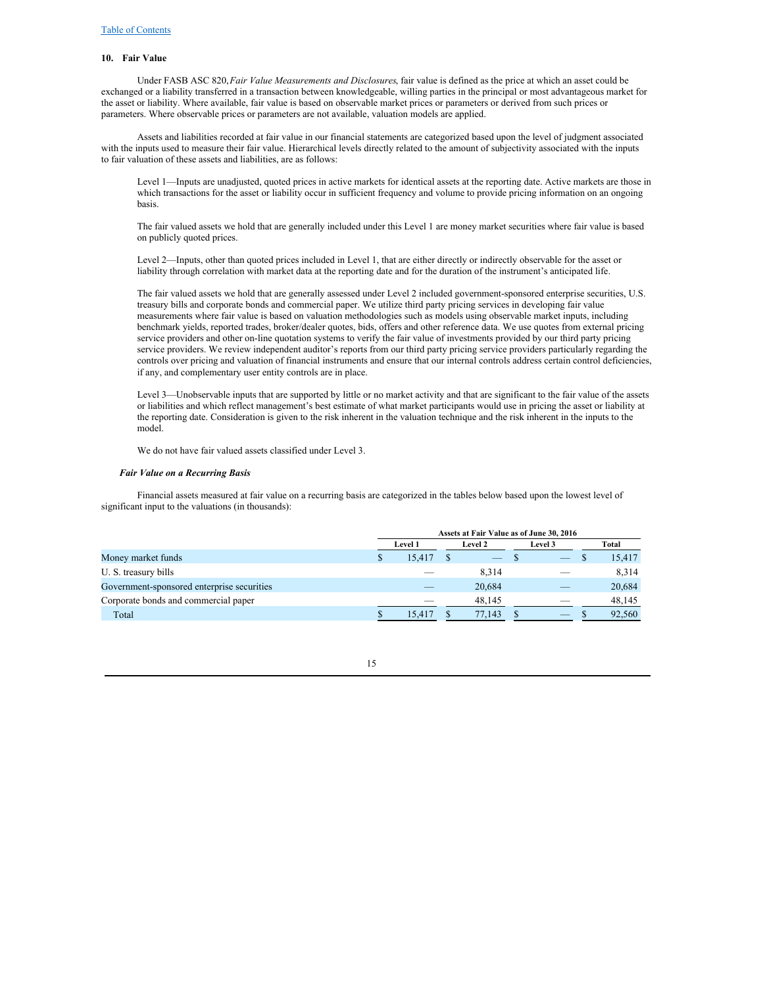### **10. Fair Value**

Under FASB ASC 820,*Fair Value Measurements and Disclosures*, fair value is defined as the price at which an asset could be exchanged or a liability transferred in a transaction between knowledgeable, willing parties in the principal or most advantageous market for the asset or liability. Where available, fair value is based on observable market prices or parameters or derived from such prices or parameters. Where observable prices or parameters are not available, valuation models are applied.

Assets and liabilities recorded at fair value in our financial statements are categorized based upon the level of judgment associated with the inputs used to measure their fair value. Hierarchical levels directly related to the amount of subjectivity associated with the inputs to fair valuation of these assets and liabilities, are as follows:

Level 1—Inputs are unadjusted, quoted prices in active markets for identical assets at the reporting date. Active markets are those in which transactions for the asset or liability occur in sufficient frequency and volume to provide pricing information on an ongoing basis.

The fair valued assets we hold that are generally included under this Level 1 are money market securities where fair value is based on publicly quoted prices.

Level 2—Inputs, other than quoted prices included in Level 1, that are either directly or indirectly observable for the asset or liability through correlation with market data at the reporting date and for the duration of the instrument's anticipated life.

The fair valued assets we hold that are generally assessed under Level 2 included government-sponsored enterprise securities, U.S. treasury bills and corporate bonds and commercial paper. We utilize third party pricing services in developing fair value measurements where fair value is based on valuation methodologies such as models using observable market inputs, including benchmark yields, reported trades, broker/dealer quotes, bids, offers and other reference data. We use quotes from external pricing service providers and other on-line quotation systems to verify the fair value of investments provided by our third party pricing service providers. We review independent auditor's reports from our third party pricing service providers particularly regarding the controls over pricing and valuation of financial instruments and ensure that our internal controls address certain control deficiencies, if any, and complementary user entity controls are in place.

Level 3—Unobservable inputs that are supported by little or no market activity and that are significant to the fair value of the assets or liabilities and which reflect management's best estimate of what market participants would use in pricing the asset or liability at the reporting date. Consideration is given to the risk inherent in the valuation technique and the risk inherent in the inputs to the model.

We do not have fair valued assets classified under Level 3.

## *Fair Value on a Recurring Basis*

Financial assets measured at fair value on a recurring basis are categorized in the tables below based upon the lowest level of significant input to the valuations (in thousands):

|                                            | Assets at Fair Value as of June 30, 2016 |         |         |        |         |    |  |        |  |  |  |  |
|--------------------------------------------|------------------------------------------|---------|---------|--------|---------|----|--|--------|--|--|--|--|
|                                            |                                          | Level 1 | Level 2 |        | Level 3 |    |  | Total  |  |  |  |  |
| Money market funds                         |                                          | 15.417  |         |        |         | _  |  | 15,417 |  |  |  |  |
| U. S. treasury bills                       |                                          |         |         | 8.314  |         |    |  | 8,314  |  |  |  |  |
| Government-sponsored enterprise securities |                                          |         |         | 20,684 |         |    |  | 20,684 |  |  |  |  |
| Corporate bonds and commercial paper       |                                          |         |         | 48.145 |         | __ |  | 48,145 |  |  |  |  |
| Total                                      |                                          | 15.417  |         | 77,143 |         | _  |  | 92.560 |  |  |  |  |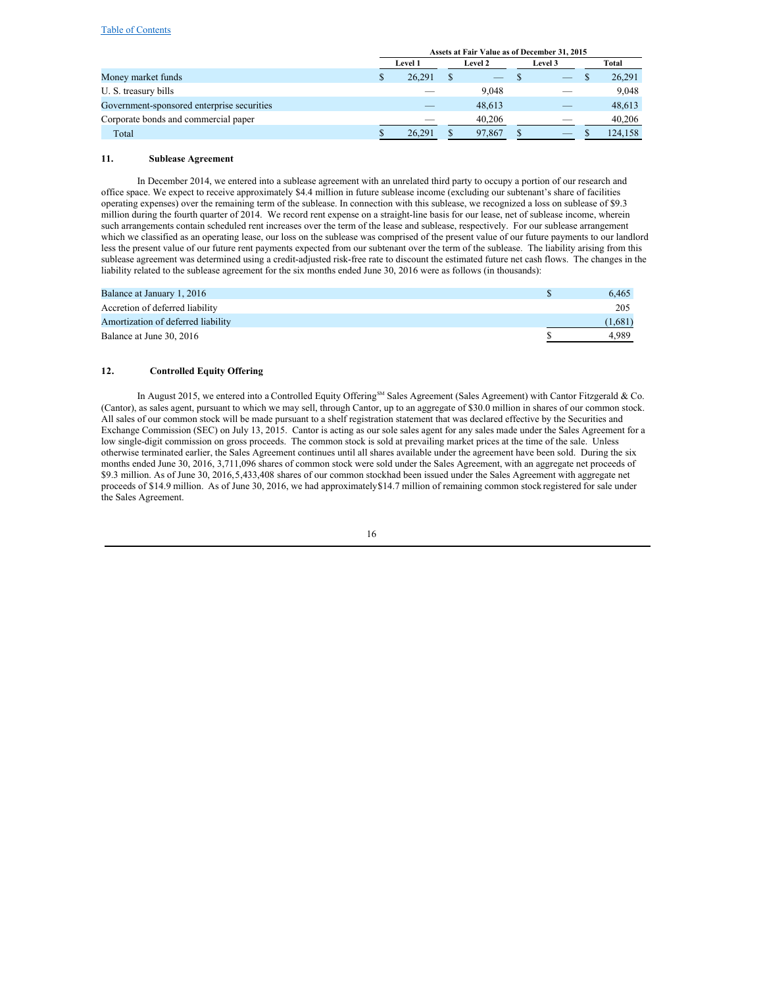|                                            | Assets at Fair Value as of December 31, 2015 |        |   |                          |  |                |  |         |  |  |  |  |
|--------------------------------------------|----------------------------------------------|--------|---|--------------------------|--|----------------|--|---------|--|--|--|--|
|                                            | <b>Level 1</b>                               |        |   | <b>Level 2</b>           |  | <b>Level 3</b> |  | Total   |  |  |  |  |
| Money market funds                         | Ф                                            | 26.291 | S | $\overline{\phantom{a}}$ |  | $-$            |  | 26,291  |  |  |  |  |
| U. S. treasury bills                       |                                              |        |   | 9.048                    |  |                |  | 9,048   |  |  |  |  |
| Government-sponsored enterprise securities |                                              |        |   | 48.613                   |  |                |  | 48,613  |  |  |  |  |
| Corporate bonds and commercial paper       |                                              |        |   | 40.206                   |  | __             |  | 40,206  |  |  |  |  |
| Total                                      |                                              | 26.291 |   | 97.867                   |  | _              |  | 124.158 |  |  |  |  |

## **11. Sublease Agreement**

In December 2014, we entered into a sublease agreement with an unrelated third party to occupy a portion of our research and office space. We expect to receive approximately \$4.4 million in future sublease income (excluding our subtenant's share of facilities operating expenses) over the remaining term of the sublease. In connection with this sublease, we recognized a loss on sublease of \$9.3 million during the fourth quarter of 2014. We record rent expense on a straight-line basis for our lease, net of sublease income, wherein such arrangements contain scheduled rent increases over the term of the lease and sublease, respectively. For our sublease arrangement which we classified as an operating lease, our loss on the sublease was comprised of the present value of our future payments to our landlord less the present value of our future rent payments expected from our subtenant over the term of the sublease. The liability arising from this sublease agreement was determined using a credit-adjusted risk-free rate to discount the estimated future net cash flows. The changes in the liability related to the sublease agreement for the six months ended June 30, 2016 were as follows (in thousands):

| Balance at January 1, 2016         | 6.465   |
|------------------------------------|---------|
| Accretion of deferred liability    | 205     |
| Amortization of deferred liability | (1.681) |
| Balance at June 30, 2016           | 4.989   |

## **12. Controlled Equity Offering**

In August 2015, we entered into a Controlled Equity Offering<sup>SM</sup> Sales Agreement (Sales Agreement) with Cantor Fitzgerald & Co. (Cantor), as sales agent, pursuant to which we may sell, through Cantor, up to an aggregate of \$30.0 million in shares of our common stock. All sales of our common stock will be made pursuant to a shelf registration statement that was declared effective by the Securities and Exchange Commission (SEC) on July 13, 2015. Cantor is acting as our sole sales agent for any sales made under the Sales Agreement for a low single-digit commission on gross proceeds. The common stock is sold at prevailing market prices at the time of the sale. Unless otherwise terminated earlier, the Sales Agreement continues until all shares available under the agreement have been sold. During the six months ended June 30, 2016, 3,711,096 shares of common stock were sold under the Sales Agreement, with an aggregate net proceeds of \$9.3 million. As of June 30, 2016,5,433,408 shares of our common stockhad been issued under the Sales Agreement with aggregate net proceeds of \$14.9 million. As of June 30, 2016, we had approximately\$14.7 million of remaining common stock registered for sale under the Sales Agreement.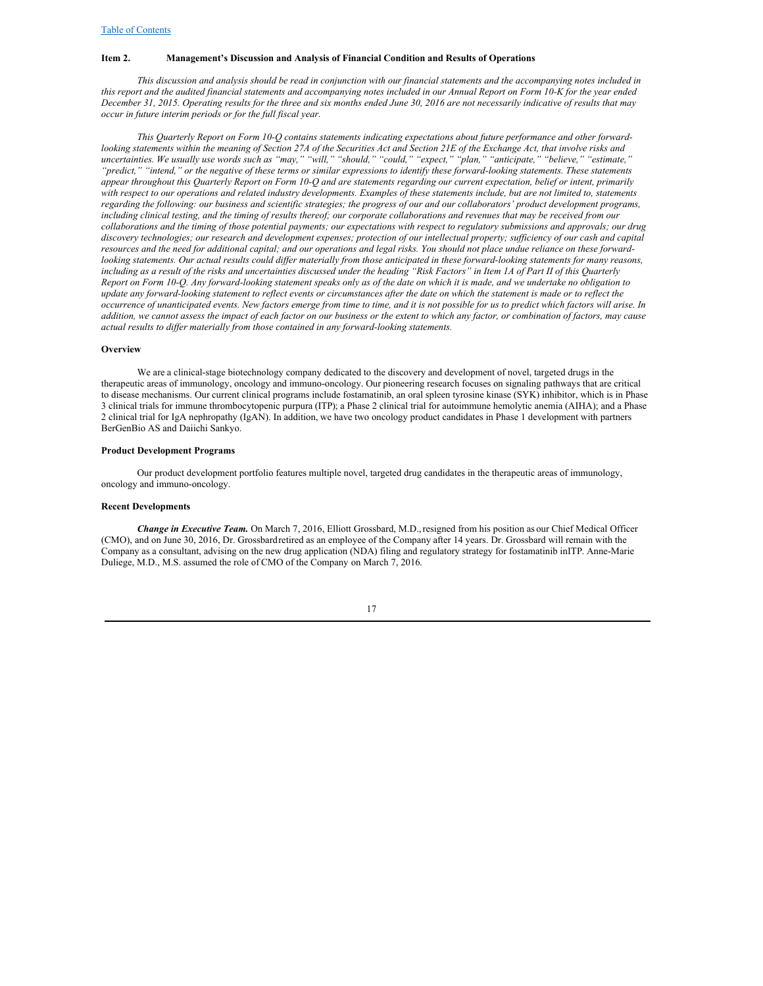#### <span id="page-16-0"></span>**Item 2. Management's Discussion and Analysis of Financial Condition and Results of Operations**

This discussion and analysis should be read in conjunction with our financial statements and the accompanying notes included in this report and the audited financial statements and accompanying notes included in our Annual Report on Form 10-K for the year ended December 31, 2015. Operating results for the three and six months ended June 30, 2016 are not necessarily indicative of results that may *occur in future interim periods or for the full fiscal year.*

This Quarterly Report on Form 10-Q contains statements indicating expectations about future performance and other forwardlooking statements within the meaning of Section 27A of the Securities Act and Section 21E of the Exchange Act, that involve risks and uncertainties. We usually use words such as "may," "will," "should," "could," "expect," "plan," "anticipate," "believe," "estimate," "predict," "intend," or the negative of these terms or similar expressions to identify these forward-looking statements. These statements appear throughout this Quarterly Report on Form 10-Q and are statements regarding our current expectation, belief or intent, primarily with respect to our operations and related industry developments. Examples of these statements include, but are not limited to, statements regarding the following: our business and scientific strategies; the progress of our and our collaborators' product development programs, including clinical testing, and the timing of results thereof; our corporate collaborations and revenues that may be received from our collaborations and the timing of those potential payments; our expectations with respect to regulatory submissions and approvals; our drug discovery technologies; our research and development expenses; protection of our intellectual property; sufficiency of our cash and capital resources and the need for additional capital; and our operations and legal risks. You should not place undue reliance on these forwardlooking statements. Our actual results could differ materially from those anticipated in these forward-looking statements for many reasons, including as a result of the risks and uncertainties discussed under the heading "Risk Factors" in Item 1A of Part II of this Quarterly Report on Form 10-Q. Any forward-looking statement speaks only as of the date on which it is made, and we undertake no obligation to update any forward-looking statement to reflect events or circumstances after the date on which the statement is made or to reflect the occurrence of unanticipated events. New factors emerge from time to time, and it is not possible for us to predict which factors will arise. In addition, we cannot assess the impact of each factor on our business or the extent to which any factor, or combination of factors, may cause *actual results to dif er materially from those contained in any forward-looking statements.*

## **Overview**

We are a clinical-stage biotechnology company dedicated to the discovery and development of novel, targeted drugs in the therapeutic areas of immunology, oncology and immuno-oncology. Our pioneering research focuses on signaling pathways that are critical to disease mechanisms. Our current clinical programs include fostamatinib, an oral spleen tyrosine kinase (SYK) inhibitor, which is in Phase 3 clinical trials for immune thrombocytopenic purpura (ITP); a Phase 2 clinical trial for autoimmune hemolytic anemia (AIHA); and a Phase 2 clinical trial for IgA nephropathy (IgAN). In addition, we have two oncology product candidates in Phase 1 development with partners BerGenBio AS and Daiichi Sankyo.

## **Product Development Programs**

Our product development portfolio features multiple novel, targeted drug candidates in the therapeutic areas of immunology, oncology and immuno-oncology.

## **Recent Developments**

*Change in Executive Team.* On March 7, 2016, Elliott Grossbard, M.D.,resigned from his position as our Chief Medical Officer (CMO), and on June 30, 2016, Dr. Grossbardretired as an employee of the Company after 14 years. Dr. Grossbard will remain with the Company as a consultant, advising on the new drug application (NDA) filing and regulatory strategy for fostamatinib inITP. Anne-Marie Duliege, M.D., M.S. assumed the role of CMO of the Company on March 7, 2016.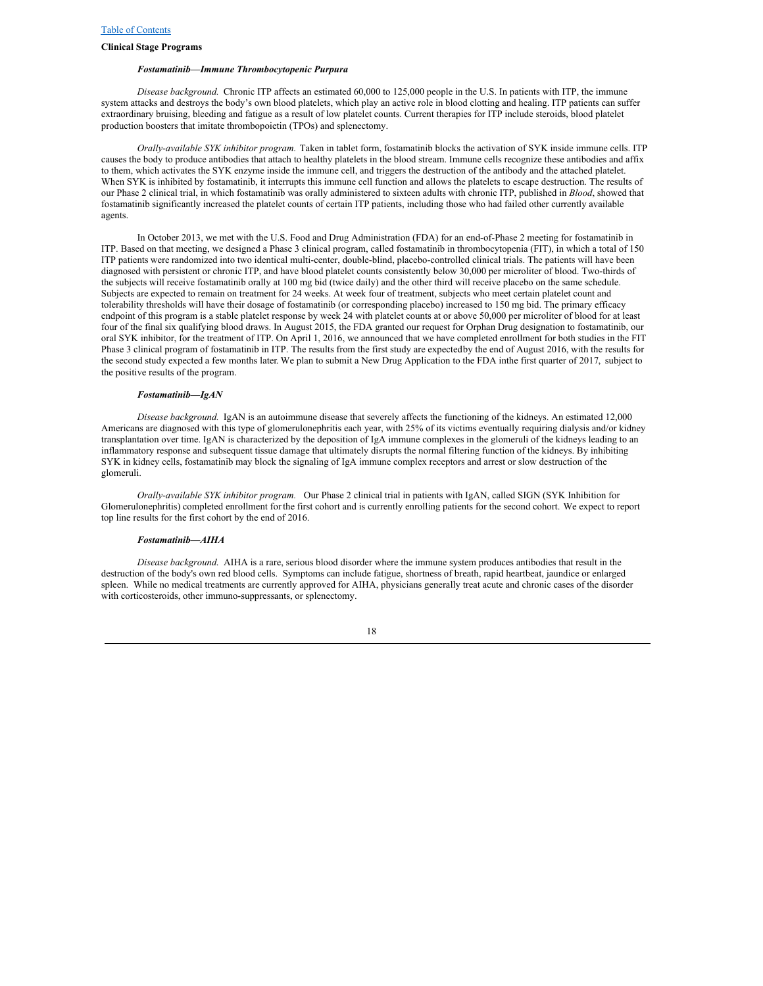## **Clinical Stage Programs**

## *Fostamatinib—Immune Thrombocytopenic Purpura*

*Disease background.* Chronic ITP affects an estimated 60,000 to 125,000 people in the U.S. In patients with ITP, the immune system attacks and destroys the body's own blood platelets, which play an active role in blood clotting and healing. ITP patients can suffer extraordinary bruising, bleeding and fatigue as a result of low platelet counts. Current therapies for ITP include steroids, blood platelet production boosters that imitate thrombopoietin (TPOs) and splenectomy.

*Orally-available SYK inhibitor program.* Taken in tablet form, fostamatinib blocks the activation of SYK inside immune cells. ITP causes the body to produce antibodies that attach to healthy platelets in the blood stream. Immune cells recognize these antibodies and affix to them, which activates the SYK enzyme inside the immune cell, and triggers the destruction of the antibody and the attached platelet. When SYK is inhibited by fostamatinib, it interrupts this immune cell function and allows the platelets to escape destruction. The results of our Phase 2 clinical trial, in which fostamatinib was orally administered to sixteen adults with chronic ITP, published in *Blood*, showed that fostamatinib significantly increased the platelet counts of certain ITP patients, including those who had failed other currently available agents.

In October 2013, we met with the U.S. Food and Drug Administration (FDA) for an end-of-Phase 2 meeting for fostamatinib in ITP. Based on that meeting, we designed a Phase 3 clinical program, called fostamatinib in thrombocytopenia (FIT), in which a total of 150 ITP patients were randomized into two identical multi-center, double-blind, placebo-controlled clinical trials. The patients will have been diagnosed with persistent or chronic ITP, and have blood platelet counts consistently below 30,000 per microliter of blood. Two-thirds of the subjects will receive fostamatinib orally at 100 mg bid (twice daily) and the other third will receive placebo on the same schedule. Subjects are expected to remain on treatment for 24 weeks. At week four of treatment, subjects who meet certain platelet count and tolerability thresholds will have their dosage of fostamatinib (or corresponding placebo) increased to 150 mg bid. The primary efficacy endpoint of this program is a stable platelet response by week 24 with platelet counts at or above 50,000 per microliter of blood for at least four of the final six qualifying blood draws. In August 2015, the FDA granted our request for Orphan Drug designation to fostamatinib, our oral SYK inhibitor, for the treatment of ITP. On April 1, 2016, we announced that we have completed enrollment for both studies in the FIT Phase 3 clinical program of fostamatinib in ITP. The results from the first study are expectedby the end of August 2016, with the results for the second study expected a few months later. We plan to submit a New Drug Application to the FDA inthe first quarter of 2017, subject to the positive results of the program.

#### *Fostamatinib—IgAN*

*Disease background.* IgAN is an autoimmune disease that severely affects the functioning of the kidneys. An estimated 12,000 Americans are diagnosed with this type of glomerulonephritis each year, with 25% of its victims eventually requiring dialysis and/or kidney transplantation over time. IgAN is characterized by the deposition of IgA immune complexes in the glomeruli of the kidneys leading to an inflammatory response and subsequent tissue damage that ultimately disrupts the normal filtering function of the kidneys. By inhibiting SYK in kidney cells, fostamatinib may block the signaling of IgA immune complex receptors and arrest or slow destruction of the glomeruli.

*Orally-available SYK inhibitor program.* Our Phase 2 clinical trial in patients with IgAN, called SIGN (SYK Inhibition for Glomerulonephritis) completed enrollment forthe first cohort and is currently enrolling patients for the second cohort. We expect to report top line results for the first cohort by the end of 2016.

## *Fostamatinib—AIHA*

*Disease background*. AIHA is a rare, serious blood disorder where the immune system produces antibodies that result in the destruction of the body's own red blood cells. Symptoms can include fatigue, shortness of breath, rapid heartbeat, jaundice or enlarged spleen. While no medical treatments are currently approved for AIHA, physicians generally treat acute and chronic cases of the disorder with corticosteroids, other immuno-suppressants, or splenectomy.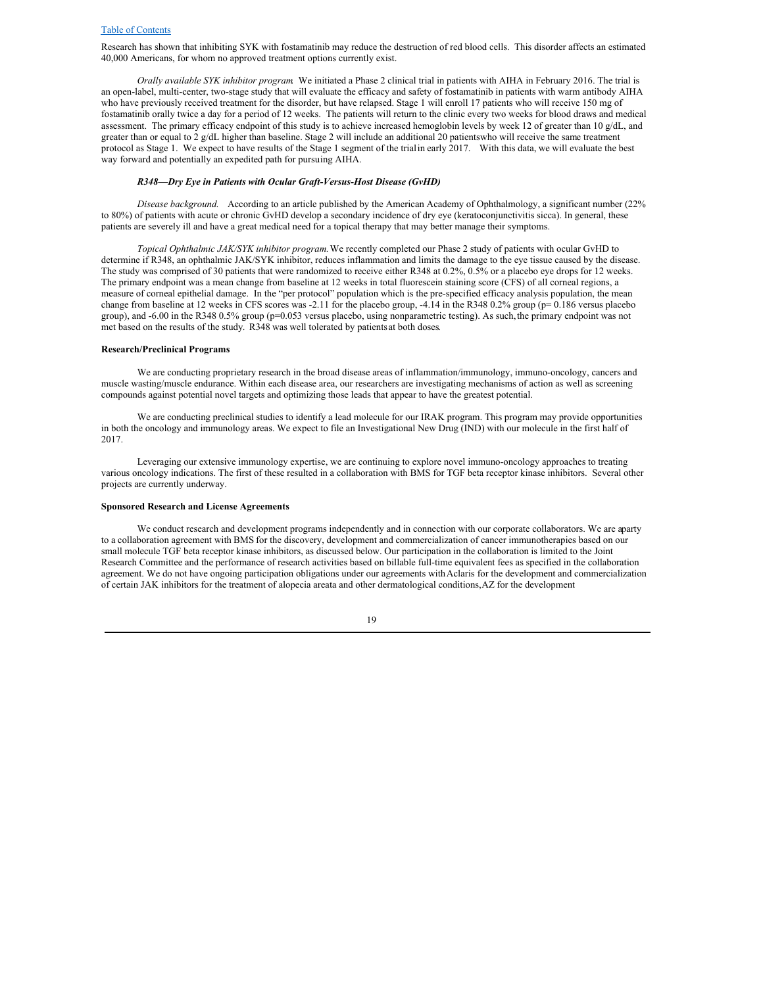Research has shown that inhibiting SYK with fostamatinib may reduce the destruction of red blood cells. This disorder affects an estimated 40,000 Americans, for whom no approved treatment options currently exist.

*Orally available SYK inhibitor program*. We initiated a Phase 2 clinical trial in patients with AIHA in February 2016. The trial is an open-label, multi-center, two-stage study that will evaluate the efficacy and safety of fostamatinib in patients with warm antibody AIHA who have previously received treatment for the disorder, but have relapsed. Stage 1 will enroll 17 patients who will receive 150 mg of fostamatinib orally twice a day for a period of 12 weeks. The patients will return to the clinic every two weeks for blood draws and medical assessment. The primary efficacy endpoint of this study is to achieve increased hemoglobin levels by week 12 of greater than 10 g/dL, and greater than or equal to 2 g/dL higher than baseline. Stage 2 will include an additional 20 patientswho will receive the same treatment protocol as Stage 1. We expect to have results of the Stage 1 segment of the trialin early 2017. With this data, we will evaluate the best way forward and potentially an expedited path for pursuing AIHA.

#### *R348—Dry Eye in Patients with Ocular Graft-Versus-Host Disease (GvHD)*

*Disease background.* According to an article published by the American Academy of Ophthalmology, a significant number (22% to 80%) of patients with acute or chronic GvHD develop a secondary incidence of dry eye (keratoconjunctivitis sicca). In general, these patients are severely ill and have a great medical need for a topical therapy that may better manage their symptoms.

*Topical Ophthalmic JAK/SYK inhibitor program.*We recently completed our Phase 2 study of patients with ocular GvHD to determine if R348, an ophthalmic JAK/SYK inhibitor, reduces inflammation and limits the damage to the eye tissue caused by the disease. The study was comprised of 30 patients that were randomized to receive either R348 at 0.2%, 0.5% or a placebo eye drops for 12 weeks. The primary endpoint was a mean change from baseline at 12 weeks in total fluorescein staining score (CFS) of all corneal regions, a measure of corneal epithelial damage. In the "per protocol" population which is the pre-specified efficacy analysis population, the mean change from baseline at 12 weeks in CFS scores was -2.11 for the placebo group, -4.14 in the R348 0.2% group (p= 0.186 versus placebo group), and -6.00 in the R348 0.5% group (p=0.053 versus placebo, using nonparametric testing). As such, the primary endpoint was not met based on the results of the study. R348 was well tolerated by patientsat both doses.

#### **Research/Preclinical Programs**

We are conducting proprietary research in the broad disease areas of inflammation/immunology, immuno-oncology, cancers and muscle wasting/muscle endurance. Within each disease area, our researchers are investigating mechanisms of action as well as screening compounds against potential novel targets and optimizing those leads that appear to have the greatest potential.

We are conducting preclinical studies to identify a lead molecule for our IRAK program. This program may provide opportunities in both the oncology and immunology areas. We expect to file an Investigational New Drug (IND) with our molecule in the first half of 2017.

Leveraging our extensive immunology expertise, we are continuing to explore novel immuno-oncology approaches to treating various oncology indications. The first of these resulted in a collaboration with BMS for TGF beta receptor kinase inhibitors. Several other projects are currently underway.

#### **Sponsored Research and License Agreements**

We conduct research and development programs independently and in connection with our corporate collaborators. We are aparty to a collaboration agreement with BMS for the discovery, development and commercialization of cancer immunotherapies based on our small molecule TGF beta receptor kinase inhibitors, as discussed below. Our participation in the collaboration is limited to the Joint Research Committee and the performance of research activities based on billable full-time equivalent fees as specified in the collaboration agreement. We do not have ongoing participation obligations under our agreements withAclaris for the development and commercialization of certain JAK inhibitors for the treatment of alopecia areata and other dermatological conditions,AZ for the development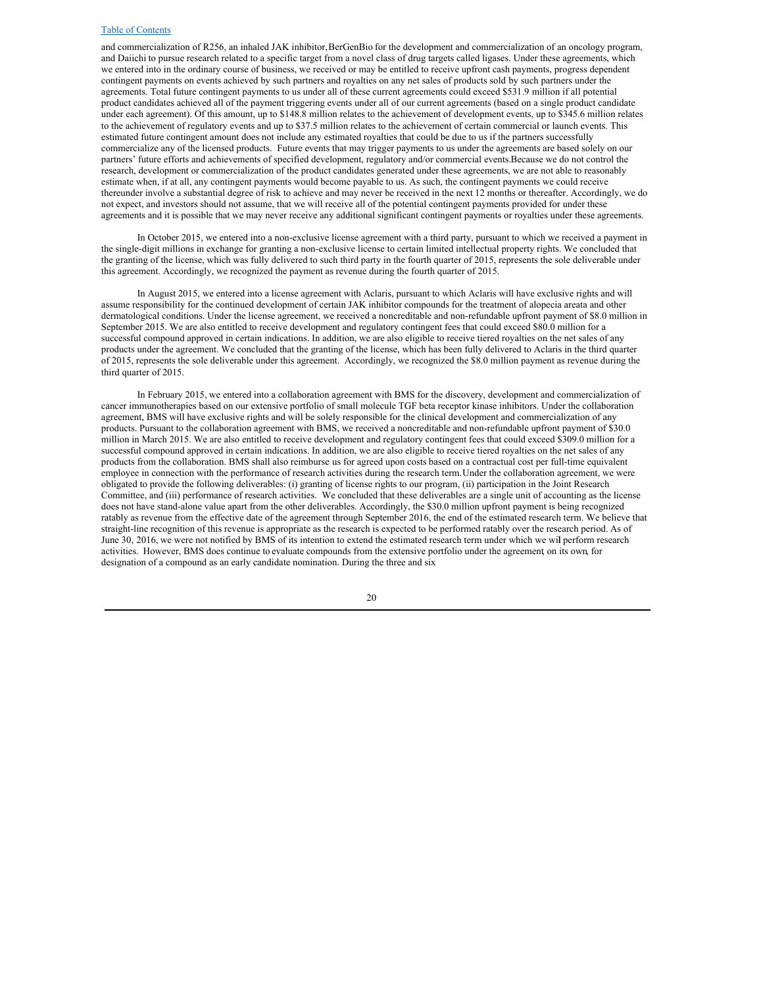and commercialization of R256, an inhaled JAK inhibitor,BerGenBio for the development and commercialization of an oncology program, and Daiichi to pursue research related to a specific target from a novel class of drug targets called ligases. Under these agreements, which we entered into in the ordinary course of business, we received or may be entitled to receive upfront cash payments, progress dependent contingent payments on events achieved by such partners and royalties on any net sales of products sold by such partners under the agreements. Total future contingent payments to us under all of these current agreements could exceed \$531.9 million if all potential product candidates achieved all of the payment triggering events under all of our current agreements (based on a single product candidate under each agreement). Of this amount, up to \$148.8 million relates to the achievement of development events, up to \$345.6 million relates to the achievement of regulatory events and up to \$37.5 million relates to the achievement of certain commercial or launch events. This estimated future contingent amount does not include any estimated royalties that could be due to us if the partners successfully commercialize any of the licensed products. Future events that may trigger payments to us under the agreements are based solely on our partners' future efforts and achievements of specified development, regulatory and/or commercial events.Because we do not control the research, development or commercialization of the product candidates generated under these agreements, we are not able to reasonably estimate when, if at all, any contingent payments would become payable to us. As such, the contingent payments we could receive thereunder involve a substantial degree of risk to achieve and may never be received in the next 12 months or thereafter. Accordingly, we do not expect, and investors should not assume, that we will receive all of the potential contingent payments provided for under these agreements and it is possible that we may never receive any additional significant contingent payments or royalties under these agreements.

In October 2015, we entered into a non-exclusive license agreement with a third party, pursuant to which we received a payment in the single-digit millions in exchange for granting a non-exclusive license to certain limited intellectual property rights. We concluded that the granting of the license, which was fully delivered to such third party in the fourth quarter of 2015, represents the sole deliverable under this agreement. Accordingly, we recognized the payment as revenue during the fourth quarter of 2015.

In August 2015, we entered into a license agreement with Aclaris, pursuant to which Aclaris will have exclusive rights and will assume responsibility for the continued development of certain JAK inhibitor compounds for the treatment of alopecia areata and other dermatological conditions. Under the license agreement, we received a noncreditable and non-refundable upfront payment of \$8.0 million in September 2015. We are also entitled to receive development and regulatory contingent fees that could exceed \$80.0 million for a successful compound approved in certain indications. In addition, we are also eligible to receive tiered royalties on the net sales of any products under the agreement. We concluded that the granting of the license, which has been fully delivered to Aclaris in the third quarter of 2015, represents the sole deliverable under this agreement. Accordingly, we recognized the \$8.0 million payment as revenue during the third quarter of 2015.

In February 2015, we entered into a collaboration agreement with BMS for the discovery, development and commercialization of cancer immunotherapies based on our extensive portfolio of small molecule TGF beta receptor kinase inhibitors. Under the collaboration agreement, BMS will have exclusive rights and will be solely responsible for the clinical development and commercialization of any products. Pursuant to the collaboration agreement with BMS, we received a noncreditable and non-refundable upfront payment of \$30.0 million in March 2015. We are also entitled to receive development and regulatory contingent fees that could exceed \$309.0 million for a successful compound approved in certain indications. In addition, we are also eligible to receive tiered royalties on the net sales of any products from the collaboration. BMS shall also reimburse us for agreed upon costs based on a contractual cost per full-time equivalent employee in connection with the performance of research activities during the research term.Under the collaboration agreement, we were obligated to provide the following deliverables: (i) granting of license rights to our program, (ii) participation in the Joint Research Committee, and (iii) performance of research activities. We concluded that these deliverables are a single unit of accounting as the license does not have stand-alone value apart from the other deliverables. Accordingly, the \$30.0 million upfront payment is being recognized ratably as revenue from the effective date of the agreement through September 2016, the end of the estimated research term. We believe that straight-line recognition of this revenue is appropriate as the research is expected to be performed ratably over the research period. As of June 30, 2016, we were not notified by BMS of its intention to extend the estimated research term under which we wil perform research activities. However, BMS does continue to evaluate compounds from the extensive portfolio under the agreement, on its own, for designation of a compound as an early candidate nomination. During the three and six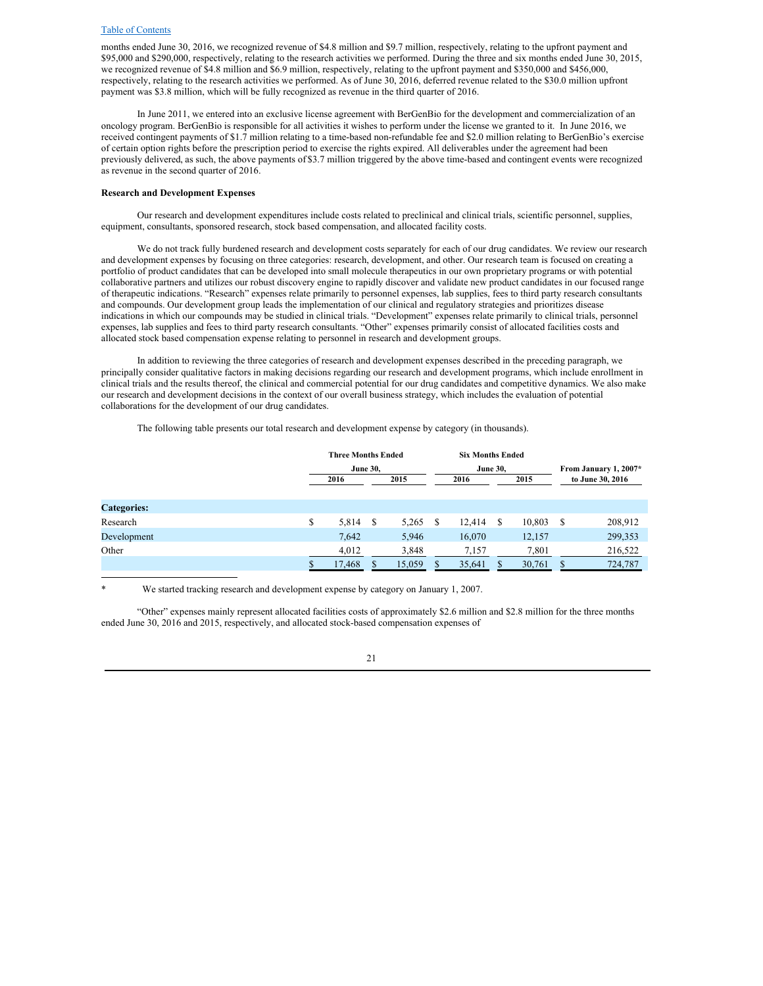months ended June 30, 2016, we recognized revenue of \$4.8 million and \$9.7 million, respectively, relating to the upfront payment and \$95,000 and \$290,000, respectively, relating to the research activities we performed. During the three and six months ended June 30, 2015, we recognized revenue of \$4.8 million and \$6.9 million, respectively, relating to the upfront payment and \$350,000 and \$456,000, respectively, relating to the research activities we performed. As of June 30, 2016, deferred revenue related to the \$30.0 million upfront payment was \$3.8 million, which will be fully recognized as revenue in the third quarter of 2016.

In June 2011, we entered into an exclusive license agreement with BerGenBio for the development and commercialization of an oncology program. BerGenBio is responsible for all activities it wishes to perform under the license we granted to it. In June 2016, we received contingent payments of \$1.7 million relating to a time-based non-refundable fee and \$2.0 million relating to BerGenBio's exercise of certain option rights before the prescription period to exercise the rights expired. All deliverables under the agreement had been previously delivered, as such, the above payments of \$3.7 million triggered by the above time-based and contingent events were recognized as revenue in the second quarter of 2016.

#### **Research and Development Expenses**

Our research and development expenditures include costs related to preclinical and clinical trials, scientific personnel, supplies, equipment, consultants, sponsored research, stock based compensation, and allocated facility costs.

We do not track fully burdened research and development costs separately for each of our drug candidates. We review our research and development expenses by focusing on three categories: research, development, and other. Our research team is focused on creating a portfolio of product candidates that can be developed into small molecule therapeutics in our own proprietary programs or with potential collaborative partners and utilizes our robust discovery engine to rapidly discover and validate new product candidates in our focused range of therapeutic indications. "Research" expenses relate primarily to personnel expenses, lab supplies, fees to third party research consultants and compounds. Our development group leads the implementation of our clinical and regulatory strategies and prioritizes disease indications in which our compounds may be studied in clinical trials. "Development" expenses relate primarily to clinical trials, personnel expenses, lab supplies and fees to third party research consultants. "Other" expenses primarily consist of allocated facilities costs and allocated stock based compensation expense relating to personnel in research and development groups.

In addition to reviewing the three categories of research and development expenses described in the preceding paragraph, we principally consider qualitative factors in making decisions regarding our research and development programs, which include enrollment in clinical trials and the results thereof, the clinical and commercial potential for our drug candidates and competitive dynamics. We also make our research and development decisions in the context of our overall business strategy, which includes the evaluation of potential collaborations for the development of our drug candidates.

The following table presents our total research and development expense by category (in thousands).

|                    | <b>Three Months Ended</b> |        |   |        |    | <b>Six Months Ended</b> |     |                       |   |         |
|--------------------|---------------------------|--------|---|--------|----|-------------------------|-----|-----------------------|---|---------|
|                    | <b>June 30.</b>           |        |   |        |    | <b>June 30.</b>         |     | From January 1, 2007* |   |         |
|                    | 2015<br>2016              |        |   | 2016   |    | 2015                    |     | to June 30, 2016      |   |         |
|                    |                           |        |   |        |    |                         |     |                       |   |         |
| <b>Categories:</b> |                           |        |   |        |    |                         |     |                       |   |         |
| Research           | S                         | 5,814  | S | 5,265  | S  | 12,414                  | - S | 10,803                | S | 208,912 |
| Development        |                           | 7.642  |   | 5,946  |    | 16,070                  |     | 12,157                |   | 299,353 |
| Other              |                           | 4,012  |   | 3,848  |    | 7,157                   |     | 7,801                 |   | 216,522 |
|                    | D                         | 17,468 |   | 15,059 | \$ | 35,641                  |     | 30,761                | S | 724,787 |

We started tracking research and development expense by category on January 1, 2007.

"Other" expenses mainly represent allocated facilities costs of approximately \$2.6 million and \$2.8 million for the three months ended June 30, 2016 and 2015, respectively, and allocated stock-based compensation expenses of

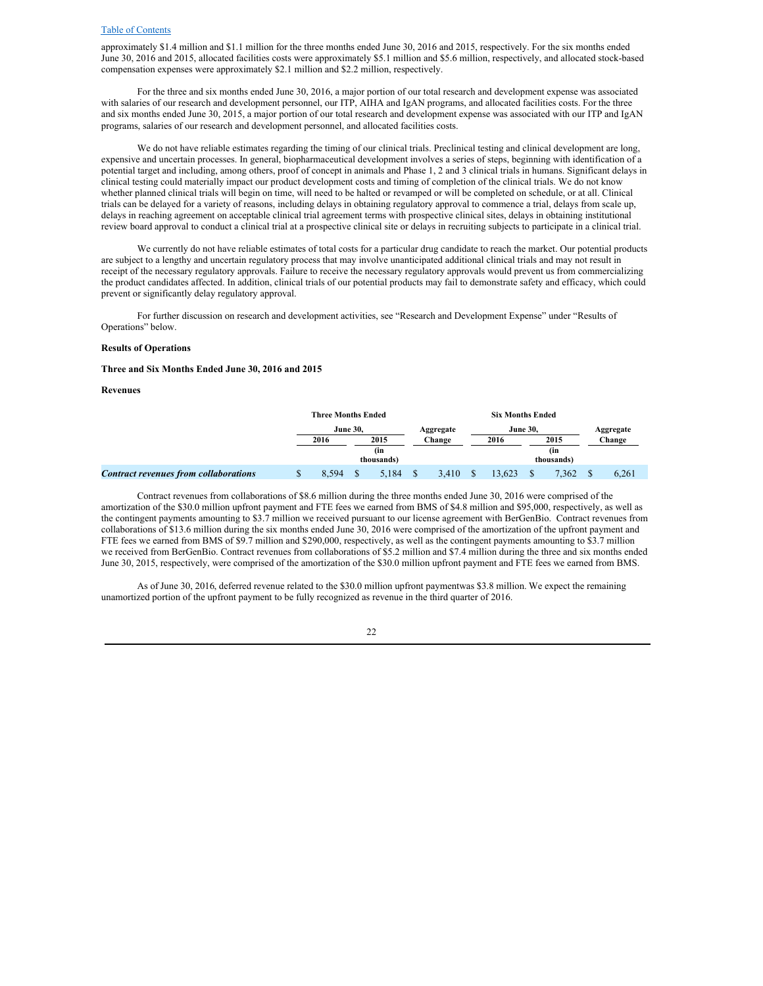approximately \$1.4 million and \$1.1 million for the three months ended June 30, 2016 and 2015, respectively. For the six months ended June 30, 2016 and 2015, allocated facilities costs were approximately \$5.1 million and \$5.6 million, respectively, and allocated stock-based compensation expenses were approximately \$2.1 million and \$2.2 million, respectively.

For the three and six months ended June 30, 2016, a major portion of our total research and development expense was associated with salaries of our research and development personnel, our ITP, AIHA and IgAN programs, and allocated facilities costs. For the three and six months ended June 30, 2015, a major portion of our total research and development expense was associated with our ITP and IgAN programs, salaries of our research and development personnel, and allocated facilities costs.

We do not have reliable estimates regarding the timing of our clinical trials. Preclinical testing and clinical development are long, expensive and uncertain processes. In general, biopharmaceutical development involves a series of steps, beginning with identification of a potential target and including, among others, proof of concept in animals and Phase 1, 2 and 3 clinical trials in humans. Significant delays in clinical testing could materially impact our product development costs and timing of completion of the clinical trials. We do not know whether planned clinical trials will begin on time, will need to be halted or revamped or will be completed on schedule, or at all. Clinical trials can be delayed for a variety of reasons, including delays in obtaining regulatory approval to commence a trial, delays from scale up, delays in reaching agreement on acceptable clinical trial agreement terms with prospective clinical sites, delays in obtaining institutional review board approval to conduct a clinical trial at a prospective clinical site or delays in recruiting subjects to participate in a clinical trial.

We currently do not have reliable estimates of total costs for a particular drug candidate to reach the market. Our potential products are subject to a lengthy and uncertain regulatory process that may involve unanticipated additional clinical trials and may not result in receipt of the necessary regulatory approvals. Failure to receive the necessary regulatory approvals would prevent us from commercializing the product candidates affected. In addition, clinical trials of our potential products may fail to demonstrate safety and efficacy, which could prevent or significantly delay regulatory approval.

For further discussion on research and development activities, see "Research and Development Expense" under "Results of Operations" below.

## **Results of Operations**

## **Three and Six Months Ended June 30, 2016 and 2015**

**Revenues**

|                 | <b>Three Months Ended</b> |       |            |              |  |                 |        |       |                                       |           |
|-----------------|---------------------------|-------|------------|--------------|--|-----------------|--------|-------|---------------------------------------|-----------|
| <b>June 30.</b> |                           |       | Aggregate  |              |  | <b>June 30.</b> |        |       |                                       | Aggregate |
| 2016            | 2015<br>Change            |       |            | 2015<br>2016 |  |                 | Change |       |                                       |           |
|                 |                           | (in   |            |              |  |                 |        | (in   |                                       |           |
|                 |                           |       |            |              |  |                 |        |       |                                       |           |
| 8.594           |                           | 5.184 |            | 3.410        |  | 13.623          |        | 7.362 |                                       | 6.261     |
|                 |                           |       | thousands) |              |  |                 |        |       | <b>Six Months Ended</b><br>thousands) |           |

Contract revenues from collaborations of \$8.6 million during the three months ended June 30, 2016 were comprised of the amortization of the \$30.0 million upfront payment and FTE fees we earned from BMS of \$4.8 million and \$95,000, respectively, as well as the contingent payments amounting to \$3.7 million we received pursuant to our license agreement with BerGenBio. Contract revenues from collaborations of \$13.6 million during the six months ended June 30, 2016 were comprised of the amortization of the upfront payment and FTE fees we earned from BMS of \$9.7 million and \$290,000, respectively, as well as the contingent payments amounting to \$3.7 million we received from BerGenBio. Contract revenues from collaborations of \$5.2 million and \$7.4 million during the three and six months ended June 30, 2015, respectively, were comprised of the amortization of the \$30.0 million upfront payment and FTE fees we earned from BMS.

As of June 30, 2016, deferred revenue related to the \$30.0 million upfront paymentwas \$3.8 million. We expect the remaining unamortized portion of the upfront payment to be fully recognized as revenue in the third quarter of 2016.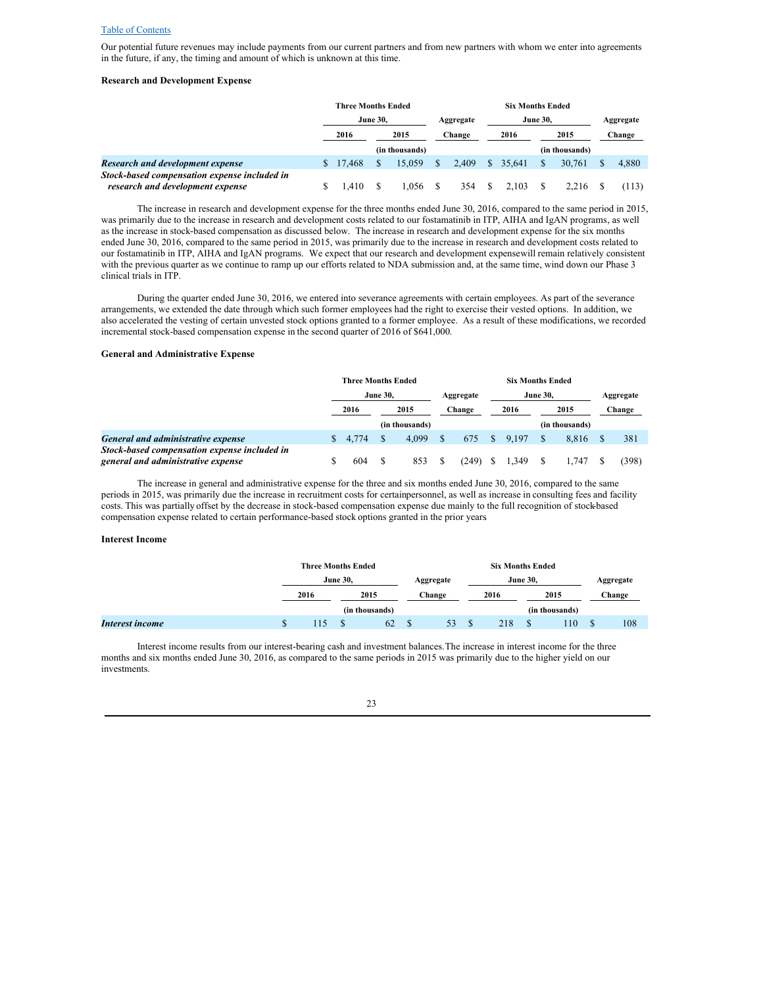Our potential future revenues may include payments from our current partners and from new partners with whom we enter into agreements in the future, if any, the timing and amount of which is unknown at this time.

## **Research and Development Expense**

|                                              | <b>Three Months Ended</b> |  |                |           |       |               | <b>Six Months Ended</b> |  |                |  |           |  |
|----------------------------------------------|---------------------------|--|----------------|-----------|-------|---------------|-------------------------|--|----------------|--|-----------|--|
|                                              | <b>June 30.</b>           |  |                | Aggregate |       |               | <b>June 30.</b>         |  |                |  | Aggregate |  |
|                                              | 2016                      |  | 2015           | Change    |       | 2016          |                         |  | 2015           |  | Change    |  |
|                                              |                           |  | (in thousands) |           |       |               |                         |  | (in thousands) |  |           |  |
| Research and development expense             | \$17,468                  |  | 15,059         | \$        | 2.409 | <sup>\$</sup> | 35.641                  |  | 30.761         |  | 4.880     |  |
| Stock-based compensation expense included in |                           |  |                |           |       |               |                         |  |                |  |           |  |
| research and development expense             | .410                      |  | 1.056          | S         | 354   |               | 2.103                   |  | 2.216          |  | (113)     |  |

The increase in research and development expense for the three months ended June 30, 2016, compared to the same period in 2015, was primarily due to the increase in research and development costs related to our fostamatinib in ITP, AIHA and IgAN programs, as well as the increase in stock-based compensation as discussed below. The increase in research and development expense for the six months ended June 30, 2016, compared to the same period in 2015, was primarily due to the increase in research and development costs related to our fostamatinib in ITP, AIHA and IgAN programs. We expect that our research and development expensewill remain relatively consistent with the previous quarter as we continue to ramp up our efforts related to NDA submission and, at the same time, wind down our Phase 3 clinical trials in ITP.

During the quarter ended June 30, 2016, we entered into severance agreements with certain employees. As part of the severance arrangements, we extended the date through which such former employees had the right to exercise their vested options. In addition, we also accelerated the vesting of certain unvested stock options granted to a former employee. As a result of these modifications, we recorded incremental stock-based compensation expense in the second quarter of 2016 of \$641,000.

## **General and Administrative Expense**

|                                              | <b>Three Months Ended</b> |  |                |           |        |      |                 |      |                |  |        |
|----------------------------------------------|---------------------------|--|----------------|-----------|--------|------|-----------------|------|----------------|--|--------|
|                                              | <b>June 30.</b>           |  |                | Aggregate |        |      | <b>June 30.</b> |      | Aggregate      |  |        |
|                                              | 2016                      |  | 2015           |           | Change | 2016 |                 | 2015 |                |  | Change |
|                                              |                           |  | (in thousands) |           |        |      |                 |      | (in thousands) |  |        |
| General and administrative expense           | 4.774                     |  | 4.099          |           | 675    |      | 9.197           |      | 8.816          |  | 381    |
| Stock-based compensation expense included in |                           |  |                |           |        |      |                 |      |                |  |        |
| general and administrative expense           | 604                       |  | 853            |           | (249)  |      | 1.349           |      | .747           |  | (398)  |

The increase in general and administrative expense for the three and six months ended June 30, 2016, compared to the same periods in 2015, was primarily due the increase in recruitment costs for certainpersonnel, as well as increase in consulting fees and facility costs. This was partially offset by the decrease in stock-based compensation expense due mainly to the full recognition of stock-based compensation expense related to certain performance-based stock options granted in the prior years.

## **Interest Income**

|                 |                 |  | <b>Three Months Ended</b> |                |                 |  | <b>Six Months Ended</b> |  |                |           |     |  |
|-----------------|-----------------|--|---------------------------|----------------|-----------------|--|-------------------------|--|----------------|-----------|-----|--|
|                 | <b>June 30.</b> |  |                           | Aggregate      | <b>June 30.</b> |  |                         |  |                | Aggregate |     |  |
|                 | 2016<br>2015    |  | Change                    |                | 2016            |  | 2015                    |  | Change         |           |     |  |
|                 |                 |  |                           | (in thousands) |                 |  |                         |  | (in thousands) |           |     |  |
| Interest income |                 |  |                           | 62             | 53              |  | 218                     |  | 10             | S         | 108 |  |

Interest income results from our interest-bearing cash and investment balances.The increase in interest income for the three months and six months ended June 30, 2016, as compared to the same periods in 2015 was primarily due to the higher yield on our investments.

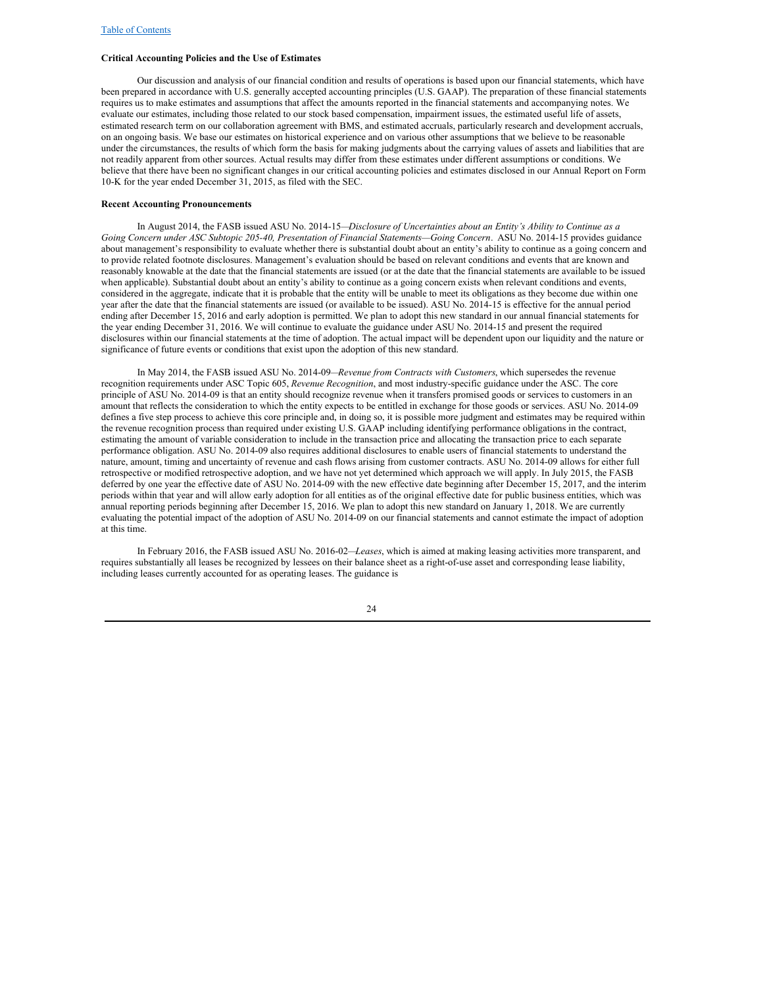#### **Critical Accounting Policies and the Use of Estimates**

Our discussion and analysis of our financial condition and results of operations is based upon our financial statements, which have been prepared in accordance with U.S. generally accepted accounting principles (U.S. GAAP). The preparation of these financial statements requires us to make estimates and assumptions that affect the amounts reported in the financial statements and accompanying notes. We evaluate our estimates, including those related to our stock based compensation, impairment issues, the estimated useful life of assets, estimated research term on our collaboration agreement with BMS, and estimated accruals, particularly research and development accruals, on an ongoing basis. We base our estimates on historical experience and on various other assumptions that we believe to be reasonable under the circumstances, the results of which form the basis for making judgments about the carrying values of assets and liabilities that are not readily apparent from other sources. Actual results may differ from these estimates under different assumptions or conditions. We believe that there have been no significant changes in our critical accounting policies and estimates disclosed in our Annual Report on Form 10-K for the year ended December 31, 2015, as filed with the SEC.

## **Recent Accounting Pronouncements**

In August 2014, the FASB issued ASU No. 2014-15—*Disclosure of Uncertainties about an Entity's Ability to Continue as a Going Concern under ASC Subtopic 205-40, Presentation of Financial Statements—Going Concern*. ASU No. 2014-15 provides guidance about management's responsibility to evaluate whether there is substantial doubt about an entity's ability to continue as a going concern and to provide related footnote disclosures. Management's evaluation should be based on relevant conditions and events that are known and reasonably knowable at the date that the financial statements are issued (or at the date that the financial statements are available to be issued when applicable). Substantial doubt about an entity's ability to continue as a going concern exists when relevant conditions and events, considered in the aggregate, indicate that it is probable that the entity will be unable to meet its obligations as they become due within one year after the date that the financial statements are issued (or available to be issued). ASU No. 2014-15 is effective for the annual period ending after December 15, 2016 and early adoption is permitted. We plan to adopt this new standard in our annual financial statements for the year ending December 31, 2016. We will continue to evaluate the guidance under ASU No. 2014-15 and present the required disclosures within our financial statements at the time of adoption. The actual impact will be dependent upon our liquidity and the nature or significance of future events or conditions that exist upon the adoption of this new standard.

In May 2014, the FASB issued ASU No. 2014-09—*Revenue from Contracts with Customers*, which supersedes the revenue recognition requirements under ASC Topic 605, *Revenue Recognition*, and most industry-specific guidance under the ASC. The core principle of ASU No. 2014-09 is that an entity should recognize revenue when it transfers promised goods or services to customers in an amount that reflects the consideration to which the entity expects to be entitled in exchange for those goods or services. ASU No. 2014-09 defines a five step process to achieve this core principle and, in doing so, it is possible more judgment and estimates may be required within the revenue recognition process than required under existing U.S. GAAP including identifying performance obligations in the contract, estimating the amount of variable consideration to include in the transaction price and allocating the transaction price to each separate performance obligation. ASU No. 2014-09 also requires additional disclosures to enable users of financial statements to understand the nature, amount, timing and uncertainty of revenue and cash flows arising from customer contracts. ASU No. 2014-09 allows for either full retrospective or modified retrospective adoption, and we have not yet determined which approach we will apply. In July 2015, the FASB deferred by one year the effective date of ASU No. 2014-09 with the new effective date beginning after December 15, 2017, and the interim periods within that year and will allow early adoption for all entities as of the original effective date for public business entities, which was annual reporting periods beginning after December 15, 2016. We plan to adopt this new standard on January 1, 2018. We are currently evaluating the potential impact of the adoption of ASU No. 2014-09 on our financial statements and cannot estimate the impact of adoption at this time.

In February 2016, the FASB issued ASU No. 2016-02—*Leases*, which is aimed at making leasing activities more transparent, and requires substantially all leases be recognized by lessees on their balance sheet as a right-of-use asset and corresponding lease liability, including leases currently accounted for as operating leases. The guidance is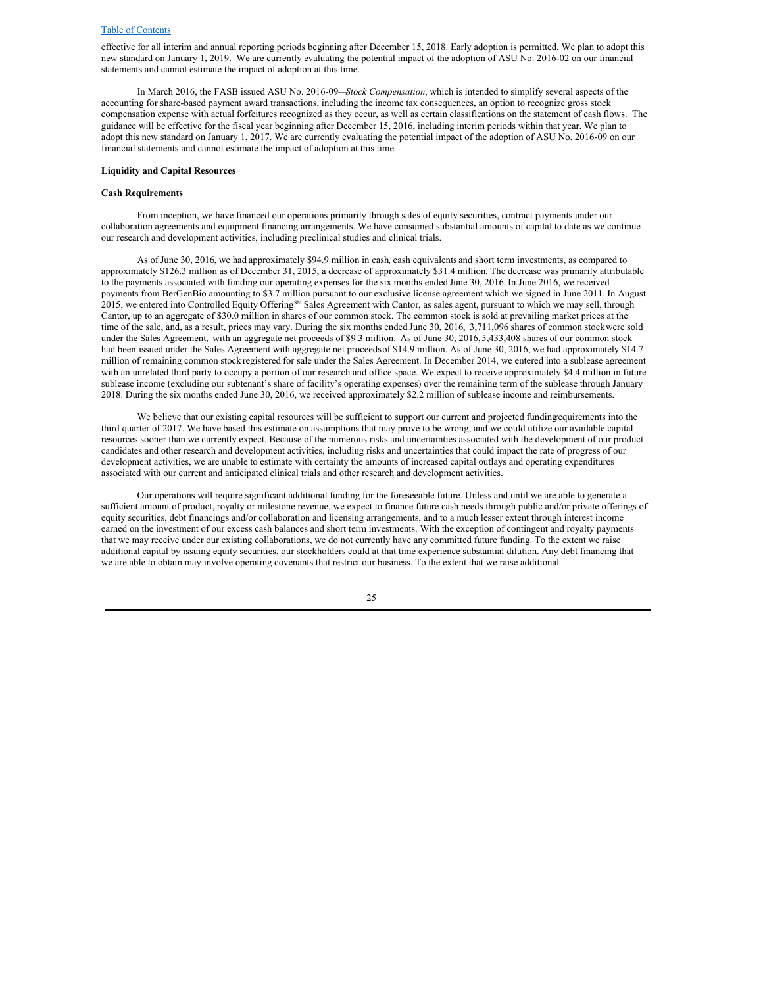effective for all interim and annual reporting periods beginning after December 15, 2018. Early adoption is permitted. We plan to adopt this new standard on January 1, 2019. We are currently evaluating the potential impact of the adoption of ASU No. 2016-02 on our financial statements and cannot estimate the impact of adoption at this time.

In March 2016, the FASB issued ASU No. 2016-09—*Stock Compensation*, which is intended to simplify several aspects of the accounting for share-based payment award transactions, including the income tax consequences, an option to recognize gross stock compensation expense with actual forfeitures recognized as they occur, as well as certain classifications on the statement of cash flows. The guidance will be effective for the fiscal year beginning after December 15, 2016, including interim periods within that year. We plan to adopt this new standard on January 1, 2017. We are currently evaluating the potential impact of the adoption of ASU No. 2016-09 on our financial statements and cannot estimate the impact of adoption at this time.

## **Liquidity and Capital Resources**

#### **Cash Requirements**

From inception, we have financed our operations primarily through sales of equity securities, contract payments under our collaboration agreements and equipment financing arrangements. We have consumed substantial amounts of capital to date as we continue our research and development activities, including preclinical studies and clinical trials.

As of June 30, 2016, we had approximately \$94.9 million in cash, cash equivalents and short term investments, as compared to approximately \$126.3 million as of December 31, 2015, a decrease of approximately \$31.4 million. The decrease was primarily attributable to the payments associated with funding our operating expenses for the six months ended June 30, 2016. In June 2016, we received payments from BerGenBio amounting to \$3.7 million pursuant to our exclusive license agreement which we signed in June 2011. In August 2015, we entered into Controlled Equity Offering<sup>SM</sup> Sales Agreement with Cantor, as sales agent, pursuant to which we may sell, through Cantor, up to an aggregate of \$30.0 million in shares of our common stock. The common stock is sold at prevailing market prices at the time of the sale, and, as a result, prices may vary. During the six months ended June 30, 2016, 3,711,096 shares of common stockwere sold under the Sales Agreement, with an aggregate net proceeds of \$9.3 million. As of June 30, 2016,5,433,408 shares of our common stock had been issued under the Sales Agreement with aggregate net proceedsof \$14.9 million. As of June 30, 2016, we had approximately \$14.7 million of remaining common stock registered for sale under the Sales Agreement. In December 2014, we entered into a sublease agreement with an unrelated third party to occupy a portion of our research and office space. We expect to receive approximately \$4.4 million in future sublease income (excluding our subtenant's share of facility's operating expenses) over the remaining term of the sublease through January 2018. During the six months ended June 30, 2016, we received approximately \$2.2 million of sublease income and reimbursements.

We believe that our existing capital resources will be sufficient to support our current and projected fundingrequirements into the third quarter of 2017. We have based this estimate on assumptions that may prove to be wrong, and we could utilize our available capital resources sooner than we currently expect. Because of the numerous risks and uncertainties associated with the development of our product candidates and other research and development activities, including risks and uncertainties that could impact the rate of progress of our development activities, we are unable to estimate with certainty the amounts of increased capital outlays and operating expenditures associated with our current and anticipated clinical trials and other research and development activities.

Our operations will require significant additional funding for the foreseeable future. Unless and until we are able to generate a sufficient amount of product, royalty or milestone revenue, we expect to finance future cash needs through public and/or private offerings of equity securities, debt financings and/or collaboration and licensing arrangements, and to a much lesser extent through interest income earned on the investment of our excess cash balances and short term investments. With the exception of contingent and royalty payments that we may receive under our existing collaborations, we do not currently have any committed future funding. To the extent we raise additional capital by issuing equity securities, our stockholders could at that time experience substantial dilution. Any debt financing that we are able to obtain may involve operating covenants that restrict our business. To the extent that we raise additional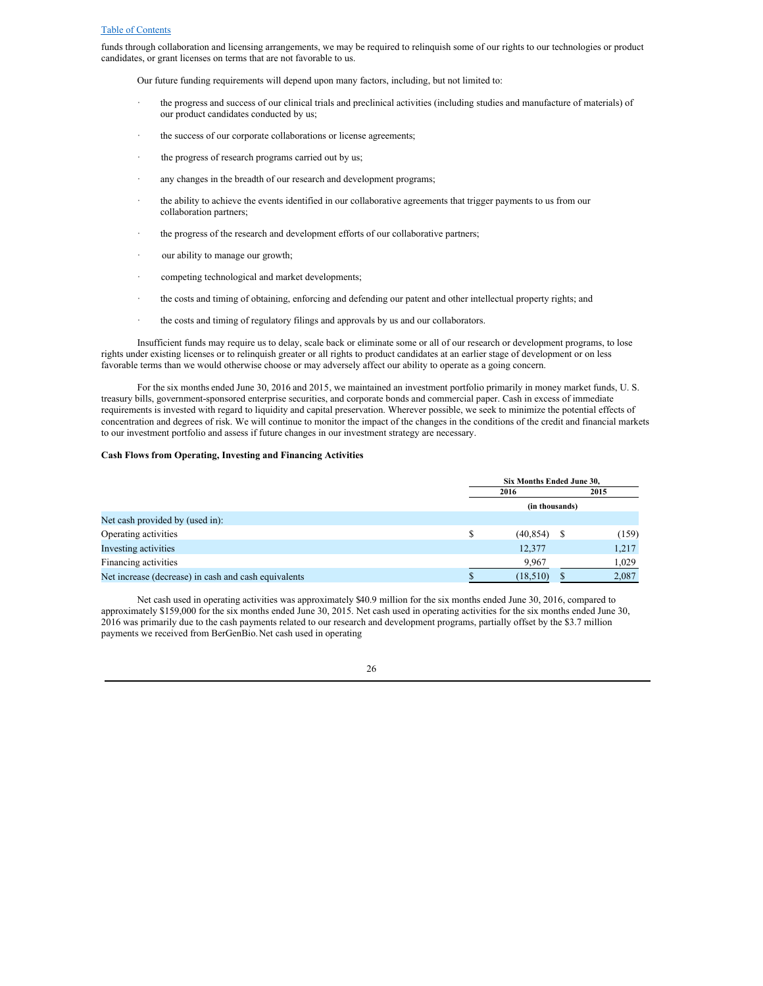funds through collaboration and licensing arrangements, we may be required to relinquish some of our rights to our technologies or product candidates, or grant licenses on terms that are not favorable to us.

Our future funding requirements will depend upon many factors, including, but not limited to:

- the progress and success of our clinical trials and preclinical activities (including studies and manufacture of materials) of our product candidates conducted by us;
- the success of our corporate collaborations or license agreements;
- the progress of research programs carried out by us;
- any changes in the breadth of our research and development programs;
- the ability to achieve the events identified in our collaborative agreements that trigger payments to us from our collaboration partners;
- the progress of the research and development efforts of our collaborative partners;
- our ability to manage our growth;
- competing technological and market developments;
- the costs and timing of obtaining, enforcing and defending our patent and other intellectual property rights; and
- the costs and timing of regulatory filings and approvals by us and our collaborators.

Insufficient funds may require us to delay, scale back or eliminate some or all of our research or development programs, to lose rights under existing licenses or to relinquish greater or all rights to product candidates at an earlier stage of development or on less favorable terms than we would otherwise choose or may adversely affect our ability to operate as a going concern.

For the six months ended June 30, 2016 and 2015, we maintained an investment portfolio primarily in money market funds, U. S. treasury bills, government‑sponsored enterprise securities, and corporate bonds and commercial paper. Cash in excess of immediate requirements is invested with regard to liquidity and capital preservation. Wherever possible, we seek to minimize the potential effects of concentration and degrees of risk. We will continue to monitor the impact of the changes in the conditions of the credit and financial markets to our investment portfolio and assess if future changes in our investment strategy are necessary.

#### **Cash Flows from Operating, Investing and Financing Activities**

|                                                      |   | Six Months Ended June 30. |      |       |  |  |  |  |  |
|------------------------------------------------------|---|---------------------------|------|-------|--|--|--|--|--|
|                                                      |   | 2016                      | 2015 |       |  |  |  |  |  |
|                                                      |   |                           |      |       |  |  |  |  |  |
| Net cash provided by (used in):                      |   |                           |      |       |  |  |  |  |  |
| Operating activities                                 | S | (40, 854)                 |      | (159) |  |  |  |  |  |
| Investing activities                                 |   | 12,377                    |      | 1,217 |  |  |  |  |  |
| Financing activities                                 |   | 9,967                     |      | 1.029 |  |  |  |  |  |
| Net increase (decrease) in cash and cash equivalents |   | (18, 510)                 |      | 2,087 |  |  |  |  |  |

Net cash used in operating activities was approximately \$40.9 million for the six months ended June 30, 2016, compared to approximately \$159,000 for the six months ended June 30, 2015. Net cash used in operating activities for the six months ended June 30, 2016 was primarily due to the cash payments related to our research and development programs, partially offset by the \$3.7 million payments we received from BerGenBio.Net cash used in operating

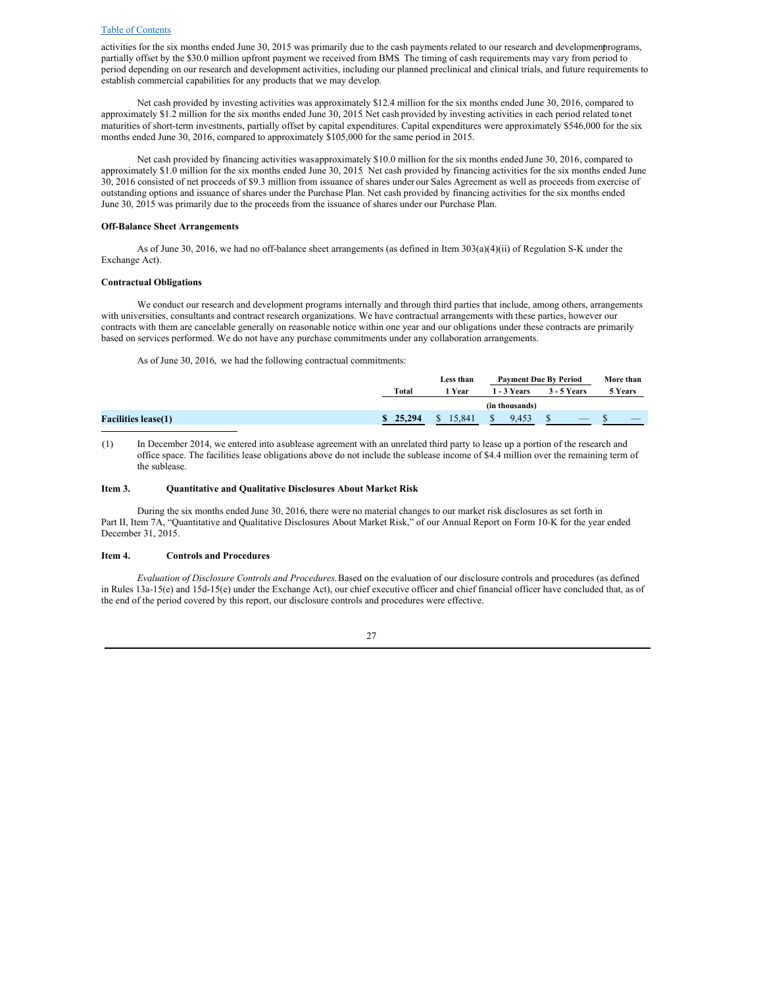activities for the six months ended June 30, 2015 was primarily due to the cash payments related to our research and developmenprograms, partially offset by the \$30.0 million upfront payment we received from BMS. The timing of cash requirements may vary from period to period depending on our research and development activities, including our planned preclinical and clinical trials, and future requirements to establish commercial capabilities for any products that we may develop.

Net cash provided by investing activities was approximately \$12.4 million for the six months ended June 30, 2016, compared to approximately \$1.2 million for the six months ended June 30, 2015. Net cash provided by investing activities in each period related tonet maturities of short-term investments, partially offset by capital expenditures. Capital expenditures were approximately \$546,000 for the six months ended June 30, 2016, compared to approximately \$105,000 for the same period in 2015.

Net cash provided by financing activities wasapproximately \$10.0 million for the six months ended June 30, 2016, compared to approximately \$1.0 million for the six months ended June 30, 2015. Net cash provided by financing activities for the six months ended June 30, 2016 consisted of net proceeds of \$9.3 million from issuance of shares under our Sales Agreement as well as proceeds from exercise of outstanding options and issuance of shares under the Purchase Plan. Net cash provided by financing activities for the six months ended June 30, 2015 was primarily due to the proceeds from the issuance of shares under our Purchase Plan.

#### **Off-Balance Sheet Arrangements**

As of June 30, 2016, we had no off-balance sheet arrangements (as defined in Item 303(a)(4)(ii) of Regulation S-K under the Exchange Act).

### **Contractual Obligations**

We conduct our research and development programs internally and through third parties that include, among others, arrangements with universities, consultants and contract research organizations. We have contractual arrangements with these parties, however our contracts with them are cancelable generally on reasonable notice within one year and our obligations under these contracts are primarily based on services performed. We do not have any purchase commitments under any collaboration arrangements.

<span id="page-26-0"></span>As of June 30, 2016, we had the following contractual commitments:

|                            |                 | Less than |                | <b>Payment Due By Period</b>    | More than |  |  |
|----------------------------|-----------------|-----------|----------------|---------------------------------|-----------|--|--|
|                            | Total<br>l Year |           | 1 - 3 Years    | 3 - 5 Years                     | 5 Years   |  |  |
|                            |                 |           | (in thousands) |                                 |           |  |  |
| <b>Facilities lease(1)</b> | \$25.294        | \$15,841  | - S<br>9.453   | $\hspace{0.1mm}-\hspace{0.1mm}$ |           |  |  |

(1) In December 2014, we entered into asublease agreement with an unrelated third party to lease up a portion of the research and office space. The facilities lease obligations above do not include the sublease income of \$4.4 million over the remaining term of the sublease.

#### **Item 3. Quantitative and Qualitative Disclosures About Market Risk**

During the six months ended June 30, 2016, there were no material changes to our market risk disclosures as set forth in Part II, Item 7A, "Quantitative and Qualitative Disclosures About Market Risk," of our Annual Report on Form 10-K for the year ended December 31, 2015.

## <span id="page-26-1"></span>**Item 4. Controls and Procedures**

*Evaluation of Disclosure Controls and Procedures.*Based on the evaluation of our disclosure controls and procedures (as defined in Rules 13a-15(e) and 15d-15(e) under the Exchange Act), our chief executive officer and chief financial officer have concluded that, as of the end of the period covered by this report, our disclosure controls and procedures were effective.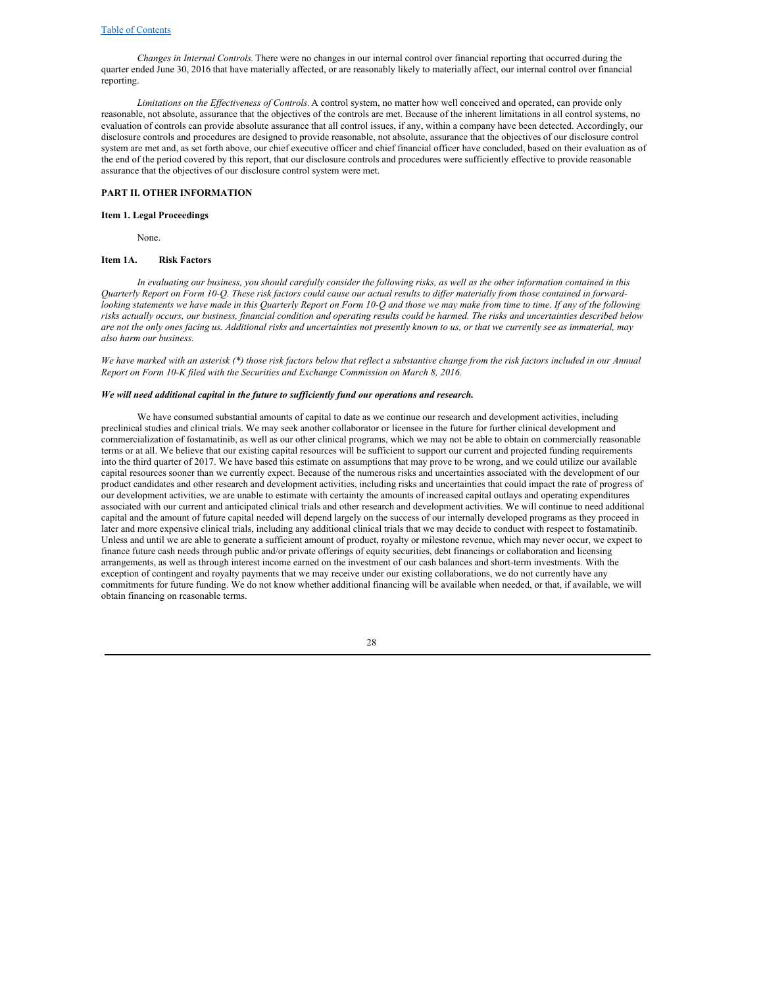*Changes in Internal Controls.* There were no changes in our internal control over financial reporting that occurred during the quarter ended June 30, 2016 that have materially affected, or are reasonably likely to materially affect, our internal control over financial reporting.

*Limitations on the Ef ectiveness of Controls.* A control system, no matter how well conceived and operated, can provide only reasonable, not absolute, assurance that the objectives of the controls are met. Because of the inherent limitations in all control systems, no evaluation of controls can provide absolute assurance that all control issues, if any, within a company have been detected. Accordingly, our disclosure controls and procedures are designed to provide reasonable, not absolute, assurance that the objectives of our disclosure control system are met and, as set forth above, our chief executive officer and chief financial officer have concluded, based on their evaluation as of the end of the period covered by this report, that our disclosure controls and procedures were sufficiently effective to provide reasonable assurance that the objectives of our disclosure control system were met.

## **PART II. OTHER INFORMATION**

#### **Item 1. Legal Proceedings**

<span id="page-27-2"></span><span id="page-27-1"></span><span id="page-27-0"></span>None.

## **Item 1A. Risk Factors**

In evaluating our business, you should carefully consider the following risks, as well as the other information contained in this Quarterly Report on Form 10-Q. These risk factors could cause our actual results to differ materially from those contained in forwardlooking statements we have made in this Quarterly Report on Form 10-Q and those we may make from time to time. If any of the following risks actually occurs, our business, financial condition and operating results could be harmed. The risks and uncertainties described below are not the only ones facing us. Additional risks and uncertainties not presently known to us, or that we currently see as immaterial, may *also harm our business.*

We have marked with an asterisk (\*) those risk factors below that reflect a substantive change from the risk factors included in our Annual *Report on Form 10-K filed with the Securities and Exchange Commission on March 8, 2016.*

#### *We will need additional capital in the future to suf iciently fund our operations and research.*

We have consumed substantial amounts of capital to date as we continue our research and development activities, including preclinical studies and clinical trials. We may seek another collaborator or licensee in the future for further clinical development and commercialization of fostamatinib, as well as our other clinical programs, which we may not be able to obtain on commercially reasonable terms or at all. We believe that our existing capital resources will be sufficient to support our current and projected funding requirements into the third quarter of 2017. We have based this estimate on assumptions that may prove to be wrong, and we could utilize our available capital resources sooner than we currently expect. Because of the numerous risks and uncertainties associated with the development of our product candidates and other research and development activities, including risks and uncertainties that could impact the rate of progress of our development activities, we are unable to estimate with certainty the amounts of increased capital outlays and operating expenditures associated with our current and anticipated clinical trials and other research and development activities. We will continue to need additional capital and the amount of future capital needed will depend largely on the success of our internally developed programs as they proceed in later and more expensive clinical trials, including any additional clinical trials that we may decide to conduct with respect to fostamatinib. Unless and until we are able to generate a sufficient amount of product, royalty or milestone revenue, which may never occur, we expect to finance future cash needs through public and/or private offerings of equity securities, debt financings or collaboration and licensing arrangements, as well as through interest income earned on the investment of our cash balances and short-term investments. With the exception of contingent and royalty payments that we may receive under our existing collaborations, we do not currently have any commitments for future funding. We do not know whether additional financing will be available when needed, or that, if available, we will obtain financing on reasonable terms.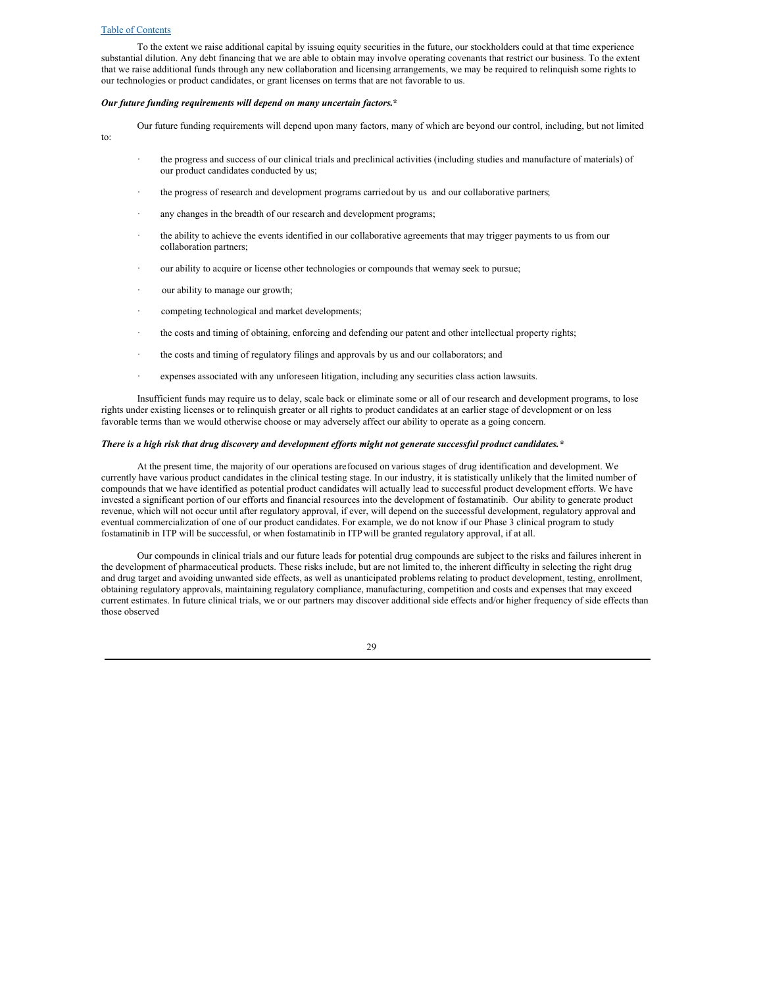To the extent we raise additional capital by issuing equity securities in the future, our stockholders could at that time experience substantial dilution. Any debt financing that we are able to obtain may involve operating covenants that restrict our business. To the extent that we raise additional funds through any new collaboration and licensing arrangements, we may be required to relinquish some rights to our technologies or product candidates, or grant licenses on terms that are not favorable to us.

#### *Our future funding requirements will depend on many uncertain factors.\**

- Our future funding requirements will depend upon many factors, many of which are beyond our control, including, but not limited
- to:
- the progress and success of our clinical trials and preclinical activities (including studies and manufacture of materials) of our product candidates conducted by us;
- the progress of research and development programs carriedout by us and our collaborative partners;
- any changes in the breadth of our research and development programs;
- the ability to achieve the events identified in our collaborative agreements that may trigger payments to us from our collaboration partners;
- our ability to acquire or license other technologies or compounds that wemay seek to pursue;
- our ability to manage our growth;
- · competing technological and market developments;
- · the costs and timing of obtaining, enforcing and defending our patent and other intellectual property rights;
- the costs and timing of regulatory filings and approvals by us and our collaborators; and
- · expenses associated with any unforeseen litigation, including any securities class action lawsuits.

Insufficient funds may require us to delay, scale back or eliminate some or all of our research and development programs, to lose rights under existing licenses or to relinquish greater or all rights to product candidates at an earlier stage of development or on less favorable terms than we would otherwise choose or may adversely affect our ability to operate as a going concern.

## There is a high risk that drug discovery and development efforts might not generate successful product candidates.\*

At the present time, the majority of our operations arefocused on various stages of drug identification and development. We currently have various product candidates in the clinical testing stage. In our industry, it is statistically unlikely that the limited number of compounds that we have identified as potential product candidates will actually lead to successful product development efforts. We have invested a significant portion of our efforts and financial resources into the development of fostamatinib. Our ability to generate product revenue, which will not occur until after regulatory approval, if ever, will depend on the successful development, regulatory approval and eventual commercialization of one of our product candidates. For example, we do not know if our Phase 3 clinical program to study fostamatinib in ITP will be successful, or when fostamatinib in ITPwill be granted regulatory approval, if at all.

Our compounds in clinical trials and our future leads for potential drug compounds are subject to the risks and failures inherent in the development of pharmaceutical products. These risks include, but are not limited to, the inherent difficulty in selecting the right drug and drug target and avoiding unwanted side effects, as well as unanticipated problems relating to product development, testing, enrollment, obtaining regulatory approvals, maintaining regulatory compliance, manufacturing, competition and costs and expenses that may exceed current estimates. In future clinical trials, we or our partners may discover additional side effects and/or higher frequency of side effects than those observed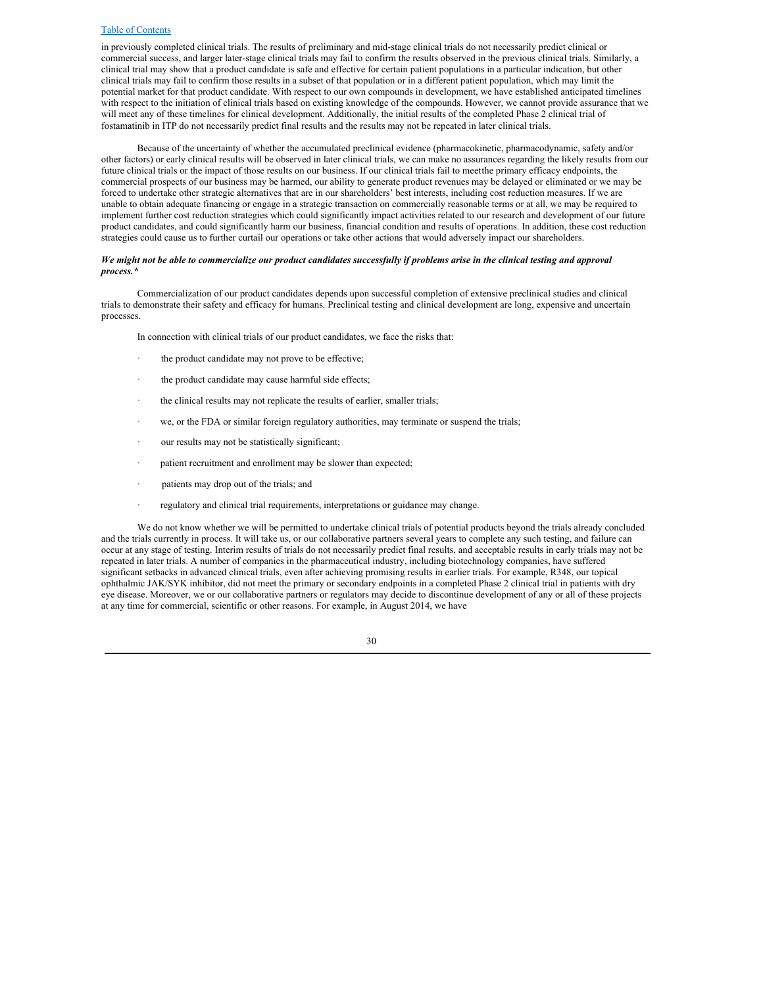in previously completed clinical trials. The results of preliminary and mid-stage clinical trials do not necessarily predict clinical or commercial success, and larger later-stage clinical trials may fail to confirm the results observed in the previous clinical trials. Similarly, a clinical trial may show that a product candidate is safe and effective for certain patient populations in a particular indication, but other clinical trials may fail to confirm those results in a subset of that population or in a different patient population, which may limit the potential market for that product candidate. With respect to our own compounds in development, we have established anticipated timelines with respect to the initiation of clinical trials based on existing knowledge of the compounds. However, we cannot provide assurance that we will meet any of these timelines for clinical development. Additionally, the initial results of the completed Phase 2 clinical trial of fostamatinib in ITP do not necessarily predict final results and the results may not be repeated in later clinical trials.

Because of the uncertainty of whether the accumulated preclinical evidence (pharmacokinetic, pharmacodynamic, safety and/or other factors) or early clinical results will be observed in later clinical trials, we can make no assurances regarding the likely results from our future clinical trials or the impact of those results on our business. If our clinical trials fail to meetthe primary efficacy endpoints, the commercial prospects of our business may be harmed, our ability to generate product revenues may be delayed or eliminated or we may be forced to undertake other strategic alternatives that are in our shareholders' best interests, including cost reduction measures. If we are unable to obtain adequate financing or engage in a strategic transaction on commercially reasonable terms or at all, we may be required to implement further cost reduction strategies which could significantly impact activities related to our research and development of our future product candidates, and could significantly harm our business, financial condition and results of operations. In addition, these cost reduction strategies could cause us to further curtail our operations or take other actions that would adversely impact our shareholders.

## We might not be able to commercialize our product candidates successfully if problems arise in the clinical testing and approval *process.\**

Commercialization of our product candidates depends upon successful completion of extensive preclinical studies and clinical trials to demonstrate their safety and efficacy for humans. Preclinical testing and clinical development are long, expensive and uncertain processes.

In connection with clinical trials of our product candidates, we face the risks that:

- the product candidate may not prove to be effective;
- the product candidate may cause harmful side effects;
- the clinical results may not replicate the results of earlier, smaller trials;
- we, or the FDA or similar foreign regulatory authorities, may terminate or suspend the trials;
- our results may not be statistically significant;
- patient recruitment and enrollment may be slower than expected;
- patients may drop out of the trials; and
- regulatory and clinical trial requirements, interpretations or guidance may change.

We do not know whether we will be permitted to undertake clinical trials of potential products beyond the trials already concluded and the trials currently in process. It will take us, or our collaborative partners several years to complete any such testing, and failure can occur at any stage of testing. Interim results of trials do not necessarily predict final results, and acceptable results in early trials may not be repeated in later trials. A number of companies in the pharmaceutical industry, including biotechnology companies, have suffered significant setbacks in advanced clinical trials, even after achieving promising results in earlier trials. For example, R348, our topical ophthalmic JAK/SYK inhibitor, did not meet the primary or secondary endpoints in a completed Phase 2 clinical trial in patients with dry eye disease. Moreover, we or our collaborative partners or regulators may decide to discontinue development of any or all of these projects at any time for commercial, scientific or other reasons. For example, in August 2014, we have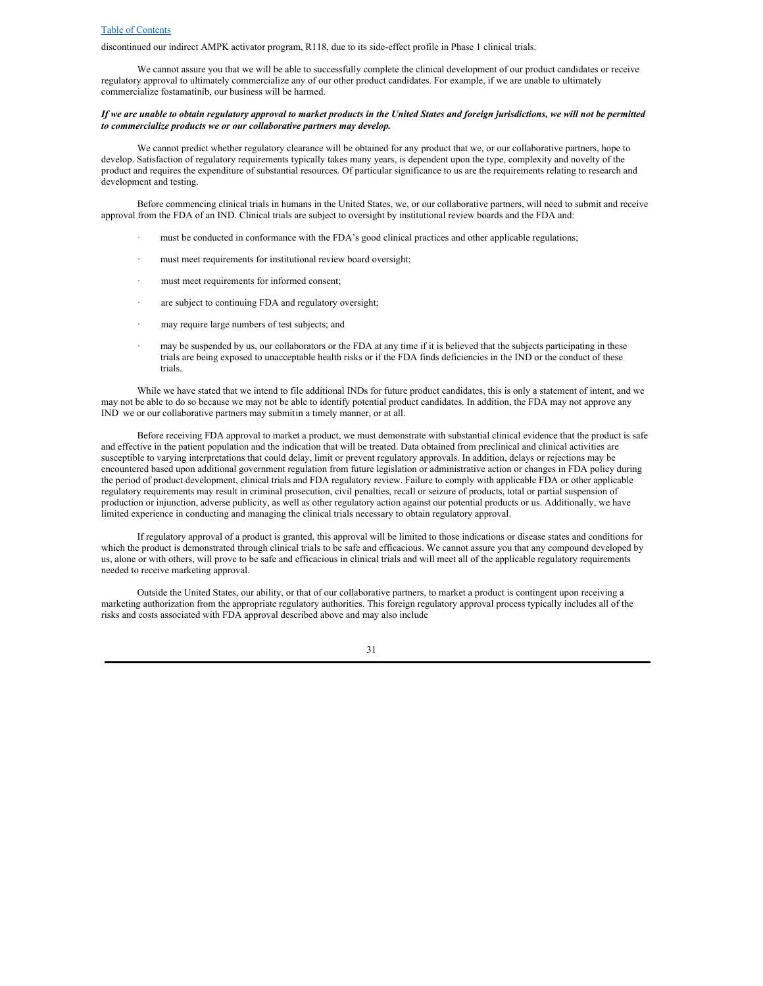discontinued our indirect AMPK activator program, R118, due to its side-effect profile in Phase 1 clinical trials.

We cannot assure you that we will be able to successfully complete the clinical development of our product candidates or receive regulatory approval to ultimately commercialize any of our other product candidates. For example, if we are unable to ultimately commercialize fostamatinib, our business will be harmed.

## If we are unable to obtain regulatory approval to market products in the United States and foreign jurisdictions, we will not be permitted *to commercialize products we or our collaborative partners may develop.*

We cannot predict whether regulatory clearance will be obtained for any product that we, or our collaborative partners, hope to develop. Satisfaction of regulatory requirements typically takes many years, is dependent upon the type, complexity and novelty of the product and requires the expenditure of substantial resources. Of particular significance to us are the requirements relating to research and development and testing.

Before commencing clinical trials in humans in the United States, we, or our collaborative partners, will need to submit and receive approval from the FDA of an IND. Clinical trials are subject to oversight by institutional review boards and the FDA and:

- must be conducted in conformance with the FDA's good clinical practices and other applicable regulations;
- must meet requirements for institutional review board oversight;
- must meet requirements for informed consent;
- are subject to continuing FDA and regulatory oversight;
- may require large numbers of test subjects; and
- may be suspended by us, our collaborators or the FDA at any time if it is believed that the subjects participating in these trials are being exposed to unacceptable health risks or if the FDA finds deficiencies in the IND or the conduct of these trials.

While we have stated that we intend to file additional INDs for future product candidates, this is only a statement of intent, and we may not be able to do so because we may not be able to identify potential product candidates. In addition, the FDA may not approve any IND we or our collaborative partners may submitin a timely manner, or at all.

Before receiving FDA approval to market a product, we must demonstrate with substantial clinical evidence that the product is safe and effective in the patient population and the indication that will be treated. Data obtained from preclinical and clinical activities are susceptible to varying interpretations that could delay, limit or prevent regulatory approvals. In addition, delays or rejections may be encountered based upon additional government regulation from future legislation or administrative action or changes in FDA policy during the period of product development, clinical trials and FDA regulatory review. Failure to comply with applicable FDA or other applicable regulatory requirements may result in criminal prosecution, civil penalties, recall or seizure of products, total or partial suspension of production or injunction, adverse publicity, as well as other regulatory action against our potential products or us. Additionally, we have limited experience in conducting and managing the clinical trials necessary to obtain regulatory approval.

If regulatory approval of a product is granted, this approval will be limited to those indications or disease states and conditions for which the product is demonstrated through clinical trials to be safe and efficacious. We cannot assure you that any compound developed by us, alone or with others, will prove to be safe and efficacious in clinical trials and will meet all of the applicable regulatory requirements needed to receive marketing approval.

Outside the United States, our ability, or that of our collaborative partners, to market a product is contingent upon receiving a marketing authorization from the appropriate regulatory authorities. This foreign regulatory approval process typically includes all of the risks and costs associated with FDA approval described above and may also include

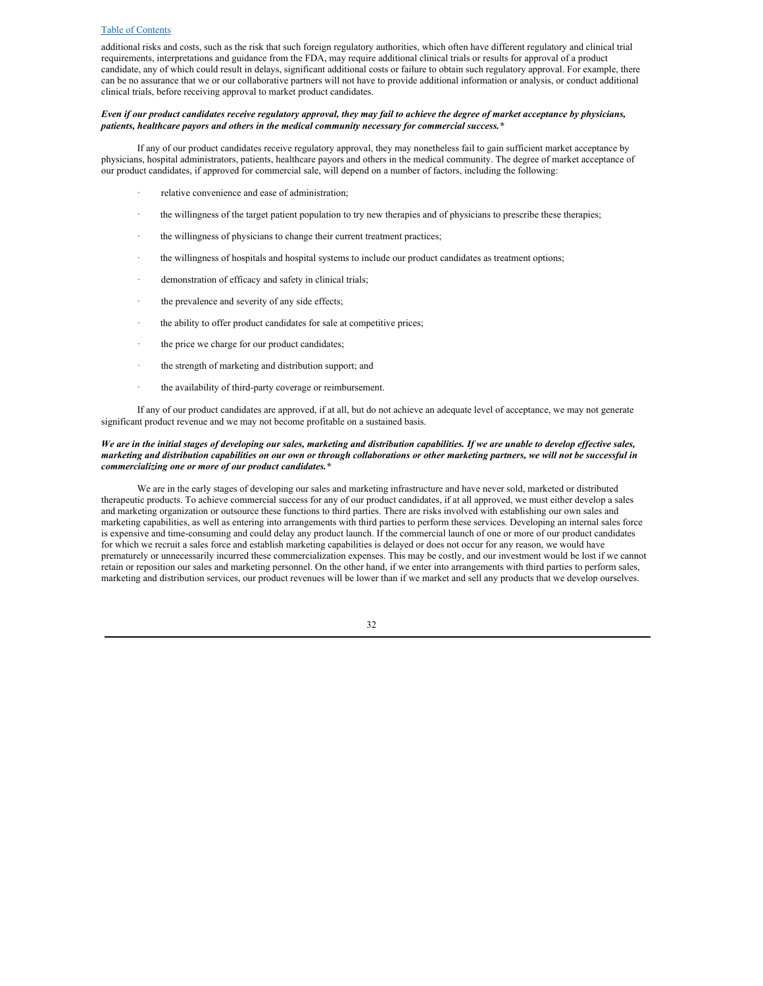additional risks and costs, such as the risk that such foreign regulatory authorities, which often have different regulatory and clinical trial requirements, interpretations and guidance from the FDA, may require additional clinical trials or results for approval of a product candidate, any of which could result in delays, significant additional costs or failure to obtain such regulatory approval. For example, there can be no assurance that we or our collaborative partners will not have to provide additional information or analysis, or conduct additional clinical trials, before receiving approval to market product candidates.

## Even if our product candidates receive regulatory approval, they may fail to achieve the degree of market acceptance by physicians, *patients, healthcare payors and others in the medical community necessary for commercial success.\**

If any of our product candidates receive regulatory approval, they may nonetheless fail to gain sufficient market acceptance by physicians, hospital administrators, patients, healthcare payors and others in the medical community. The degree of market acceptance of our product candidates, if approved for commercial sale, will depend on a number of factors, including the following:

- relative convenience and ease of administration;
- the willingness of the target patient population to try new therapies and of physicians to prescribe these therapies;
- the willingness of physicians to change their current treatment practices;
- the willingness of hospitals and hospital systems to include our product candidates as treatment options;
- demonstration of efficacy and safety in clinical trials;
- the prevalence and severity of any side effects;
- the ability to offer product candidates for sale at competitive prices;
- the price we charge for our product candidates;
- the strength of marketing and distribution support; and
- the availability of third-party coverage or reimbursement.

If any of our product candidates are approved, if at all, but do not achieve an adequate level of acceptance, we may not generate significant product revenue and we may not become profitable on a sustained basis.

## We are in the initial stages of developing our sales, marketing and distribution capabilities. If we are unable to develop effective sales, marketing and distribution capabilities on our own or through collaborations or other marketing partners, we will not be successful in *commercializing one or more of our product candidates.\**

We are in the early stages of developing our sales and marketing infrastructure and have never sold, marketed or distributed therapeutic products. To achieve commercial success for any of our product candidates, if at all approved, we must either develop a sales and marketing organization or outsource these functions to third parties. There are risks involved with establishing our own sales and marketing capabilities, as well as entering into arrangements with third parties to perform these services. Developing an internal sales force is expensive and time-consuming and could delay any product launch. If the commercial launch of one or more of our product candidates for which we recruit a sales force and establish marketing capabilities is delayed or does not occur for any reason, we would have prematurely or unnecessarily incurred these commercialization expenses. This may be costly, and our investment would be lost if we cannot retain or reposition our sales and marketing personnel. On the other hand, if we enter into arrangements with third parties to perform sales, marketing and distribution services, our product revenues will be lower than if we market and sell any products that we develop ourselves.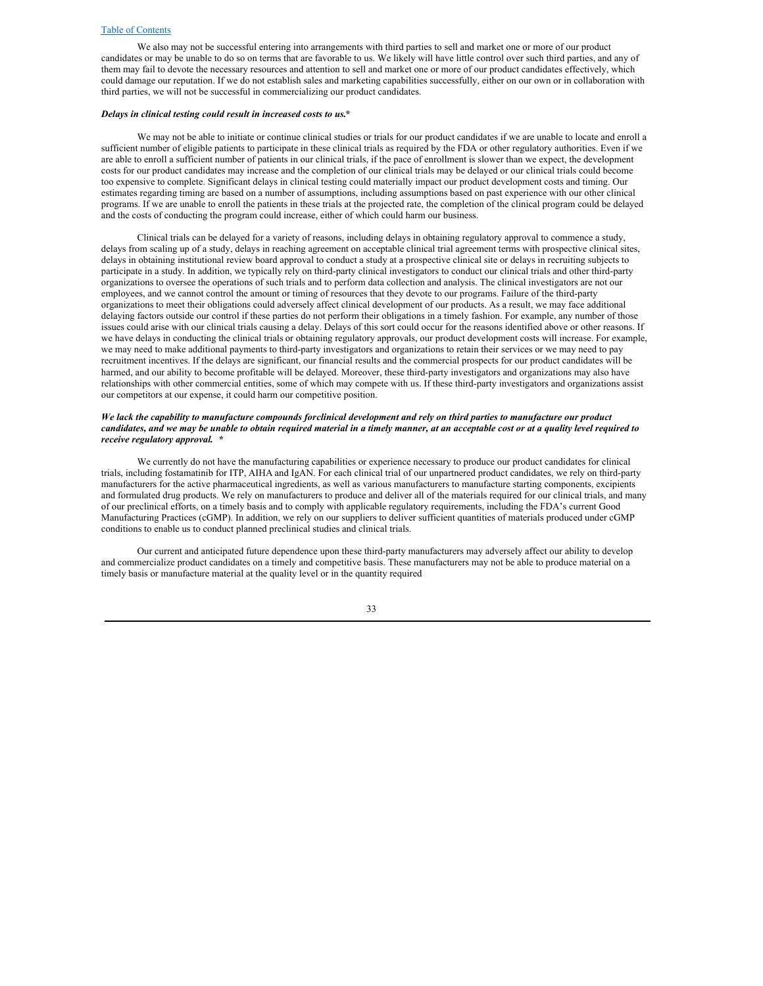We also may not be successful entering into arrangements with third parties to sell and market one or more of our product candidates or may be unable to do so on terms that are favorable to us. We likely will have little control over such third parties, and any of them may fail to devote the necessary resources and attention to sell and market one or more of our product candidates effectively, which could damage our reputation. If we do not establish sales and marketing capabilities successfully, either on our own or in collaboration with third parties, we will not be successful in commercializing our product candidates.

## *Delays in clinical testing could result in increased costs to us.\**

We may not be able to initiate or continue clinical studies or trials for our product candidates if we are unable to locate and enroll a sufficient number of eligible patients to participate in these clinical trials as required by the FDA or other regulatory authorities. Even if we are able to enroll a sufficient number of patients in our clinical trials, if the pace of enrollment is slower than we expect, the development costs for our product candidates may increase and the completion of our clinical trials may be delayed or our clinical trials could become too expensive to complete. Significant delays in clinical testing could materially impact our product development costs and timing. Our estimates regarding timing are based on a number of assumptions, including assumptions based on past experience with our other clinical programs. If we are unable to enroll the patients in these trials at the projected rate, the completion of the clinical program could be delayed and the costs of conducting the program could increase, either of which could harm our business.

Clinical trials can be delayed for a variety of reasons, including delays in obtaining regulatory approval to commence a study, delays from scaling up of a study, delays in reaching agreement on acceptable clinical trial agreement terms with prospective clinical sites, delays in obtaining institutional review board approval to conduct a study at a prospective clinical site or delays in recruiting subjects to participate in a study. In addition, we typically rely on third-party clinical investigators to conduct our clinical trials and other third-party organizations to oversee the operations of such trials and to perform data collection and analysis. The clinical investigators are not our employees, and we cannot control the amount or timing of resources that they devote to our programs. Failure of the third-party organizations to meet their obligations could adversely affect clinical development of our products. As a result, we may face additional delaying factors outside our control if these parties do not perform their obligations in a timely fashion. For example, any number of those issues could arise with our clinical trials causing a delay. Delays of this sort could occur for the reasons identified above or other reasons. If we have delays in conducting the clinical trials or obtaining regulatory approvals, our product development costs will increase. For example, we may need to make additional payments to third-party investigators and organizations to retain their services or we may need to pay recruitment incentives. If the delays are significant, our financial results and the commercial prospects for our product candidates will be harmed, and our ability to become profitable will be delayed. Moreover, these third-party investigators and organizations may also have relationships with other commercial entities, some of which may compete with us. If these third-party investigators and organizations assist our competitors at our expense, it could harm our competitive position.

## We lack the capability to manufacture compounds forclinical development and rely on third parties to manufacture our product candidates, and we may be unable to obtain required material in a timely manner, at an acceptable cost or at a quality level required to *receive regulatory approval. \**

We currently do not have the manufacturing capabilities or experience necessary to produce our product candidates for clinical trials, including fostamatinib for ITP, AIHA and IgAN. For each clinical trial of our unpartnered product candidates, we rely on third-party manufacturers for the active pharmaceutical ingredients, as well as various manufacturers to manufacture starting components, excipients and formulated drug products. We rely on manufacturers to produce and deliver all of the materials required for our clinical trials, and many of our preclinical efforts, on a timely basis and to comply with applicable regulatory requirements, including the FDA's current Good Manufacturing Practices (cGMP). In addition, we rely on our suppliers to deliver sufficient quantities of materials produced under cGMP conditions to enable us to conduct planned preclinical studies and clinical trials.

Our current and anticipated future dependence upon these third-party manufacturers may adversely affect our ability to develop and commercialize product candidates on a timely and competitive basis. These manufacturers may not be able to produce material on a timely basis or manufacture material at the quality level or in the quantity required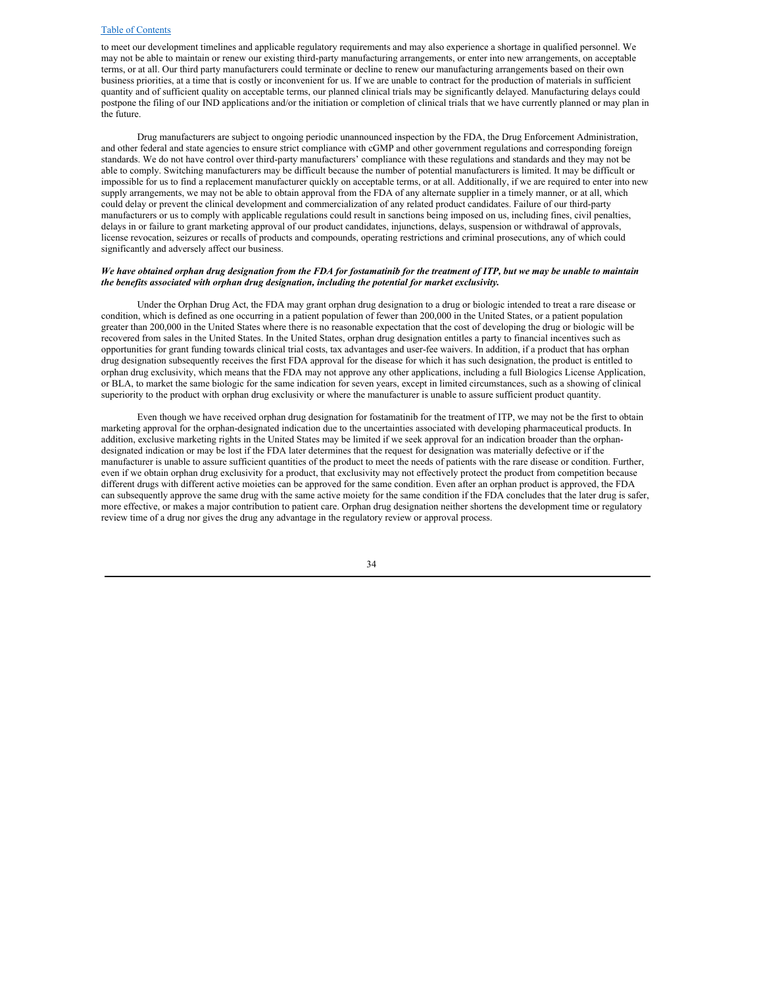to meet our development timelines and applicable regulatory requirements and may also experience a shortage in qualified personnel. We may not be able to maintain or renew our existing third-party manufacturing arrangements, or enter into new arrangements, on acceptable terms, or at all. Our third party manufacturers could terminate or decline to renew our manufacturing arrangements based on their own business priorities, at a time that is costly or inconvenient for us. If we are unable to contract for the production of materials in sufficient quantity and of sufficient quality on acceptable terms, our planned clinical trials may be significantly delayed. Manufacturing delays could postpone the filing of our IND applications and/or the initiation or completion of clinical trials that we have currently planned or may plan in the future.

Drug manufacturers are subject to ongoing periodic unannounced inspection by the FDA, the Drug Enforcement Administration, and other federal and state agencies to ensure strict compliance with cGMP and other government regulations and corresponding foreign standards. We do not have control over third-party manufacturers' compliance with these regulations and standards and they may not be able to comply. Switching manufacturers may be difficult because the number of potential manufacturers is limited. It may be difficult or impossible for us to find a replacement manufacturer quickly on acceptable terms, or at all. Additionally, if we are required to enter into new supply arrangements, we may not be able to obtain approval from the FDA of any alternate supplier in a timely manner, or at all, which could delay or prevent the clinical development and commercialization of any related product candidates. Failure of our third-party manufacturers or us to comply with applicable regulations could result in sanctions being imposed on us, including fines, civil penalties, delays in or failure to grant marketing approval of our product candidates, injunctions, delays, suspension or withdrawal of approvals, license revocation, seizures or recalls of products and compounds, operating restrictions and criminal prosecutions, any of which could significantly and adversely affect our business.

#### We have obtained orphan drug designation from the FDA for fostamatinib for the treatment of ITP, but we may be unable to maintain *the benefits associated with orphan drug designation, including the potential for market exclusivity.*

Under the Orphan Drug Act, the FDA may grant orphan drug designation to a drug or biologic intended to treat a rare disease or condition, which is defined as one occurring in a patient population of fewer than 200,000 in the United States, or a patient population greater than 200,000 in the United States where there is no reasonable expectation that the cost of developing the drug or biologic will be recovered from sales in the United States. In the United States, orphan drug designation entitles a party to financial incentives such as opportunities for grant funding towards clinical trial costs, tax advantages and user-fee waivers. In addition, if a product that has orphan drug designation subsequently receives the first FDA approval for the disease for which it has such designation, the product is entitled to orphan drug exclusivity, which means that the FDA may not approve any other applications, including a full Biologics License Application, or BLA, to market the same biologic for the same indication for seven years, except in limited circumstances, such as a showing of clinical superiority to the product with orphan drug exclusivity or where the manufacturer is unable to assure sufficient product quantity.

Even though we have received orphan drug designation for fostamatinib for the treatment of ITP, we may not be the first to obtain marketing approval for the orphan-designated indication due to the uncertainties associated with developing pharmaceutical products. In addition, exclusive marketing rights in the United States may be limited if we seek approval for an indication broader than the orphandesignated indication or may be lost if the FDA later determines that the request for designation was materially defective or if the manufacturer is unable to assure sufficient quantities of the product to meet the needs of patients with the rare disease or condition. Further, even if we obtain orphan drug exclusivity for a product, that exclusivity may not effectively protect the product from competition because different drugs with different active moieties can be approved for the same condition. Even after an orphan product is approved, the FDA can subsequently approve the same drug with the same active moiety for the same condition if the FDA concludes that the later drug is safer, more effective, or makes a major contribution to patient care. Orphan drug designation neither shortens the development time or regulatory review time of a drug nor gives the drug any advantage in the regulatory review or approval process.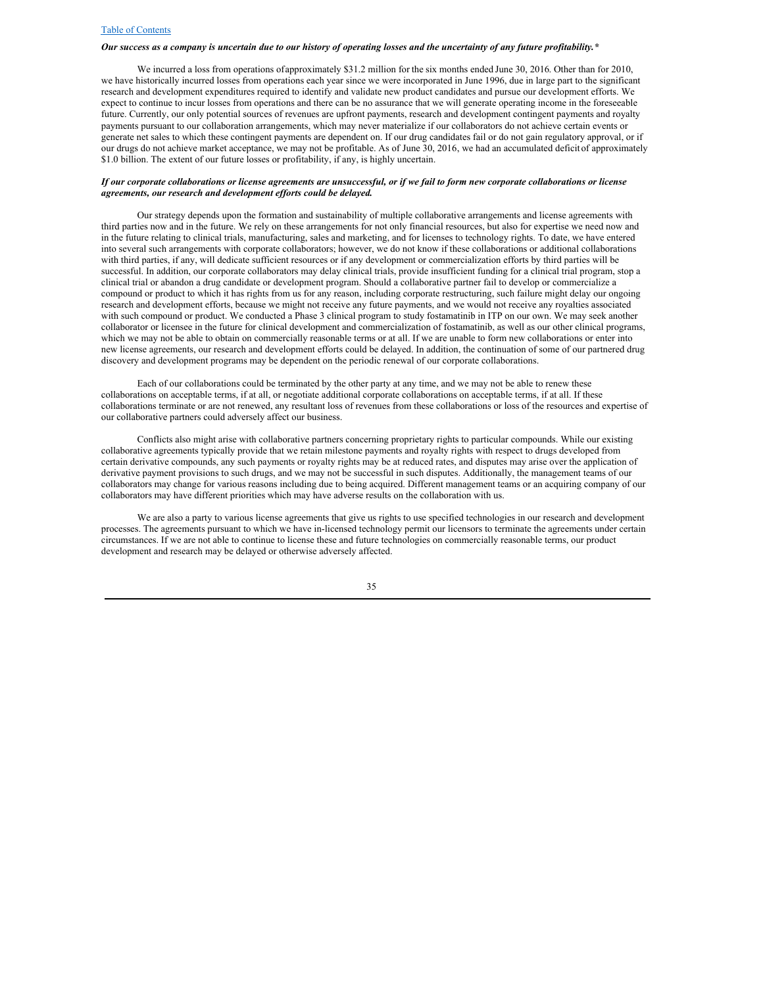## Our success as a company is uncertain due to our history of operating losses and the uncertainty of any future profitability.\*

We incurred a loss from operations of approximately \$31.2 million for the six months ended June 30, 2016. Other than for 2010, we have historically incurred losses from operations each year since we were incorporated in June 1996, due in large part to the significant research and development expenditures required to identify and validate new product candidates and pursue our development efforts. We expect to continue to incur losses from operations and there can be no assurance that we will generate operating income in the foreseeable future. Currently, our only potential sources of revenues are upfront payments, research and development contingent payments and royalty payments pursuant to our collaboration arrangements, which may never materialize if our collaborators do not achieve certain events or generate net sales to which these contingent payments are dependent on. If our drug candidates fail or do not gain regulatory approval, or if our drugs do not achieve market acceptance, we may not be profitable. As of June 30, 2016, we had an accumulated deficitof approximately \$1.0 billion. The extent of our future losses or profitability, if any, is highly uncertain.

## If our corporate collaborations or license agreements are unsuccessful, or if we fail to form new corporate collaborations or license *agreements, our research and development ef orts could be delayed.*

Our strategy depends upon the formation and sustainability of multiple collaborative arrangements and license agreements with third parties now and in the future. We rely on these arrangements for not only financial resources, but also for expertise we need now and in the future relating to clinical trials, manufacturing, sales and marketing, and for licenses to technology rights. To date, we have entered into several such arrangements with corporate collaborators; however, we do not know if these collaborations or additional collaborations with third parties, if any, will dedicate sufficient resources or if any development or commercialization efforts by third parties will be successful. In addition, our corporate collaborators may delay clinical trials, provide insufficient funding for a clinical trial program, stop a clinical trial or abandon a drug candidate or development program. Should a collaborative partner fail to develop or commercialize a compound or product to which it has rights from us for any reason, including corporate restructuring, such failure might delay our ongoing research and development efforts, because we might not receive any future payments, and we would not receive any royalties associated with such compound or product. We conducted a Phase 3 clinical program to study fostamatinib in ITP on our own. We may seek another collaborator or licensee in the future for clinical development and commercialization of fostamatinib, as well as our other clinical programs, which we may not be able to obtain on commercially reasonable terms or at all. If we are unable to form new collaborations or enter into new license agreements, our research and development efforts could be delayed. In addition, the continuation of some of our partnered drug discovery and development programs may be dependent on the periodic renewal of our corporate collaborations.

Each of our collaborations could be terminated by the other party at any time, and we may not be able to renew these collaborations on acceptable terms, if at all, or negotiate additional corporate collaborations on acceptable terms, if at all. If these collaborations terminate or are not renewed, any resultant loss of revenues from these collaborations or loss of the resources and expertise of our collaborative partners could adversely affect our business.

Conflicts also might arise with collaborative partners concerning proprietary rights to particular compounds. While our existing collaborative agreements typically provide that we retain milestone payments and royalty rights with respect to drugs developed from certain derivative compounds, any such payments or royalty rights may be at reduced rates, and disputes may arise over the application of derivative payment provisions to such drugs, and we may not be successful in such disputes. Additionally, the management teams of our collaborators may change for various reasons including due to being acquired. Different management teams or an acquiring company of our collaborators may have different priorities which may have adverse results on the collaboration with us.

We are also a party to various license agreements that give us rights to use specified technologies in our research and development processes. The agreements pursuant to which we have in-licensed technology permit our licensors to terminate the agreements under certain circumstances. If we are not able to continue to license these and future technologies on commercially reasonable terms, our product development and research may be delayed or otherwise adversely affected.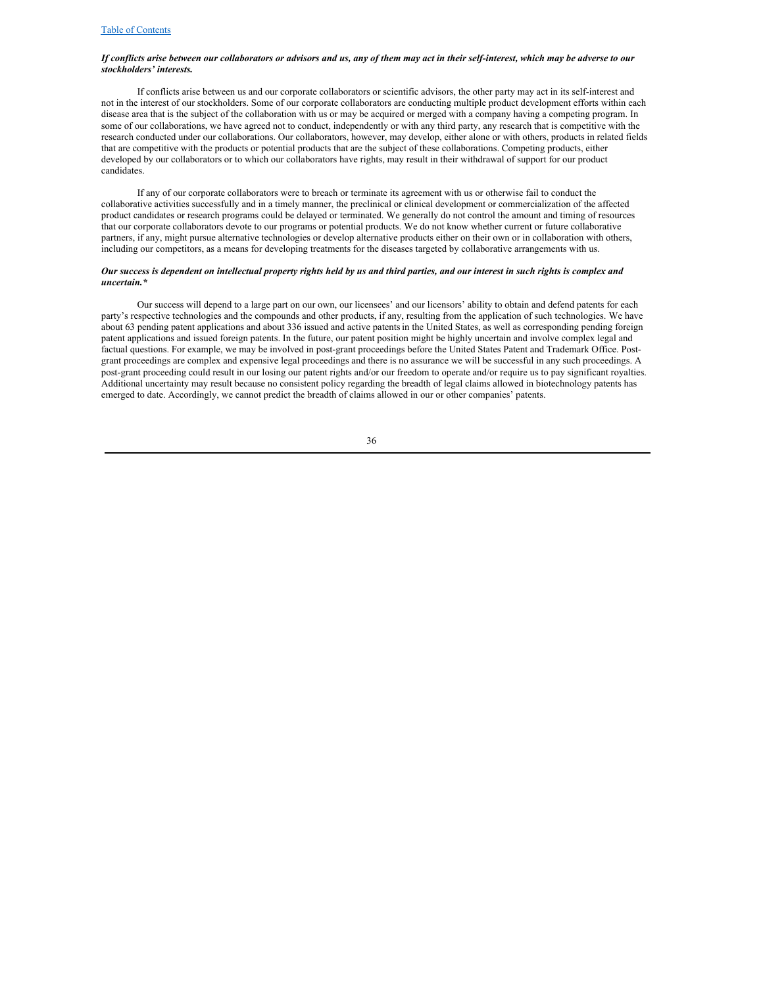### If conflicts arise between our collaborators or advisors and us, any of them may act in their self-interest, which may be adverse to our *stockholders' interests.*

If conflicts arise between us and our corporate collaborators or scientific advisors, the other party may act in its self-interest and not in the interest of our stockholders. Some of our corporate collaborators are conducting multiple product development efforts within each disease area that is the subject of the collaboration with us or may be acquired or merged with a company having a competing program. In some of our collaborations, we have agreed not to conduct, independently or with any third party, any research that is competitive with the research conducted under our collaborations. Our collaborators, however, may develop, either alone or with others, products in related fields that are competitive with the products or potential products that are the subject of these collaborations. Competing products, either developed by our collaborators or to which our collaborators have rights, may result in their withdrawal of support for our product candidates.

If any of our corporate collaborators were to breach or terminate its agreement with us or otherwise fail to conduct the collaborative activities successfully and in a timely manner, the preclinical or clinical development or commercialization of the affected product candidates or research programs could be delayed or terminated. We generally do not control the amount and timing of resources that our corporate collaborators devote to our programs or potential products. We do not know whether current or future collaborative partners, if any, might pursue alternative technologies or develop alternative products either on their own or in collaboration with others, including our competitors, as a means for developing treatments for the diseases targeted by collaborative arrangements with us.

## Our success is dependent on intellectual property rights held by us and third parties, and our interest in such rights is complex and *uncertain.\**

Our success will depend to a large part on our own, our licensees' and our licensors' ability to obtain and defend patents for each party's respective technologies and the compounds and other products, if any, resulting from the application of such technologies. We have about 63 pending patent applications and about 336 issued and active patentsin the United States, as well as corresponding pending foreign patent applications and issued foreign patents. In the future, our patent position might be highly uncertain and involve complex legal and factual questions. For example, we may be involved in post-grant proceedings before the United States Patent and Trademark Office. Postgrant proceedings are complex and expensive legal proceedings and there is no assurance we will be successful in any such proceedings. A post-grant proceeding could result in our losing our patent rights and/or our freedom to operate and/or require us to pay significant royalties. Additional uncertainty may result because no consistent policy regarding the breadth of legal claims allowed in biotechnology patents has emerged to date. Accordingly, we cannot predict the breadth of claims allowed in our or other companies' patents.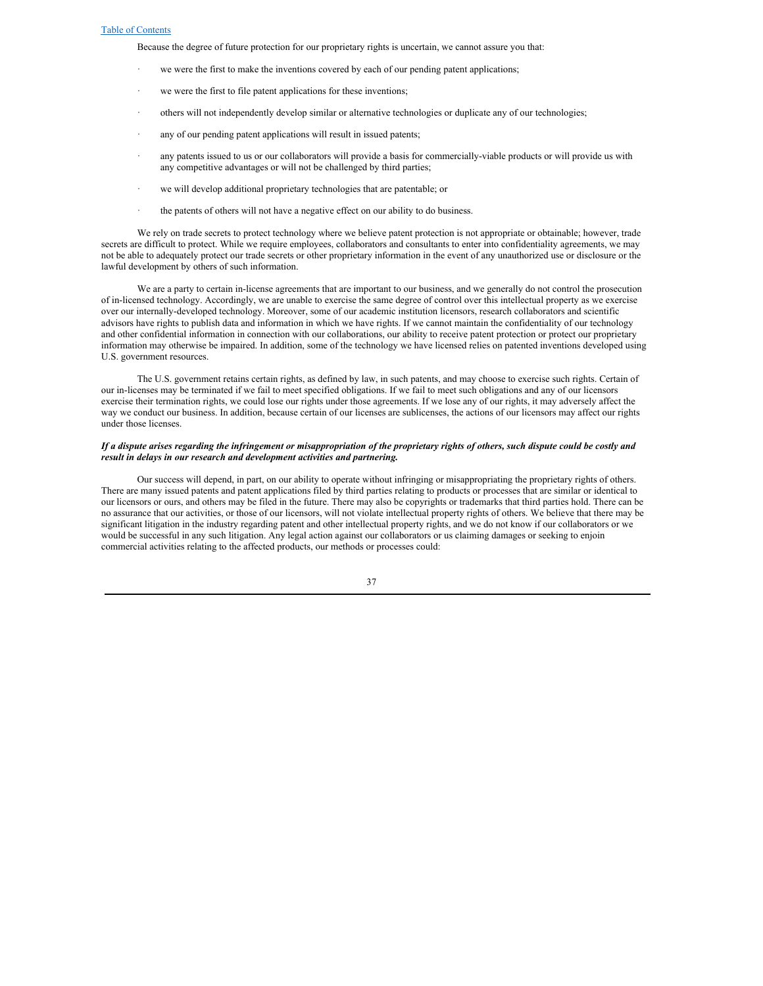Because the degree of future protection for our proprietary rights is uncertain, we cannot assure you that:

- we were the first to make the inventions covered by each of our pending patent applications;
- we were the first to file patent applications for these inventions;
- · others will not independently develop similar or alternative technologies or duplicate any of our technologies;
- any of our pending patent applications will result in issued patents;
- any patents issued to us or our collaborators will provide a basis for commercially-viable products or will provide us with any competitive advantages or will not be challenged by third parties;
- we will develop additional proprietary technologies that are patentable; or
- the patents of others will not have a negative effect on our ability to do business.

We rely on trade secrets to protect technology where we believe patent protection is not appropriate or obtainable; however, trade secrets are difficult to protect. While we require employees, collaborators and consultants to enter into confidentiality agreements, we may not be able to adequately protect our trade secrets or other proprietary information in the event of any unauthorized use or disclosure or the lawful development by others of such information.

We are a party to certain in-license agreements that are important to our business, and we generally do not control the prosecution of in-licensed technology. Accordingly, we are unable to exercise the same degree of control over this intellectual property as we exercise over our internally-developed technology. Moreover, some of our academic institution licensors, research collaborators and scientific advisors have rights to publish data and information in which we have rights. If we cannot maintain the confidentiality of our technology and other confidential information in connection with our collaborations, our ability to receive patent protection or protect our proprietary information may otherwise be impaired. In addition, some of the technology we have licensed relies on patented inventions developed using U.S. government resources.

The U.S. government retains certain rights, as defined by law, in such patents, and may choose to exercise such rights. Certain of our in-licenses may be terminated if we fail to meet specified obligations. If we fail to meet such obligations and any of our licensors exercise their termination rights, we could lose our rights under those agreements. If we lose any of our rights, it may adversely affect the way we conduct our business. In addition, because certain of our licenses are sublicenses, the actions of our licensors may affect our rights under those licenses.

# If a dispute arises regarding the infringement or misappropriation of the proprietary rights of others, such dispute could be costly and *result in delays in our research and development activities and partnering.*

Our success will depend, in part, on our ability to operate without infringing or misappropriating the proprietary rights of others. There are many issued patents and patent applications filed by third parties relating to products or processes that are similar or identical to our licensors or ours, and others may be filed in the future. There may also be copyrights or trademarks that third parties hold. There can be no assurance that our activities, or those of our licensors, will not violate intellectual property rights of others. We believe that there may be significant litigation in the industry regarding patent and other intellectual property rights, and we do not know if our collaborators or we would be successful in any such litigation. Any legal action against our collaborators or us claiming damages or seeking to enjoin commercial activities relating to the affected products, our methods or processes could: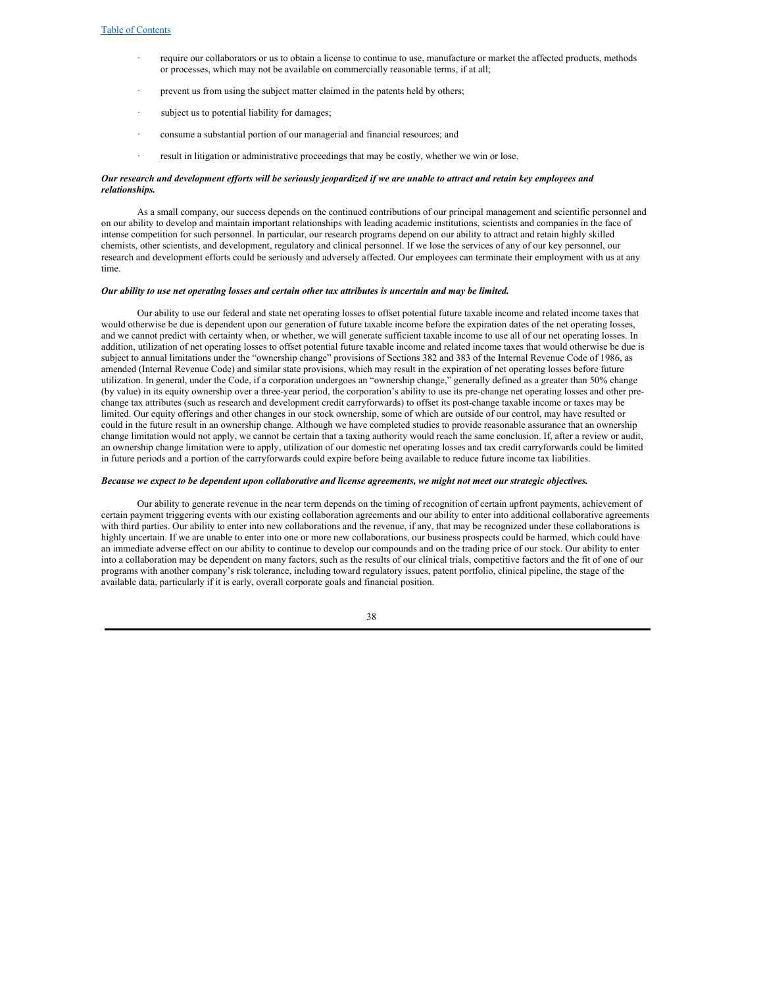- require our collaborators or us to obtain a license to continue to use, manufacture or market the affected products, methods or processes, which may not be available on commercially reasonable terms, if at all;
- prevent us from using the subject matter claimed in the patents held by others;
- subject us to potential liability for damages;
- consume a substantial portion of our managerial and financial resources; and
- result in litigation or administrative proceedings that may be costly, whether we win or lose.

# Our research and development efforts will be seriously jeopardized if we are unable to attract and retain key employees and *relationships.*

As a small company, our success depends on the continued contributions of our principal management and scientific personnel and on our ability to develop and maintain important relationships with leading academic institutions, scientists and companies in the face of intense competition for such personnel. In particular, our research programs depend on our ability to attract and retain highly skilled chemists, other scientists, and development, regulatory and clinical personnel. If we lose the services of any of our key personnel, our research and development efforts could be seriously and adversely affected. Our employees can terminate their employment with us at any time.

#### Our ability to use net operating losses and certain other tax attributes is uncertain and may be limited.

Our ability to use our federal and state net operating losses to offset potential future taxable income and related income taxes that would otherwise be due is dependent upon our generation of future taxable income before the expiration dates of the net operating losses, and we cannot predict with certainty when, or whether, we will generate sufficient taxable income to use all of our net operating losses. In addition, utilization of net operating losses to offset potential future taxable income and related income taxes that would otherwise be due is subject to annual limitations under the "ownership change" provisions of Sections 382 and 383 of the Internal Revenue Code of 1986, as amended (Internal Revenue Code) and similar state provisions, which may result in the expiration of net operating losses before future utilization. In general, under the Code, if a corporation undergoes an "ownership change," generally defined as a greater than 50% change (by value) in its equity ownership over a three-year period, the corporation's ability to use its pre-change net operating losses and other prechange tax attributes (such as research and development credit carryforwards) to offset its post-change taxable income or taxes may be limited. Our equity offerings and other changes in our stock ownership, some of which are outside of our control, may have resulted or could in the future result in an ownership change. Although we have completed studies to provide reasonable assurance that an ownership change limitation would not apply, we cannot be certain that a taxing authority would reach the same conclusion. If, after a review or audit, an ownership change limitation were to apply, utilization of our domestic net operating losses and tax credit carryforwards could be limited in future periods and a portion of the carryforwards could expire before being available to reduce future income tax liabilities.

#### Because we expect to be dependent upon collaborative and license agreements, we might not meet our strategic objectives.

Our ability to generate revenue in the near term depends on the timing of recognition of certain upfront payments, achievement of certain payment triggering events with our existing collaboration agreements and our ability to enter into additional collaborative agreements with third parties. Our ability to enter into new collaborations and the revenue, if any, that may be recognized under these collaborations is highly uncertain. If we are unable to enter into one or more new collaborations, our business prospects could be harmed, which could have an immediate adverse effect on our ability to continue to develop our compounds and on the trading price of our stock. Our ability to enter into a collaboration may be dependent on many factors, such as the results of our clinical trials, competitive factors and the fit of one of our programs with another company's risk tolerance, including toward regulatory issues, patent portfolio, clinical pipeline, the stage of the available data, particularly if it is early, overall corporate goals and financial position.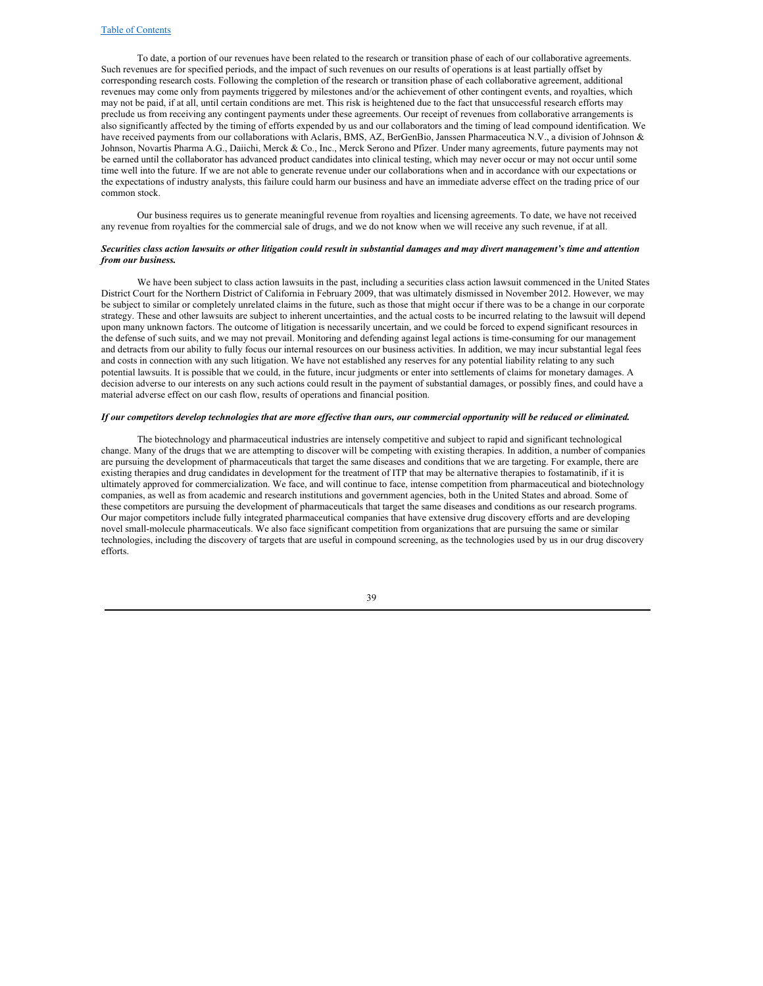To date, a portion of our revenues have been related to the research or transition phase of each of our collaborative agreements. Such revenues are for specified periods, and the impact of such revenues on our results of operations is at least partially offset by corresponding research costs. Following the completion of the research or transition phase of each collaborative agreement, additional revenues may come only from payments triggered by milestones and/or the achievement of other contingent events, and royalties, which may not be paid, if at all, until certain conditions are met. This risk is heightened due to the fact that unsuccessful research efforts may preclude us from receiving any contingent payments under these agreements. Our receipt of revenues from collaborative arrangements is also significantly affected by the timing of efforts expended by us and our collaborators and the timing of lead compound identification. We have received payments from our collaborations with Aclaris, BMS, AZ, BerGenBio, Janssen Pharmaceutica N.V., a division of Johnson & Johnson, Novartis Pharma A.G., Daiichi, Merck & Co., Inc., Merck Serono and Pfizer. Under many agreements, future payments may not be earned until the collaborator has advanced product candidates into clinical testing, which may never occur or may not occur until some time well into the future. If we are not able to generate revenue under our collaborations when and in accordance with our expectations or the expectations of industry analysts, this failure could harm our business and have an immediate adverse effect on the trading price of our common stock.

Our business requires us to generate meaningful revenue from royalties and licensing agreements. To date, we have not received any revenue from royalties for the commercial sale of drugs, and we do not know when we will receive any such revenue, if at all.

# Securities class action lawsuits or other litigation could result in substantial damages and may divert management's time and attention *from our business.*

We have been subject to class action lawsuits in the past, including a securities class action lawsuit commenced in the United States District Court for the Northern District of California in February 2009, that was ultimately dismissed in November 2012. However, we may be subject to similar or completely unrelated claims in the future, such as those that might occur if there was to be a change in our corporate strategy. These and other lawsuits are subject to inherent uncertainties, and the actual costs to be incurred relating to the lawsuit will depend upon many unknown factors. The outcome of litigation is necessarily uncertain, and we could be forced to expend significant resources in the defense of such suits, and we may not prevail. Monitoring and defending against legal actions is time-consuming for our management and detracts from our ability to fully focus our internal resources on our business activities. In addition, we may incur substantial legal fees and costs in connection with any such litigation. We have not established any reserves for any potential liability relating to any such potential lawsuits. It is possible that we could, in the future, incur judgments or enter into settlements of claims for monetary damages. A decision adverse to our interests on any such actions could result in the payment of substantial damages, or possibly fines, and could have a material adverse effect on our cash flow, results of operations and financial position.

# If our competitors develop technologies that are more effective than ours, our commercial opportunity will be reduced or eliminated.

The biotechnology and pharmaceutical industries are intensely competitive and subject to rapid and significant technological change. Many of the drugs that we are attempting to discover will be competing with existing therapies. In addition, a number of companies are pursuing the development of pharmaceuticals that target the same diseases and conditions that we are targeting. For example, there are existing therapies and drug candidates in development for the treatment of ITP that may be alternative therapies to fostamatinib, if it is ultimately approved for commercialization. We face, and will continue to face, intense competition from pharmaceutical and biotechnology companies, as well as from academic and research institutions and government agencies, both in the United States and abroad. Some of these competitors are pursuing the development of pharmaceuticals that target the same diseases and conditions as our research programs. Our major competitors include fully integrated pharmaceutical companies that have extensive drug discovery efforts and are developing novel small-molecule pharmaceuticals. We also face significant competition from organizations that are pursuing the same or similar technologies, including the discovery of targets that are useful in compound screening, as the technologies used by us in our drug discovery efforts.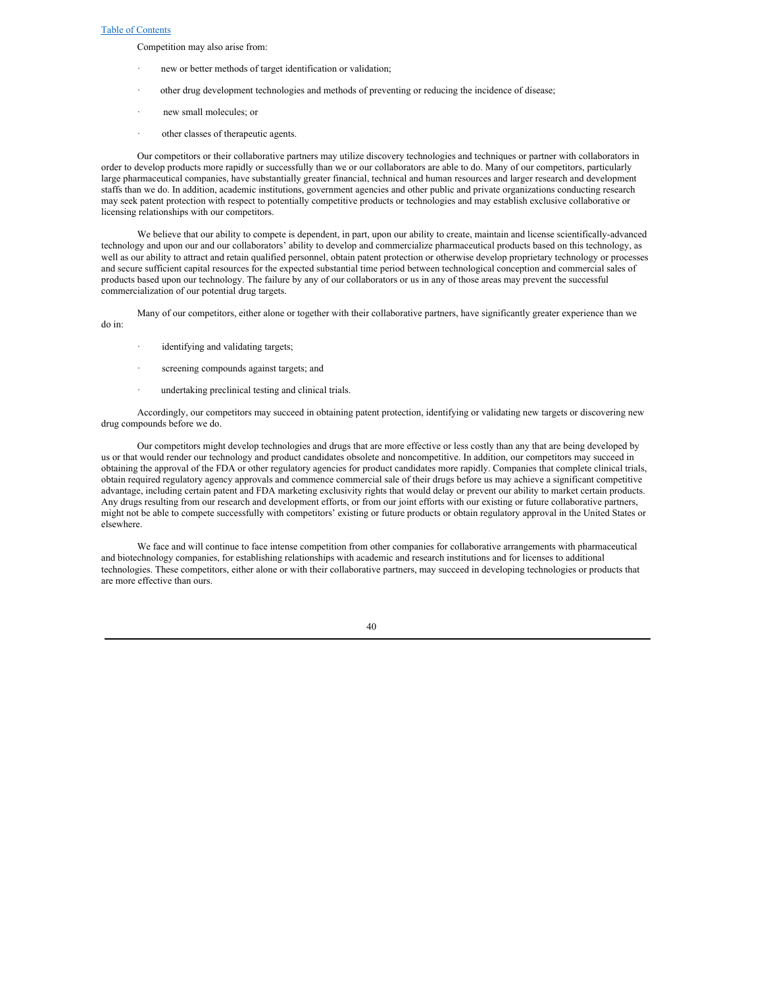Competition may also arise from:

- new or better methods of target identification or validation;
- other drug development technologies and methods of preventing or reducing the incidence of disease;
- new small molecules; or
- · other classes of therapeutic agents.

Our competitors or their collaborative partners may utilize discovery technologies and techniques or partner with collaborators in order to develop products more rapidly or successfully than we or our collaborators are able to do. Many of our competitors, particularly large pharmaceutical companies, have substantially greater financial, technical and human resources and larger research and development staffs than we do. In addition, academic institutions, government agencies and other public and private organizations conducting research may seek patent protection with respect to potentially competitive products or technologies and may establish exclusive collaborative or licensing relationships with our competitors.

We believe that our ability to compete is dependent, in part, upon our ability to create, maintain and license scientifically-advanced technology and upon our and our collaborators' ability to develop and commercialize pharmaceutical products based on this technology, as well as our ability to attract and retain qualified personnel, obtain patent protection or otherwise develop proprietary technology or processes and secure sufficient capital resources for the expected substantial time period between technological conception and commercial sales of products based upon our technology. The failure by any of our collaborators or us in any of those areas may prevent the successful commercialization of our potential drug targets.

Many of our competitors, either alone or together with their collaborative partners, have significantly greater experience than we do in:

- identifying and validating targets;
- screening compounds against targets; and
- undertaking preclinical testing and clinical trials.

Accordingly, our competitors may succeed in obtaining patent protection, identifying or validating new targets or discovering new drug compounds before we do.

Our competitors might develop technologies and drugs that are more effective or less costly than any that are being developed by us or that would render our technology and product candidates obsolete and noncompetitive. In addition, our competitors may succeed in obtaining the approval of the FDA or other regulatory agencies for product candidates more rapidly. Companies that complete clinical trials, obtain required regulatory agency approvals and commence commercial sale of their drugs before us may achieve a significant competitive advantage, including certain patent and FDA marketing exclusivity rights that would delay or prevent our ability to market certain products. Any drugs resulting from our research and development efforts, or from our joint efforts with our existing or future collaborative partners, might not be able to compete successfully with competitors' existing or future products or obtain regulatory approval in the United States or elsewhere.

We face and will continue to face intense competition from other companies for collaborative arrangements with pharmaceutical and biotechnology companies, for establishing relationships with academic and research institutions and for licenses to additional technologies. These competitors, either alone or with their collaborative partners, may succeed in developing technologies or products that are more effective than ours.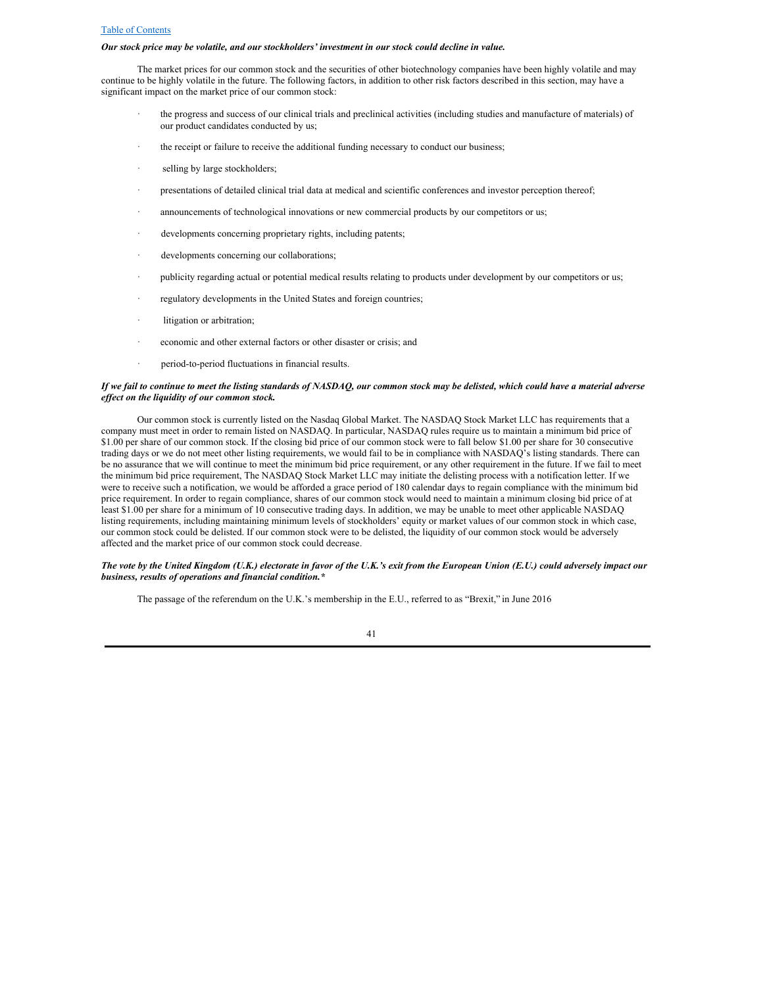#### *Our stock price may be volatile, and our stockholders' investment in our stock could decline in value.*

The market prices for our common stock and the securities of other biotechnology companies have been highly volatile and may continue to be highly volatile in the future. The following factors, in addition to other risk factors described in this section, may have a significant impact on the market price of our common stock:

- the progress and success of our clinical trials and preclinical activities (including studies and manufacture of materials) of our product candidates conducted by us;
- the receipt or failure to receive the additional funding necessary to conduct our business;
- selling by large stockholders;
- presentations of detailed clinical trial data at medical and scientific conferences and investor perception thereof;
- announcements of technological innovations or new commercial products by our competitors or us;
- developments concerning proprietary rights, including patents;
- · developments concerning our collaborations;
- · publicity regarding actual or potential medical results relating to products under development by our competitors or us;
- regulatory developments in the United States and foreign countries;
- litigation or arbitration;
- economic and other external factors or other disaster or crisis; and
- period-to-period fluctuations in financial results.

## If we fail to continue to meet the listing standards of NASDAQ, our common stock may be delisted, which could have a material adverse *ef ect on the liquidity of our common stock.*

Our common stock is currently listed on the Nasdaq Global Market. The NASDAQ Stock Market LLC has requirements that a company must meet in order to remain listed on NASDAQ. In particular, NASDAQ rules require us to maintain a minimum bid price of \$1.00 per share of our common stock. If the closing bid price of our common stock were to fall below \$1.00 per share for 30 consecutive trading days or we do not meet other listing requirements, we would fail to be in compliance with NASDAQ's listing standards. There can be no assurance that we will continue to meet the minimum bid price requirement, or any other requirement in the future. If we fail to meet the minimum bid price requirement, The NASDAQ Stock Market LLC may initiate the delisting process with a notification letter. If we were to receive such a notification, we would be afforded a grace period of 180 calendar days to regain compliance with the minimum bid price requirement. In order to regain compliance, shares of our common stock would need to maintain a minimum closing bid price of at least \$1.00 per share for a minimum of 10 consecutive trading days. In addition, we may be unable to meet other applicable NASDAQ listing requirements, including maintaining minimum levels of stockholders' equity or market values of our common stock in which case, our common stock could be delisted. If our common stock were to be delisted, the liquidity of our common stock would be adversely affected and the market price of our common stock could decrease.

# The vote by the United Kingdom (U.K.) electorate in favor of the U.K.'s exit from the European Union (E.U.) could adversely impact our *business, results of operations and financial condition.\**

The passage of the referendum on the U.K.'s membership in the E.U., referred to as "Brexit," in June 2016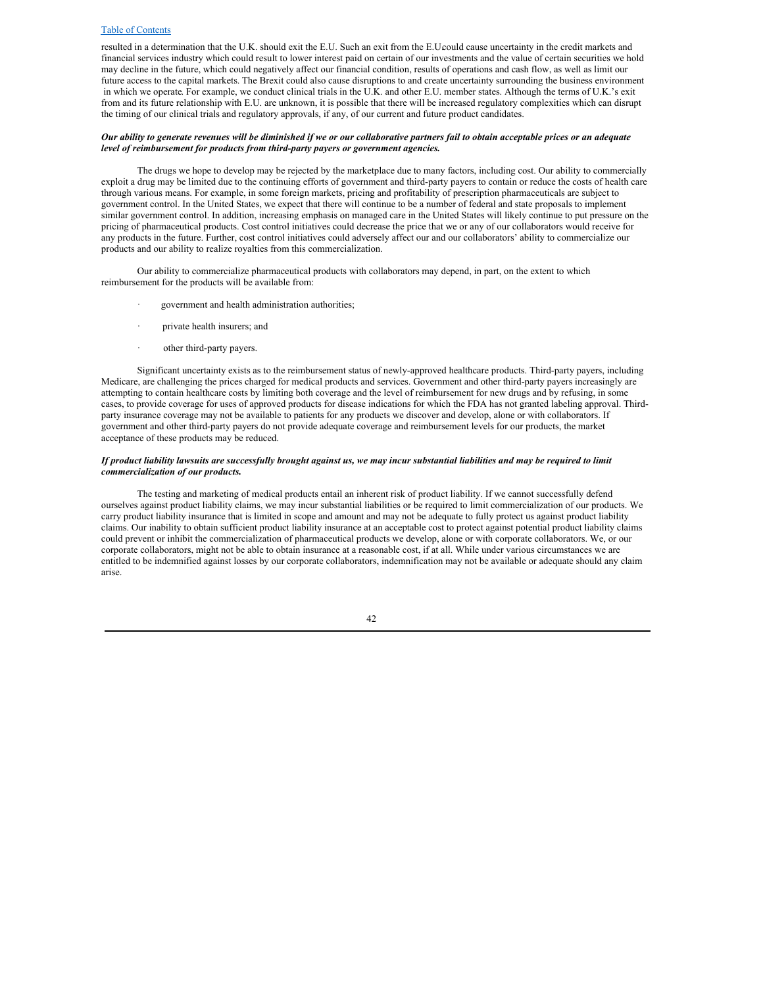resulted in a determination that the U.K. should exit the E.U. Such an exit from the E.U.could cause uncertainty in the credit markets and financial services industry which could result to lower interest paid on certain of our investments and the value of certain securities we hold may decline in the future, which could negatively affect our financial condition, results of operations and cash flow, as well as limit our future access to the capital markets. The Brexit could also cause disruptions to and create uncertainty surrounding the business environment in which we operate. For example, we conduct clinical trials in the U.K. and other E.U. member states. Although the terms of U.K.'s exit from and its future relationship with E.U. are unknown, it is possible that there will be increased regulatory complexities which can disrupt the timing of our clinical trials and regulatory approvals, if any, of our current and future product candidates.

# Our ability to generate revenues will be diminished if we or our collaborative partners fail to obtain acceptable prices or an adequate *level of reimbursement for products from third-party payers or government agencies.*

The drugs we hope to develop may be rejected by the marketplace due to many factors, including cost. Our ability to commercially exploit a drug may be limited due to the continuing efforts of government and third-party payers to contain or reduce the costs of health care through various means. For example, in some foreign markets, pricing and profitability of prescription pharmaceuticals are subject to government control. In the United States, we expect that there will continue to be a number of federal and state proposals to implement similar government control. In addition, increasing emphasis on managed care in the United States will likely continue to put pressure on the pricing of pharmaceutical products. Cost control initiatives could decrease the price that we or any of our collaborators would receive for any products in the future. Further, cost control initiatives could adversely affect our and our collaborators' ability to commercialize our products and our ability to realize royalties from this commercialization.

Our ability to commercialize pharmaceutical products with collaborators may depend, in part, on the extent to which reimbursement for the products will be available from:

- government and health administration authorities;
- private health insurers; and
- other third-party payers.

Significant uncertainty exists as to the reimbursement status of newly-approved healthcare products. Third-party payers, including Medicare, are challenging the prices charged for medical products and services. Government and other third-party payers increasingly are attempting to contain healthcare costs by limiting both coverage and the level of reimbursement for new drugs and by refusing, in some cases, to provide coverage for uses of approved products for disease indications for which the FDA has not granted labeling approval. Thirdparty insurance coverage may not be available to patients for any products we discover and develop, alone or with collaborators. If government and other third-party payers do not provide adequate coverage and reimbursement levels for our products, the market acceptance of these products may be reduced.

# If product liability lawsuits are successfully brought against us, we may incur substantial liabilities and may be required to limit *commercialization of our products.*

The testing and marketing of medical products entail an inherent risk of product liability. If we cannot successfully defend ourselves against product liability claims, we may incur substantial liabilities or be required to limit commercialization of our products. We carry product liability insurance that is limited in scope and amount and may not be adequate to fully protect us against product liability claims. Our inability to obtain sufficient product liability insurance at an acceptable cost to protect against potential product liability claims could prevent or inhibit the commercialization of pharmaceutical products we develop, alone or with corporate collaborators. We, or our corporate collaborators, might not be able to obtain insurance at a reasonable cost, if at all. While under various circumstances we are entitled to be indemnified against losses by our corporate collaborators, indemnification may not be available or adequate should any claim arise.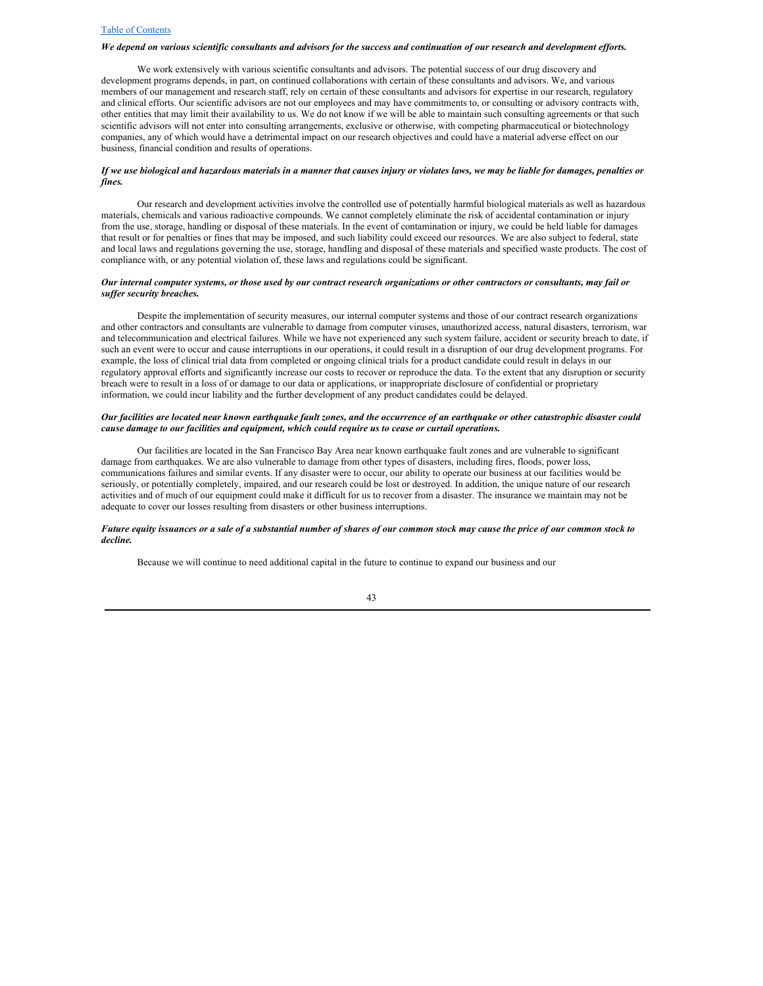## We depend on various scientific consultants and advisors for the success and continuation of our research and development efforts.

We work extensively with various scientific consultants and advisors. The potential success of our drug discovery and development programs depends, in part, on continued collaborations with certain of these consultants and advisors. We, and various members of our management and research staff, rely on certain of these consultants and advisors for expertise in our research, regulatory and clinical efforts. Our scientific advisors are not our employees and may have commitments to, or consulting or advisory contracts with, other entities that may limit their availability to us. We do not know if we will be able to maintain such consulting agreements or that such scientific advisors will not enter into consulting arrangements, exclusive or otherwise, with competing pharmaceutical or biotechnology companies, any of which would have a detrimental impact on our research objectives and could have a material adverse effect on our business, financial condition and results of operations.

# If we use biological and hazardous materials in a manner that causes injury or violates laws, we may be liable for damages, penalties or *fines.*

Our research and development activities involve the controlled use of potentially harmful biological materials as well as hazardous materials, chemicals and various radioactive compounds. We cannot completely eliminate the risk of accidental contamination or injury from the use, storage, handling or disposal of these materials. In the event of contamination or injury, we could be held liable for damages that result or for penalties or fines that may be imposed, and such liability could exceed our resources. We are also subject to federal, state and local laws and regulations governing the use, storage, handling and disposal of these materials and specified waste products. The cost of compliance with, or any potential violation of, these laws and regulations could be significant.

## Our internal computer systems, or those used by our contract research organizations or other contractors or consultants, may fail or *suf er security breaches.*

Despite the implementation of security measures, our internal computer systems and those of our contract research organizations and other contractors and consultants are vulnerable to damage from computer viruses, unauthorized access, natural disasters, terrorism, war and telecommunication and electrical failures. While we have not experienced any such system failure, accident or security breach to date, if such an event were to occur and cause interruptions in our operations, it could result in a disruption of our drug development programs. For example, the loss of clinical trial data from completed or ongoing clinical trials for a product candidate could result in delays in our regulatory approval efforts and significantly increase our costs to recover or reproduce the data. To the extent that any disruption or security breach were to result in a loss of or damage to our data or applications, or inappropriate disclosure of confidential or proprietary information, we could incur liability and the further development of any product candidates could be delayed.

# Our facilities are located near known earthquake fault zones, and the occurrence of an earthquake or other catastrophic disaster could *cause damage to our facilities and equipment, which could require us to cease or curtail operations.*

Our facilities are located in the San Francisco Bay Area near known earthquake fault zones and are vulnerable to significant damage from earthquakes. We are also vulnerable to damage from other types of disasters, including fires, floods, power loss, communications failures and similar events. If any disaster were to occur, our ability to operate our business at our facilities would be seriously, or potentially completely, impaired, and our research could be lost or destroyed. In addition, the unique nature of our research activities and of much of our equipment could make it difficult for us to recover from a disaster. The insurance we maintain may not be adequate to cover our losses resulting from disasters or other business interruptions.

# Future equity issuances or a sale of a substantial number of shares of our common stock may cause the price of our common stock to *decline.*

Because we will continue to need additional capital in the future to continue to expand our business and our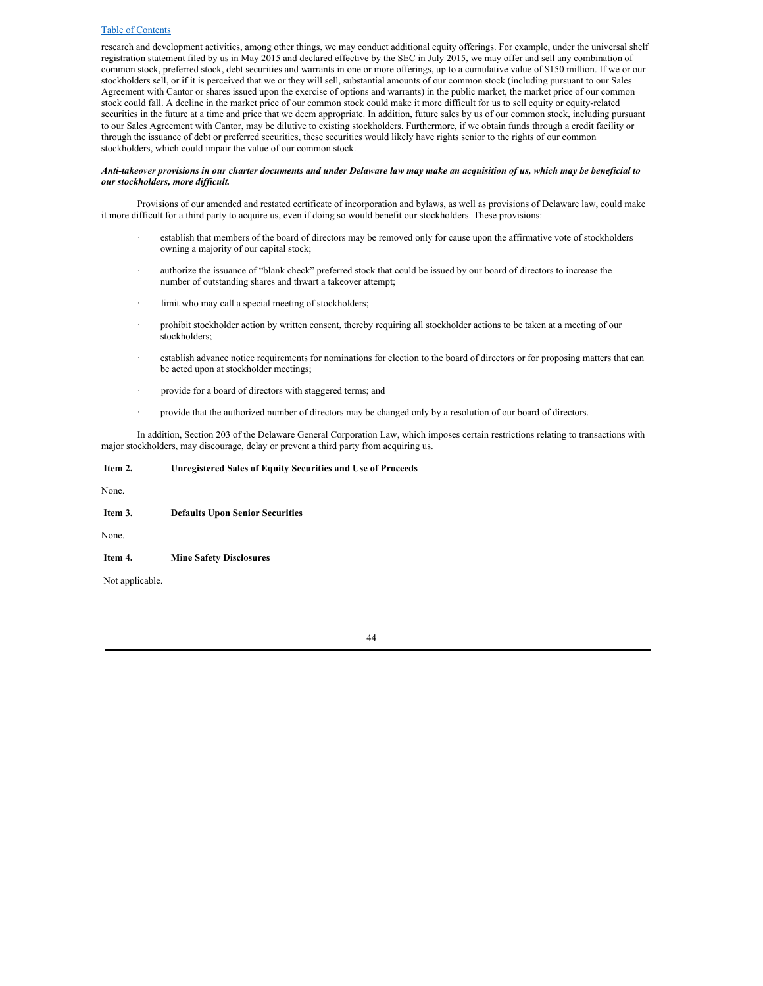research and development activities, among other things, we may conduct additional equity offerings. For example, under the universal shelf registration statement filed by us in May 2015 and declared effective by the SEC in July 2015, we may offer and sell any combination of common stock, preferred stock, debt securities and warrants in one or more offerings, up to a cumulative value of \$150 million. If we or our stockholders sell, or if it is perceived that we or they will sell, substantial amounts of our common stock (including pursuant to our Sales Agreement with Cantor or shares issued upon the exercise of options and warrants) in the public market, the market price of our common stock could fall. A decline in the market price of our common stock could make it more difficult for us to sell equity or equity-related securities in the future at a time and price that we deem appropriate. In addition, future sales by us of our common stock, including pursuant to our Sales Agreement with Cantor, may be dilutive to existing stockholders. Furthermore, if we obtain funds through a credit facility or through the issuance of debt or preferred securities, these securities would likely have rights senior to the rights of our common stockholders, which could impair the value of our common stock.

# Anti-takeover provisions in our charter documents and under Delaware law may make an acquisition of us, which may be beneficial to *our stockholders, more dif icult.*

Provisions of our amended and restated certificate of incorporation and bylaws, as well as provisions of Delaware law, could make it more difficult for a third party to acquire us, even if doing so would benefit our stockholders. These provisions:

- establish that members of the board of directors may be removed only for cause upon the affirmative vote of stockholders owning a majority of our capital stock;
- authorize the issuance of "blank check" preferred stock that could be issued by our board of directors to increase the number of outstanding shares and thwart a takeover attempt;
- limit who may call a special meeting of stockholders;
- prohibit stockholder action by written consent, thereby requiring all stockholder actions to be taken at a meeting of our stockholders;
- establish advance notice requirements for nominations for election to the board of directors or for proposing matters that can be acted upon at stockholder meetings;
- provide for a board of directors with staggered terms; and
- provide that the authorized number of directors may be changed only by a resolution of our board of directors.

In addition, Section 203 of the Delaware General Corporation Law, which imposes certain restrictions relating to transactions with major stockholders, may discourage, delay or prevent a third party from acquiring us.

# **Item 2. Unregistered Sales of Equity Securities and Use of Proceeds**

None.

**Item 3. Defaults Upon Senior Securities**

None.

# **Item 4. Mine Safety Disclosures**

Not applicable.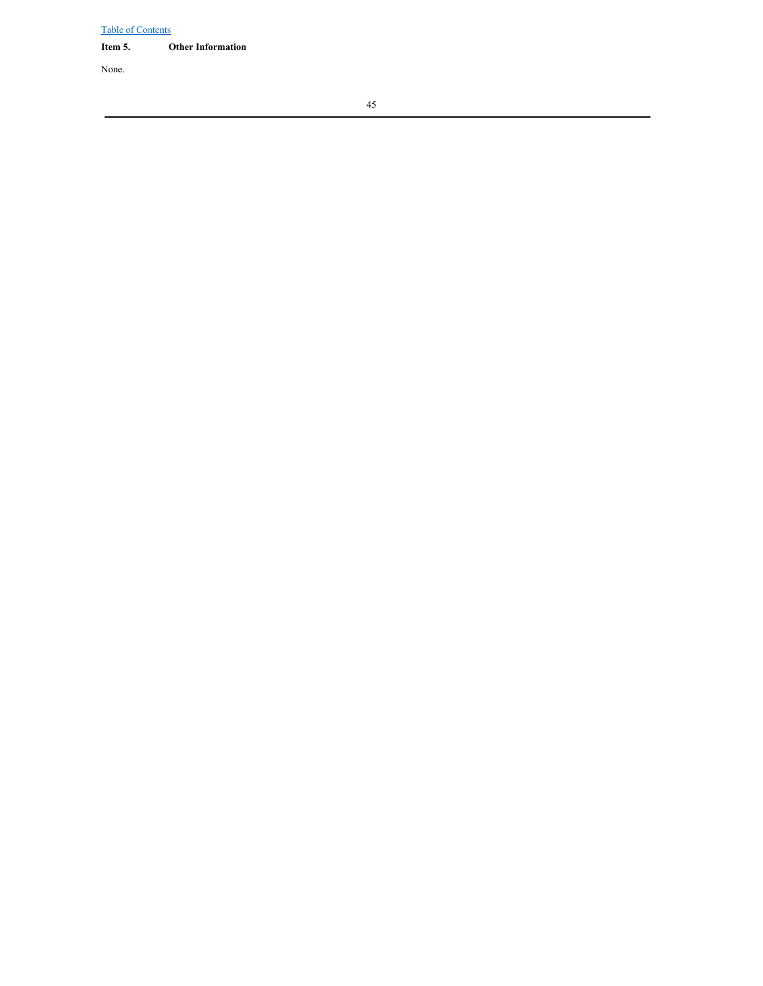# **Item 5. Other Information**

None.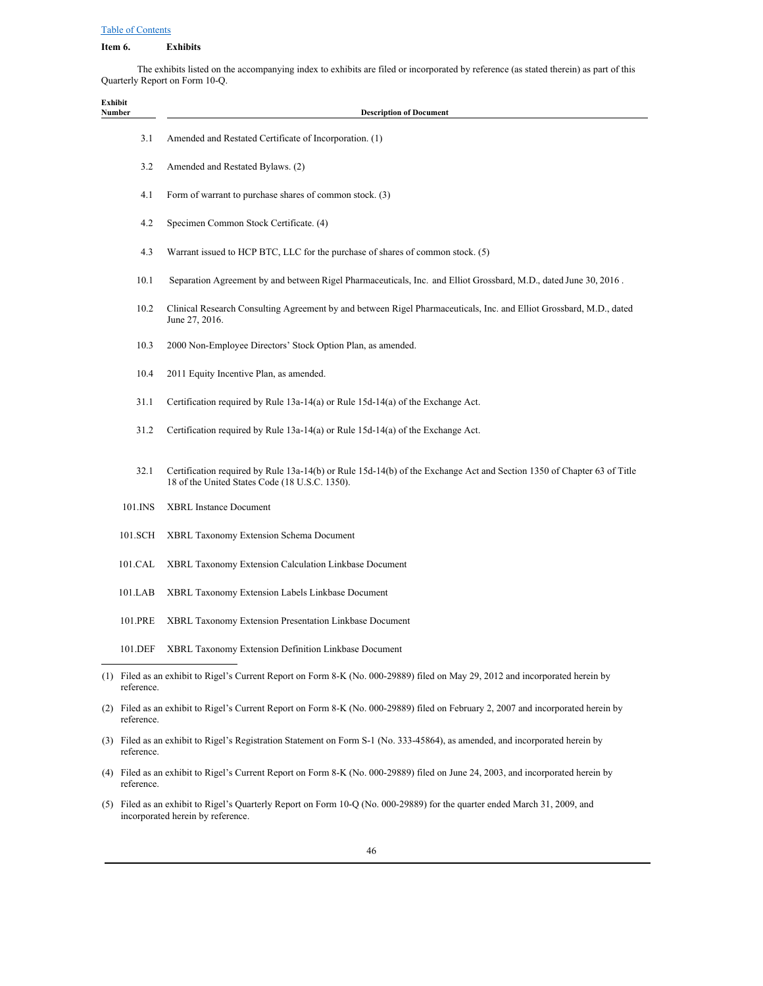# **Item 6. Exhibits**

The exhibits listed on the accompanying index to exhibits are filed or incorporated by reference (as stated therein) as part of this Quarterly Report on Form 10-Q.

| Exhibit<br>Number |            | <b>Description of Document</b>                                                                                                                                           |  |  |  |  |  |  |  |  |
|-------------------|------------|--------------------------------------------------------------------------------------------------------------------------------------------------------------------------|--|--|--|--|--|--|--|--|
|                   | 3.1        | Amended and Restated Certificate of Incorporation. (1)                                                                                                                   |  |  |  |  |  |  |  |  |
|                   | 3.2        | Amended and Restated Bylaws. (2)<br>Form of warrant to purchase shares of common stock. (3)                                                                              |  |  |  |  |  |  |  |  |
|                   | 4.1        |                                                                                                                                                                          |  |  |  |  |  |  |  |  |
|                   | 4.2        | Specimen Common Stock Certificate. (4)<br>Warrant issued to HCP BTC, LLC for the purchase of shares of common stock. (5)                                                 |  |  |  |  |  |  |  |  |
|                   | 4.3        |                                                                                                                                                                          |  |  |  |  |  |  |  |  |
|                   | 10.1       | Separation Agreement by and between Rigel Pharmaceuticals, Inc. and Elliot Grossbard, M.D., dated June 30, 2016.                                                         |  |  |  |  |  |  |  |  |
|                   | 10.2       | Clinical Research Consulting Agreement by and between Rigel Pharmaceuticals, Inc. and Elliot Grossbard, M.D., dated<br>June 27, 2016.                                    |  |  |  |  |  |  |  |  |
|                   | 10.3       | 2000 Non-Employee Directors' Stock Option Plan, as amended.                                                                                                              |  |  |  |  |  |  |  |  |
|                   | 10.4       | 2011 Equity Incentive Plan, as amended.                                                                                                                                  |  |  |  |  |  |  |  |  |
|                   | 31.1       | Certification required by Rule $13a-14(a)$ or Rule $15d-14(a)$ of the Exchange Act.                                                                                      |  |  |  |  |  |  |  |  |
|                   | 31.2       | Certification required by Rule 13a-14(a) or Rule 15d-14(a) of the Exchange Act.                                                                                          |  |  |  |  |  |  |  |  |
|                   | 32.1       | Certification required by Rule 13a-14(b) or Rule 15d-14(b) of the Exchange Act and Section 1350 of Chapter 63 of Title<br>18 of the United States Code (18 U.S.C. 1350). |  |  |  |  |  |  |  |  |
|                   | 101.INS    | <b>XBRL Instance Document</b>                                                                                                                                            |  |  |  |  |  |  |  |  |
|                   | 101.SCH    | XBRL Taxonomy Extension Schema Document                                                                                                                                  |  |  |  |  |  |  |  |  |
|                   | 101.CAL    | XBRL Taxonomy Extension Calculation Linkbase Document                                                                                                                    |  |  |  |  |  |  |  |  |
|                   | 101.LAB    | XBRL Taxonomy Extension Labels Linkbase Document                                                                                                                         |  |  |  |  |  |  |  |  |
|                   | 101.PRE    | XBRL Taxonomy Extension Presentation Linkbase Document                                                                                                                   |  |  |  |  |  |  |  |  |
|                   | 101.DEF    | XBRL Taxonomy Extension Definition Linkbase Document                                                                                                                     |  |  |  |  |  |  |  |  |
|                   | reference. | (1) Filed as an exhibit to Rigel's Current Report on Form 8-K (No. 000-29889) filed on May 29, 2012 and incorporated herein by                                           |  |  |  |  |  |  |  |  |
|                   | reference. | (2) Filed as an exhibit to Rigel's Current Report on Form 8-K (No. 000-29889) filed on February 2, 2007 and incorporated herein by                                       |  |  |  |  |  |  |  |  |
|                   | reference. | (3) Filed as an exhibit to Rigel's Registration Statement on Form S-1 (No. 333-45864), as amended, and incorporated herein by                                            |  |  |  |  |  |  |  |  |
|                   | reference. | (4) Filed as an exhibit to Rigel's Current Report on Form 8-K (No. 000-29889) filed on June 24, 2003, and incorporated herein by                                         |  |  |  |  |  |  |  |  |

(5) Filed as an exhibit to Rigel's Quarterly Report on Form 10-Q (No. 000-29889) for the quarter ended March 31, 2009, and incorporated herein by reference.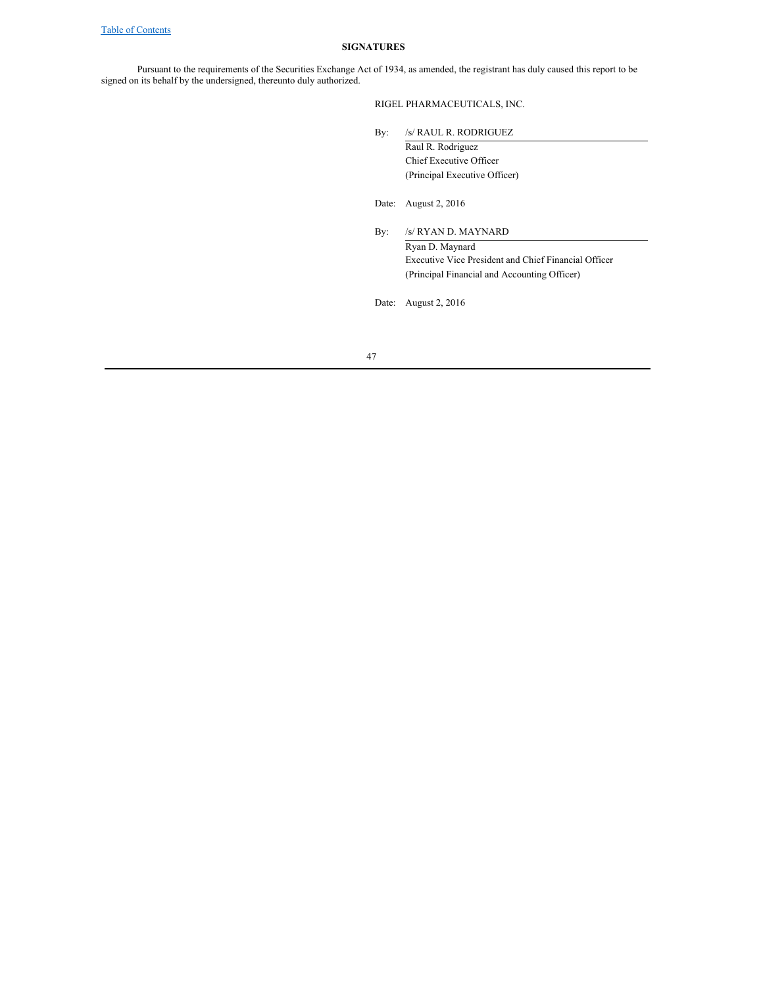# **SIGNATURES**

Pursuant to the requirements of the Securities Exchange Act of 1934, as amended, the registrant has duly caused this report to be signed on its behalf by the undersigned, thereunto duly authorized.

RIGEL PHARMACEUTICALS, INC.

By: /s/ RAUL R. RODRIGUEZ

Raul R. Rodriguez Chief Executive Officer (Principal Executive Officer)

- Date: August 2, 2016
- By: /s/ RYAN D. MAYNARD Ryan D. Maynard Executive Vice President and Chief Financial Officer (Principal Financial and Accounting Officer)

Date: August 2, 2016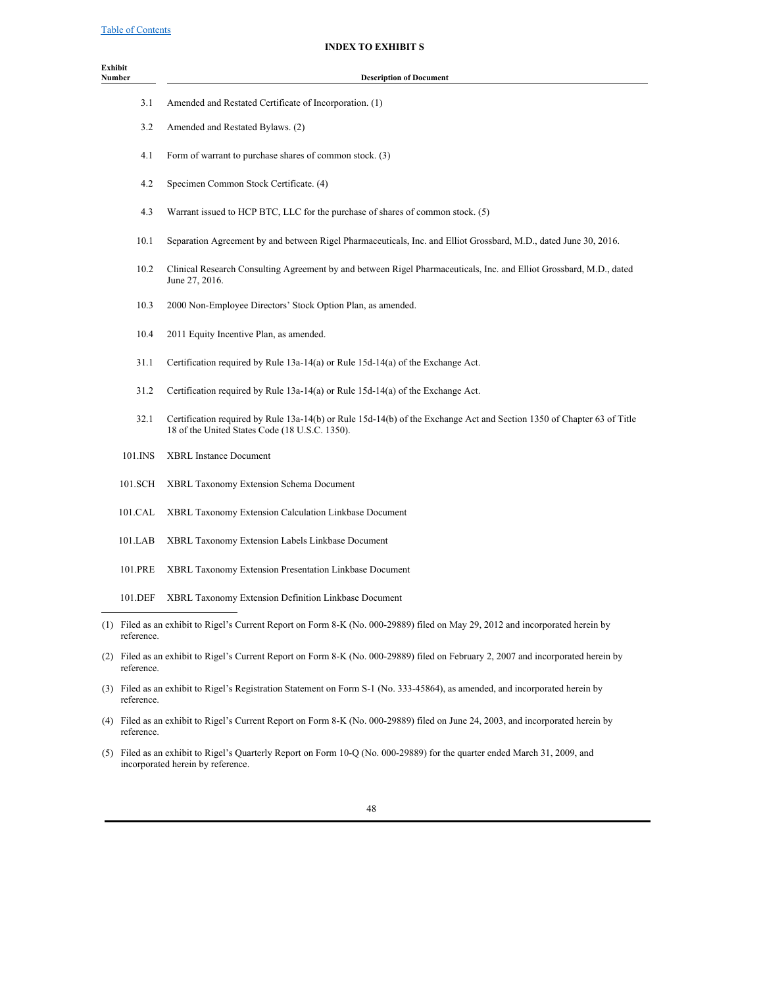# **INDEX TO EXHIBIT S**

| Exhibit<br>Number |            | <b>Description of Document</b>                                                                                                                                           |  |  |  |  |  |  |  |
|-------------------|------------|--------------------------------------------------------------------------------------------------------------------------------------------------------------------------|--|--|--|--|--|--|--|
|                   | 3.1        | Amended and Restated Certificate of Incorporation. (1)                                                                                                                   |  |  |  |  |  |  |  |
|                   | 3.2        | Amended and Restated Bylaws. (2)                                                                                                                                         |  |  |  |  |  |  |  |
|                   | 4.1        | Form of warrant to purchase shares of common stock. (3)                                                                                                                  |  |  |  |  |  |  |  |
|                   | 4.2        | Specimen Common Stock Certificate. (4)                                                                                                                                   |  |  |  |  |  |  |  |
|                   | 4.3        | Warrant issued to HCP BTC, LLC for the purchase of shares of common stock. (5)                                                                                           |  |  |  |  |  |  |  |
|                   | 10.1       | Separation Agreement by and between Rigel Pharmaceuticals, Inc. and Elliot Grossbard, M.D., dated June 30, 2016.                                                         |  |  |  |  |  |  |  |
|                   | 10.2       | Clinical Research Consulting Agreement by and between Rigel Pharmaceuticals, Inc. and Elliot Grossbard, M.D., dated<br>June 27, 2016.                                    |  |  |  |  |  |  |  |
|                   | 10.3       | 2000 Non-Employee Directors' Stock Option Plan, as amended.                                                                                                              |  |  |  |  |  |  |  |
|                   | 10.4       | 2011 Equity Incentive Plan, as amended.                                                                                                                                  |  |  |  |  |  |  |  |
|                   | 31.1       | Certification required by Rule 13a-14(a) or Rule 15d-14(a) of the Exchange Act.                                                                                          |  |  |  |  |  |  |  |
|                   | 31.2       | Certification required by Rule $13a-14(a)$ or Rule $15d-14(a)$ of the Exchange Act.                                                                                      |  |  |  |  |  |  |  |
|                   | 32.1       | Certification required by Rule 13a-14(b) or Rule 15d-14(b) of the Exchange Act and Section 1350 of Chapter 63 of Title<br>18 of the United States Code (18 U.S.C. 1350). |  |  |  |  |  |  |  |
|                   | 101.INS    | <b>XBRL Instance Document</b>                                                                                                                                            |  |  |  |  |  |  |  |
|                   | 101.SCH    | XBRL Taxonomy Extension Schema Document                                                                                                                                  |  |  |  |  |  |  |  |
|                   | 101.CAL    | XBRL Taxonomy Extension Calculation Linkbase Document                                                                                                                    |  |  |  |  |  |  |  |
|                   | 101.LAB    | XBRL Taxonomy Extension Labels Linkbase Document                                                                                                                         |  |  |  |  |  |  |  |
|                   | 101.PRE    | XBRL Taxonomy Extension Presentation Linkbase Document                                                                                                                   |  |  |  |  |  |  |  |
|                   | 101.DEF    | XBRL Taxonomy Extension Definition Linkbase Document                                                                                                                     |  |  |  |  |  |  |  |
|                   | reference. | (1) Filed as an exhibit to Rigel's Current Report on Form 8-K (No. 000-29889) filed on May 29, 2012 and incorporated herein by                                           |  |  |  |  |  |  |  |
|                   | reference. | (2) Filed as an exhibit to Rigel's Current Report on Form 8-K (No. 000-29889) filed on February 2, 2007 and incorporated herein by                                       |  |  |  |  |  |  |  |
|                   | reference. | (3) Filed as an exhibit to Rigel's Registration Statement on Form S-1 (No. 333-45864), as amended, and incorporated herein by                                            |  |  |  |  |  |  |  |
|                   |            | (4) Filed as an exhibit to Rigel's Current Report on Form 8-K (No. 000-29889) filed on June 24, 2003, and incorporated herein by                                         |  |  |  |  |  |  |  |

reference. (5) Filed as an exhibit to Rigel's Quarterly Report on Form 10-Q (No. 000-29889) for the quarter ended March 31, 2009, and

incorporated herein by reference.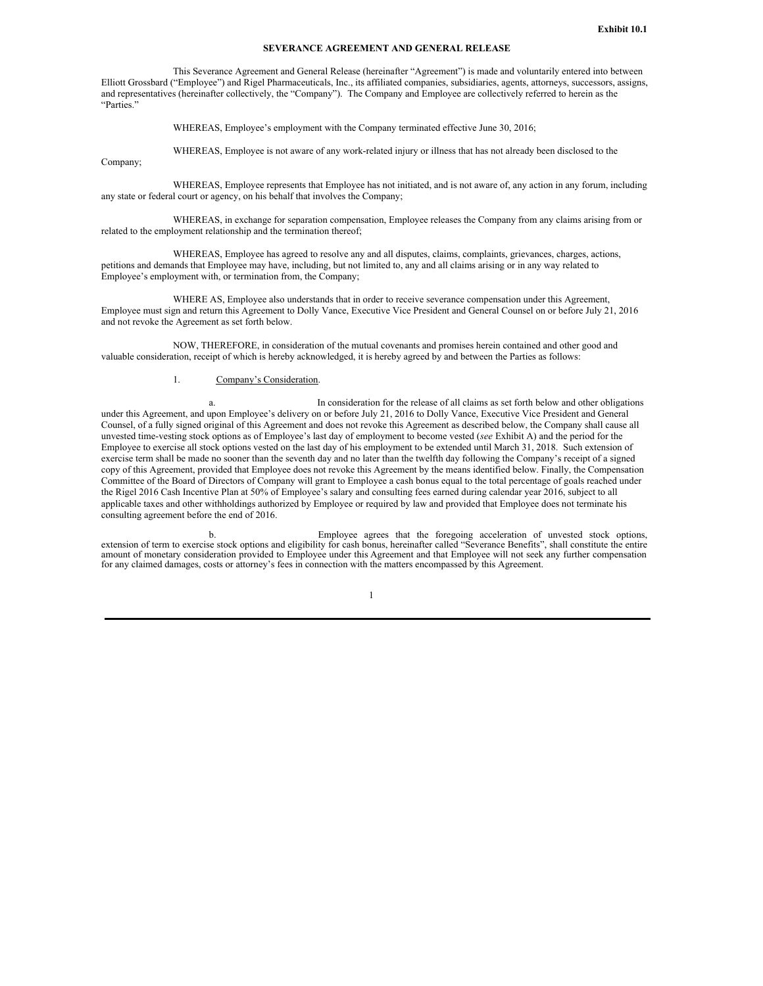# **SEVERANCE AGREEMENT AND GENERAL RELEASE**

This Severance Agreement and General Release (hereinafter "Agreement") is made and voluntarily entered into between Elliott Grossbard ("Employee") and Rigel Pharmaceuticals, Inc., its affiliated companies, subsidiaries, agents, attorneys, successors, assigns, and representatives (hereinafter collectively, the "Company"). The Company and Employee are collectively referred to herein as the "Parties."

WHEREAS, Employee's employment with the Company terminated effective June 30, 2016;

WHEREAS, Employee is not aware of any work-related injury or illness that has not already been disclosed to the

Company;

WHEREAS, Employee represents that Employee has not initiated, and is not aware of, any action in any forum, including any state or federal court or agency, on his behalf that involves the Company;

WHEREAS, in exchange for separation compensation, Employee releases the Company from any claims arising from or related to the employment relationship and the termination thereof;

WHEREAS, Employee has agreed to resolve any and all disputes, claims, complaints, grievances, charges, actions, petitions and demands that Employee may have, including, but not limited to, any and all claims arising or in any way related to Employee's employment with, or termination from, the Company;

WHERE AS, Employee also understands that in order to receive severance compensation under this Agreement, Employee must sign and return this Agreement to Dolly Vance, Executive Vice President and General Counsel on or before July 21, 2016 and not revoke the Agreement as set forth below.

NOW, THEREFORE, in consideration of the mutual covenants and promises herein contained and other good and valuable consideration, receipt of which is hereby acknowledged, it is hereby agreed by and between the Parties as follows:

# 1. Company's Consideration.

a. In consideration for the release of all claims as set forth below and other obligations under this Agreement, and upon Employee's delivery on or before July 21, 2016 to Dolly Vance, Executive Vice President and General Counsel, of a fully signed original of this Agreement and does not revoke this Agreement as described below, the Company shall cause all unvested time-vesting stock options as of Employee's last day of employment to become vested (*see* Exhibit A) and the period for the Employee to exercise all stock options vested on the last day of his employment to be extended until March 31, 2018. Such extension of exercise term shall be made no sooner than the seventh day and no later than the twelfth day following the Company's receipt of a signed copy of this Agreement, provided that Employee does not revoke this Agreement by the means identified below. Finally, the Compensation Committee of the Board of Directors of Company will grant to Employee a cash bonus equal to the total percentage of goals reached under the Rigel 2016 Cash Incentive Plan at 50% of Employee's salary and consulting fees earned during calendar year 2016, subject to all applicable taxes and other withholdings authorized by Employee or required by law and provided that Employee does not terminate his consulting agreement before the end of 2016.

b. Employee agrees that the foregoing acceleration of unvested stock options, extension of term to exercise stock options and eligibility for cash bonus, hereinafter called "Severance Benefits", shall constitute the entire amount of monetary consideration provided to Employee under this Agreement and that Employee will not seek any further compensation for any claimed damages, costs or attorney's fees in connection with the matters encompassed by this Agreement.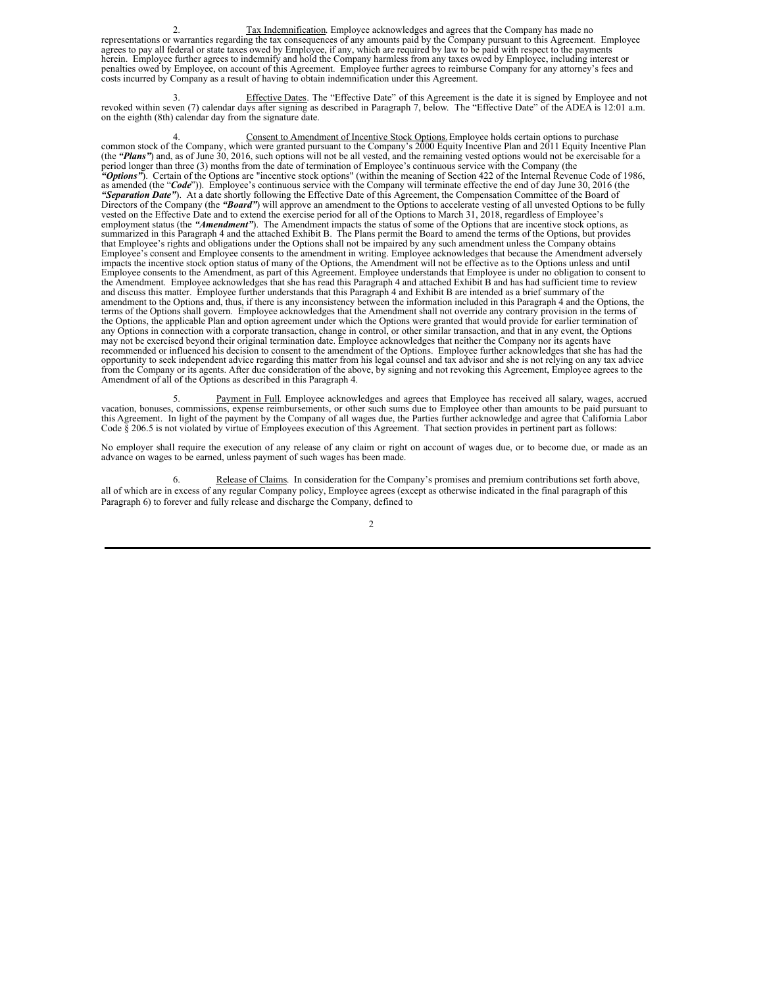2. Tax Indemnification. Employee acknowledges and agrees that the Company has made no<br>representations or warranties regarding the tax consequences of any amounts paid by the Company pursuant to this Agreement. Employee agrees to pay all federal or state taxes owed by Employee, if any, which are required by law to be paid with respect to the payments herein. Employee further agrees to indemnify and hold the Company harmless from any taxes owed by Employee, including interest or penalties owed by Employee, on account of this Agreement. Employee further agrees to reimburse Company for any attorney's fees and costs incurred by Company as a result of having to obtain indemnification under this Agreement.

Effective Dates. The "Effective Date" of this Agreement is the date it is signed by Employee and not revoked within seven (7) calendar days after signing as described in Paragraph 7, below. The "Effective Date" of the ADEA is 12:01 a.m. on the eighth (8th) calendar day from the signature date.

4. Consent to Amendment of Incentive Stock Options. Employee holds certain options to purchase<br>common stock of the Company, which were granted pursuant to the Company's 2000 Equity Incentive Plan and 2011 Equity Incentive (the *"Plans"*) and, as of June 30, 2016, such options will not be all vested, and the remaining vested options would not be exercisable for a period longer than three (3) months from the date of termination of Employee's continuous service with the Company (the<br>
"Options"). Certain of the Options are "incentive stock options" (within the meaning of Section 422 o Directors of the Company (the "Board") will approve an amendment to the Options to accelerate vesting of all unvested Options to be fully vested on the Effective Date and to extend the exercise period for all of the Option employment status (the "Amendment"). The Amendment impacts the status of some of the Options that are incentive stock options, as summarized in this Paragraph 4 and the attached Exhibit B. The Plans permit the Board to ame that Employee's rights and obligations under the Options shall not be impaired by any such amendment unless the Company obtains Employee's consent and Employee consents to the amendment in writing. Employee acknowledges that because the Amendment adversely impacts the incentive stock option status of many of the Options, the Amendment will not be effective as to the Options unless and until Employee consents to the Amendment, as part of this Agreement. Employee understands that Employee is under no obligation to consent to the Amendment. Employee acknowledges that she has read this Paragraph 4 and attached Exhibit B and has had sufficient time to review and discuss this matter. Employee further understands that this Paragraph 4 and Exhibit B are intended as a brief summary of the amendment to the Options and, thus, if there is any inconsistency between the information included in this Paragraph 4 and the Options, the terms of the Options shall govern. Employee acknowledges that the Amendment shall not override any contrary provision in the terms of the Options, the applicable Plan and option agreement under which the Options were granted that would provide for earlier termination of any Options in connection with a corporate transaction, change in control, or other similar transaction, and that in any event, the Options may not be exercised beyond their original termination date. Employee acknowledges that neither the Company nor its agents have recommended or influenced his decision to consent to the amendment of the Options. Employee further acknowledges that she has had the opportunity to seek independent advice regarding this matter from his legal counsel and tax advisor and she is not relying on any tax advice from the Company or its agents. After due consideration of the above, by signing and not revoking this Agreement, Employee agrees to the Amendment of all of the Options as described in this Paragraph 4.

5. Payment in Full. Employee acknowledges and agrees that Employee has received all salary, wages, accrued vacation, bonuses, commissions, expense reimbursements, or other such sums due to Employee other than amounts to be paid pursuant to this Agreement. In light of the payment by the Company of all wages due, the Parties further acknowledge and agree that California Labor Code § 206.5 is not violated by virtue of Employees execution of this Agreement. That section provides in pertinent part as follows:

No employer shall require the execution of any release of any claim or right on account of wages due, or to become due, or made as an advance on wages to be earned, unless payment of such wages has been made.

6. Release of Claims. In consideration for the Company's promises and premium contributions set forth above, all of which are in excess of any regular Company policy, Employee agrees (except as otherwise indicated in the final paragraph of this Paragraph 6) to forever and fully release and discharge the Company, defined to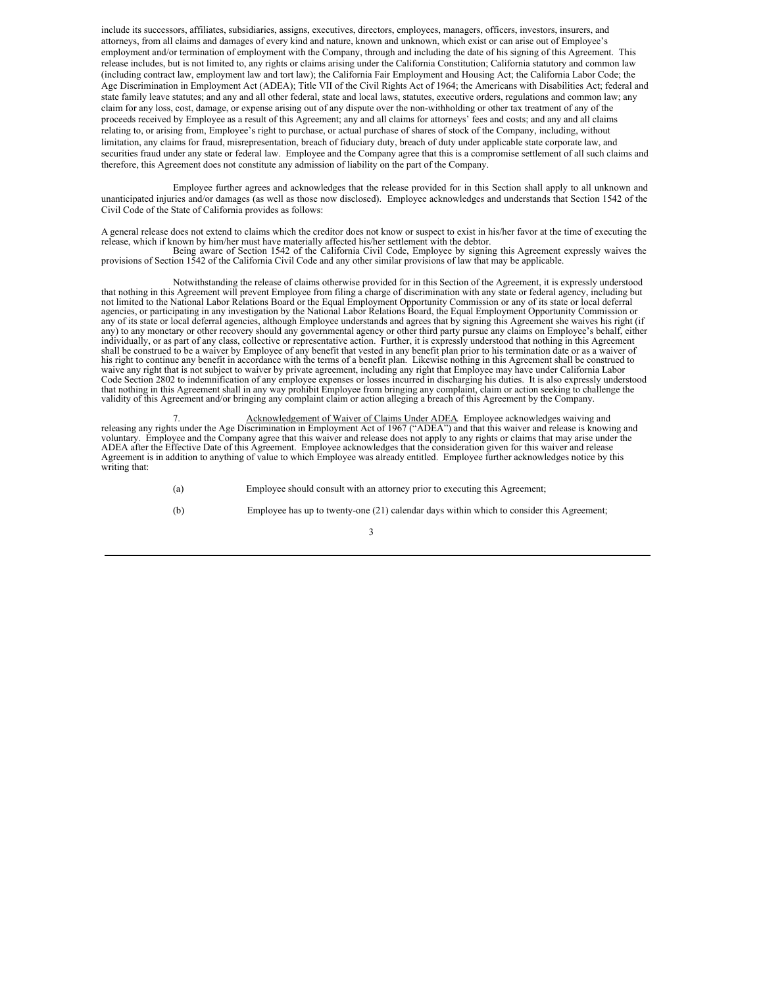include its successors, affiliates, subsidiaries, assigns, executives, directors, employees, managers, officers, investors, insurers, and attorneys, from all claims and damages of every kind and nature, known and unknown, which exist or can arise out of Employee's employment and/or termination of employment with the Company, through and including the date of his signing of this Agreement. This release includes, but is not limited to, any rights or claims arising under the California Constitution; California statutory and common law (including contract law, employment law and tort law); the California Fair Employment and Housing Act; the California Labor Code; the Age Discrimination in Employment Act (ADEA); Title VII of the Civil Rights Act of 1964; the Americans with Disabilities Act; federal and state family leave statutes; and any and all other federal, state and local laws, statutes, executive orders, regulations and common law; any claim for any loss, cost, damage, or expense arising out of any dispute over the non-withholding or other tax treatment of any of the proceeds received by Employee as a result of this Agreement; any and all claims for attorneys' fees and costs; and any and all claims relating to, or arising from, Employee's right to purchase, or actual purchase of shares of stock of the Company, including, without limitation, any claims for fraud, misrepresentation, breach of fiduciary duty, breach of duty under applicable state corporate law, and securities fraud under any state or federal law. Employee and the Company agree that this is a compromise settlement of all such claims and therefore, this Agreement does not constitute any admission of liability on the part of the Company.

Employee further agrees and acknowledges that the release provided for in this Section shall apply to all unknown and unanticipated injuries and/or damages (as well as those now disclosed). Employee acknowledges and understands that Section 1542 of the Civil Code of the State of California provides as follows:

A general release does not extend to claims which the creditor does not know or suspect to exist in his/her favor at the time of executing the release, which if known by him/her must have materially affected his/her settlement with the debtor. Being aware of Section 1542 of the California Civil Code, Employee by signing this Agreement expressly waives the

provisions of Section 1542 of the California Civil Code and any other similar provisions of law that may be applicable.

Notwithstanding the release of claims otherwise provided for in this Section of the Agreement, it is expressly understood that nothing in this Agreement will prevent Employee from filing a charge of discrimination with any state or federal agency, including but not limited to the National Labor Relations Board or the Equal Employment Opportunity Commission or any of its state or local deferral agencies, or participating in any investigation by the National Labor Relations Board, the Equal Employment Opportunity Commission or any of its state or local deferral agencies, although Employee understands and agrees that by signing this Agreement she waives his right (if any) to any monetary or other recovery should any governmental agency or other third party pursue any claims on Employee's behalf, either individually, or as part of any class, collective or representative action. Further, shall be construed to be a waiver by Employee of any benefit that vested in any benefit plan prior to his termination date or as a waiver of his right to continue any benefit in accordance with the terms of a benefit plan. Likewise nothing in this Agreement shall be construed to waive any right that is not subject to waiver by private agreement, including any right that Employee may have under California Labor Code Section 2802 to indemnification of any employee expenses or losses incurred in discharging his duties. It is also expressly understood that nothing in this Agreement shall in any way prohibit Employee from bringing any complaint, claim or action seeking to challenge the validity of this Agreement and/or bringing any complaint claim or action alleging a breach of this Agreement by the Company.

7. **Acknowledgement of Waiver of Claims Under ADEA** Employee acknowledges waiving and<br>releasing any rights under the Age Discrimination in Employment Act of 1967 ("ADEA") and that this waiver and release is knowing and<br>vol ADEA after the Effective Date of this Agreement. Employee acknowledges that the consideration given for this waiver and release Agreement is in addition to anything of value to which Employee was already entitled. Employee further acknowledges notice by this writing that:

> (a) Employee should consult with an attorney prior to executing this Agreement; (b) Employee has up to twenty-one (21) calendar days within which to consider this Agreement;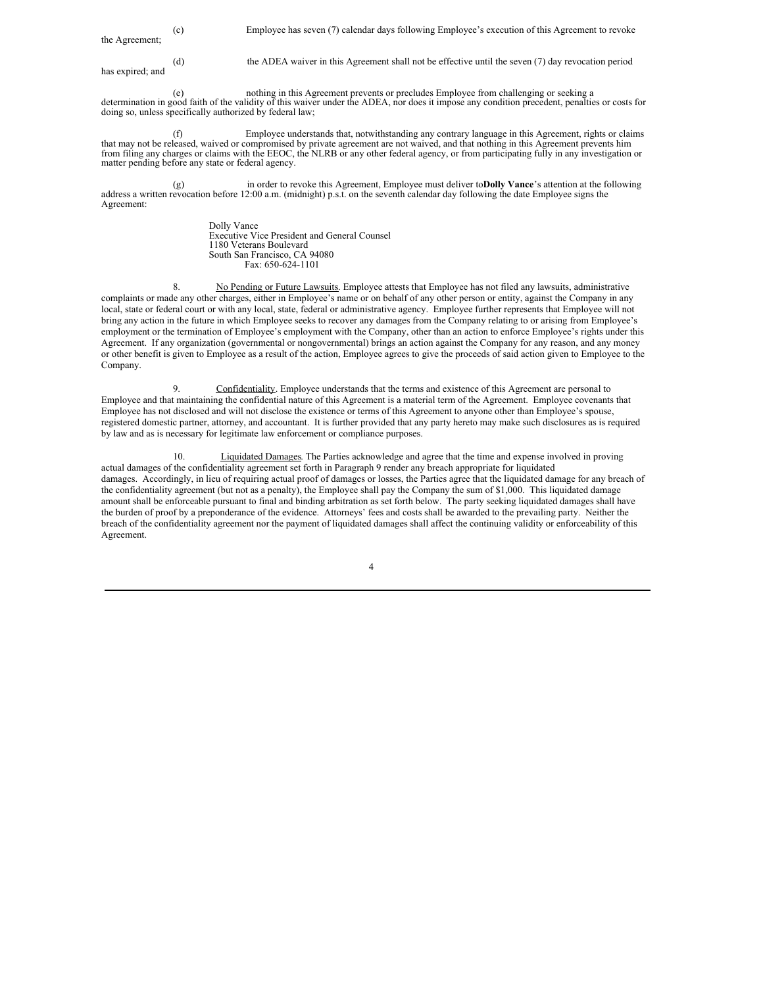the Agreement;

(c) Employee has seven (7) calendar days following Employee's execution of this Agreement to revoke

(d) the ADEA waiver in this Agreement shall not be effective until the seven (7) day revocation period has expired; and

(e) nothing in this Agreement prevents or precludes Employee from challenging or seeking a<br>determination in good faith of the validity of this waiver under the ADEA, nor does it impose any condition precedent, penalties or doing so, unless specifically authorized by federal law;

Employee understands that, notwithstanding any contrary language in this Agreement, rights or claims that may not be released, waived or compromised by private agreement are not waived, and that nothing in this Agreement prevents him from filing any charges or claims with the EEOC, the NLRB or any other federal agency, or from participating fully in any investigation or matter pending before any state or federal agency.

(g) in order to revoke this Agreement, Employee must deliver to**Dolly Vance**'s attention at the following address a written revocation before 12:00 a.m. (midnight) p.s.t. on the seventh calendar day following the date Employee signs the Agreement:

> Dolly Vance Executive Vice President and General Counsel 1180 Veterans Boulevard South San Francisco, CA 94080 Fax: 650-624-1101

8. No Pending or Future Lawsuits. Employee attests that Employee has not filed any lawsuits, administrative complaints or made any other charges, either in Employee's name or on behalf of any other person or entity, against the Company in any local, state or federal court or with any local, state, federal or administrative agency. Employee further represents that Employee will not bring any action in the future in which Employee seeks to recover any damages from the Company relating to or arising from Employee's employment or the termination of Employee's employment with the Company, other than an action to enforce Employee's rights under this Agreement. If any organization (governmental or nongovernmental) brings an action against the Company for any reason, and any money or other benefit is given to Employee as a result of the action, Employee agrees to give the proceeds of said action given to Employee to the Company.

9. Confidentiality. Employee understands that the terms and existence of this Agreement are personal to Employee and that maintaining the confidential nature of this Agreement is a material term of the Agreement. Employee covenants that Employee has not disclosed and will not disclose the existence or terms of this Agreement to anyone other than Employee's spouse, registered domestic partner, attorney, and accountant. It is further provided that any party hereto may make such disclosures as is required by law and as is necessary for legitimate law enforcement or compliance purposes.

10. Liquidated Damages. The Parties acknowledge and agree that the time and expense involved in proving actual damages of the confidentiality agreement set forth in Paragraph 9 render any breach appropriate for liquidated damages. Accordingly, in lieu of requiring actual proof of damages or losses, the Parties agree that the liquidated damage for any breach of the confidentiality agreement (but not as a penalty), the Employee shall pay the Company the sum of \$1,000. This liquidated damage amount shall be enforceable pursuant to final and binding arbitration as set forth below. The party seeking liquidated damages shall have the burden of proof by a preponderance of the evidence. Attorneys' fees and costs shall be awarded to the prevailing party. Neither the breach of the confidentiality agreement nor the payment of liquidated damages shall affect the continuing validity or enforceability of this Agreement.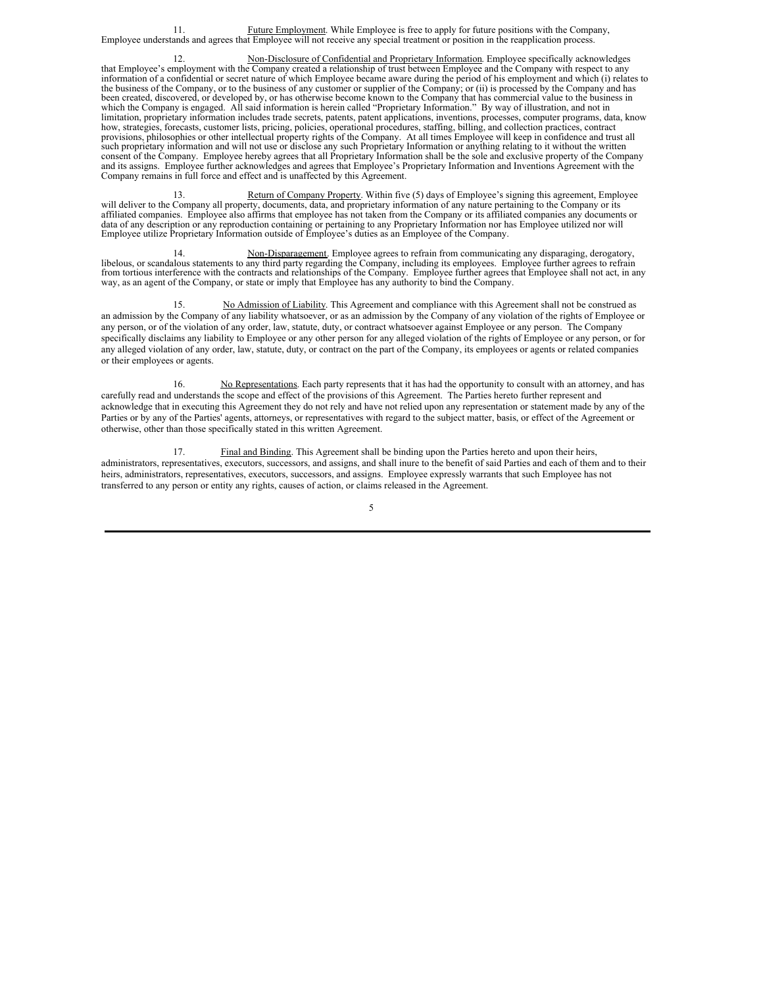11. Future Employment. While Employee is free to apply for future positions with the Company, Employee understands and agrees that Employee will not receive any special treatment or position in the reapplication process.

12. Non-Disclosure of Confidential and Proprietary Information. Employee specifically acknowledges<br>that Employee's employment with the Company created a relationship of trust between Employee and the Company with respect t information of a confidential or secret nature of which Employee became aware during the period of his employment and which (i) relates to the business of the Company, or to the business of any customer or supplier of the Company; or (ii) is processed by the Company and has been created, discovered, or developed by, or has otherwise become known to the Company that has commercial value to the business in which the Company is engaged. All said information is herein called "Proprietary Information." By way of illustration, and not in limitation, proprietary information includes trade secrets, patents, patent applications, inventions, processes, computer programs, data, know how, strategies, forecasts, customer lists, pricing, policies, operational procedures, staffing, billing, and collection practices, contract provisions, philosophies or other intellectual property rights of the Company. At all times Employee will keep in confidence and trust all<br>such proprietary information and will not use or disclose any such Proprietary Info consent of the Company. Employee hereby agrees that all Proprietary Information shall be the sole and exclusive property of the Company and its assigns. Employee further acknowledges and agrees that Employee's Proprietary Information and Inventions Agreement with the Company remains in full force and effect and is unaffected by this Agreement.

13. <u>Return of Company Property</u>. Within five (5) days of Employee's signing this agreement, Employee will deliver to the Company all property, documents, data, and proprietary information of any nature pertaining to the Company or its<br>affiliated companies. Employee also affirms that employee has not taken from the Company data of any description or any reproduction containing or pertaining to any Proprietary Information nor has Employee utilized nor will<br>Employee utilize Proprietary Information outside of Employee's duties as an Employee of

14. Non-Disparagement. Employee agrees to refrain from communicating any disparaging, derogatory, libelous, or scandalous statements to any third party regarding the Company, including its employees. Employee further agree from tortious interference with the contracts and relationships of the Company. Employee further agrees that Employee shall not act, in any way, as an agent of the Company, or state or imply that Employee has any authority to bind the Company.

15. No Admission of Liability. This Agreement and compliance with this Agreement shall not be construed as an admission by the Company of any liability whatsoever, or as an admission by the Company of any violation of the rights of Employee or any person, or of the violation of any order, law, statute, duty, or contract whatsoever against Employee or any person. The Company specifically disclaims any liability to Employee or any other person for any alleged violation of the rights of Employee or any person, or for any alleged violation of any order, law, statute, duty, or contract on the part of the Company, its employees or agents or related companies or their employees or agents.

16. No Representations. Each party represents that it has had the opportunity to consult with an attorney, and has carefully read and understands the scope and effect of the provisions of this Agreement. The Parties hereto further represent and acknowledge that in executing this Agreement they do not rely and have not relied upon any representation or statement made by any of the Parties or by any of the Parties' agents, attorneys, or representatives with regard to the subject matter, basis, or effect of the Agreement or otherwise, other than those specifically stated in this written Agreement.

17. Final and Binding. This Agreement shall be binding upon the Parties hereto and upon their heirs, administrators, representatives, executors, successors, and assigns, and shall inure to the benefit of said Parties and each of them and to their heirs, administrators, representatives, executors, successors, and assigns. Employee expressly warrants that such Employee has not transferred to any person or entity any rights, causes of action, or claims released in the Agreement.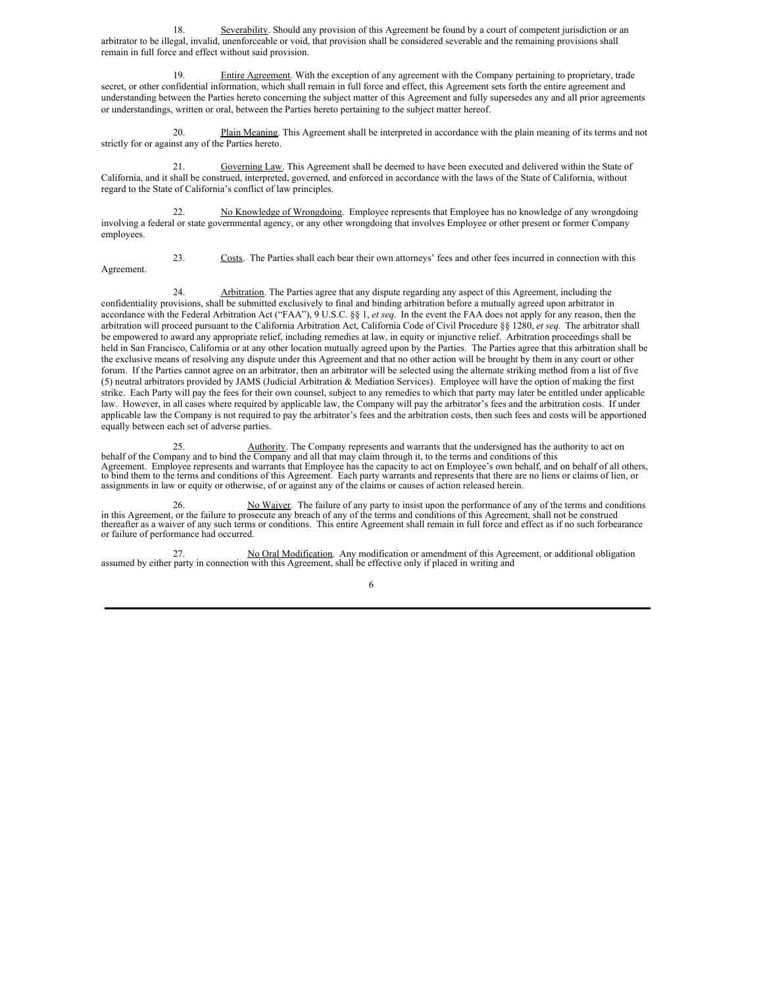18. Severability. Should any provision of this Agreement be found by a court of competent jurisdiction or an arbitrator to be illegal, invalid, unenforceable or void, that provision shall be considered severable and the remaining provisions shall remain in full force and effect without said provision.

19. Entire Agreement. With the exception of any agreement with the Company pertaining to proprietary, trade secret, or other confidential information, which shall remain in full force and effect, this Agreement sets forth the entire agreement and understanding between the Parties hereto concerning the subject matter of this Agreement and fully supersedes any and all prior agreements or understandings, written or oral, between the Parties hereto pertaining to the subject matter hereof.

20. Plain Meaning. This Agreement shall be interpreted in accordance with the plain meaning of its terms and not strictly for or against any of the Parties hereto.

21. Governing Law. This Agreement shall be deemed to have been executed and delivered within the State of California, and it shall be construed, interpreted, governed, and enforced in accordance with the laws of the State of California, without regard to the State of California's conflict of law principles.

22. No Knowledge of Wrongdoing. Employee represents that Employee has no knowledge of any wrongdoing involving a federal or state governmental agency, or any other wrongdoing that involves Employee or other present or former Company employees.

Agreement.

23. Costs. The Parties shall each bear their own attorneys' fees and other fees incurred in connection with this

24. Arbitration. The Parties agree that any dispute regarding any aspect of this Agreement, including the confidentiality provisions, shall be submitted exclusively to final and binding arbitration before a mutually agreed upon arbitrator in accordance with the Federal Arbitration Act ("FAA"), 9 U.S.C. §§ 1, *et seq*. In the event the FAA does not apply for any reason, then the arbitration will proceed pursuant to the California Arbitration Act, California Code of Civil Procedure §§ 1280, *et seq*. The arbitrator shall be empowered to award any appropriate relief, including remedies at law, in equity or injunctive relief. Arbitration proceedings shall be held in San Francisco, California or at any other location mutually agreed upon by the Parties. The Parties agree that this arbitration shall be the exclusive means of resolving any dispute under this Agreement and that no other action will be brought by them in any court or other forum. If the Parties cannot agree on an arbitrator, then an arbitrator will be selected using the alternate striking method from a list of five (5) neutral arbitrators provided by JAMS (Judicial Arbitration & Mediation Services). Employee will have the option of making the first strike. Each Party will pay the fees for their own counsel, subject to any remedies to which that party may later be entitled under applicable law. However, in all cases where required by applicable law, the Company will pay the arbitrator's fees and the arbitration costs. If under applicable law the Company is not required to pay the arbitrator's fees and the arbitration costs, then such fees and costs will be apportioned equally between each set of adverse parties.

25. Authority. The Company represents and warrants that the undersigned has the authority to act on behalf of the Company and to bind the Company and all that may claim through it, to the terms and conditions of this Agreement. Employee represents and warrants that Employee has the capacity to act on Employee's own behalf, and on behalf of all others, to bind them to the terms and conditions of this Agreement. Each party warrants and represents that there are no liens or claims of lien, or assignments in law or equity or otherwise, of or against any of the claims or causes of action released herein.

26. No Waiver. The failure of any party to insist upon the performance of any of the terms and conditions in this Agreement, or the failure to prosecute any breach of any of the terms and conditions of this Agreement, shall not be construed thereafter as a waiver of any such terms or conditions. This entire Agreement shall remain in full force and effect as if no such forbearance or failure of performance had occurred.

27. No Oral Modification. Any modification or amendment of this Agreement, or additional obligation assumed by either party in connection with this Agreement, shall be effective only if placed in writing and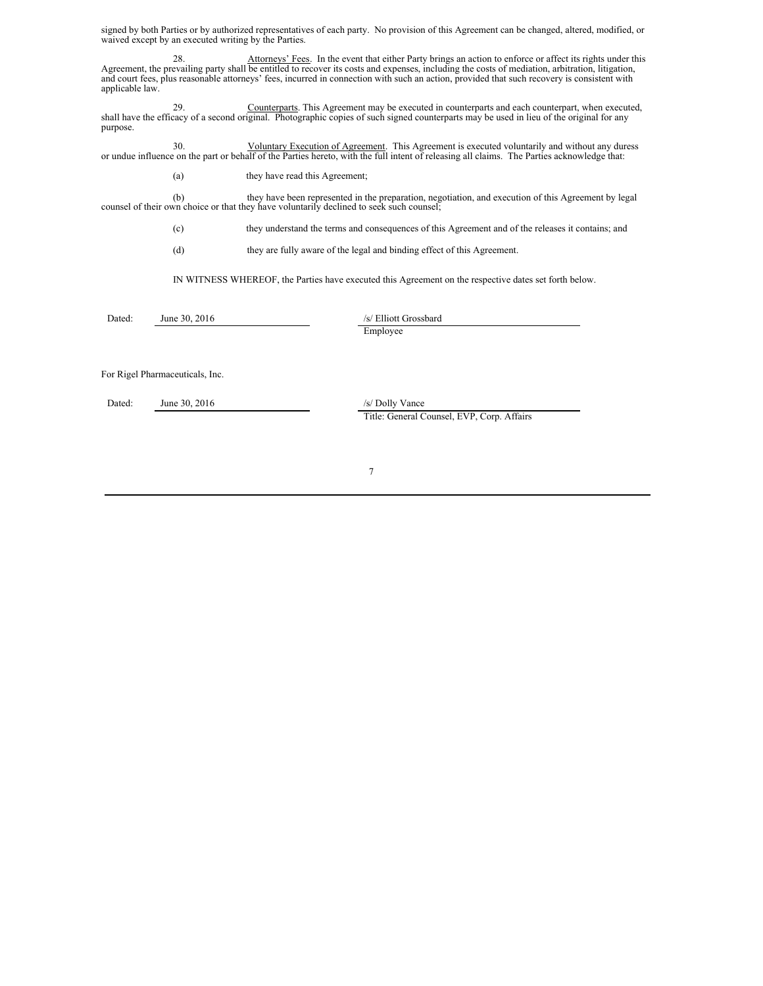signed by both Parties or by authorized representatives of each party. No provision of this Agreement can be changed, altered, modified, or waived except by an executed writing by the Parties.

28. Attorneys' Fees. In the event that either Party brings an action to enforce or affect its rights under this Agreement, the prevailing party shall be entitled to recover its costs and expenses, including the costs of me and court fees, plus reasonable attorneys' fees, incurred in connection with such an action, provided that such recovery is consistent with applicable law.

29. Counterparts. This Agreement may be executed in counterparts and each counterpart, when executed, shall have the efficacy of a second original. Photographic copies of such signed counterparts may be used in lieu of the original for any purpose.

30. Voluntary Execution of Agreement. This Agreement is executed voluntarily and without any duress or undue influence on the part or behalf of the Parties hereto, with the full intent of releasing all claims. The Parties acknowledge that:

(a) they have read this Agreement;

(b) they have been represented in the preparation, negotiation, and execution of this Agreement by legal counsel of their own choice or that they have voluntarily declined to seek such counsel;

(c) they understand the terms and consequences of this Agreement and of the releases it contains; and

(d) they are fully aware of the legal and binding effect of this Agreement.

IN WITNESS WHEREOF, the Parties have executed this Agreement on the respective dates set forth below.

Dated: June 30, 2016 /s/ Elliott Grossbard

Employee

For Rigel Pharmaceuticals, Inc.

Dated: June 30, 2016 /s/ Dolly Vance

Title: General Counsel, EVP, Corp. Affairs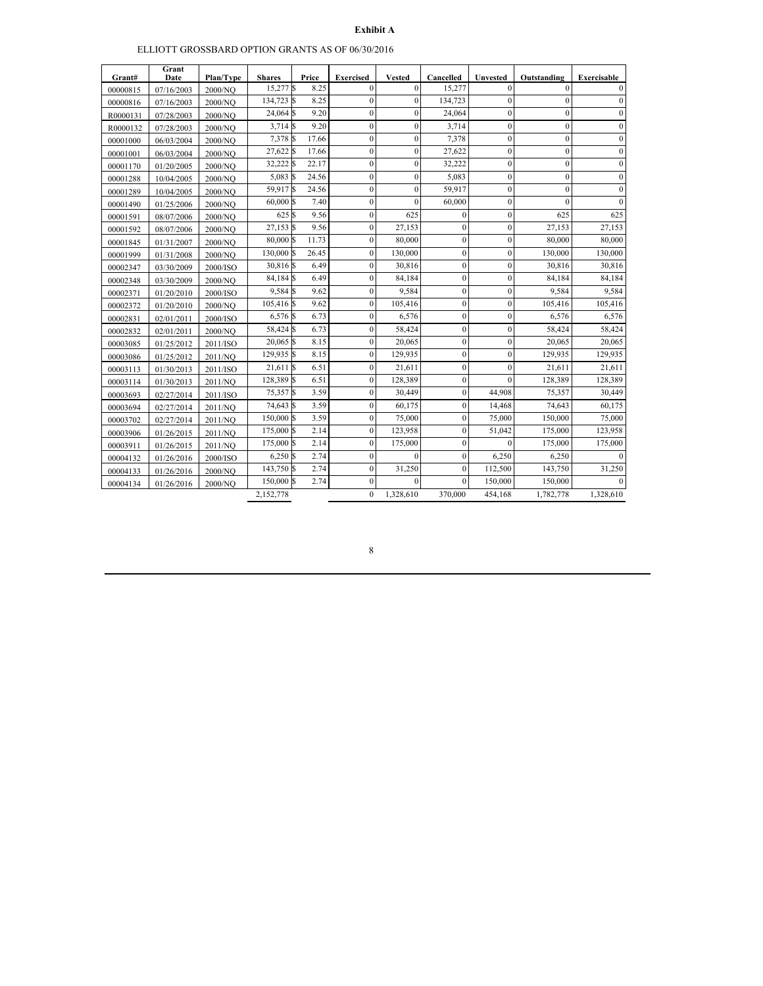# **Exhibit A**

# ELLIOTT GROSSBARD OPTION GRANTS AS OF 06/30/2016

| Grant#   | Grant<br>Date | Plan/Type | <b>Shares</b>       | Price | <b>Exercised</b> | <b>Vested</b> | Cancelled      | <b>Unvested</b> | Outstanding  | Exercisable |
|----------|---------------|-----------|---------------------|-------|------------------|---------------|----------------|-----------------|--------------|-------------|
| 00000815 | 07/16/2003    | 2000/NO   | 15,277 \$           | 8.25  | $\mathbf{0}$     | $\Omega$      | 15,277         | $\theta$        | $\theta$     |             |
| 00000816 | 07/16/2003    | 2000/NO   | 134,723 \$          | 8.25  | $\mathbf{0}$     | $\mathbf{0}$  | 134,723        | $\mathbf{0}$    | $\mathbf{0}$ | $\Omega$    |
| R0000131 | 07/28/2003    | 2000/NO   | 24,064 \$           | 9.20  | $\mathbf{0}$     | $\Omega$      | 24.064         | $\theta$        | $\theta$     |             |
| R0000132 | 07/28/2003    | 2000/NO   | 3,714 S             | 9.20  | $\mathbf{0}$     | $\Omega$      | 3,714          | $\theta$        | $\Omega$     |             |
| 00001000 | 06/03/2004    | 2000/NO   | 7,378 S             | 17.66 | $\mathbf{0}$     | $\mathbf{0}$  | 7,378          | $\mathbf{0}$    | $\mathbf{0}$ | $\theta$    |
| 00001001 | 06/03/2004    | 2000/NO   | 27,622 \$           | 17.66 | $\mathbf{0}$     | $\mathbf{0}$  | 27,622         | $\mathbf{0}$    | $\mathbf{0}$ | $\Omega$    |
| 00001170 | 01/20/2005    | 2000/NQ   | 32,222 S            | 22.17 | $\mathbf{0}$     | $\mathbf{0}$  | 32,222         | $\mathbf{0}$    | $\mathbf{0}$ | $\Omega$    |
| 00001288 | 10/04/2005    | 2000/NO   | 5.083 \$            | 24.56 | $\mathbf{0}$     | $\theta$      | 5.083          | $\overline{0}$  | $\theta$     | $\Omega$    |
| 00001289 | 10/04/2005    | 2000/NO   | 59.917 <sub>S</sub> | 24.56 | $\mathbf{0}$     | $\mathbf{0}$  | 59,917         | $\mathbf{0}$    | $\mathbf{0}$ | $\Omega$    |
| 00001490 | 01/25/2006    | 2000/NO   | $60,000$ $\$\$      | 7.40  | $\mathbf{0}$     | $\theta$      | 60,000         | $\theta$        | $\theta$     |             |
| 00001591 | 08/07/2006    | 2000/NO   | 625 \$              | 9.56  | $\mathbf{0}$     | 625           | $\theta$       | $\theta$        | 625          | 625         |
| 00001592 | 08/07/2006    | 2000/NO   | 27,153 \$           | 9.56  | $\boldsymbol{0}$ | 27,153        | $\theta$       | $\mathbf{0}$    | 27,153       | 27,153      |
| 00001845 | 01/31/2007    | 2000/NO   | 80,000 \$           | 11.73 | $\boldsymbol{0}$ | 80,000        | $\mathbf{0}$   | $\mathbf{0}$    | 80,000       | 80,000      |
| 00001999 | 01/31/2008    | 2000/NQ   | 130,000 \$          | 26.45 | $\boldsymbol{0}$ | 130,000       | $\mathbf{0}$   | $\theta$        | 130,000      | 130,000     |
| 00002347 | 03/30/2009    | 2000/ISO  | 30.816 <sup>S</sup> | 6.49  | $\mathbf{0}$     | 30,816        | $\overline{0}$ | $\mathbf{0}$    | 30.816       | 30.816      |
| 00002348 | 03/30/2009    | 2000/NO   | 84,184 \$           | 6.49  | $\mathbf{0}$     | 84,184        | $\mathbf{0}$   | $\mathbf{0}$    | 84.184       | 84,184      |
| 00002371 | 01/20/2010    | 2000/ISO  | 9.584 S             | 9.62  | $\mathbf{0}$     | 9,584         | $\theta$       | $\theta$        | 9,584        | 9,584       |
| 00002372 | 01/20/2010    | 2000/NO   | 105,416 \$          | 9.62  | $\boldsymbol{0}$ | 105,416       | $\mathbf{0}$   | $\mathbf{0}$    | 105,416      | 105,416     |
| 00002831 | 02/01/2011    | 2000/ISO  | 6,576 \$            | 6.73  | $\boldsymbol{0}$ | 6,576         | $\overline{0}$ | $\mathbf{0}$    | 6,576        | 6,576       |
| 00002832 | 02/01/2011    | 2000/NO   | 58,424 \$           | 6.73  | $\boldsymbol{0}$ | 58,424        | $\mathbf{0}$   | $\mathbf{0}$    | 58,424       | 58,424      |
| 00003085 | 01/25/2012    | 2011/ISO  | 20,065 \$           | 8.15  | $\mathbf{0}$     | 20,065        | $\theta$       | $\theta$        | 20,065       | 20,065      |
| 00003086 | 01/25/2012    | 2011/NO   | 129.935 \$          | 8.15  | $\mathbf{0}$     | 129,935       | $\theta$       | $\theta$        | 129.935      | 129,935     |
| 00003113 | 01/30/2013    | 2011/ISO  | 21,611 \$           | 6.51  | $\mathbf{0}$     | 21,611        | $\theta$       | $\theta$        | 21,611       | 21,611      |
| 00003114 | 01/30/2013    | 2011/NO   | 128,389 \$          | 6.51  | $\mathbf{0}$     | 128,389       | $\theta$       | $\theta$        | 128,389      | 128,389     |
| 00003693 | 02/27/2014    | 2011/ISO  | 75,357 \$           | 3.59  | $\mathbf{0}$     | 30,449        | $\mathbf{0}$   | 44.908          | 75,357       | 30,449      |
| 00003694 | 02/27/2014    | 2011/NO   | 74,643 \$           | 3.59  | $\boldsymbol{0}$ | 60,175        | $\overline{0}$ | 14,468          | 74,643       | 60,175      |
| 00003702 | 02/27/2014    | 2011/NO   | 150,000 \$          | 3.59  | $\mathbf{0}$     | 75,000        | $\mathbf{0}$   | 75,000          | 150,000      | 75,000      |
| 00003906 | 01/26/2015    | 2011/NO   | 175,000 \$          | 2.14  | $\mathbf{0}$     | 123,958       | $\mathbf{0}$   | 51,042          | 175,000      | 123,958     |
| 00003911 | 01/26/2015    | 2011/NQ   | 175,000 \$          | 2.14  | $\mathbf{0}$     | 175,000       | $\theta$       | $\Omega$        | 175,000      | 175,000     |
| 00004132 | 01/26/2016    | 2000/ISO  | 6,250 \$            | 2.74  | $\mathbf{0}$     | $\theta$      | $\theta$       | 6,250           | 6,250        |             |
| 00004133 | 01/26/2016    | 2000/NO   | 143,750 \$          | 2.74  | $\boldsymbol{0}$ | 31,250        | $\mathbf{0}$   | 112,500         | 143,750      | 31,250      |
| 00004134 | 01/26/2016    | 2000/NQ   | 150,000 \$          | 2.74  | $\mathbf{0}$     | $\Omega$      | $\theta$       | 150,000         | 150,000      |             |
|          |               |           | 2,152,778           |       | $\mathbf{0}$     | 1,328,610     | 370,000        | 454,168         | 1,782,778    | 1,328,610   |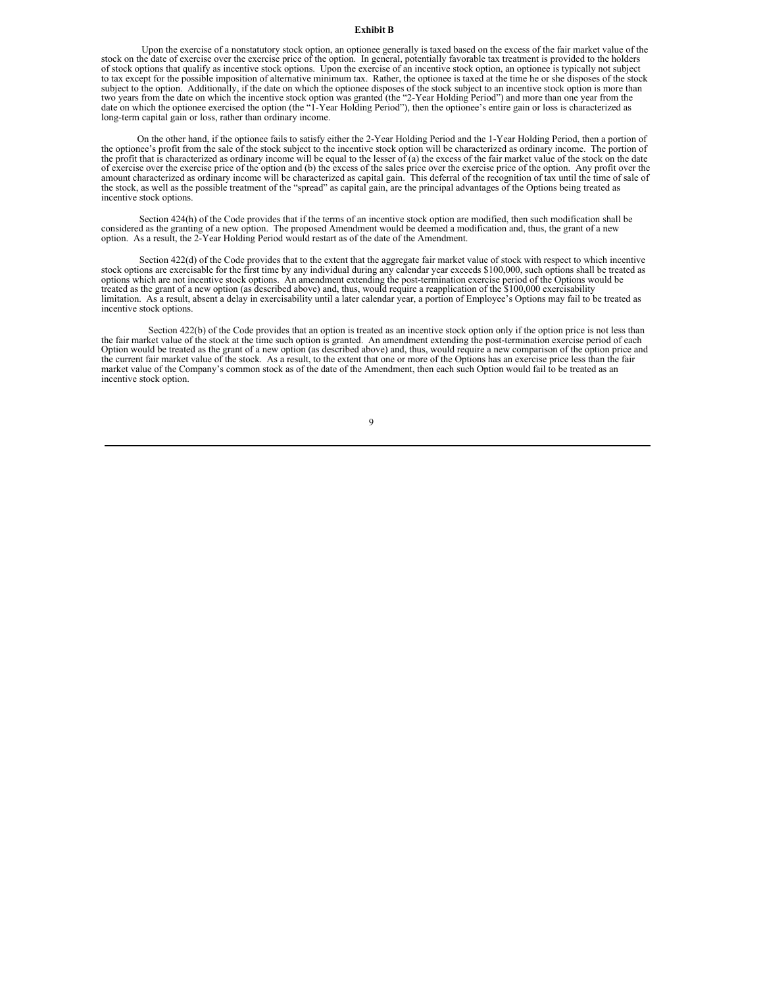## **Exhibit B**

Upon the exercise of a nonstatutory stock option, an optionee generally is taxed based on the excess of the fair market value of the stock on the date of exercise over the exercise price of the option. In general, potentially favorable tax treatment is provided to the holders of stock options that qualify as incentive stock options. Upon the exercise of an incentive stock option, an optionee is typically not subject to tax except for the possible imposition of alternative minimum tax. Rather, the optionee is taxed at the time he or she disposes of the stock subject to the option. Additionally, if the date on which the optionee disposes of the stock subject to an incentive stock option is more than<br>two years from the date on which the incentive stock option was granted (the "2 date on which the optionee exercised the option (the "1-Year Holding Period"), then the optionee's entire gain or loss is characterized as long-term capital gain or loss, rather than ordinary income.

On the other hand, if the optionee fails to satisfy either the 2-Year Holding Period and the 1-Year Holding Period, then a portion of the optionee's profit from the sale of the stock subject to the incentive stock option w the profit that is characterized as ordinary income will be equal to the lesser of (a) the excess of the fair market value of the stock on the date of exercise over the exercise price of the option and (b) the excess of the sales price over the exercise price of the option. Any profit over the amount characterized as ordinary income will be characterized as capital ga incentive stock options.

Section 424(h) of the Code provides that if the terms of an incentive stock option are modified, then such modification shall be considered as the granting of a new option. The proposed Amendment would be deemed a modification and, thus, the grant of a new option. As a result, the 2-Year Holding Period would restart as of the date of the Amendment.

Section 422(d) of the Code provides that to the extent that the aggregate fair market value of stock with respect to which incentive<br>stock options are exercisable for the first time by any individual during any calendar ye options which are not incentive stock options. An amendment extending the post-termination exercise period of the Options would be treated as the grant of a new option (as described above) and, thus, would require a reappl limitation. As a result, absent a delay in exercisability until a later calendar year, a portion of Employee's Options may fail to be treated as incentive stock options.

Section 422(b) of the Code provides that an option is treated as an incentive stock option only if the option price is not less than the fair market value of the stock at the time such option is granted. An amendment extending the post-termination exercise period of each Option would be treated as the grant of a new option (as described above) and, thus, would require a new comparison of the option price and<br>the current fair market value of the stock. As a result, to the extent that one or market value of the Company's common stock as of the date of the Amendment, then each such Option would fail to be treated as an incentive stock option.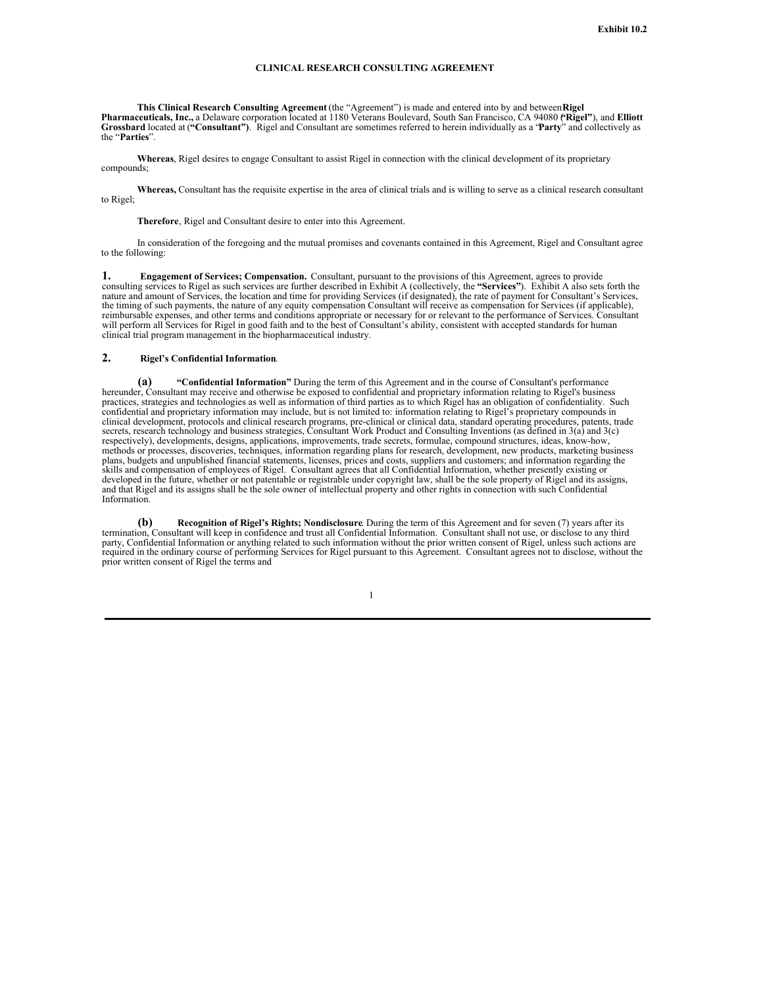# **CLINICAL RESEARCH CONSULTING AGREEMENT**

**This Clinical Research Consulting Agreement** (the "Agreement") is made and entered into by and between**Rigel Pharmaceuticals, Inc.,** a Delaware corporation located at 1180 Veterans Boulevard, South San Francisco, CA 94080 (**"Rigel"**), and **Elliott Grossbard** located at (**"Consultant")**. Rigel and Consultant are sometimes referred to herein individually as a "**Party**" and collectively as the "**Parties**".

**Whereas**, Rigel desires to engage Consultant to assist Rigel in connection with the clinical development of its proprietary compounds;

**Whereas,** Consultant has the requisite expertise in the area of clinical trials and is willing to serve as a clinical research consultant to Rigel;

**Therefore**, Rigel and Consultant desire to enter into this Agreement.

In consideration of the foregoing and the mutual promises and covenants contained in this Agreement, Rigel and Consultant agree to the following:

1. Engagement of Services; Compensation. Consultant, pursuant to the provisions of this Agreement, agrees to provide<br>consulting services to Rigel as such services are further described in Exhibit A (collectively, the "Serv nature and amount of Services, the location and time for providing Services (if designated), the rate of payment for Consultant's Services, the timing of such payments, the nature of any equity compensation Consultant will receive as compensation for Services (if applicable), reimbursable expenses, and other terms and conditions appropriate or necessary for or relevant to the performance of Services. Consultant will perform all Services for Rigel in good faith and to the best of Consultant's ability, consistent with accepted standards for human clinical trial program management in the biopharmaceutical industry.

# **2. Rigel's Confidential Information**.

**(a) "Confidential Information"** During the term of this Agreement and in the course of Consultant's performance hereunder, Consultant may receive and otherwise be exposed to confidential and proprietary information relating to Rigel's business practices, strategies and technologies as well as information of third parties as to which Rigel has an obligation of confidentiality. Such confidentiality. Such confidential and proprietary information may include, but is clinical development, protocols and clinical research programs, pre-clinical or clinical data, standard operating procedures, patents, trade<br>secrets, research technology and business strategies, Consultant Work Product and respectively), developments, designs, applications, improvements, trade secrets, formulae, compound structures, ideas, know-how, methods or processes, discoveries, techniques, information regarding plans for research, development, new products, marketing business plans, budgets and unpublished financial statements, licenses, prices and costs, suppliers and customers; and information regarding the skills and compensation of employees of Rigel. Consultant agrees that all Confidential Information, whether presently existing or developed in the future, whether or not patentable or registrable under copyright law, shall be the sole property of Rigel and its assigns, and that Rigel and its assigns shall be the sole owner of intellectual property and other rights in connection with such Confidential Information.

(b) Recognition of Rigel's Rights; Nondisclosure. During the term of this Agreement and for seven (7) years after its termination, Consultant will keep in confidence and trust all Confidential Information. Consultant shall party, Confidential Information or anything related to such information without the prior written consent of Rigel, unless such actions are required in the ordinary course of performing Services for Rigel pursuant to this Agreement. Consultant agrees not to disclose, without the prior written consent of Rigel the terms and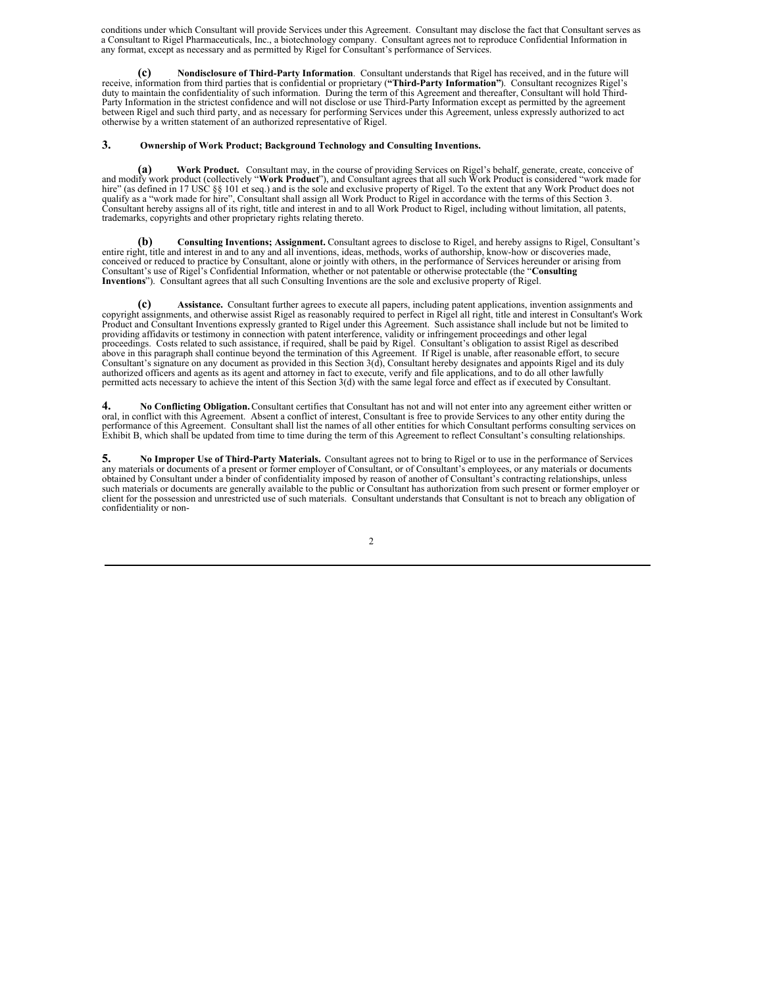conditions under which Consultant will provide Services under this Agreement. Consultant may disclose the fact that Consultant serves as<br>a Consultant to Rigel Pharmaceuticals, Inc., a biotechnology company. Consultant agre

**(c) Nondisclosure of Third-Party Information**. Consultant understands that Rigel has received, and in the future will receive, information from third parties that is confidential or proprietary (**"Third-Party Information"**). Consultant recognizes Rigel's duty to maintain the confidentiality of such information. During the term of this Agreement and thereafter, Consultant will hold Third-Party Information in the strictest confidence and will not disclose or use Third-Party Information except as permitted by the agreement between Rigel and such third party, and as necessary for performing Services under this Agreement, unless expressly authorized to act otherwise by a written statement of an authorized representative of Rigel.

# **3. Ownership of Work Product; Background Technology and Consulting Inventions.**

**(a) Work Product.** Consultant may, in the course of providing Services on Rigel's behalf, generate, create, conceive of and modify work product (collectively "**Work Product**"), and Consultant agrees that all such Work Product is considered "work made for hire" (as defined in 17 USC §§ 101 et seq.) and is the sole and exclusive property of Rigel. To the extent that any Work Product does not qualify as a "work made for hire", Consultant shall assign all Work Product to Rigel Consultant hereby assigns all of its right, title and interest in and to all Work Product to Rigel, including without limitation, all patents, trademarks, copyrights and other proprietary rights relating thereto.

**(b) Consulting Inventions; Assignment.** Consultant agrees to disclose to Rigel, and hereby assigns to Rigel, Consultant's entire right, title and interest in and to any and all inventions, ideas, methods, works of authorship, know-how or discoveries made, conceived or reduced to practice by Consultant, alone or jointly with others, in the performance of Services hereunder or arising from Consultant's use of Rigel's Confidential Information, whether or not patentable or otherwise protectable (the "**Consulting Inventions**"). Consultant agrees that all such Consulting Inventions are the sole and exclusive property of Rigel.

(c) Assistance. Consultant further agrees to execute all papers, including patent applications, invention assignments and copyright assignments, and otherwise assist Rigel as reasonably required to perfect in Rigel all rig Product and Consultant Inventions expressly granted to Rigel under this Agreement. Such assistance shall include but not be limited to providing affidavits or testimony in connection with patent interference, validity or infringement proceedings and other legal proceedings. Costs related to such assistance, if required, shall be paid by Rigel. Consultant's obligation to assist Rigel as described<br>above in this paragraph shall continue beyond the termination of this Agreement. If R Consultant's signature on any document as provided in this Section 3(d), Consultant hereby designates and appoints Rigel and its duly authorized officers and agents as its agent and attorney in fact to execute, verify and file applications, and to do all other lawfully permitted acts necessary to achieve the intent of this Section 3(d) with the same legal force and effect as if executed by Consultant.

**4. No Conflicting Obligation.**Consultant certifies that Consultant has not and will not enter into any agreement either written or oral, in conflict with this Agreement. Absent a conflict of interest, Consultant is free to provide Services to any other entity during the performance of this Agreement. Consultant shall list the names of all other entities for which Consultant performs consulting services on<br>Exhibit B, which shall be updated from time to time during the term of this Agreemen

**5. No Improper Use of Third-Party Materials.** Consultant agrees not to bring to Rigel or to use in the performance of Services any materials or documents of a present or former employer of Consultant, or of Consultant's employees, or any materials or documents obtained by Consultant under a binder of confidentiality imposed by reason of another of Consultant's contracting relationships, unless such materials or documents are generally available to the public or Consultant has authorization from such present or former employer or client for the possession and unrestricted use of such materials. Consultant understands that Consultant is not to breach any obligation of confidentiality or non-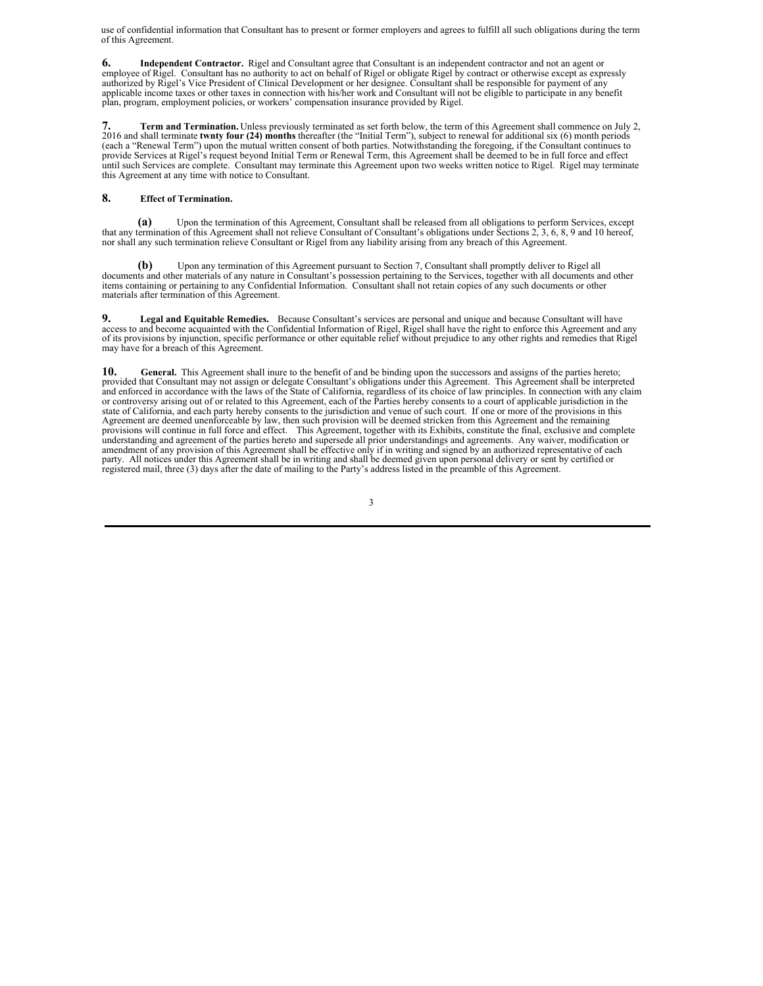use of confidential information that Consultant has to present or former employers and agrees to fulfill all such obligations during the term of this Agreement.

**6.** Independent Contractor. Rigel and Consultant agree that Consultant is an independent contractor and not an agent or employee of Rigel. Consultant has no authority to act on behalf of Rigel or obligate Rigel by contract or otherwise except as expressly<br>authorized by Rigel's Vice President of Clinical Development or her designee. Consulta applicable income taxes or other taxes in connection with his/her work and Consultant will not be eligible to participate in any benefit plan, program, employment policies, or workers' compensation insurance provided by Rigel.

7. Term and Termination. Unless previously terminated as set forth below, the term of this Agreement shall commence on July 2, 2016 and shall terminate twnty four (24) months thereafter (the "Initial Term"), subject to ren (each a "Renewal Term") upon the mutual written consent of both parties. Notwithstanding the foregoing, if the Consultant continues to<br>provide Services at Rigel's request beyond Initial Term or Renewal Term, this Agreement until such Services are complete. Consultant may terminate this Agreement upon two weeks written notice to Rigel. Rigel may terminate this Agreement at any time with notice to Consultant.

# **8. Effect of Termination.**

**(a)** Upon the termination of this Agreement, Consultant shall be released from all obligations to perform Services, except that any termination of this Agreement shall not relieve Consultant of Consultant's obligations under Sections 2, 3, 6, 8, 9 and 10 hereof, nor shall any such termination relieve Consultant or Rigel from any liability arising from any breach of this Agreement.

**(b)** Upon any termination of this Agreement pursuant to Section 7, Consultant shall promptly deliver to Rigel all documents and other materials of any nature in Consultant's possession pertaining to the Services, together with all documents and other items containing or pertaining to any Confidential Information. Consultant shall not retain copies of any such documents or other materials after termination of this Agreement.

**9. Legal and Equitable Remedies.** Because Consultant's services are personal and unique and because Consultant will have access to and become acquainted with the Confidential Information of Rigel, Rigel shall have the right to enforce this Agreement and any of its provisions by injunction, specific performance or other equitable relief without prejudice to any other rights and remedies that Rigel may have for a breach of this Agreement.

**10. General.** This Agreement shall inure to the benefit of and be binding upon the successors and assigns of the parties hereto; provided that Consultant may not assign or delegate Consultant's obligations under this Agreement. This Agreement shall be interpreted and enforced in accordance with the laws of the State of California, regardless of its choice of law principles. In connection with any claim or controversy arising out of or related to this Agreement, each of the Parties hereby consents to a court of applicable jurisdiction in the state of California, and each party hereby consents to the jurisdiction and venue of such court. If one or more of the provisions in this Agreement are deemed unenforceable by law, then such provision will be deemed stricken from this Agreement and the remaining provisions will continue in full force and effect. This Agreement, together with its Exhibits, constitute the final, exclusive and complete nderstanding and agreement of the parties hereto and supersede all prior understandings and agreements. Any waiver, modification or amendment of any provision of this Agreement shall be effective only if in writing and sig party. All notices under this Agreement shall be in writing and shall be deemed given upon personal delivery or sent by certified or registered mail, three (3) days after the date of mailing to the Party's address listed in the preamble of this Agreement.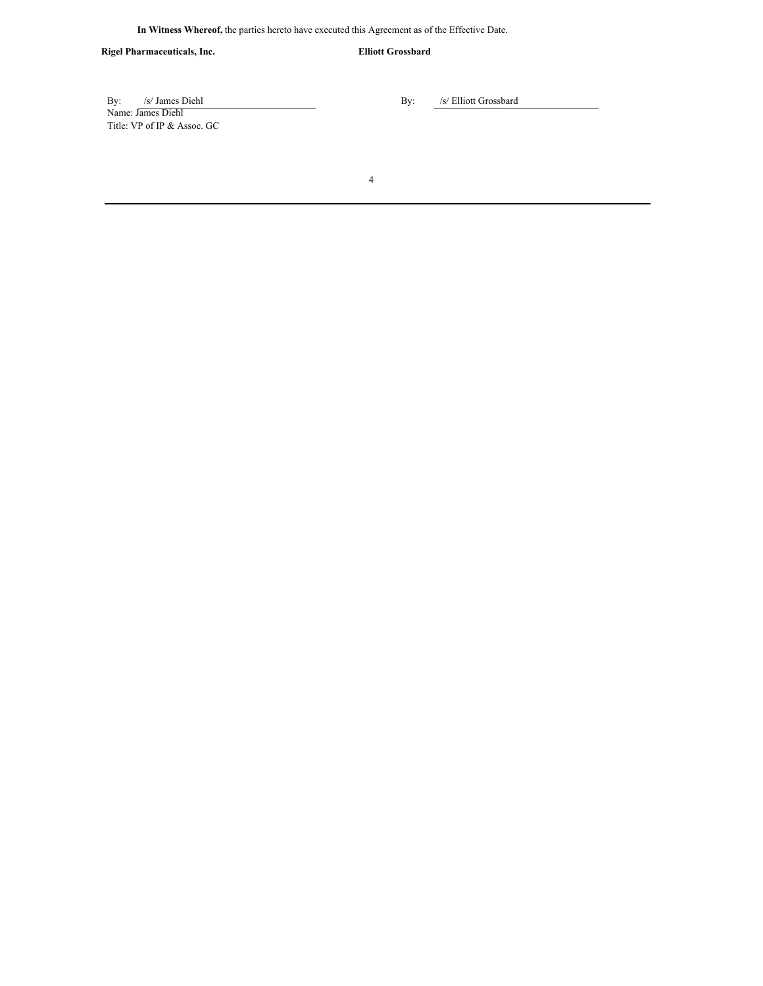**In Witness Whereof,** the parties hereto have executed this Agreement as of the Effective Date.

**Rigel Pharmaceuticals, Inc. Elliott Grossbard**

By: /s/ James Diehl By: /s/ Elliott Grossbard Name: James Diehl Title: VP of IP & Assoc. GC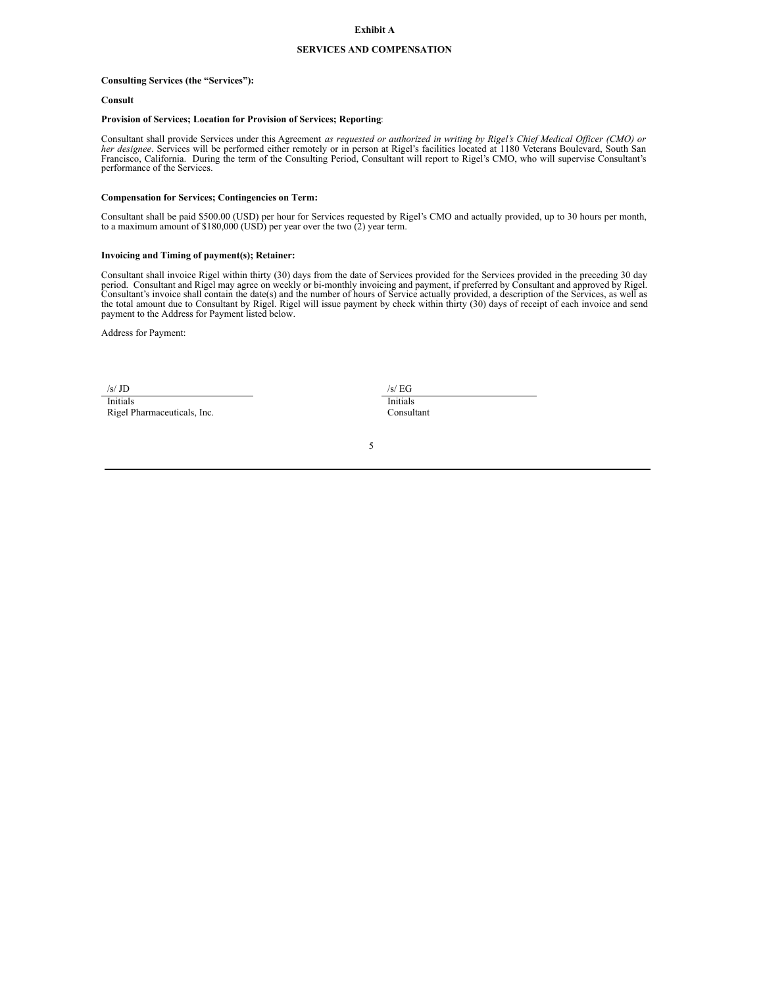# **SERVICES AND COMPENSATION**

# **Consulting Services (the "Services"):**

#### **Consult**

#### **Provision of Services; Location for Provision of Services; Reporting**:

Consultant shall provide Services under this Agreement as requested or authorized in writing by Rigel's Chief Medical Officer (CMO) or her designee. Services will be performed either remotely or in person at Rigel's facilities located at 1180 Veterans Boulevard, South San<br>Francisco, California. During the term of the Consulting Period, Consultant will rep performance of the Services.

# **Compensation for Services; Contingencies on Term:**

Consultant shall be paid \$500.00 (USD) per hour for Services requested by Rigel's CMO and actually provided, up to 30 hours per month, to a maximum amount of \$180,000 (USD) per year over the two (2) year term.

#### **Invoicing and Timing of payment(s); Retainer:**

Consultant shall invoice Rigel within thirty (30) days from the date of Services provided for the Services provided in the preceding 30 day period. Consultant and Rigel may agree on weekly or bi-monthly invoicing and payment, if preferred by Consultant and approved by Rigel.<br>Consultant's invoice shall contain the date(s) and the number of hours of Service actu the total amount due to Consultant by Rigel. Rigel will issue payment by check within thirty (30) days of receipt of each invoice and send payment to the Address for Payment listed below.

Address for Payment:

 $\sqrt{s}/\sqrt{g}$  /s/ EG Initials Initials Rigel Pharmaceuticals, Inc. Consultant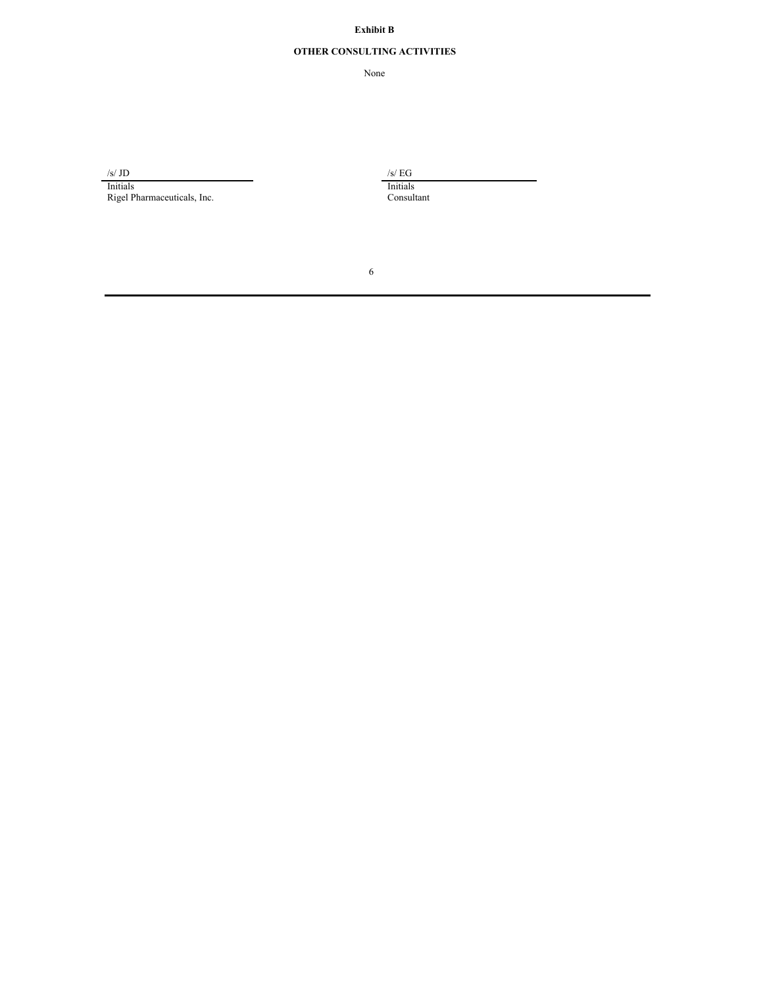# **Exhibit B**

# **OTHER CONSULTING ACTIVITIES**

None

 $\frac{1}{s}$ /s/ JD  $\frac{1}{s}$  Initials Rigel Pharmaceuticals, Inc.

Initials<br>
Consultant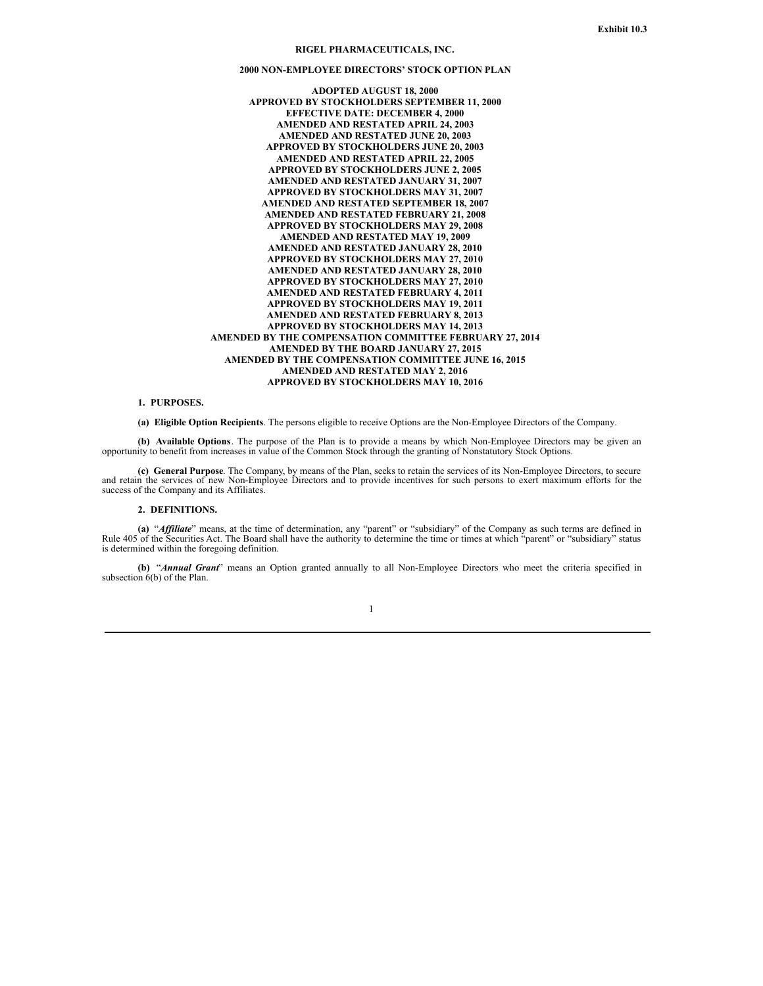# **RIGEL PHARMACEUTICALS, INC.**

# **2000 NON-EMPLOYEE DIRECTORS' STOCK OPTION PLAN**



# **1. PURPOSES.**

**(a) Eligible Option Recipients**. The persons eligible to receive Options are the Non-Employee Directors of the Company.

**(b) Available Options**. The purpose of the Plan is to provide a means by which Non-Employee Directors may be given an opportunity to benefit from increases in value of the Common Stock through the granting of Nonstatutory Stock Options.

(c) General Purpose. The Company, by means of the Plan, seeks to retain the services of its Non-Employee Directors, to secure<br>and retain the services of new Non-Employee Directors and to provide incentives for such persons success of the Company and its Affiliates.

#### **2. DEFINITIONS.**

(a) "*Affiliate*" means, at the time of determination, any "parent" or "subsidiary" of the Company as such terms are defined in Rule 405 of the Securities Act. The Board shall have the authority to determine the time or ti is determined within the foregoing definition.

**(b)** "*Annual Grant*" means an Option granted annually to all Non-Employee Directors who meet the criteria specified in subsection 6(b) of the Plan.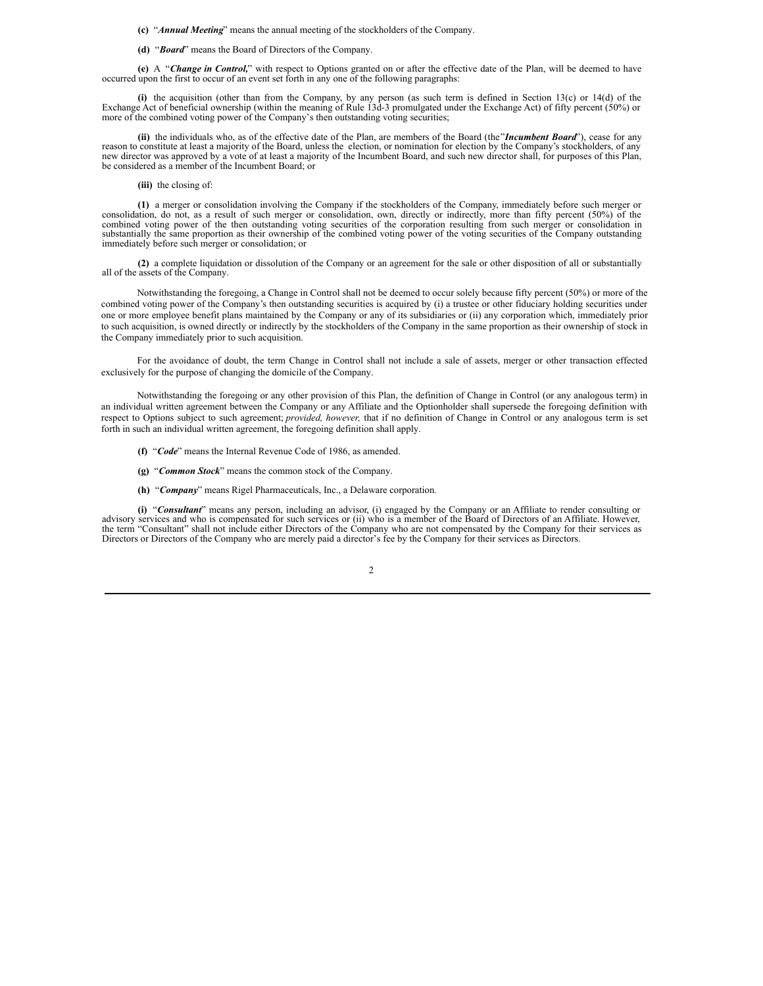- **(c)** "*Annual Meeting*" means the annual meeting of the stockholders of the Company.
- **(d)** "*Board*" means the Board of Directors of the Company.

**(e)** A "*Change in Control,*" with respect to Options granted on or after the effective date of the Plan, will be deemed to have occurred upon the first to occur of an event set forth in any one of the following paragraphs:

**(i)** the acquisition (other than from the Company, by any person (as such term is defined in Section 13(c) or 14(d) of the Exchange Act of beneficial ownership (within the meaning of Rule 13d-3 promulgated under the Exchange Act) of fifty percent (50%) or more of the combined voting power of the Company's then outstanding voting securities;

**(ii)** the individuals who, as of the effective date of the Plan, are members of the Board (the"*Incumbent Board*"), cease for any reason to constitute at least a majority of the Board, unless the election, or nomination for election by the Company's stockholders, of any new director was approved by a vote of at least a majority of the Incumbent Board, and such new director shall, for purposes of this Plan, be considered as a member of the Incumbent Board; or

#### **(iii)** the closing of:

(1) a merger or consolidation involving the Company if the stockholders of the Company, immediately before such merger or consolidation, do not, as a result of such merger or consolidation, own, directly or indirectly, mor combined voting power of the then outstanding voting securities of the corporation resulting from such merger or consolidation in<br>substantially the same proportion as their ownership of the combined voting power of the vot immediately before such merger or consolidation; or

**(2)** a complete liquidation or dissolution of the Company or an agreement for the sale or other disposition of all or substantially all of the assets of the Company.

Notwithstanding the foregoing, a Change in Control shall not be deemed to occur solely because fifty percent (50%) or more of the combined voting power of the Company's then outstanding securities is acquired by (i) a trustee or other fiduciary holding securities under one or more employee benefit plans maintained by the Company or any of its subsidiaries or (ii) any corporation which, immediately prior to such acquisition, is owned directly or indirectly by the stockholders of the Company in the same proportion as their ownership of stock in the Company immediately prior to such acquisition.

For the avoidance of doubt, the term Change in Control shall not include a sale of assets, merger or other transaction effected exclusively for the purpose of changing the domicile of the Company.

Notwithstanding the foregoing or any other provision of this Plan, the definition of Change in Control (or any analogous term) in an individual written agreement between the Company or any Affiliate and the Optionholder shall supersede the foregoing definition with respect to Options subject to such agreement; *provided, however,* that if no definition of Change in Control or any analogous term is set forth in such an individual written agreement, the foregoing definition shall apply.

- **(f)** "*Code*" means the Internal Revenue Code of 1986, as amended.
- **(g)** "*Common Stock*" means the common stock of the Company.
- **(h)** "*Company*" means Rigel Pharmaceuticals, Inc., a Delaware corporation.

**(i)** "*Consultant*" means any person, including an advisor, (i) engaged by the Company or an Affiliate to render consulting or advisory services and who is compensated for such services or (ii) who is a member of the Board of Directors of an Affiliate. However, the term "Consultant" shall not include either Directors of the Company who are not compensated by the Company for their services as Directors or Directors of the Company who are merely paid a director's fee by the Company for their services as Directors.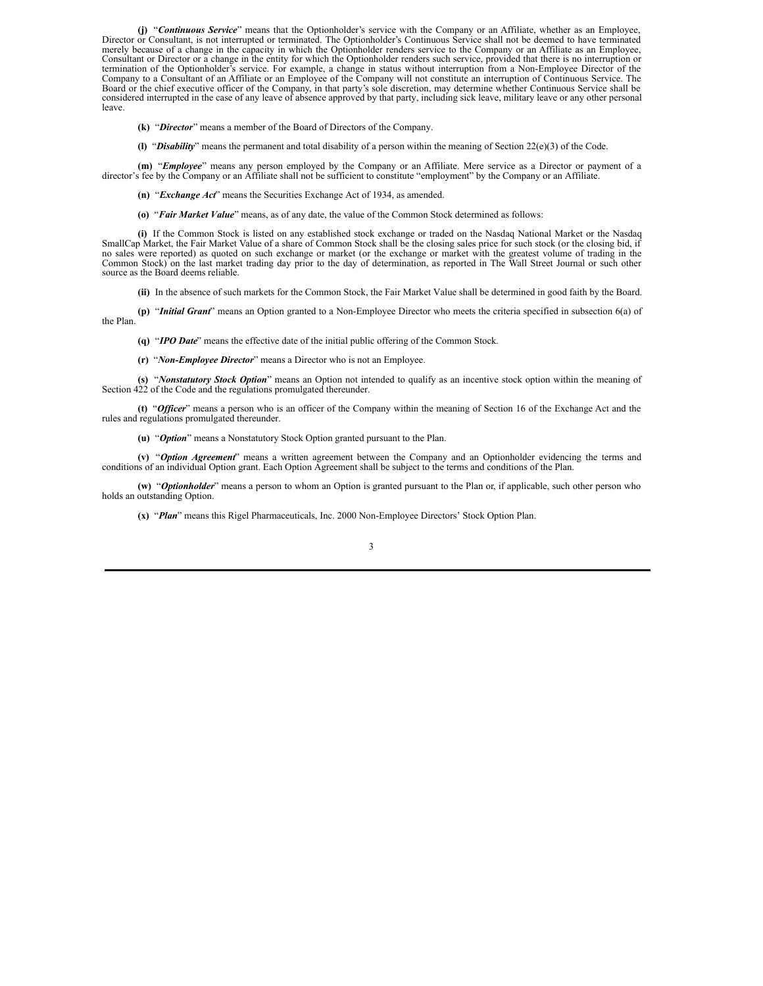(j) "Continuous Service" means that the Optionholder's service with the Company or an Affiliate, whether as an Employee,<br>Director or Consultant, is not interrupted or terminated. The Optionholder's Continuous Service shall merely because of a change in the capacity in which the Optionholder renders service to the Company or an Affiliate as an Employee, Consultant or Director or a change in the entity for which the Optionholder renders such service, provided that there is no interruption or termination of the Optionholder's service. For example, a change in status without interruption from a Non-Employee Director of the Company to a Consultant of an Affiliate or an Employee of the Company will not constitute an interruption of Continuous Service. The Board or the chief executive officer of the Company, in that party's sole discretion, may determine whether Continuous Service shall be considered interrupted in the case of any leave of absence approved by that party, including sick leave, military leave or any other personal leave.

- **(k)** "*Director*" means a member of the Board of Directors of the Company.
- **(l)** "*Disability*" means the permanent and total disability of a person within the meaning of Section 22(e)(3) of the Code.

**(m)** "*Employee*" means any person employed by the Company or an Affiliate. Mere service as a Director or payment of a director's fee by the Company or an Affiliate shall not be sufficient to constitute "employment" by the Company or an Affiliate.

- **(n)** "*Exchange Act*" means the Securities Exchange Act of 1934, as amended.
- **(o)** "*Fair Market Value*" means, as of any date, the value of the Common Stock determined as follows:

(i) If the Common Stock is listed on any established stock exchange or traded on the Nasdaq National Market or the Nasdaq<br>SmallCap Market, the Fair Market Value of a share of Common Stock shall be the closing sales price f no sales were reported) as quoted on such exchange or market (or the exchange or market with the greatest volume of trading in the<br>Common Stock) on the last market trading day prior to the day of determination, as reported source as the Board deems reliable.

**(ii)** In the absence of such markets for the Common Stock, the Fair Market Value shall be determined in good faith by the Board.

**(p)** "*Initial Grant*" means an Option granted to a Non-Employee Director who meets the criteria specified in subsection 6(a) of the Plan.

- **(q)** "*IPO Date*" means the effective date of the initial public offering of the Common Stock.
- **(r)** "*Non-Employee Director*" means a Director who is not an Employee.

**(s)** "*Nonstatutory Stock Option*" means an Option not intended to qualify as an incentive stock option within the meaning of Section 422 of the Code and the regulations promulgated thereunder.

**(t)** "*Of icer*" means a person who is an officer of the Company within the meaning of Section 16 of the Exchange Act and the rules and regulations promulgated thereunder.

**(u)** "*Option*" means a Nonstatutory Stock Option granted pursuant to the Plan.

**(v)** "*Option Agreement*" means a written agreement between the Company and an Optionholder evidencing the terms and conditions of an individual Option grant. Each Option Agreement shall be subject to the terms and conditions of the Plan.

**(w)** "*Optionholder*" means a person to whom an Option is granted pursuant to the Plan or, if applicable, such other person who holds an outstanding Option.

**(x)** "*Plan*" means this Rigel Pharmaceuticals, Inc. 2000 Non-Employee Directors' Stock Option Plan.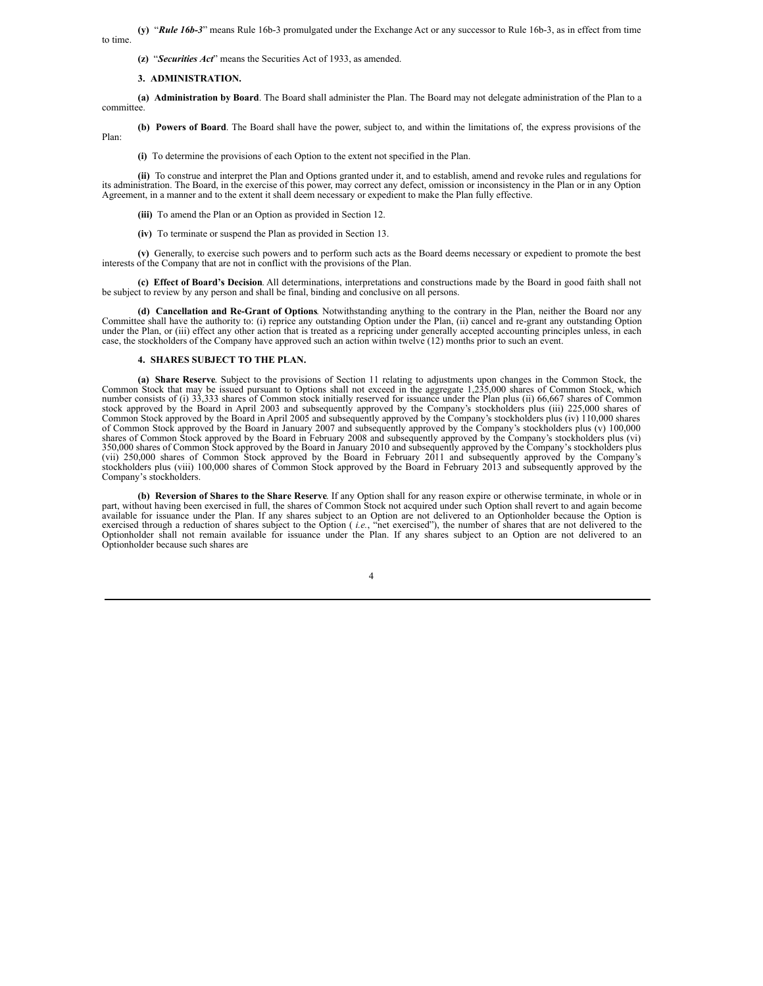**(y)** "*Rule 16b-3*" means Rule 16b-3 promulgated under the Exchange Act or any successor to Rule 16b-3, as in effect from time to time.

- **(z)** "*Securities Act*" means the Securities Act of 1933, as amended.
- **3. ADMINISTRATION.**

**(a) Administration by Board**. The Board shall administer the Plan. The Board may not delegate administration of the Plan to a committee.

**(b) Powers of Board**. The Board shall have the power, subject to, and within the limitations of, the express provisions of the Plan:

**(i)** To determine the provisions of each Option to the extent not specified in the Plan.

**(ii)** To construe and interpret the Plan and Options granted under it, and to establish, amend and revoke rules and regulations for its administration. The Board, in the exercise of this power, may correct any defect, omission or inconsistency in the Plan or in any Option Agreement, in a manner and to the extent it shall deem necessary or expedient to

- **(iii)** To amend the Plan or an Option as provided in Section 12.
- **(iv)** To terminate or suspend the Plan as provided in Section 13.

**(v)** Generally, to exercise such powers and to perform such acts as the Board deems necessary or expedient to promote the best interests of the Company that are not in conflict with the provisions of the Plan.

**(c) Effect of Board's Decision**. All determinations, interpretations and constructions made by the Board in good faith shall not be subject to review by any person and shall be final, binding and conclusive on all persons.

**(d) Cancellation and Re-Grant of Options**. Notwithstanding anything to the contrary in the Plan, neither the Board nor any Committee shall have the authority to: (i) reprice any outstanding Option under the Plan, (ii) cancel and re-grant any outstanding Option under the Plan, or (iii) effect any other action that is treated as a repricing under generally accepted accounting principles unless, in each case, the stockholders of the Company have approved such an action within twelve (12) months prior to such an event.

#### **4. SHARES SUBJECT TO THE PLAN.**

(a) Share Reserve. Subject to the provisions of Section 11 relating to adjustments upon changes in the Common Stock, the Common Stock that may be issued pursuant to Options shall not exceed in the aggregate 1,235,000 share stock approved by the Board in April 2003 and subsequently approved by the Company's stockholders plus (iii) 225,000 shares of Common Stock approved by the Board in April 2005 and subsequently approved by the Company's stockholders plus (iv) 110,000 shares<br>of Common Stock approved by the Board in January 2007 and subsequently approved by the Compa 350,000 shares of Common Stock approved by the Board in January 2010 and subsequently approved by the Company's stockholders plus<br>(vii) 250,000 shares of Common Stock approved by the Board in February 2011 and subsequently stockholders plus (viii) 100,000 shares of Common Stock approved by the Board in February 2013 and subsequently approved by the Company's stockholders.

**(b) Reversion of Shares to the Share Reserve**. If any Option shall for any reason expire or otherwise terminate, in whole or in part, without having been exercised in full, the shares of Common Stock not acquired under such Option shall revert to and again become available for issuance under the Plan. If any shares subject to an Option are not delivered to an Optionholder because the Option is<br>exercised through a reduction of shares subject to the Option (*i.e.*, "net exercised"), Optionholder because such shares are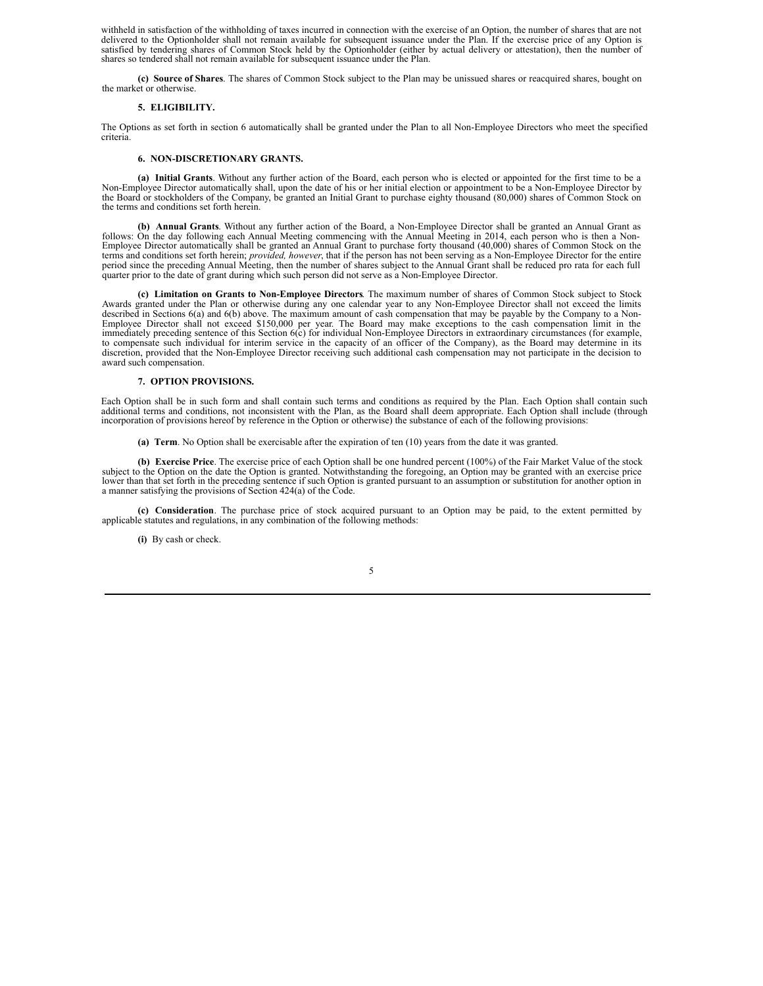withheld in satisfaction of the withholding of taxes incurred in connection with the exercise of an Option, the number of shares that are not delivered to the Optionholder shall not remain available for subsequent issuance under the Plan. If the exercise price of any Option is satisfied by tendering shares of Common Stock held by the Optionholder (either by actual delivery or attestation), then the number of shares so tendered shall not remain available for subsequent issuance under the Plan.

**(c) Source of Shares**. The shares of Common Stock subject to the Plan may be unissued shares or reacquired shares, bought on the market or otherwise.

# **5. ELIGIBILITY.**

The Options as set forth in section 6 automatically shall be granted under the Plan to all Non-Employee Directors who meet the specified criteria.

# **6. NON-DISCRETIONARY GRANTS.**

(a) Initial Grants. Without any further action of the Board, each person who is elected or appointed for the first time to be a<br>Non-Employee Director automatically shall, upon the date of his or her initial election or app the Board or stockholders of the Company, be granted an Initial Grant to purchase eighty thousand (80,000) shares of Common Stock on the terms and conditions set forth herein.

**(b) Annual Grants**. Without any further action of the Board, a Non-Employee Director shall be granted an Annual Grant as follows: On the day following each Annual Meeting commencing with the Annual Meeting in 2014, each person who is then a Non-Employee Director automatically shall be granted an Annual Grant to purchase forty thousand (40,000) shares of Common Stock on the terms and conditions set forth herein; *provided, however*, that if the person has not been serving as a Non-Employee Director for the entire period since the preceding Annual Meeting, then the number of shares subject to the Annual Grant shall be reduced pro rata for each full quarter prior to the date of grant during which such person did not serve as a Non-Employee Director.

**(c) Limitation on Grants to Non-Employee Directors**. The maximum number of shares of Common Stock subject to Stock Awards granted under the Plan or otherwise during any one calendar year to any Non-Employee Director shall not exceed the limits described in Sections 6(a) and 6(b) above. The maximum amount of cash compensation that may be payable by the Company to a Non-Employee Director shall not exceed \$150,000 per year. The Board may make exceptions to the cash compensation limit in the immediately preceding sentence of this Section 6(c) for individual Non-Employee Directors in extraor to compensate such individual for interim service in the capacity of an officer of the Company), as the Board may determine in its discretion, provided that the Non-Employee Director receiving such additional cash compensation may not participate in the decision to award such compensation.

# **7. OPTION PROVISIONS.**

Each Option shall be in such form and shall contain such terms and conditions as required by the Plan. Each Option shall contain such additional terms and conditions, not inconsistent with the Plan, as the Board shall deem appropriate. Each Option shall include (through incorporation of provisions hereof by reference in the Option or otherwise) the substance of each of the following provisions:

**(a) Term**. No Option shall be exercisable after the expiration of ten (10) years from the date it was granted.

(b) Exercise Price. The exercise price of each Option shall be one hundred percent (100%) of the Fair Market Value of the stock subject to the Option on the date the Option is granted. Notwithstanding the foregoing, an Opt lower than that set forth in the preceding sentence if such Option is granted pursuant to an assumption or substitution for another option in a manner satisfying the provisions of Section 424(a) of the Code.

**(c) Consideration**. The purchase price of stock acquired pursuant to an Option may be paid, to the extent permitted by applicable statutes and regulations, in any combination of the following methods:

**(i)** By cash or check.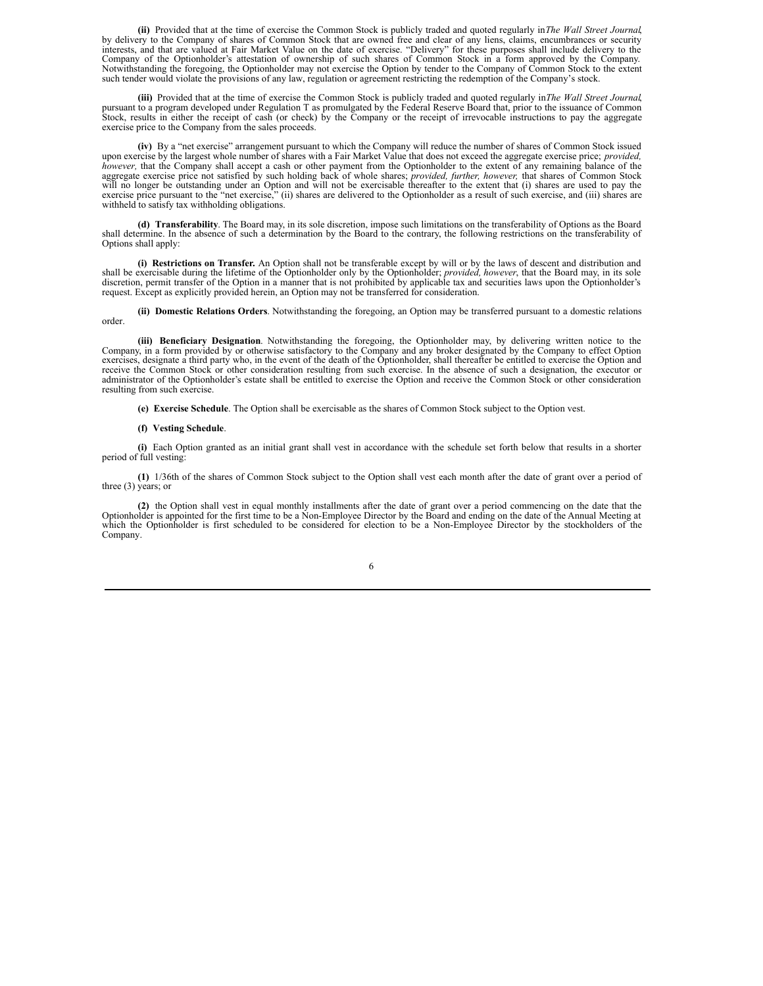**(ii)** Provided that at the time of exercise the Common Stock is publicly traded and quoted regularly in*The Wall Street Journal*, by delivery to the Company of shares of Common Stock that are owned free and clear of any liens, claims, encumbrances or security<br>interests, and that are valued at Fair Market Value on the date of exercise. "Delivery" for Company of the Optionholder's attestation of ownership of such shares of Common Stock in a form approved by the Company. Notwithstanding the foregoing, the Optionholder may not exercise the Option by tender to the Company of Common Stock to the extent such tender would violate the provisions of any law, regulation or agreement restricting the redemption of the Company's stock.

**(iii)** Provided that at the time of exercise the Common Stock is publicly traded and quoted regularly in*The Wall Street Journal*, pursuant to a program developed under Regulation T as promulgated by the Federal Reserve Board that, prior to the issuance of Common Stock, results in either the receipt of cash (or check) by the Company or the receipt of irrevocable instructions to pay the aggregate exercise price to the Company from the sales proceeds.

**(iv)** By a "net exercise" arrangement pursuant to which the Company will reduce the number of shares of Common Stock issued upon exercise by the largest whole number of shares with a Fair Market Value that does not exceed the aggregate exercise price; *provided, however,* that the Company shall accept a cash or other payment from the Optionholder to the extent of any remaining balance of the aggregate exercise price not satisfied by such holding back of whole shares; *provided, further, however*, that shares of Common Stock<br>will no longer be outstanding under an Option and will not be exercisable thereafter to withheld to satisfy tax withholding obligations.

**(d) Transferability**. The Board may, in its sole discretion, impose such limitations on the transferability of Options as the Board shall determine. In the absence of such a determination by the Board to the contrary, the following restrictions on the transferability of Options shall apply:

**(i) Restrictions on Transfer.** An Option shall not be transferable except by will or by the laws of descent and distribution and shall be exercisable during the lifetime of the Optionholder only by the Optionholder; *provided, however*, that the Board may, in its sole discretion, permit transfer of the Option in a manner that is not prohibited by ap

**(ii) Domestic Relations Orders**. Notwithstanding the foregoing, an Option may be transferred pursuant to a domestic relations order.

**(iii) Beneficiary Designation**. Notwithstanding the foregoing, the Optionholder may, by delivering written notice to the Company, in a form provided by or otherwise satisfactory to the Company and any broker designated by the Company to effect Option exercises, designate a third party who, in the event of the death of the Optionholder, shall receive the Common Stock or other consideration resulting from such exercise. In the absence of such a designation, the executor or administrator of the Optionholder's estate shall be entitled to exercise the Option and receive the Common Stock or other consideration resulting from such exercise.

**(e) Exercise Schedule**. The Option shall be exercisable as the shares of Common Stock subject to the Option vest.

#### **(f) Vesting Schedule**.

**(i)** Each Option granted as an initial grant shall vest in accordance with the schedule set forth below that results in a shorter period of full vesting:

**(1)** 1/36th of the shares of Common Stock subject to the Option shall vest each month after the date of grant over a period of three  $(3)$  years; or

**(2)** the Option shall vest in equal monthly installments after the date of grant over a period commencing on the date that the Optionholder is appointed for the first time to be a Non-Employee Director by the Board and ending on the date of the Annual Meeting at which the Optionholder is first scheduled to be considered for election to be a Non-Employee Director by the stockholders of the Company.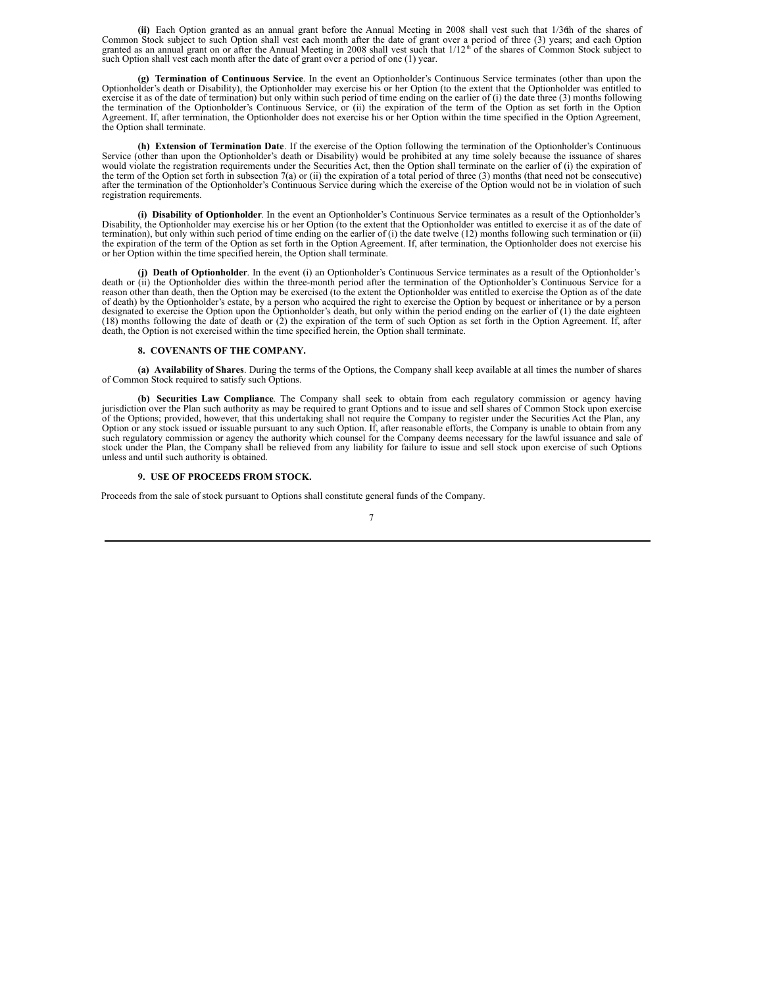(ii) Each Option granted as an annual grant before the Annual Meeting in 2008 shall vest such that 1/36th of the shares of Common Stock subject to such Option shall vest each month after the date of grant over a period of three (3) years; and each Option granted as an annual grant on or after the Annual Meeting in 2008 shall vest such that  $1/$ such Option shall vest each month after the date of grant over a period of one (1) year.

**(g) Termination of Continuous Service**. In the event an Optionholder's Continuous Service terminates (other than upon the Optionholder's death or Disability), the Optionholder may exercise his or her Option (to the extent that the Optionholder was entitled to exercise it as of the date of termination) but only within such period of time ending on the earlier of (i) the date three (3) months following the termination of the Optionholder's Continuous Service, or (ii) the expiration of the term of the Option as set forth in the Option Agreement. If, after termination, the Optionholder does not exercise his or her Option within the time specified in the Option Agreement, the Option shall terminate.

**(h) Extension of Termination Date**. If the exercise of the Option following the termination of the Optionholder's Continuous Service (other than upon the Optionholder's death or Disability) would be prohibited at any time solely because the issuance of shares would violate the registration requirements under the Securities Act, then the Option shall terminate on the earlier of (i) the expiration of the term of the Option set forth in subsection 7(a) or (ii) the expiration of a total period of three (3) months (that need not be consecutive) after the termination of the Optionholder's Continuous Service during which the exercise of the Option would not be in violation of such registration requirements.

**(i) Disability of Optionholder**. In the event an Optionholder's Continuous Service terminates as a result of the Optionholder's Disability, the Optionholder may exercise his or her Option (to the extent that the Optionholder was entitled to exercise it as of the date of termination), but only within such period of time ending on the earlier of (i) the date twelve (12) months following such termination or (ii) the expiration of the term of the Option as set forth in the Option Agreement. If, after termination, the Optionholder does not exercise his or her Option within the time specified herein, the Option shall terminate.

(j) Death of Optionholder. In the event (i) an Optionholder's Continuous Service terminates as a result of the Optionholder's death or (ii) the Optionholder dies within the three-month period after the termination of the O of death) by the Optionholder's estate, by a person who acquired the right to exercise the Option by bequest or inheritance or by a person designated to exercise the Option upon the Optionholder's death, but only within the period ending on the earlier of (1) the date eighteen (18) months following the date of death or (2) the expiration of the term of such Option as set forth in the Option Agreement. If, after death, the Option is not exercised within the time specified herein, the Option shall terminate.

#### **8. COVENANTS OF THE COMPANY.**

**(a) Availability of Shares**. During the terms of the Options, the Company shall keep available at all times the number of shares of Common Stock required to satisfy such Options.

(b) Securities Law Compliance. The Company shall seek to obtain from each regulatory commission or agency having<br>jurisdiction over the Plan such authority as may be required to grant Options and to issue and sell shares of of the Options; provided, however, that this undertaking shall not require the Company to register under the Securities Act the Plan, any Option or any stock issued or issuable pursuant to any such Option. If, after reasonable efforts, the Company is unable to obtain from any such regulatory commission or agency the authority which counsel for the Company de stock under the Plan, the Company shall be relieved from any liability for failure to issue and sell stock upon exercise of such Options unless and until such authority is obtained.

# **9. USE OF PROCEEDS FROM STOCK.**

Proceeds from the sale of stock pursuant to Options shall constitute general funds of the Company.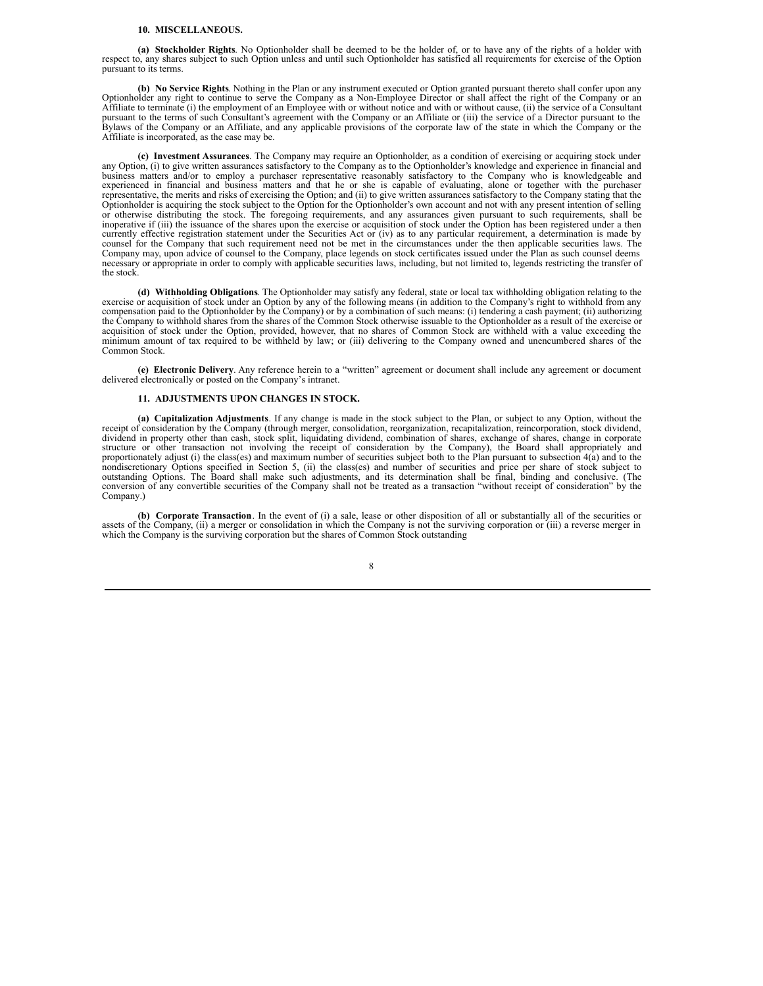# **10. MISCELLANEOUS.**

**(a) Stockholder Rights**. No Optionholder shall be deemed to be the holder of, or to have any of the rights of a holder with respect to, any shares subject to such Option unless and until such Optionholder has satisfied all requirements for exercise of the Option pursuant to its terms.

**(b) No Service Rights**. Nothing in the Plan or any instrument executed or Option granted pursuant thereto shall confer upon any Optionholder any right to continue to serve the Company as a Non-Employee Director or shall affect the right of the Company or an Affiliate to terminate (i) the employment of an Employee with or without notice and with or without cause, (ii) the service of a Consultant pursuant to the terms of such Consultant's agreement with the Company or an Affiliate or (iii) the service of a Director pursuant to the Bylaws of the Company or an Affiliate, and any applicable provisions of the corporate law of the state in which the Company or the Affiliate is incorporated, as the case may be.

**(c) Investment Assurances**. The Company may require an Optionholder, as a condition of exercising or acquiring stock under any Option, (i) to give written assurances satisfactory to the Company as to the Optionholder's knowledge and experience in financial and business matters and/or to employ a purchaser representative reasonably satisfactory to the Company who is knowledgeable and experienced in financial and business matters and that he or she is capable of evaluating, alone or together with the purchaser representative, the merits and risks of exercising the Option; and (ii) to give written assura Optionholder is acquiring the stock subject to the Option for the Optionholder's own account and not with any present intention of selling or otherwise distributing the stock. The foregoing requirements, and any assurances given pursuant to such requirements, shall be inoperative if (iii) the issuance of the shares upon the exercise or acquisition of stock under the Option has been registered under a then currently effective registration statement under the Securities Act or (iv) as to any particular requirement, a determination is made by counsel for the Company that such requirement need not be met in the circumstances under the then applicable securities laws. The Company may, upon advice of counsel to the Company, place legends on stock certificates issued under the Plan as such counsel deems necessary or appropriate in order to comply with applicable securities laws, including, but not limited to, legends restricting the transfer of the stock.

**(d) Withholding Obligations**. The Optionholder may satisfy any federal, state or local tax withholding obligation relating to the exercise or acquisition of stock under an Option by any of the following means (in addition to the Company's right to withhold from any compensation paid to the Optionholder by the Company) or by a combination of such means: (i) tendering a cash payment; (ii) authorizing the Company to withhold shares from the shares of the Common Stock otherwise issuable to the Optionholder as a result of the exercise or acquisition of stock under the Option, provided, however, that no shares of Common Stock are withheld with a value exceeding the minimum amount of tax required to be withheld by law; or (iii) delivering to the Company owned and unencumbered shares of the Common Stock.

**(e) Electronic Delivery**. Any reference herein to a "written" agreement or document shall include any agreement or document delivered electronically or posted on the Company's intranet.

# **11. ADJUSTMENTS UPON CHANGES IN STOCK.**

**(a) Capitalization Adjustments**. If any change is made in the stock subject to the Plan, or subject to any Option, without the receipt of consideration by the Company (through merger, consolidation, reorganization, recapitalization, reincorporation, stock dividend, dividend, dividend in property other than cash, stock split, liquidating dividend, structure or other transaction not involving the receipt of consideration by the Company), the Board shall appropriately and<br>proportionately adjust (i) the class(es) and maximum number of securities subject both to the Pla nondiscretionary Options specified in Section 5, (ii) the class(es) and number of securities and price per share of stock subject to outstanding Options. The Board shall make such adjustments, and its determination shall b conversion of any convertible securities of the Company shall not be treated as a transaction "without receipt of consideration" by the Company.)

**(b) Corporate Transaction**. In the event of (i) a sale, lease or other disposition of all or substantially all of the securities or assets of the Company, (ii) a merger or consolidation in which the Company is not the surviving corporation or (iii) a reverse merger in which the Company is the surviving corporation but the shares of Common Stock outstanding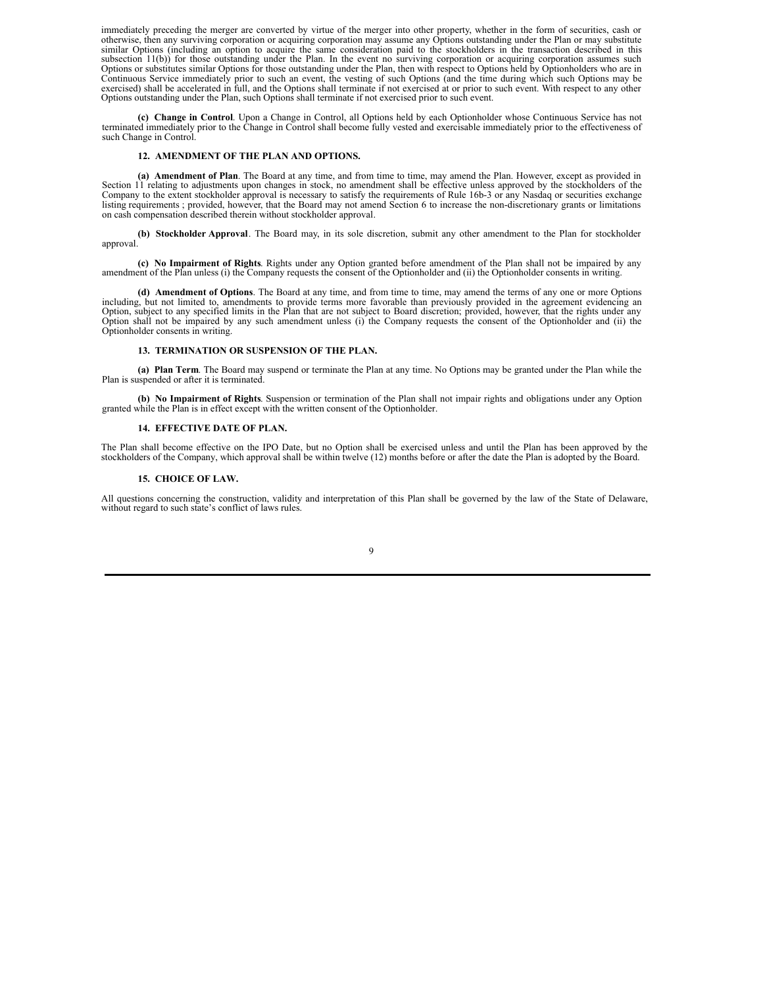immediately preceding the merger are converted by virtue of the merger into other property, whether in the form of securities, cash or otherwise, then any surviving corporation or acquiring corporation may assume any Optio subsection 11(b)) for those outstanding under the Plan. In the event no surviving corporation or acquiring corporation assumes such Options or substitutes similar Options for those outstanding under the Plan, then with respect to Options held by Optionholders who are in Continuous Service immediately prior to such an event, the vesting of such Options (and the time during which such Options may be exercised) shall be accelerated in full, and the Options shall terminate if not exercised at Options outstanding under the Plan, such Options shall terminate if not exercised prior to such event.

**(c) Change in Control**. Upon a Change in Control, all Options held by each Optionholder whose Continuous Service has not terminated immediately prior to the Change in Control shall become fully vested and exercisable immediately prior to the effectiveness of such Change in Control.

# **12. AMENDMENT OF THE PLAN AND OPTIONS.**

**(a) Amendment of Plan**. The Board at any time, and from time to time, may amend the Plan. However, except as provided in Section 11 relating to adjustments upon changes in stock, no amendment shall be effective unless approved by the stockholders of the<br>Company to the extent stockholder approval is necessary to satisfy the requirements of Ru listing requirements ; provided, however, that the Board may not amend Section 6 to increase the non-discretionary grants or limitations on cash compensation described therein without stockholder approval.

**(b) Stockholder Approval**. The Board may, in its sole discretion, submit any other amendment to the Plan for stockholder approval.

**(c) No Impairment of Rights**. Rights under any Option granted before amendment of the Plan shall not be impaired by any amendment of the Plan unless (i) the Company requests the consent of the Optionholder and (ii) the Optionholder consents in writing.

**(d) Amendment of Options**. The Board at any time, and from time to time, may amend the terms of any one or more Options including, but not limited to, amendments to provide terms more favorable than previously provided in the agreement evidencing an Option, subject to any specified limits in the Plan that are not subject to Board discretion; provided, however, that the rights under any Option shall not be impaired by any such amendment unless (i) the Company requests the consent of the Optionholder and (ii) the Optionholder consents in writing.

#### **13. TERMINATION OR SUSPENSION OF THE PLAN.**

**(a) Plan Term**. The Board may suspend or terminate the Plan at any time. No Options may be granted under the Plan while the Plan is suspended or after it is terminated.

**(b) No Impairment of Rights**. Suspension or termination of the Plan shall not impair rights and obligations under any Option granted while the Plan is in effect except with the written consent of the Optionholder.

#### **14. EFFECTIVE DATE OF PLAN.**

The Plan shall become effective on the IPO Date, but no Option shall be exercised unless and until the Plan has been approved by the stockholders of the Company, which approval shall be within twelve (12) months before or after the date the Plan is adopted by the Board.

# **15. CHOICE OF LAW.**

All questions concerning the construction, validity and interpretation of this Plan shall be governed by the law of the State of Delaware, without regard to such state's conflict of laws rules.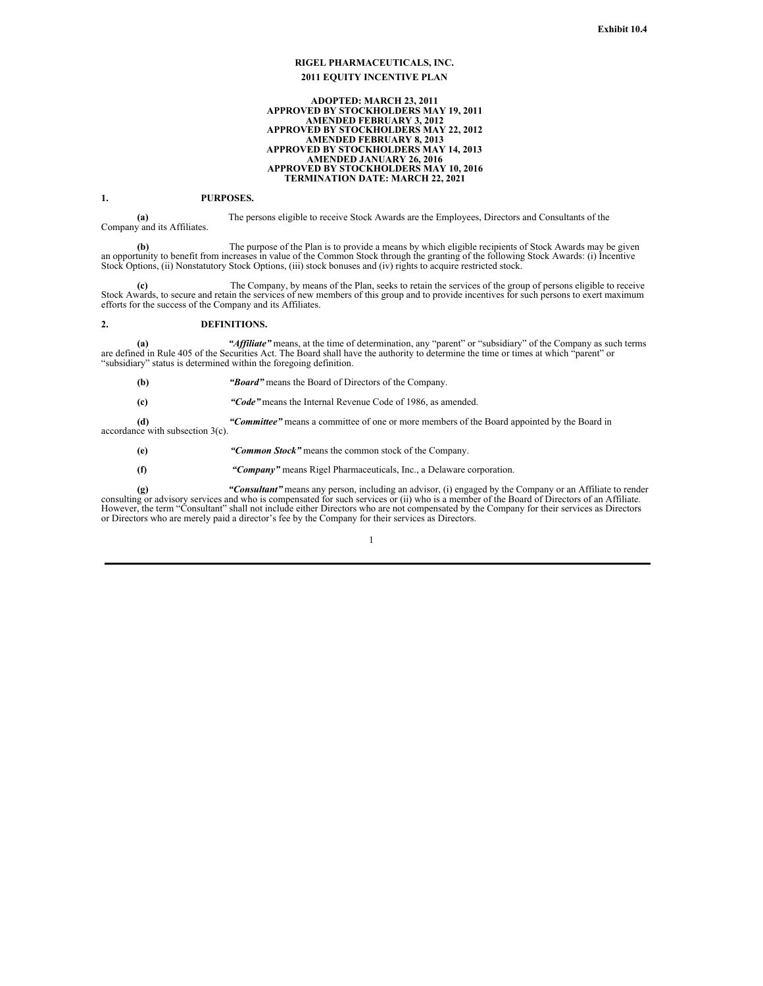# **RIGEL PHARMACEUTICALS, INC. 2011 EQUITY INCENTIVE PLAN**

## **ADOPTED: MARCH 23, 2011 APPROVED BY STOCKHOLDERS MAY 19, 2011 AMENDED FEBRUARY 3, 2012 APPROVED BY STOCKHOLDERS MAY 22, 2012 AMENDED FEBRUARY 8, 2013 APPROVED BY STOCKHOLDERS MAY 14, 2013 AMENDED JANUARY 26, 2016 APPROVED BY STOCKHOLDERS MAY 10, 2016 TERMINATION DATE: MARCH 22, 2021**

**1. PURPOSES.**

**(a)** The persons eligible to receive Stock Awards are the Employees, Directors and Consultants of the Company and its Affiliates.

**(b)** The purpose of the Plan is to provide a means by which eligible recipients of Stock Awards may be given an opportunity to benefit from increases in value of the Common Stock through the granting of the following Stock Awards: (i) Incentive Stock Options, (ii) Nonstatutory Stock Options, (iii) stock bonuses and (iv) rights to acquire restricted stock.

**(c)** The Company, by means of the Plan, seeks to retain the services of the group of persons eligible to receive Stock Awards, to secure and retain the services of new members of this group and to provide incentives for such persons to exert maximum efforts for the success of the Company and its Affiliates.

### **2. DEFINITIONS.**

(a) "Affiliate" means, at the time of determination, any "parent" or "subsidiary" of the Company as such terms<br>are defined in Rule 405 of the Securities Act. The Board shall have the authority to determine the time or time "subsidiary" status is determined within the foregoing definition.

- **(b)** *"Board"* means the Board of Directors of the Company.
- **(c)** *"Code"* means the Internal Revenue Code of 1986, as amended.

**(d)** *"Committee"* means a committee of one or more members of the Board appointed by the Board in accordance with subsection 3(c).

- **(e)** *"Common Stock"* means the common stock of the Company.
- **(f)** *"Company"* means Rigel Pharmaceuticals, Inc., a Delaware corporation.

(g) "Consultant" means any person, including an advisor, (i) engaged by the Company or an Affiliate to render<br>consulting or advisory services and who is compensated for such services or (ii) who is a member of the Board of However, the term "Consultant" shall not include either Directors who are not compensated by the Company for their services as Directors or Directors who are merely paid a director's fee by the Company for their services as Directors.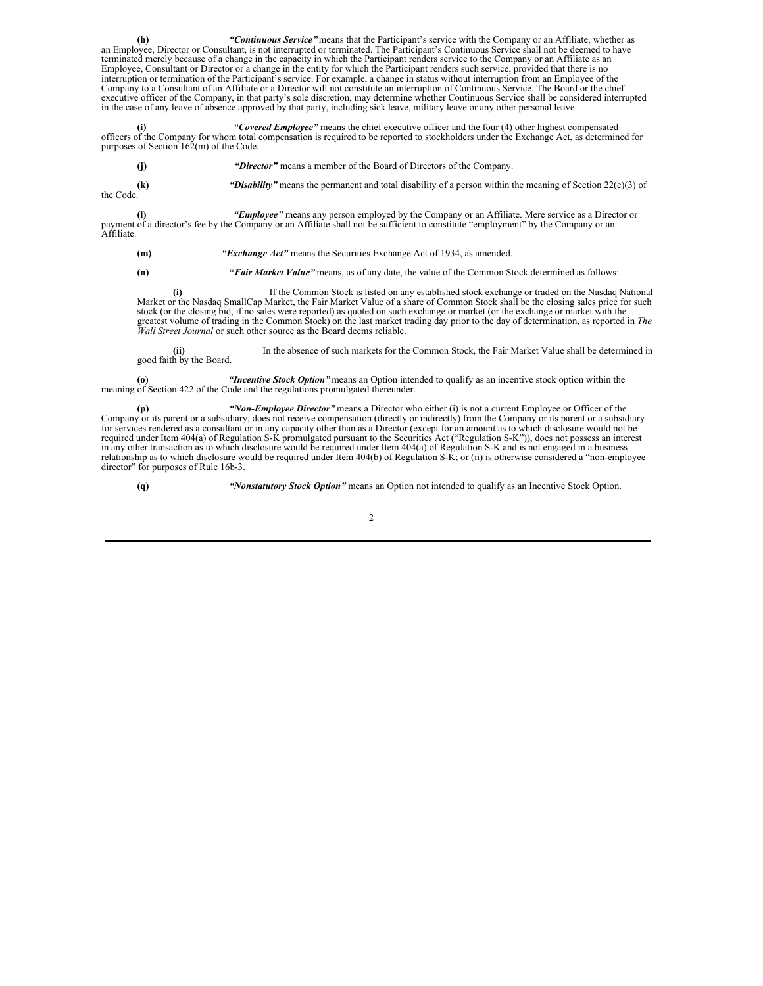**(h)** *"Continuous Service"* means that the Participant's service with the Company or an Affiliate, whether as an Employee, Director or Consultant, is not interrupted or terminated. The Participant's Continuous Service shall not be deemed to have terminated merely because of a change in the capacity in which the Participant renders service to the Company or an Affiliate as an Employee, Consultant or Director or a change in the entity for which the Participant renders such service, provided that there is no interruption or termination of the Participant's service. For example, a change in status without interruption from an Employee of the Company to a Consultant of an Affiliate or a Director will not constitute an interruption of Continuous Service. The Board or the chief executive officer of the Company, in that party's sole discretion, may determine whether Continuous Service shall be considered interrupted in the case of any leave of absence approved by that party, including sick leave, military leave or any other personal leave.

**(i)** *"Covered Employee"* means the chief executive officer and the four (4) other highest compensated officers of the Company for whom total compensation is required to be reported to stockholders under the Exchange Act, as determined for purposes of Section  $162(m)$  of the Code.

**(j)** *"Director"* means a member of the Board of Directors of the Company.

**(k)** *"Disability"* means the permanent and total disability of a person within the meaning of Section 22(e)(3) of the Code.

**(l)** *"Employee"* means any person employed by the Company or an Affiliate. Mere service as a Director or payment of a director's fee by the Company or an Affiliate shall not be sufficient to constitute "employment" by the Company or an Affiliate.

- **(m)** *"Exchange Act"* means the Securities Exchange Act of 1934, as amended.
- **(n) "***Fair Market Value"* means, as of any date, the value of the Common Stock determined as follows:

**(i)** If the Common Stock is listed on any established stock exchange or traded on the Nasdaq National Market or the Nasdaq SmallCap Market, the Fair Market Value of a share of Common Stock shall be the closing sales price for such stock (or the closing bid, if no sales were reported) as quoted on such exchange or market (or the exchange or market with the greatest volume of trading in the Common Stock) on the last market trading day prior to the day of determination, as reported in *The Wall Street Journal* or such other source as the Board deems reliable.

**(ii)** In the absence of such markets for the Common Stock, the Fair Market Value shall be determined in good faith by the Board.

**(o)** *"Incentive Stock Option"* means an Option intended to qualify as an incentive stock option within the (o) **Configured 122** of the Code and the regulations promulgated thereunder.

**(p)** *"Non-Employee Director"* means a Director who either (i) is not a current Employee or Officer of the Company or its parent or a subsidiary, does not receive compensation (directly or indirectly) from the Company or its parent or a subsidiary<br>for services rendered as a consultant or in any capacity other than as a Director in any other transaction as to which disclosure would be required under Item 404(a) of Regulation S-K and is not engaged in a business<br>relationship as to which disclosure would be required under Item 404(b) of Regulation S director" for purposes of Rule 16b-3.

**(q)** *"Nonstatutory Stock Option"* means an Option not intended to qualify as an Incentive Stock Option.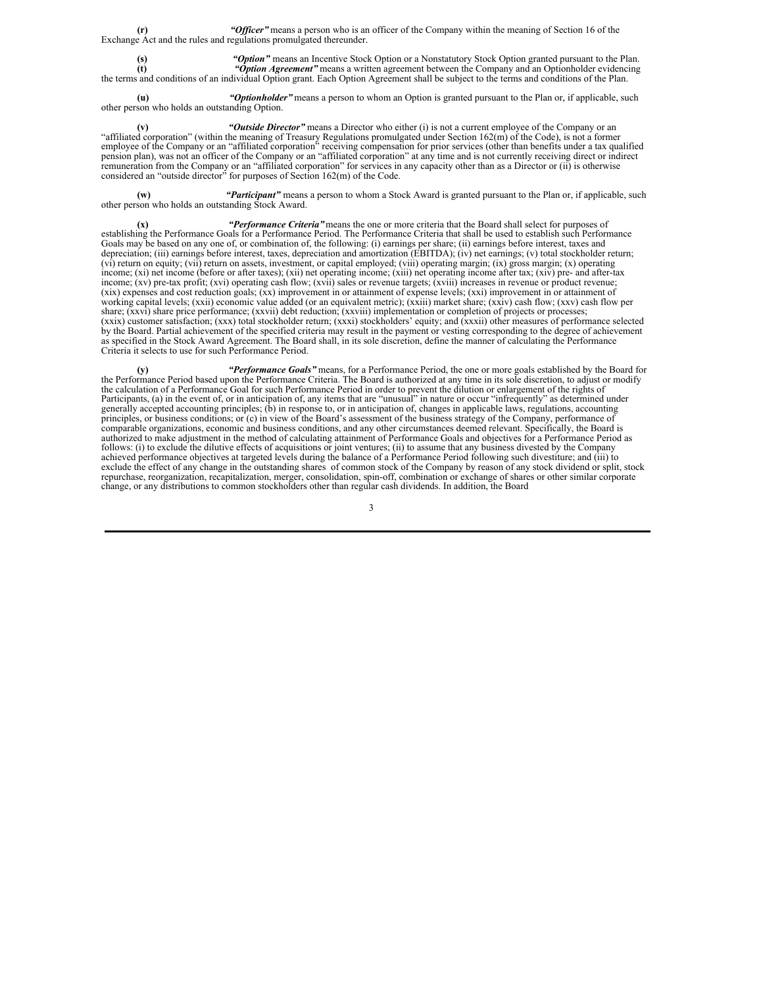**(r)** *"Of icer"* means a person who is an officer of the Company within the meaning of Section 16 of the Exchange Act and the rules and regulations promulgated thereunder.

**(s)** *"Option"* means an Incentive Stock Option or a Nonstatutory Stock Option granted pursuant to the Plan.<br> **(f)** *"Option Agreement"* means a written agreement between the Company and an Optionholder evidencing **(t)** *"Option Agreement"* means a written agreement between the Company and an Optionholder evidencing the terms and conditions of an individual Option grant. Each Option Agreement shall be subject to the terms and conditions of the Plan.

**(u)** *"Optionholder"* means a person to whom an Option is granted pursuant to the Plan or, if applicable, such other person who holds an outstanding Option.

**(v)** *"Outside Director"* means a Director who either (i) is not a current employee of the Company or an "affiliated corporation" (within the meaning of Treasury Regulations promulgated under Section 162(m) of the Code), is not a former employee of the Company or an "affiliated corporation" receiving compensation for prior services (other than benefits under a tax qualified pension plan), was not an officer of the Company or an "affiliated corporation" at any time and is not currently receiving direct or indirect remuneration from the Company or an "affiliated corporation" for services in any capacity other than as a Director or (ii) is otherwise considered an "outside director" for purposes of Section 162(m) of the Code.

**(w)** *"Participant"* means a person to whom a Stock Award is granted pursuant to the Plan or, if applicable, such other person who holds an outstanding Stock Award.

(x) "Performance Criteria" means the one or more criteria that the Board shall select for purposes of<br>establishing the Performance Goals for a Performance Period. The Performance Criteria that shall be used to establish su Goals may be based on any one of, or combination of, the following: (i) earnings per share; (ii) earnings before interest, taxes and depreciation; (iii) earnings before interest, taxes, depreciation and amortization (EBITDA); (iv) net earnings; (v) total stockholder return; (vi) return on equity; (vii) return on assets, investment, or capital employed; (viii) operating margin; (ix) gross margin; (x) operating income; (xi) net income (before or after taxes); (xii) net operating income; (xiii) net operating income after tax; (xiv) pre- and after-tax income; (xv) pre-tax profit; (xvi) operating cash flow; (xvii) sales or revenue targets; (xviii) increases in revenue or product revenue; (xix) expenses and cost reduction goals; (xx) improvement in or attainment of expense levels; (xxi) improvement in or attainment of working capital levels; (xxii) economic value added (or an equivalent metric); (xxiii) market share; (xxiv) cash flow; (xxv) cash flow per share; (xxvi) share price performance; (xxvii) debt reduction; (xxviii) implementation or completion of projects or processes; (xxix) customer satisfaction; (xxx) total stockholder return; (xxxi) stockholders' equity; and (xxxii) other measures of performance selected by the Board. Partial achievement of the specified criteria may result in the payment or vesting corresponding to the degree of achievement as specified in the Stock Award Agreement. The Board shall, in its sole discretion, define the manner of calculating the Performance Criteria it selects to use for such Performance Period.

**(y)** *"Performance Goals"* means, for a Performance Period, the one or more goals established by the Board for the Performance Period based upon the Performance Criteria. The Board is authorized at any time in its sole discretion, to adjust or modify the calculation of a Performance Goal for such Performance Period in order to prevent the dilution or enlargement of the rights of<br>Participants, (a) in the event of, or in anticipation of, any items that are "unusual" in n generally accepted accounting principles; (b) in response to, or in anticipation of, changes in applicable laws, regulations, accounting principles, or business conditions; or (c) in view of the Board's assessment of the business strategy of the Company, performance of comparable organizations, economic and business conditions, and any other circumstances deemed relevant. Specifically, the Board is authorized to make adjustment in the method of calculating attainment of Performance Goals and objectives for a Performance Period as follows: (i) to exclude the dilutive effects of acquisitions or joint ventures; (ii) to assume that any business divested by the Company achieved performance objectives at targeted levels during the balance of a Performance Period following such divestiture; and (iii) to exclude the effect of any change in the outstanding shares of common stock of the Company by reason of any stock dividend or split, stock repurchase, reorganization, recapitalization, merger, consolidation, spin-off, combination or exchange of shares or other similar corporate change, or any distributions to common stockholders other than regular cash dividends. In addition, the Board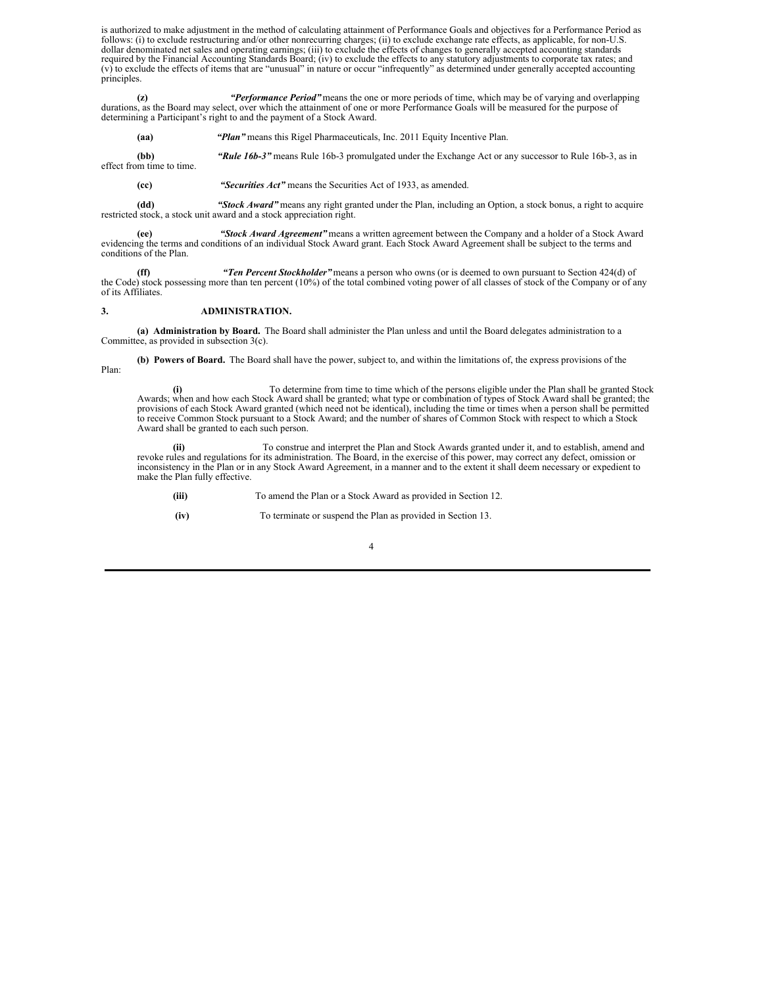is authorized to make adjustment in the method of calculating attainment of Performance Goals and objectives for a Performance Period as follows: (i) to exclude restructuring and/or other nonrecurring charges; (ii) to exclude exchange rate effects, as applicable, for non-U.S. dollar denominated net sales and operating earnings; (iii) to exclude the effects required by the Financial Accounting Standards Board; (iv) to exclude the effects to any statutory adjustments to corporate tax rates; and (v) to exclude the effects of items that are "unusual" in nature or occur "infrequently" as determined under generally accepted accounting principles.

**(z)** *"Performance Period"* means the one or more periods of time, which may be of varying and overlapping durations, as the Board may select, over which the attainment of one or more Performance Goals will be measured for the purpose of determining a Participant's right to and the payment of a Stock Award.

**(aa)** *"Plan"* means this Rigel Pharmaceuticals, Inc. 2011 Equity Incentive Plan.

**(bb)** *"Rule 16b-3"* means Rule 16b-3 promulgated under the Exchange Act or any successor to Rule 16b-3, as in effect from time to time.

**(cc)** *"Securities Act"* means the Securities Act of 1933, as amended.

(dd) *"Stock Award"* means any right granted under the Plan, including an Option, a stock bonus, a right to acquire restricted stock, a stock unit award and a stock appreciation right.

(ee) "Stock Award Agreement" means a written agreement between the Company and a holder of a Stock Award<br>evidencing the terms and conditions of an individual Stock Award grant. Each Stock Award Agreement shall be subject t conditions of the Plan.

**(ff)** *"Ten Percent Stockholder"* means a person who owns (or is deemed to own pursuant to Section 424(d) of the Code) stock possessing more than ten percent (10%) of the total combined voting power of all classes of stock of the Company or of any of its Affiliates.

#### **3. ADMINISTRATION.**

**(a) Administration by Board.** The Board shall administer the Plan unless and until the Board delegates administration to a Committee, as provided in subsection 3(c).

**(b) Powers of Board.** The Board shall have the power, subject to, and within the limitations of, the express provisions of the Plan:

**(i)** To determine from time to time which of the persons eligible under the Plan shall be granted Stock Awards; when and how each Stock Award shall be granted; what type or combination of types of Stock Award shall be granted; the provisions of each Stock Award granted (which need not be identical), including the time or times when a person shall be permitted to receive Common Stock pursuant to a Stock Award; and the number of shares of Common Stock with respect to which a Stock Award shall be granted to each such person.

**(ii)** To construe and interpret the Plan and Stock Awards granted under it, and to establish, amend and revoke rules and regulations for its administration. The Board, in the exercise of this power, may correct any defect, omission or inconsistency in the Plan or in any Stock Award Agreement, in a manner and to the extent it shall deem necessary or expedient to make the Plan fully effective.

**(iii)** To amend the Plan or a Stock Award as provided in Section 12.

**(iv)** To terminate or suspend the Plan as provided in Section 13.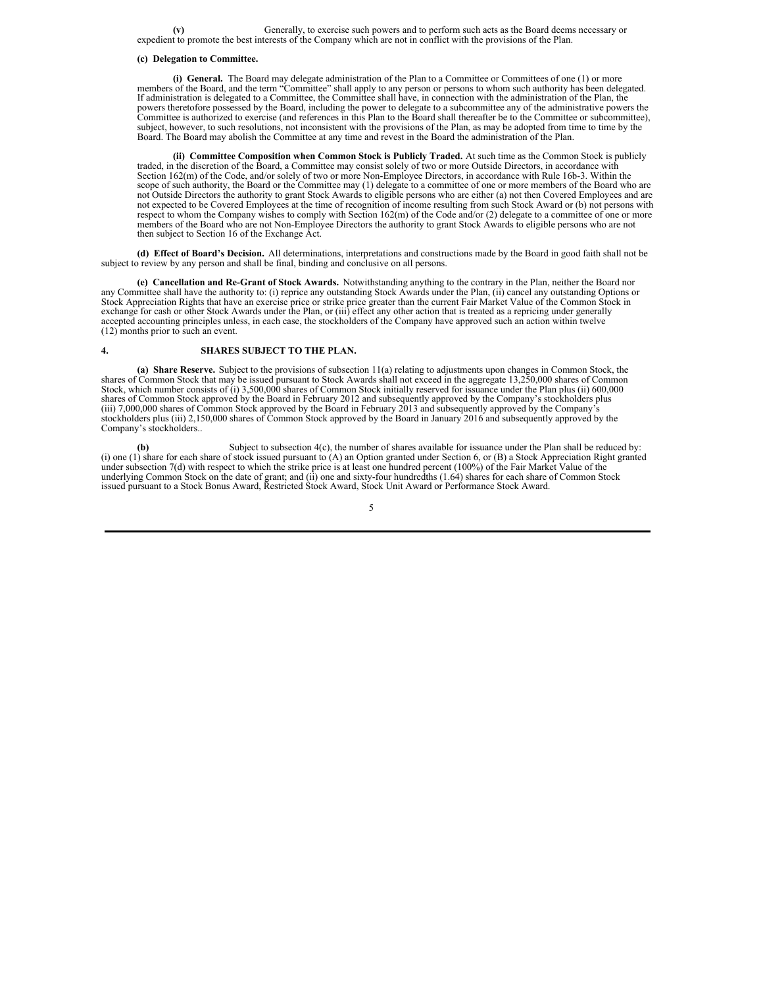**(v)** Generally, to exercise such powers and to perform such acts as the Board deems necessary or expedient to promote the best interests of the Company which are not in conflict with the provisions of the Plan.

# **(c) Delegation to Committee.**

**(i) General.** The Board may delegate administration of the Plan to a Committee or Committees of one (1) or more members of the Board, and the term "Committee" shall apply to any person or persons to whom such authority has been delegated.<br>If administration is delegated to a Committee, the Committee shall have, in connection with the powers theretofore possessed by the Board, including the power to delegate to a subcommittee any of the administrative powers the<br>Committee is authorized to exercise (and references in this Plan to the Board shall thereaft subject, however, to such resolutions, not inconsistent with the provisions of the Plan, as may be adopted from time to time by the Board. The Board may abolish the Committee at any time and revest in the Board the administration of the Plan.

**(ii) Committee Composition when Common Stock is Publicly Traded.** At such time as the Common Stock is publicly traded, in the discretion of the Board, a Committee may consist solely of two or more Outside Directors, in accordance with Section 162(m) of the Code, and/or solely of two or more Non-Employee Directors, in accordance with Rule 16b-3. Within the scope of such authority, the Board or the Committee may (1) delegate to a committee of one or more members of the Board who are<br>not Outside Directors the authority to grant Stock Awards to eligible persons who are either ( not expected to be Covered Employees at the time of recognition of income resulting from such Stock Award or (b) not persons with<br>respect to whom the Company wishes to comply with Section 162(m) of the Code and/or (2) dele members of the Board who are not Non-Employee Directors the authority to grant Stock Awards to eligible persons who are not then subject to Section 16 of the Exchange Act.

**(d) Effect of Board's Decision.** All determinations, interpretations and constructions made by the Board in good faith shall not be subject to review by any person and shall be final, binding and conclusive on all persons.

**(e) Cancellation and Re-Grant of Stock Awards.** Notwithstanding anything to the contrary in the Plan, neither the Board nor any Committee shall have the authority to: (i) reprice any outstanding Stock Awards under the Plan, (ii) cancel any outstanding Options or Stock Appreciation Rights that have an exercise price or strike price greater than the current Fair Market Value of the Common Stock in exchange for cash or other Stock Awards under the Plan, or (iii) effect any other action that is treated as a repricing under generally accepted accounting principles unless, in each case, the stockholders of the Company have approved such an action within twelve (12) months prior to such an event.

### **4. SHARES SUBJECT TO THE PLAN.**

(a) Share Reserve. Subject to the provisions of subsection 11(a) relating to adjustments upon changes in Common Stock, the shares of Common Stock hat may be issued pursuant to Stock Awards shall not exceed in the aggregate shares of Common Stock approved by the Board in February 2012 and subsequently approved by the Company's stockholders plus (iii) 7,000,000 shares of Common Stock approved by the Board in February 2013 and subsequently approved by the Company's stockholders plus (iii) 2,150,000 shares of Common Stock approved by the Board in January 2016 and subsequently approved by the Company's stockholders..

Subject to subsection 4(c), the number of shares available for issuance under the Plan shall be reduced by: (i) one (1) share for each share of stock issued pursuant to (A) an Option granted under Section 6, or (B) a Stock Appreciation Right granted under subsection 7(d) with respect to which the strike price is at least one hundred percent (100%) of the Fair Market Value of the<br>underlying Common Stock on the date of grant; and (ii) one and sixty-four hundredths (1.64 issued pursuant to a Stock Bonus Award, Restricted Stock Award, Stock Unit Award or Performance Stock Award.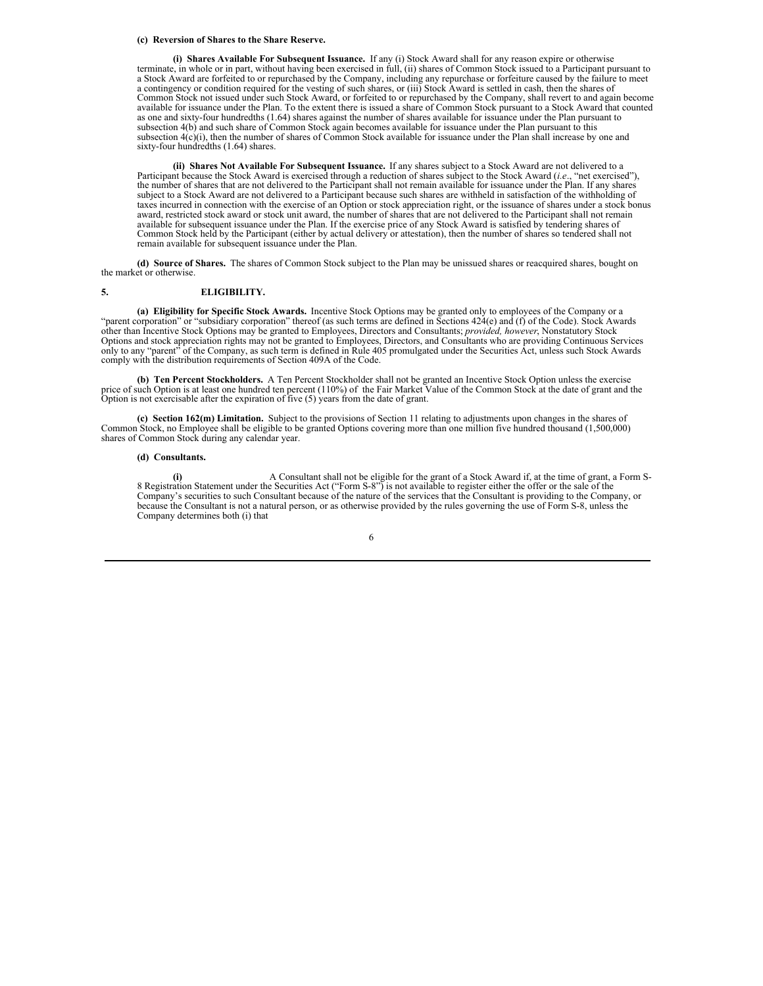# **(c) Reversion of Shares to the Share Reserve.**

**(i) Shares Available For Subsequent Issuance.** If any (i) Stock Award shall for any reason expire or otherwise terminate, in whole or in part, without having been exercised in full, (ii) shares of Common Stock issued to a Participant pursuant to a Stock Award are forfeited to or repurchased by the Company, including any repurchase or forfeiture caused by the failure to meet a contingency or condition required for the vesting of such shares, or (iii) Stock Award is settled in cash, then the shares of Common Stock not issued under such Stock Award, or forfeited to or repurchased by the Company, shall revert to and again become available for issuance under the Plan. To the extent there is issued a share of Common Stock pursuant to a Stock Award that counted as one and sixty-four hundredths (1.64) shares against the number of shares available for issuance under the Plan pursuant to subsection 4(b) and such share of Common Stock again becomes available for issuance under the Plan pursuant to this subsection  $4(c)(i)$ , then the number of shares of Common Stock available for issuance under the Plan shall increase by one and sixty-four hundredths (1.64) shares.

**(ii) Shares Not Available For Subsequent Issuance.** If any shares subject to a Stock Award are not delivered to a Participant because the Stock Award is exercised through a reduction of shares subject to the Stock Award (i.e., "net exercised"), the number of shares that are not delivered to the Participant shall not remain available f taxes incurred in connection with the exercise of an Option or stock appreciation right, or the issuance of shares under a stock bonus<br>award, restricted stock award or stock unit award, the number of shares that are not de available for subsequent issuance under the Plan. If the exercise price of any Stock Award is satisfied by tendering shares of Common Stock held by the Participant (either by actual delivery or attestation), then the number of shares so tendered shall not remain available for subsequent issuance under the Plan.

**(d) Source of Shares.** The shares of Common Stock subject to the Plan may be unissued shares or reacquired shares, bought on the market or otherwise.

#### **5. ELIGIBILITY.**

**(a) Eligibility for Specific Stock Awards.** Incentive Stock Options may be granted only to employees of the Company or a "parent corporation" or "subsidiary corporation" thereof (as such terms are defined in Sections 424(e) and (f) of the Code). Stock Awards other than Incentive Stock Options may be granted to Employees, Directors and Consultants; *provided, however*, Nonstatutory Stock Options and stock appreciation rights may not be granted to Employees, Directors, and Consultants who are providing Continuous Services only to any "parent" of the Company, as such term is defined in Rule 405 promulgated under the Securities Act, unless such Stock Awards comply with the distribution requirements of Section 409A of the Code.

**(b) Ten Percent Stockholders.** A Ten Percent Stockholder shall not be granted an Incentive Stock Option unless the exercise price of such Option is at least one hundred ten percent (110%) of the Fair Market Value of the Common Stock at the date of grant and the Option is not exercisable after the expiration of five (5) years from the date of grant.

**(c) Section 162(m) Limitation.** Subject to the provisions of Section 11 relating to adjustments upon changes in the shares of Common Stock, no Employee shall be eligible to be granted Options covering more than one million five hundred thousand (1,500,000) shares of Common Stock during any calendar year.

# **(d) Consultants.**

**(i)** A Consultant shall not be eligible for the grant of a Stock Award if, at the time of grant, a Form S-8 Registration Statement under the Securities Act ("Form S-8") is not available to register either the offer or the sale of the Company's securities to such Consultant because of the nature of the services that the Consultant is providing to the Company, or because the Consultant is not a natural person, or as otherwise provided by the rules governing the use of Form S-8, unless the Company determines both (i) that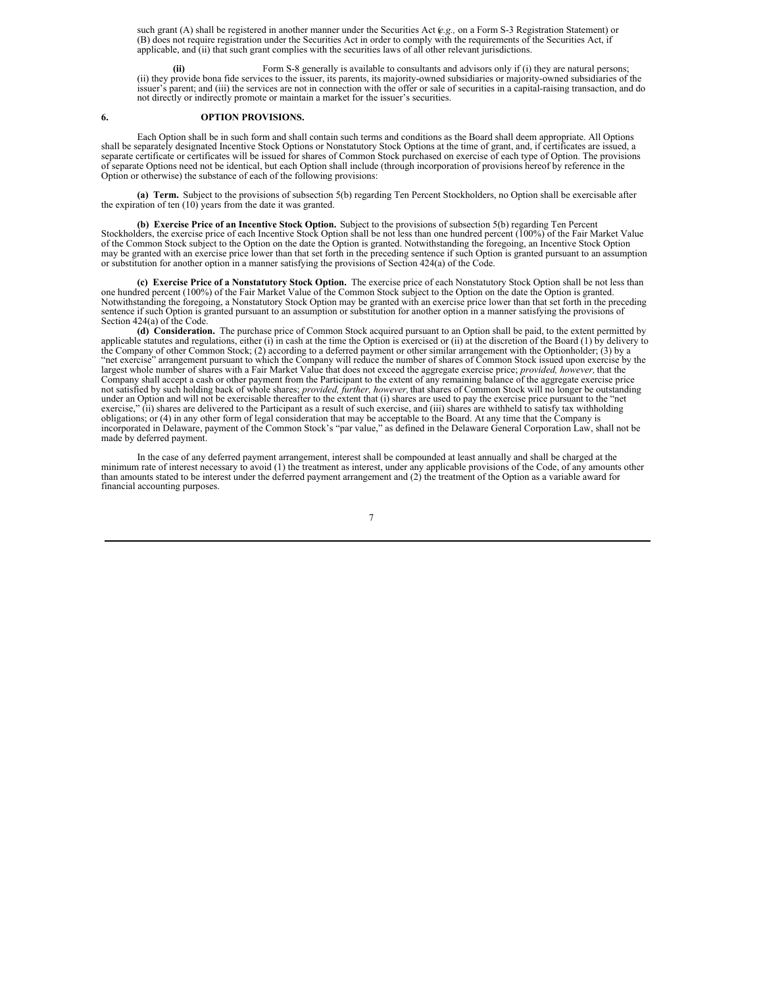such grant (A) shall be registered in another manner under the Securities Act  $(e.g.,$  on a Form S-3 Registration Statement) or (B) does not require registration under the Securities Act in order to comply with the requireme

Form S-8 generally is available to consultants and advisors only if (i) they are natural persons; (ii) they provide bona fide services to the issuer, its parents, its majority-owned subsidiaries or majority-owned subsidiaries of the issuer's parent; and (iii) the services are not in connection with the offer or sale of securities in a capital-raising transaction, and do not directly or indirectly promote or maintain a market for the issuer's securities.

# **6. OPTION PROVISIONS.**

Each Option shall be in such form and shall contain such terms and conditions as the Board shall deem appropriate. All Options shall be separately designated Incentive Stock Options or Nonstatutory Stock Options at the time of grant, and, if certificates are issued, a separate certificate or certificates will be issued for shares of Common Stock purchased on exercise of each type of Option. The provisions of separate Options need not be identical, but each Option shall include (through incorporation of provisions hereof by reference in the Option or otherwise) the substance of each of the following provisions:

**(a) Term.** Subject to the provisions of subsection 5(b) regarding Ten Percent Stockholders, no Option shall be exercisable after the expiration of ten (10) years from the date it was granted.

(b) Exercise Price of an Incentive Stock Option. Subject to the provisions of subsection 5(b) regarding Ten Percent<br>Stockholders, the exercise price of each Incentive Stock Option shall be not less than one hundred percent may be granted with an exercise price lower than that set forth in the preceding sentence if such Option is granted pursuant to an assumption or substitution for another option in a manner satisfying the provisions of Section 424(a) of the Code.

**(c) Exercise Price of a Nonstatutory Stock Option.** The exercise price of each Nonstatutory Stock Option shall be not less than one hundred percent (100%) of the Fair Market Value of the Common Stock subject to the Option on the date the Option is granted. Notwithstanding the foregoing, a Nonstatutory Stock Option may be granted with an exercise price lower than that set forth in the preceding sentence if such Option is granted pursuant to an assumption or substitution for another option in a manner satisfying the provisions of Section 424(a) of the Code.

**(d) Consideration.** The purchase price of Common Stock acquired pursuant to an Option shall be paid, to the extent permitted by applicable statutes and regulations, either (i) in cash at the time the Option is exercised or (ii) at the discretion of the Board (1) by delivery to the Company of other Common Stock; (2) according to a deferred payment or other similar arrangement with the Optionholder; (3) by a "net exercise" arrangement pursuant to which the Company will reduce the number of shares of Common Stock issued upon exercise by the largest whole number of shares with a Fair Market Value that does not exceed the aggregate exercise price; *provided, however,* that the Company shall accept a cash or other payment from the Participant to the extent of any remaining balance of the aggregate exercise price not satisfied by such holding back of whole shares; *provided, further, however,*that shares of Common Stock will no longer be outstanding under an Option and will not be exercisable thereafter to the extent that (i) shares are used to pay the exercise price pursuant to the "net exercise," (ii) shares are delivered to the Participant as a result of such exercise, and (iii) shares are withheld to satisfy tax withholding obligations; or (4) in any other form of legal consideration that may be acceptable to the Board. At any time that the Company is incorporated in Delaware, payment of the Common Stock's "par value," as defined in the Delaware General Corporation Law, shall not be made by deferred payment.

In the case of any deferred payment arrangement, interest shall be compounded at least annually and shall be charged at the minimum rate of interest necessary to avoid (1) the treatment as interest, under any applicable provisions of the Code, of any amounts other than amounts stated to be interest under the deferred payment arrangement and (2) financial accounting purposes.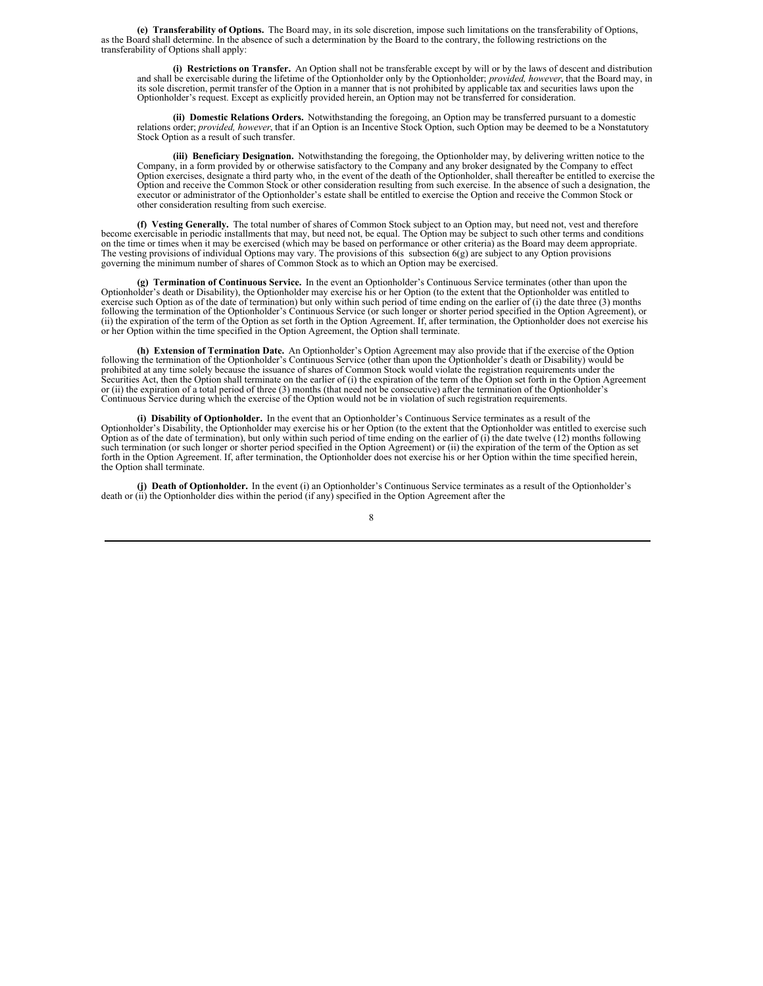**(e) Transferability of Options.** The Board may, in its sole discretion, impose such limitations on the transferability of Options, as the Board shall determine. In the absence of such a determination by the Board to the contrary, the following restrictions on the transferability of Options shall apply:

**(i) Restrictions on Transfer.** An Option shall not be transferable except by will or by the laws of descent and distribution and shall be exercisable during the lifetime of the Optionholder only by the Optionholder; *provided, however*, that the Board may, in its sole discretion, permit transfer of the Option in a manner that is not prohibited by applicable tax and securities laws upon the Optionholder's request. Except as explicitly provided herein, an Option may not be transferred for consideration.

**(ii) Domestic Relations Orders.** Notwithstanding the foregoing, an Option may be transferred pursuant to a domestic relations order; *provided, however*, that if an Option is an Incentive Stock Option, such Option may be deemed to be a Nonstatutory Stock Option as a result of such transfer.

**(iii) Beneficiary Designation.** Notwithstanding the foregoing, the Optionholder may, by delivering written notice to the Company, in a form provided by or otherwise satisfactory to the Company and any broker designated by the Company to effect Option exercises, designate a third party who, in the event of the death of the Optionholder, shall thereafter be entitled to exercise the Option and receive the Common Stock or other consideration resulting from such exercise. In the absence of such a designation, the executor or administrator of the Optionholder's estate shall be entitled to exercise the Op other consideration resulting from such exercise.

(f) Vesting Generally. The total number of shares of Common Stock subject to an Option may, but need not, vest and therefore become exercisable in periodic installments that may, but need not, be equal. The Option may be s The vesting provisions of individual Options may vary. The provisions of this subsection 6(g) are subject to any Option provisions governing the minimum number of shares of Common Stock as to which an Option may be exercised.

**(g) Termination of Continuous Service.** In the event an Optionholder's Continuous Service terminates (other than upon the Optionholder's death or Disability), the Optionholder may exercise his or her Option (to the extent that the Optionholder was entitled to exercise such Option as of the date of termination) but only within such period of time ending on the earlier of (i) the date three (3) months following the termination of the Optionholder's Continuous Service (or such longer or shorter period specified in the Option Agreement), or (ii) the expiration of the term of the Option as set forth in the Option Agreement. If, after termination, the Optionholder does not exercise his or her Option within the time specified in the Option Agreement, the Option shall terminate.

(h) Extension of Termination Date. An Optionholder's Option Agreement may also provide that if the exercise of the Option following the termination of the Optionholder's Continuous Service (other than upon the Optionholder prohibited at any time solely because the issuance of shares of Common Stock would violate the registration requirements under the<br>Securities Act, then the Option shall terminate on the earlier of (i) the expiration of the or (ii) the expiration of a total period of three (3) months (that need not be consecutive) after the termination of the Optionholder's Continuous Service during which the exercise of the Option would not be in violation of such registration requirements.

**(i) Disability of Optionholder.** In the event that an Optionholder's Continuous Service terminates as a result of the Optionholder's Disability, the Optionholder may exercise his or her Option (to the extent that the Optionholder was entitled to exercise such Option as of the date of termination), but only within such period of time endin such termination (or such longer or shorter period specified in the Option Agreement) or (ii) the expiration of the term of the Option as set<br>forth in the Option Agreement. If, after termination, the Optionholder does not the Option shall terminate.

**(j) Death of Optionholder.** In the event (i) an Optionholder's Continuous Service terminates as a result of the Optionholder's death or  $(ii)$  the Optionholder dies within the period  $(if \, \text{any})$  specified in the Option Agreement after the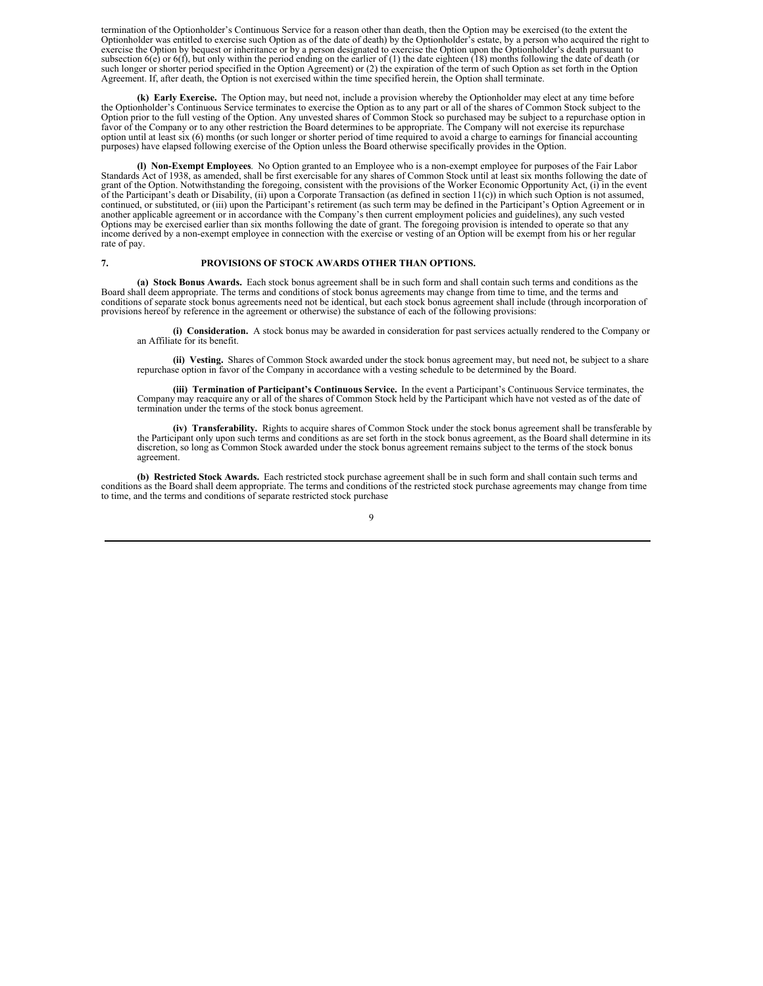termination of the Optionholder's Continuous Service for a reason other than death, then the Option may be exercised (to the extent the Optionholder was entitled to exercise such Option as of the date of death) by the Optionholder's estate, by a person who acquired the right to exercise the Option by bequest or inheritance or by a person designated to exercise the Option upon the Optionholder's death pursuant to subsection  $6(e)$  or  $6(f)$ , but only within the period ending on the earlier of (1) the date eighteen (18) months following the date of death (or such longer or shorter period specified in the Option Agreement) or (2) the expiration of the term of such Option as set forth in the Option Agreement. If, after death, the Option is not exercised within the time specified herein, the Option shall terminate.

**(k) Early Exercise.** The Option may, but need not, include a provision whereby the Optionholder may elect at any time before the Optionholder's Continuous Service terminates to exercise the Option as to any part or all of the shares of Common Stock subject to the Option prior to the full vesting of the Option. Any unvested shares of Common Stock so purchased may be subject to a repurchase option in favor of the Company or to any other restriction the Board determines to be appropriate. The Company will not exercise its repurchase option until at least six (6) months (or such longer or shorter period of time required to avoid a charge to earnings for financial accounting purposes) have elapsed following exercise of the Option unless the Board otherwise specifically provides in the Option.

**(l) Non-Exempt Employees**. No Option granted to an Employee who is a non-exempt employee for purposes of the Fair Labor Standards Act of 1938, as amended, shall be first exercisable for any shares of Common Stock until at least six months following the date of grant of the Option. Notwithstanding the foregoing, consistent with the provisions of the Worker Economic Opportunity Act, (i) in the event<br>of the Participant's death or Disability, (ii) upon a Corporate Transaction (as de continued, or substituted, or (iii) upon the Participant's retirement (as such term may be defined in the Participant's Option Agreement or in another applicable agreement or in accordance with the Company's then current employment policies and guidelines), any such vested Options may be exercised earlier than six months following the date of grant. The foregoing provision is intended to operate so that any income derived by a non-exempt employee in connection with the exercise or vesting of rate of pay.

### **7. PROVISIONS OF STOCK AWARDS OTHER THAN OPTIONS.**

**(a) Stock Bonus Awards.** Each stock bonus agreement shall be in such form and shall contain such terms and conditions as the Board shall deem appropriate. The terms and conditions of stock bonus agreements may change from time to time, and the terms and conditions of separate stock bonus agreements need not be identical, but each stock bonus agreement shall include (through incorporation of provisions hereof by reference in the agreement or otherwise) the substance of each of the following provisions:

**(i) Consideration.** A stock bonus may be awarded in consideration for past services actually rendered to the Company or an Affiliate for its benefit.

**(ii) Vesting.** Shares of Common Stock awarded under the stock bonus agreement may, but need not, be subject to a share repurchase option in favor of the Company in accordance with a vesting schedule to be determined by the Board.

**(iii) Termination of Participant's Continuous Service.** In the event a Participant's Continuous Service terminates, the Company may reacquire any or all of the shares of Common Stock held by the Participant which have not vested as of the date of termination under the terms of the stock bonus agreement.

(iv) Transferability. Rights to acquire shares of Common Stock under the stock bonus agreement shall be transferable by the Participant only upon such terms and conditions as are set forth in the stock bonus agreement, as discretion, so long as Common Stock awarded under the stock bonus agreement remains subject to the terms of the stock bonus agreement.

**(b) Restricted Stock Awards.** Each restricted stock purchase agreement shall be in such form and shall contain such terms and conditions as the Board shall deem appropriate. The terms and conditions of the restricted stock purchase agreements may change from time to time, and the terms and conditions of separate restricted stock purchase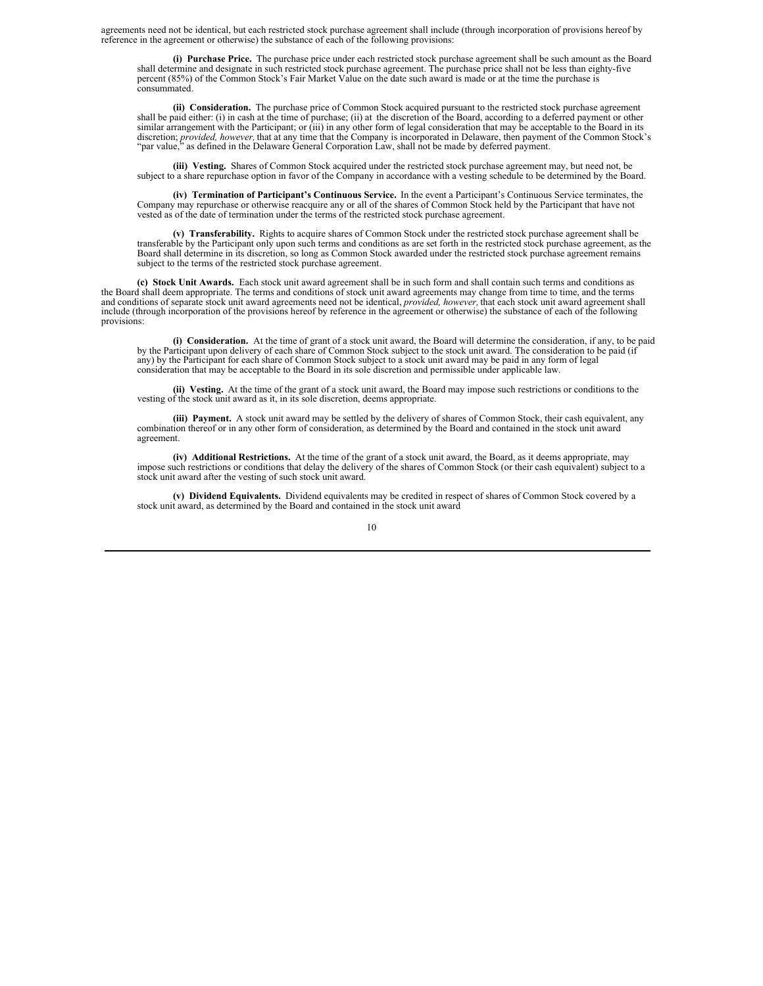agreements need not be identical, but each restricted stock purchase agreement shall include (through incorporation of provisions hereof by reference in the agreement or otherwise) the substance of each of the following provisions:

**(i) Purchase Price.** The purchase price under each restricted stock purchase agreement shall be such amount as the Board shall determine and designate in such restricted stock purchase agreement. The purchase price shall not be less than eighty-five percent (85%) of the Common Stock's Fair Market Value on the date such award is made or at the time the purchase is consummated.

**(ii) Consideration.** The purchase price of Common Stock acquired pursuant to the restricted stock purchase agreement shall be paid either: (i) in cash at the time of purchase; (ii) at the discretion of the Board, according to a deferred payment or other similar arrangement with the Participant; or (iii) in any other form of legal consideration that may be acceptable to the Board in its discretion; *provided, however,* that at any time that the Company is incorporated in Delaware, then payment of the Common Stock's "par value," as defined in the Delaware General Corporation Law, shall not be made by deferred payment.

**(iii) Vesting.** Shares of Common Stock acquired under the restricted stock purchase agreement may, but need not, be subject to a share repurchase option in favor of the Company in accordance with a vesting schedule to be determined by the Board.

**(iv) Termination of Participant's Continuous Service.** In the event a Participant's Continuous Service terminates, the Company may repurchase or otherwise reacquire any or all of the shares of Common Stock held by the Participant that have not vested as of the date of termination under the terms of the restricted stock purchase agreement.

**(v) Transferability.** Rights to acquire shares of Common Stock under the restricted stock purchase agreement shall be transferable by the Participant only upon such terms and conditions as are set forth in the restricted stock purchase agreement, as the Board shall determine in its discretion, so long as Common Stock awarded under the restricted stock purchase agreement remains subject to the terms of the restricted stock purchase agreement.

**(c) Stock Unit Awards.** Each stock unit award agreement shall be in such form and shall contain such terms and conditions as the Board shall deem appropriate. The terms and conditions of stock unit award agreements may change from time to time, and the terms and conditions of separate stock unit award agreements need not be identical, *provided, however,* that each stock unit award agreement shall include (through incorporation of the provisions hereof by reference in the agreement or otherwise) the substance of each of the following provisions:

**(i) Consideration.** At the time of grant of a stock unit award, the Board will determine the consideration, if any, to be paid by the Participant upon delivery of each share of Common Stock subject to the stock unit award. The consideration to be paid (if any) by the Participant for each share of Common Stock subject to a stock unit award may be paid in any form of legal consideration that may be acceptable to the Board in its sole discretion and permissible under applicable law.

**(ii) Vesting.** At the time of the grant of a stock unit award, the Board may impose such restrictions or conditions to the vesting of the stock unit award as it, in its sole discretion, deems appropriate.

**(iii) Payment.** A stock unit award may be settled by the delivery of shares of Common Stock, their cash equivalent, any combination thereof or in any other form of consideration, as determined by the Board and contained in the stock unit award agreement.

**(iv) Additional Restrictions.** At the time of the grant of a stock unit award, the Board, as it deems appropriate, may impose such restrictions or conditions that delay the delivery of the shares of Common Stock (or their cash equivalent) subject to a stock unit award after the vesting of such stock unit award.

**(v) Dividend Equivalents.** Dividend equivalents may be credited in respect of shares of Common Stock covered by a stock unit award, as determined by the Board and contained in the stock unit award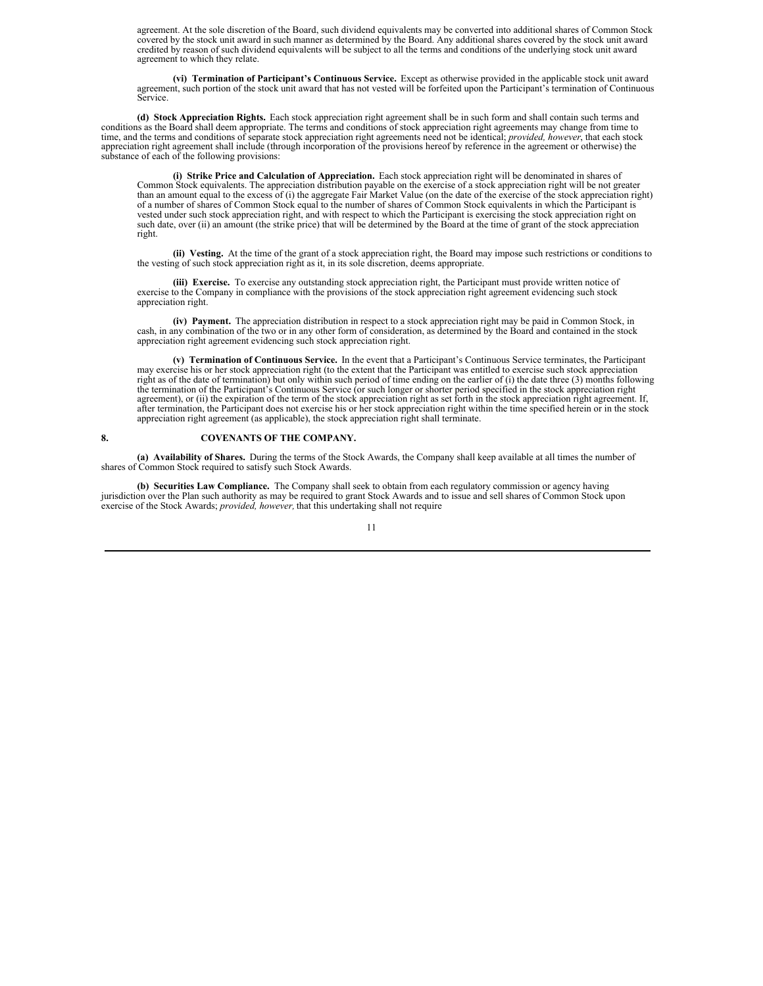agreement. At the sole discretion of the Board, such dividend equivalents may be converted into additional shares of Common Stock<br>covered by the stock unit award in such manner as determined by the Board. Any additional sh credited by reason of such dividend equivalents will be subject to all the terms and conditions of the underlying stock unit award agreement to which they relate.

**(vi) Termination of Participant's Continuous Service.** Except as otherwise provided in the applicable stock unit award agreement, such portion of the stock unit award that has not vested will be forfeited upon the Participant's termination of Continuous Service.

**(d) Stock Appreciation Rights.** Each stock appreciation right agreement shall be in such form and shall contain such terms and conditions as the Board shall deem appropriate. The terms and conditions of stock appreciation right agreements may change from time to time, and the terms and conditions of separate stock appreciation right agreements need not be identical; *provided, however*, that each stock appreciation right agreement shall include (through incorporation of the provisions hereof by reference in the agreement or otherwise) the substance of each of the following provisions:

**(i) Strike Price and Calculation of Appreciation.** Each stock appreciation right will be denominated in shares of Common Stock equivalents. The appreciation distribution payable on the exercise of a stock appreciation right will be not greater than an amount equal to the excess of (i) the aggregate Fair Market Value (on the date of th of a number of shares of Common Stock equal to the number of shares of Common Stock equivalents in which the Participant is vested under such stock appreciation right, and with respect to which the Participant is exercising the stock appreciation right on such date, over (ii) an amount (the strike price) that will be determined by the Board at the time of grant of the stock appreciation right.

(ii) Vesting. At the time of the grant of a stock appreciation right, the Board may impose such restrictions or conditions to the vesting of such stock appreciation right as it, in its sole discretion, deems appropriate.

**(iii) Exercise.** To exercise any outstanding stock appreciation right, the Participant must provide written notice of exercise to the Company in compliance with the provisions of the stock appreciation right agreement evidencing such stock appreciation right.

**(iv) Payment.** The appreciation distribution in respect to a stock appreciation right may be paid in Common Stock, in cash, in any combination of the two or in any other form of consideration, as determined by the Board and contained in the stock appreciation right agreement evidencing such stock appreciation right.

**(v) Termination of Continuous Service.** In the event that a Participant's Continuous Service terminates, the Participant may exercise his or her stock appreciation right (to the extent that the Participant was entitled to exercise such stock appreciation right as of the date of termination) but only within such period of time ending on the earlier of (i) the date three (3) months following the termination of the Participant's Continuous Service (or such longer or shorter period specified in the stock appreciation right agreement), or (ii) the expiration of the term of the stock appreciation right as set fort after termination, the Participant does not exercise his or her stock appreciation right within the time specified herein or in the stock appreciation right agreement (as applicable), the stock appreciation right shall terminate.

### **8. COVENANTS OF THE COMPANY.**

**(a) Availability of Shares.** During the terms of the Stock Awards, the Company shall keep available at all times the number of shares of Common Stock required to satisfy such Stock Awards.

**(b) Securities Law Compliance.** The Company shall seek to obtain from each regulatory commission or agency having jurisdiction over the Plan such authority as may be required to grant Stock Awards and to issue and sell shares of Common Stock upon exercise of the Stock Awards; *provided, however*, that this undertaking shall not requir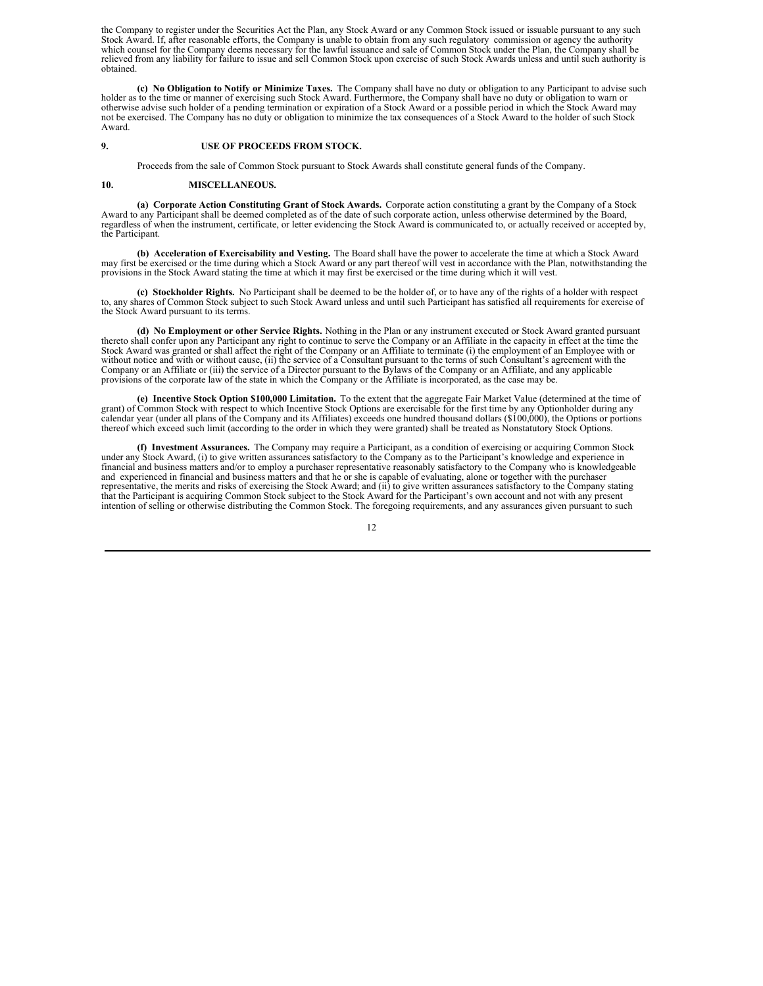the Company to register under the Securities Act the Plan, any Stock Award or any Common Stock issued or issuable pursuant to any such Stock Award. If, after reasonable efforts, the Company is unable to obtain from any such regulatory commission or agency the authority<br>which counsel for the Company deems necessary for the lawful issuance and sale of Commo relieved from any liability for failure to issue and sell Common Stock upon exercise of such Stock Awards unless and until such authority is obtained.

**(c) No Obligation to Notify or Minimize Taxes.** The Company shall have no duty or obligation to any Participant to advise such holder as to the time or manner of exercising such Stock Award. Furthermore, the Company shall have no duty or obligation to warn or otherwise advise such holder of a pending termination or expiration of a Stock Award or a possible period in which the Stock Award may not be exercised. The Company has no duty or obligation to minimize the tax consequences of a Stock Award to the holder of such Stock Award.

### **9. USE OF PROCEEDS FROM STOCK.**

Proceeds from the sale of Common Stock pursuant to Stock Awards shall constitute general funds of the Company.

# **10. MISCELLANEOUS.**

**(a) Corporate Action Constituting Grant of Stock Awards.** Corporate action constituting a grant by the Company of a Stock Award to any Participant shall be deemed completed as of the date of such corporate action, unless otherwise determined by the Board, regardless of when the instrument, certificate, or letter evidencing the Stock Award is communicated to, or actually received or accepted by, the Participant.

(b) Acceleration of Exercisability and Vesting. The Board shall have the power to accelerate the time at which a Stock Award may first be exercised or the time during which a Stock Award or any part thereof will vest in ac provisions in the Stock Award stating the time at which it may first be exercised or the time during which it will vest.

**(c) Stockholder Rights.** No Participant shall be deemed to be the holder of, or to have any of the rights of a holder with respect to, any shares of Common Stock subject to such Stock Award unless and until such Participant has satisfied all requirements for exercise of the Stock Award pursuant to its terms.

**(d) No Employment or other Service Rights.** Nothing in the Plan or any instrument executed or Stock Award granted pursuant thereto shall confer upon any Participant any right to continue to serve the Company or an Affiliate in the capacity in effect at the time the Stock Award was granted or shall affect the right of the Company or an Affiliate to terminate (i) the employment of an Employee with or without notice and with or without cause, (ii) the service of a Consultant pursuant to the terms of such Consultant's agreement with the Company or an Affiliate or (iii) the service of a Director pursuant to the Bylaws of the Company or an Affiliate, and any applicable provisions of the corporate law of the state in which the Company or the Affiliate is inc

(e) Incentive Stock Option \$100,000 Limitation. To the extent that the aggregate Fair Market Value (determined at the time of grant) of Common Stock with respect to which Incentive Stock Options are exercisable for the fir calendar year (under all plans of the Company and its Affiliates) exceeds one hundred thousand dollars (\$100,000), the Options or portions thereof which exceed such limit (according to the order in which they were granted)

(f) Investment Assurances. The Company may require a Participant, as a condition of exercising or acquiring Common Stock under any Stock Award, (i) to give written assurances satisfactory to the Company as to the Participa financial and business matters and/or to employ a purchaser representative reasonably satisfactory to the Company who is knowledgeable and experienced in financial and business matters and that he or she is capable of evaluating, alone or together with the purchaser representative, the merits and risks of exercising the Stock Award; and (ii) to give written assurances satisfactory to the Company stating that the Participant is acquiring Common Stock subject to the Stock Award for the Participant's own account and not with any present intention of selling or otherwise distributing the Common Stock. The foregoing requirements, and any assurances given pursuant to such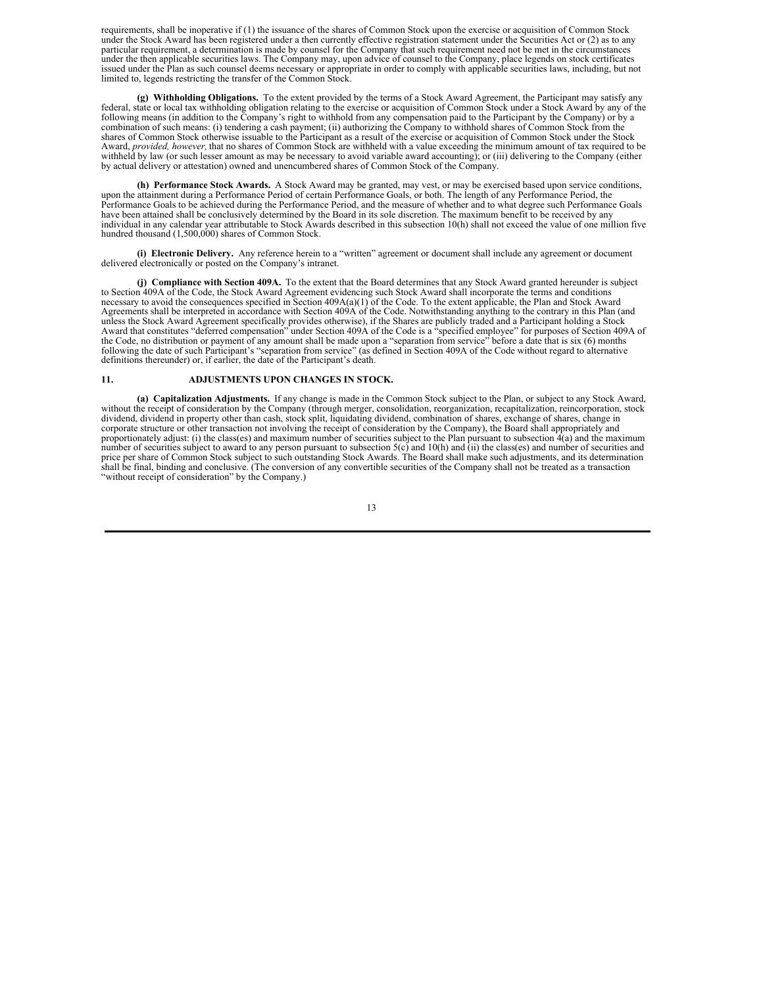requirements, shall be inoperative if (1) the issuance of the shares of Common Stock upon the exercise or acquisition of Common Stock under the Stock Award has been registered under a then currently effective registration statement under the Securities Act or (2) as to any particular requirement, a determination is made by counsel for the Company that such requirement need not be met in the circumstances under the then applicable securities laws. The Company may, upon advice of counsel to the Company, place legends on stock certificates<br>issued under the Plan as such counsel deems necessary or appropriate in order to comply limited to, legends restricting the transfer of the Common Stock.

**(g) Withholding Obligations.** To the extent provided by the terms of a Stock Award Agreement, the Participant may satisfy any federal, state or local tax withholding obligation relating to the exercise or acquisition of Common Stock under a Stock Award by any of the following means (in addition to the Company's right to withhold from any compensation paid to the Participant by the Company) or by a combination of such means: (i) tendering a cash payment; (ii) authorizing the Company to withhold shares of Common Stock from the shares of Common Stock otherwise issuable to the Participant as a result of the exercise or acquisition of Common Stock under the Stock Award, *provided, however,* that no shares of Common Stock are withheld with a value exceeding the minimum amount of tax required to be withheld by law (or such lesser amount as may be necessary to avoid variable award accounting); or (iii) delivering to the Company (either<br>by actual delivery or attestation) owned and unencumbered shares of Common Stock of

(h) Performance Stock Awards. A Stock Award may be granted, may vest, or may be exercised based upon service conditions, upon the attainment during a Performance Period of certain Performance Goals, or both. The length of Performance Goals to be achieved during the Performance Period, and the measure of whether and to what degree such Performance Goals<br>have been attained shall be conclusively determined by the Board in its sole discretion. individual in any calendar year attributable to Stock Awards described in this subsection 10(h) shall not exceed the value of one million five hundred thousand (1,500,000) shares of Common Stock.

**(i) Electronic Delivery.** Any reference herein to a "written" agreement or document shall include any agreement or document delivered electronically or posted on the Company's intranet.

**(j) Compliance with Section 409A.** To the extent that the Board determines that any Stock Award granted hereunder is subject to Section 409A of the Code, the Stock Award Agreement evidencing such Stock Award shall incorporate the terms and conditions necessary to avoid the consequences specified in Section 409A(a)(1) of the Code. To the extent applicable, the Plan and Stock Award Agreements shall be interpreted in accordance with Section 409A of the Code. Notwithstanding anything to the contrary in this Plan (and unless the Stock Award Agreement specifically provides otherwise), if the Shares are publicly traded and a Participant holding a Stock<br>Award that constitutes "deferred compensation" under Section 409A of the Code is a "spe following the date of such Participant's "separation from service" (as defined in Section 409A of the Code without regard to alternative definitions thereunder) or, if earlier, the date of the Participant's death.

### **11. ADJUSTMENTS UPON CHANGES IN STOCK.**

(a) Capitalization Adjustments. If any change is made in the Common Stock subject to the Plan, or subject to any Stock Award, without the receipt of consideration by the Company (through merger, consolidation, reorganizati dividend, dividend in property other than cash, stock split, liquidating dividend, combination of shares, exchange of shares, change in corporate structure or other transaction not involving the receipt of consideration by the Company), the Board shall appropriately and<br>proportionately adjust: (i) the class(es) and maximum number of securities subject to t number of securities subject to award to any person pursuant to subsection 5(c) and 10(h) and (ii) the class(es) and number of securities and<br>price per share of Common Stock subject to such outstanding Stock Awards. The Bo shall be final, binding and conclusive. (The conversion of any convertible securities of the Company shall not be treated as a transaction "without receipt of consideration" by the Company.)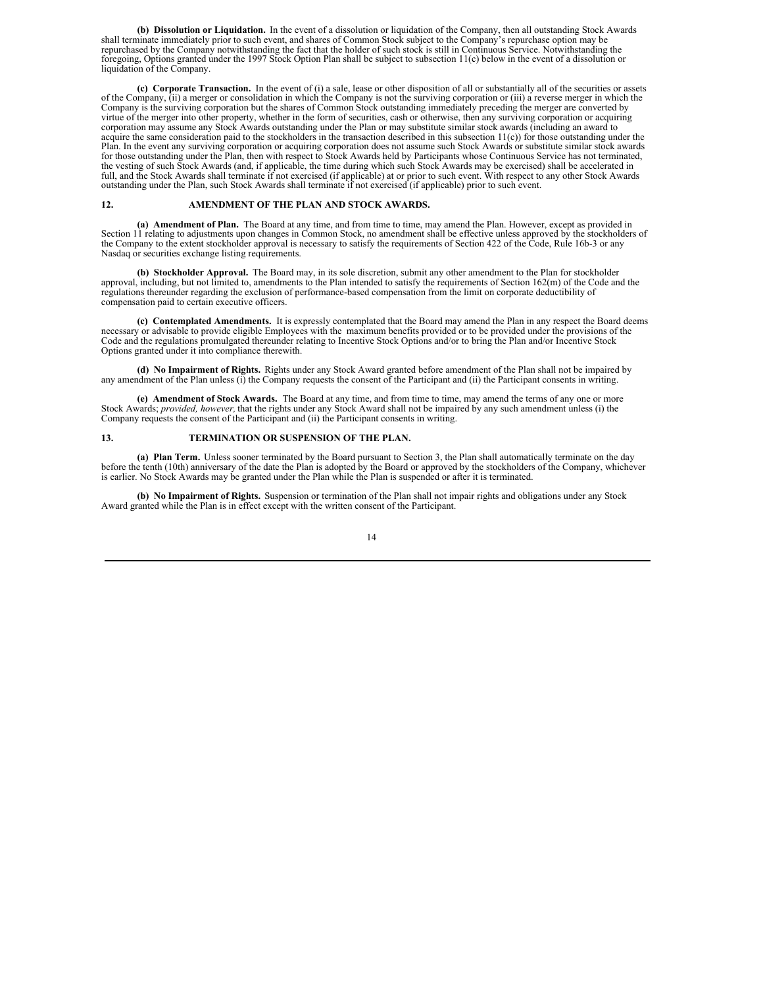**(b) Dissolution or Liquidation.** In the event of a dissolution or liquidation of the Company, then all outstanding Stock Awards shall terminate immediately prior to such event, and shares of Common Stock subject to the Company's repurchase option may be repurchased by the Company notwithstanding the fact that the holder of such stock is still in Continuous Service. Notwithstanding the foregoing, Options granted under the 1997 Stock Option Plan shall be subject to subsection 11(c) below in the event of a dissolution or liquidation of the Company.

**(c) Corporate Transaction.** In the event of (i) a sale, lease or other disposition of all or substantially all of the securities or assets of the Company, (ii) a merger or consolidation in which the Company is not the surviving corporation or (iii) a reverse merger in which the Company is the surviving corporation but the shares of Common Stock outstanding immediately preceding the merger are converted by virtue of the merger into other property, whether in the form of securities, cash or otherwise, then any surviving corporation or acquiring corporation may assume any Stock Awards outstanding under the Plan or may substitute similar stock awards (including an award to acquire the same consideration paid to the stockholders in the transaction described in this subsection 11(c)) for those outstanding under the Plan. In the event any surviving corporation or acquiring corporation does not assume such Stock Awards or substitute similar stock awards for those outstanding under the Plan, then with respect to Stock Awards held by Participants whose Continuous Service has not terminated, the vesting of such Stock Awards (and, if applicable, the time during which such Stock Awards may be exercised) shall be accelerated in full, and the Stock Awards shall terminate if not exercised (if applicable) at or prior to such event. With respect to any other Stock Awards outstanding under the Plan, such Stock Awards shall terminate if not exercised (if applicable) prior to such event.

### **12. AMENDMENT OF THE PLAN AND STOCK AWARDS.**

(a) Amendment of Plan. The Board at any time, and from time to time, may amend the Plan. However, except as provided in<br>Section 11 relating to adjustments upon changes in Common Stock, no amendment shall be effective unles Nasdaq or securities exchange listing requirements.

(b) Stockholder Approval. The Board may, in its sole discretion, submit any other amendment to the Plan for stockholder approval, including, but not limited to, amendments to the Plan intended to satisfy the requirements o regulations thereunder regarding the exclusion of performance-based compensation from the limit on corporate deductibility of compensation paid to certain executive officers.

**(c) Contemplated Amendments.** It is expressly contemplated that the Board may amend the Plan in any respect the Board deems necessary or advisable to provide eligible Employees with the maximum benefits provided or to be provided under the provisions of the Code and the regulations promulgated thereunder relating to Incentive Stock Options and/or to bring the Plan and/or Incentive Stock Options granted under it into compliance therewith.

**(d) No Impairment of Rights.** Rights under any Stock Award granted before amendment of the Plan shall not be impaired by any amendment of the Plan unless (i) the Company requests the consent of the Participant and (ii) the Participant consents in writing.

**(e) Amendment of Stock Awards.** The Board at any time, and from time to time, may amend the terms of any one or more Stock Awards; *provided, however,* that the rights under any Stock Award shall not be impaired by any such amendment unless (i) the Company requests the consent of the Participant and (ii) the Participant consents in writing.

# **13. TERMINATION OR SUSPENSION OF THE PLAN.**

**(a) Plan Term.** Unless sooner terminated by the Board pursuant to Section 3, the Plan shall automatically terminate on the day before the tenth (10th) anniversary of the date the Plan is adopted by the Board or approved by the stockholders of the Company, whichever is earlier. No Stock Awards may be granted under the Plan while the Plan is suspend

**(b) No Impairment of Rights.** Suspension or termination of the Plan shall not impair rights and obligations under any Stock Award granted while the Plan is in effect except with the written consent of the Participant.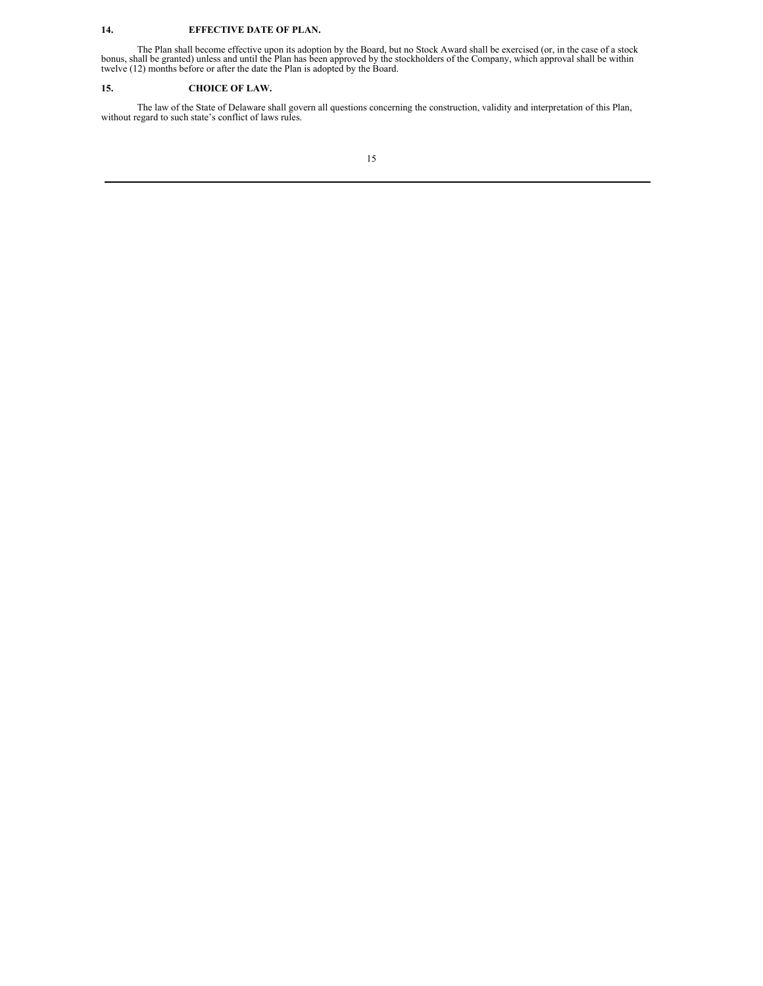# **14. EFFECTIVE DATE OF PLAN.**

The Plan shall become effective upon its adoption by the Board, but no Stock Award shall be exercised (or, in the case of a stock<br>bonus, shall be granted) unless and until the Plan has been approved by the stockholders of

# **15. CHOICE OF LAW.**

The law of the State of Delaware shall govern all questions concerning the construction, validity and interpretation of this Plan, without regard to such state's conflict of laws rules.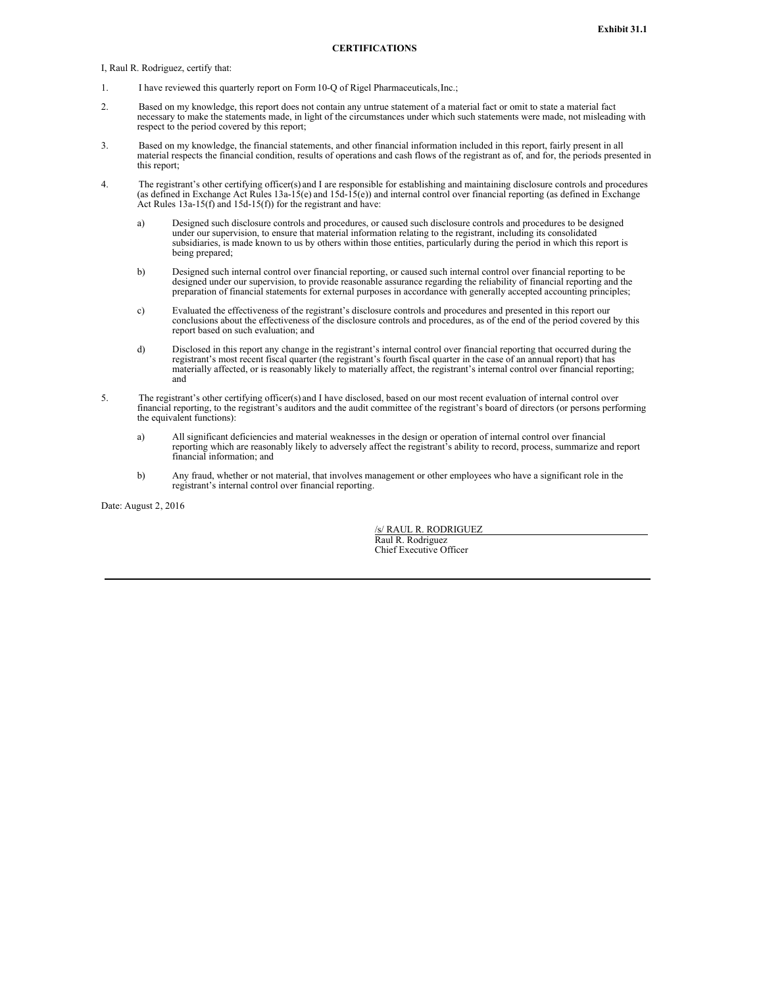I, Raul R. Rodriguez, certify that:

- 1. I have reviewed this quarterly report on Form 10-Q of Rigel Pharmaceuticals, Inc.;
- 2. Based on my knowledge, this report does not contain any untrue statement of a material fact or omit to state a material fact necessary to make the statements made, in light of the circumstances under which such statements were made, not misleading with respect to the period covered by this report;
- 3. Based on my knowledge, the financial statements, and other financial information included in this report, fairly present in all material respects the financial condition, results of operations and cash flows of the regi this report;
- 4. The registrant's other certifying officer(s) and I are responsible for establishing and maintaining disclosure controls and procedures (as defined in Exchange Act Rules 13a-15(e) and 15d-15(e)) and internal control over financial reporting (as defined in Exchange Act Rules 13a-15(f) and 15d-15(f)) for the registrant and have:
	- a) Designed such disclosure controls and procedures, or caused such disclosure controls and procedures to be designed under our supervision, to ensure that material information relating to the registrant, including its consolidated subsidiaries, is made known to us by others within those entities, particularly during the period in which this report is being prepared;
	- b) Designed such internal control over financial reporting, or caused such internal control over financial reporting to be designed under our supervision, to provide reasonable assurance regarding the reliability of financial reporting and the preparation of financial statements for external purposes in accordance with generally accepted accounting principles;
	- c) Evaluated the effectiveness of the registrant's disclosure controls and procedures and presented in this report our conclusions about the effectiveness of the disclosure controls and procedures, as of the end of the period covered by this report based on such evaluation; and
	- d) Disclosed in this report any change in the registrant's internal control over financial reporting that occurred during the registrant's most recent fiscal quarter (the registrant's fourth fiscal quarter in the case of a materially affected, or is reasonably likely to materially affect, the registrant's internal control over financial reporting; and
- 5. The registrant's other certifying officer(s) and I have disclosed, based on our most recent evaluation of internal control over financial reporting, to the registrant's auditors and the audit committee of the registrant's board of directors (or persons performing the equivalent functions):
	- a) All significant deficiencies and material weaknesses in the design or operation of internal control over financial reporting which are reasonably likely to adversely affect the registrant's ability to record, process, summarize and report financial information; and
	- b) Any fraud, whether or not material, that involves management or other employees who have a significant role in the registrant's internal control over financial reporting.

Date: August 2, 2016

/s/ RAUL R. RODRIGUEZ

Raul R. Rodriguez Chief Executive Officer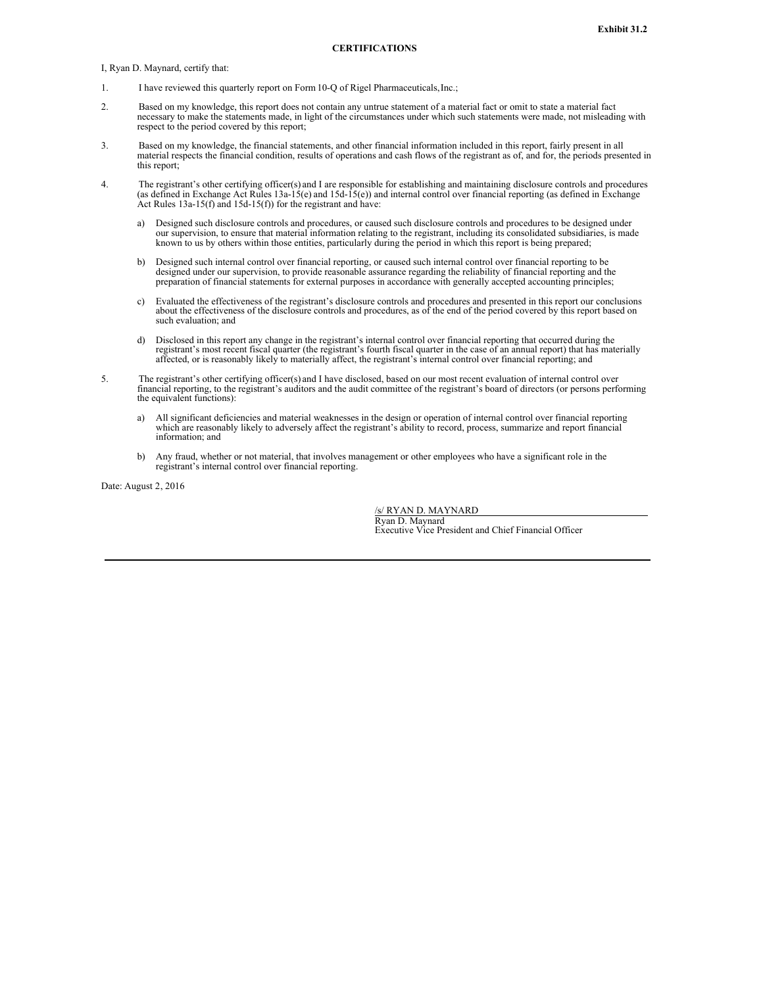# **CERTIFICATIONS**

I, Ryan D. Maynard, certify that:

- 1. I have reviewed this quarterly report on Form 10-Q of Rigel Pharmaceuticals, Inc.;
- 2. Based on my knowledge, this report does not contain any untrue statement of a material fact or omit to state a material fact necessary to make the statements made, in light of the circumstances under which such statements were made, not misleading with respect to the period covered by this report;
- 3. Based on my knowledge, the financial statements, and other financial information included in this report, fairly present in all material respects the financial condition, results of operations and cash flows of the regi this report;
- 4. The registrant's other certifying officer(s) and I are responsible for establishing and maintaining disclosure controls and procedures (as defined in Exchange Act Rules 13a-15(e) and 15d-15(e)) and internal control over financial reporting (as defined in Exchange Act Rules 13a-15(f) and 15d-15(f)) for the registrant and have:
	- a) Designed such disclosure controls and procedures, or caused such disclosure controls and procedures to be designed under our supervision, to ensure that material information relating to the registrant, including its consolidated subsidiaries, is made known to us by others within those entities, particularly during the period in which this report is being prepared;
	- b) Designed such internal control over financial reporting, or caused such internal control over financial reporting to be designed under our supervision, to provide reasonable assurance regarding the reliability of financial reporting and the preparation of financial statements for external purposes in accordance with generally accepted accounting principles;
	- c) Evaluated the effectiveness of the registrant's disclosure controls and procedures and presented in this report our conclusions about the effectiveness of the disclosure controls and procedures, as of the end of the period covered by this report based on such evaluation; and
	- d) Disclosed in this report any change in the registrant's internal control over financial reporting that occurred during the registrant's most recent fiscal quarter (the registrant's fourth fiscal quarter in the case of an annual report) that has materially affected, or is reasonably likely to materially affect, the registrant's internal control
- 5. The registrant's other certifying officer(s) and I have disclosed, based on our most recent evaluation of internal control over financial reporting, to the registrant's auditors and the audit committee of the registrant's board of directors (or persons performing the equivalent functions):
	- a) All significant deficiencies and material weaknesses in the design or operation of internal control over financial reporting which are reasonably likely to adversely affect the registrant's ability to record, process, summarize and report financial information; and
	- b) Any fraud, whether or not material, that involves management or other employees who have a significant role in the registrant's internal control over financial reporting.

Date: August 2, 2016

/s/ RYAN D. MAYNARD Ryan D. Maynard Executive Vice President and Chief Financial Officer